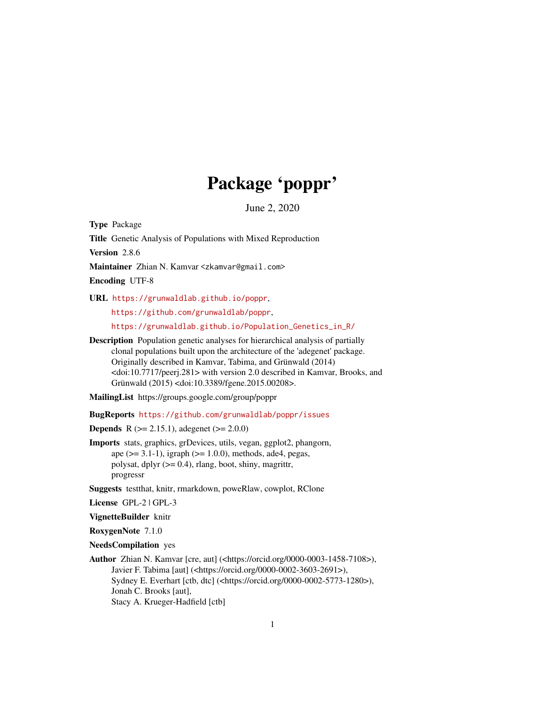# Package 'poppr'

June 2, 2020

<span id="page-0-0"></span>Type Package

Title Genetic Analysis of Populations with Mixed Reproduction

Version 2.8.6

Maintainer Zhian N. Kamvar <zkamvar@gmail.com>

Encoding UTF-8

URL <https://grunwaldlab.github.io/poppr>,

<https://github.com/grunwaldlab/poppr>,

[https://grunwaldlab.github.io/Population\\_Genetics\\_in\\_R/](https://grunwaldlab.github.io/Population_Genetics_in_R/)

Description Population genetic analyses for hierarchical analysis of partially clonal populations built upon the architecture of the 'adegenet' package. Originally described in Kamvar, Tabima, and Grünwald (2014) <doi:10.7717/peerj.281> with version 2.0 described in Kamvar, Brooks, and Grünwald (2015) <doi:10.3389/fgene.2015.00208>.

MailingList https://groups.google.com/group/poppr

BugReports <https://github.com/grunwaldlab/poppr/issues>

**Depends** R ( $>= 2.15.1$ ), adegenet ( $>= 2.0.0$ )

Imports stats, graphics, grDevices, utils, vegan, ggplot2, phangorn, ape (>= 3.1-1), igraph (>= 1.0.0), methods, ade4, pegas, polysat, dplyr (>= 0.4), rlang, boot, shiny, magrittr, progressr

Suggests testthat, knitr, rmarkdown, poweRlaw, cowplot, RClone

License GPL-2 | GPL-3

VignetteBuilder knitr

RoxygenNote 7.1.0

NeedsCompilation yes

Author Zhian N. Kamvar [cre, aut] (<https://orcid.org/0000-0003-1458-7108>), Javier F. Tabima [aut] (<https://orcid.org/0000-0002-3603-2691>), Sydney E. Everhart [ctb, dtc] (<https://orcid.org/0000-0002-5773-1280>), Jonah C. Brooks [aut], Stacy A. Krueger-Hadfield [ctb]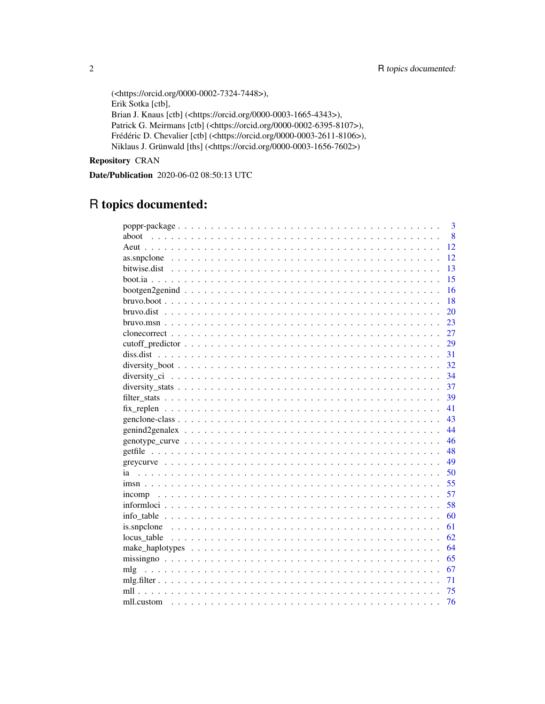```
(<https://orcid.org/0000-0002-7324-7448>),
Erik Sotka [ctb],
Brian J. Knaus [ctb] (<https://orcid.org/0000-0003-1665-4343>),
Patrick G. Meirmans [ctb] (<https://orcid.org/0000-0002-6395-8107>),
Frédéric D. Chevalier [ctb] (<https://orcid.org/0000-0003-2611-8106>),
Niklaus J. Grünwald [ths] (<https://orcid.org/0000-0003-1656-7602>)
```
# Repository CRAN

Date/Publication 2020-06-02 08:50:13 UTC

# R topics documented:

|            | $\overline{3}$ |
|------------|----------------|
| aboot      | 8              |
|            | 12             |
|            | 12             |
|            | 13             |
|            | 15             |
|            | 16             |
|            | 18             |
|            | 20             |
|            | 23             |
|            | 27             |
|            | 29             |
|            | 31             |
|            | 32             |
|            | 34             |
|            | 37             |
|            | 39             |
|            | 41             |
|            | 43             |
|            | 44             |
|            | 46             |
|            | 48             |
|            | 49             |
| ia         | 50             |
|            | 55             |
| incomp     | 57             |
|            | 58             |
|            | 60             |
|            | 61             |
|            | 62             |
|            | 64             |
|            | 65             |
|            | 67             |
|            | 71             |
| mll        | 75             |
| mll.custom | 76             |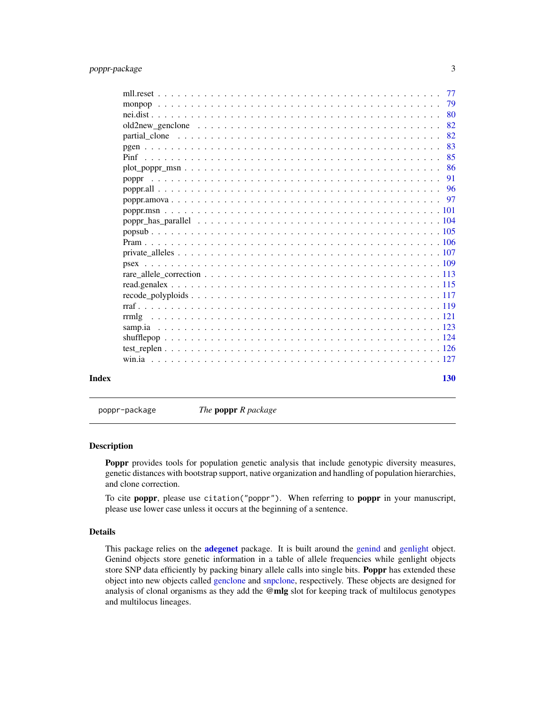# <span id="page-2-0"></span>poppr-package 3

|       |       |  |  |  |  |  |  |  |  |  |  |  | -79 |
|-------|-------|--|--|--|--|--|--|--|--|--|--|--|-----|
|       |       |  |  |  |  |  |  |  |  |  |  |  | -80 |
|       |       |  |  |  |  |  |  |  |  |  |  |  | 82  |
|       |       |  |  |  |  |  |  |  |  |  |  |  | 82  |
|       |       |  |  |  |  |  |  |  |  |  |  |  | 83  |
|       |       |  |  |  |  |  |  |  |  |  |  |  | 85  |
|       |       |  |  |  |  |  |  |  |  |  |  |  | 86  |
|       | poppr |  |  |  |  |  |  |  |  |  |  |  | 91  |
|       |       |  |  |  |  |  |  |  |  |  |  |  |     |
|       |       |  |  |  |  |  |  |  |  |  |  |  |     |
|       |       |  |  |  |  |  |  |  |  |  |  |  |     |
|       |       |  |  |  |  |  |  |  |  |  |  |  |     |
|       |       |  |  |  |  |  |  |  |  |  |  |  |     |
|       |       |  |  |  |  |  |  |  |  |  |  |  |     |
|       |       |  |  |  |  |  |  |  |  |  |  |  |     |
|       |       |  |  |  |  |  |  |  |  |  |  |  |     |
|       |       |  |  |  |  |  |  |  |  |  |  |  |     |
|       |       |  |  |  |  |  |  |  |  |  |  |  |     |
|       |       |  |  |  |  |  |  |  |  |  |  |  |     |
|       |       |  |  |  |  |  |  |  |  |  |  |  |     |
|       | rrmlg |  |  |  |  |  |  |  |  |  |  |  |     |
|       |       |  |  |  |  |  |  |  |  |  |  |  |     |
|       |       |  |  |  |  |  |  |  |  |  |  |  |     |
|       |       |  |  |  |  |  |  |  |  |  |  |  |     |
|       |       |  |  |  |  |  |  |  |  |  |  |  |     |
| Index |       |  |  |  |  |  |  |  |  |  |  |  | 130 |

poppr-package *The* poppr *R package*

# Description

Poppr provides tools for population genetic analysis that include genotypic diversity measures, genetic distances with bootstrap support, native organization and handling of population hierarchies, and clone correction.

To cite poppr, please use citation("poppr"). When referring to poppr in your manuscript, please use lower case unless it occurs at the beginning of a sentence.

# Details

This package relies on the **[adegenet](#page-0-0)** package. It is built around the [genind](#page-0-0) and [genlight](#page-0-0) object. Genind objects store genetic information in a table of allele frequencies while genlight objects store SNP data efficiently by packing binary allele calls into single bits. **Poppr** has extended these object into new objects called [genclone](#page-42-1) and [snpclone,](#page-42-2) respectively. These objects are designed for analysis of clonal organisms as they add the @mlg slot for keeping track of multilocus genotypes and multilocus lineages.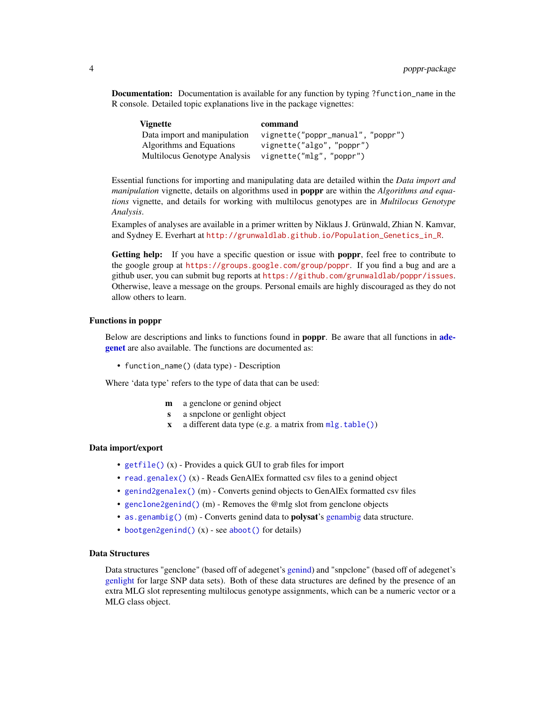Documentation: Documentation is available for any function by typing ?function\_name in the R console. Detailed topic explanations live in the package vignettes:

| <b>Vignette</b>              | command                          |
|------------------------------|----------------------------------|
| Data import and manipulation | vignette("poppr_manual","poppr") |
| Algorithms and Equations     | vignette("algo", "poppr")        |
| Multilocus Genotype Analysis | vignette("mlg", "poppr")         |

Essential functions for importing and manipulating data are detailed within the *Data import and manipulation* vignette, details on algorithms used in poppr are within the *Algorithms and equations* vignette, and details for working with multilocus genotypes are in *Multilocus Genotype Analysis*.

Examples of analyses are available in a primer written by Niklaus J. Grünwald, Zhian N. Kamvar, and Sydney E. Everhart at [http://grunwaldlab.github.io/Population\\_Genetics\\_in\\_R](http://grunwaldlab.github.io/Population_Genetics_in_R).

Getting help: If you have a specific question or issue with poppr, feel free to contribute to the google group at <https://groups.google.com/group/poppr>. If you find a bug and are a github user, you can submit bug reports at <https://github.com/grunwaldlab/poppr/issues>. Otherwise, leave a message on the groups. Personal emails are highly discouraged as they do not allow others to learn.

#### Functions in poppr

Below are descriptions and links to functions found in **poppr**. Be aware that all functions in **[ade](#page-0-0)[genet](#page-0-0)** are also available. The functions are documented as:

• function\_name() (data type) - Description

Where 'data type' refers to the type of data that can be used:

- m a genclone or genind object
- s a snpclone or genlight object
- $x$  a different data type (e.g. a matrix from  $mlg.table()$ )

#### Data import/export

- [getfile\(\)](#page-47-1) (x) Provides a quick GUI to grab files for import
- [read.genalex\(\)](#page-114-1) (x) Reads GenAlEx formatted csv files to a genind object
- [genind2genalex\(\)](#page-43-1) (m) Converts genind objects to GenAlEx formatted csv files
- [genclone2genind\(\)](#page-15-1) (m) Removes the @mlg slot from genclone objects
- [as.genambig\(\)](#page-15-1) (m) Converts genind data to **polysat's** [genambig](#page-0-0) data structure.
- [bootgen2genind\(\)](#page-15-2) (x) see [aboot\(\)](#page-7-1) for details)

# Data Structures

Data structures "genclone" (based off of adegenet's [genind\)](#page-0-0) and "snpclone" (based off of adegenet's [genlight](#page-0-0) for large SNP data sets). Both of these data structures are defined by the presence of an extra MLG slot representing multilocus genotype assignments, which can be a numeric vector or a MLG class object.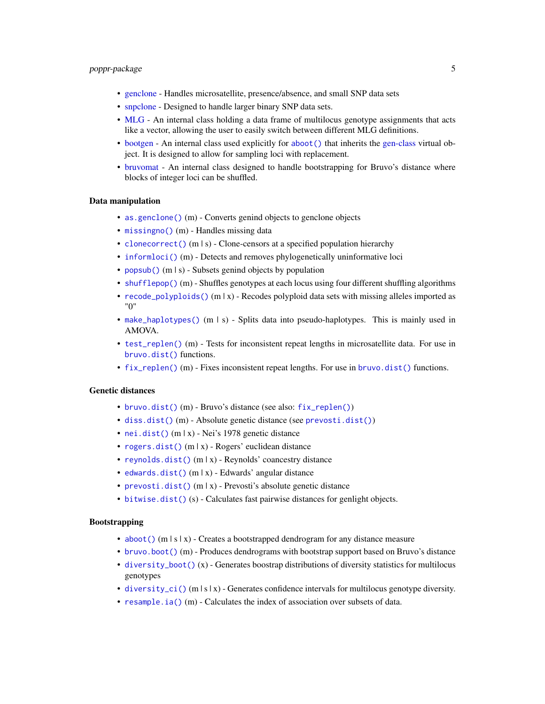# poppr-package 5

- [genclone](#page-42-1) Handles microsatellite, presence/absence, and small SNP data sets
- [snpclone](#page-42-2) Designed to handle larger binary SNP data sets.
- [MLG](#page-0-0) An internal class holding a data frame of multilocus genotype assignments that acts like a vector, allowing the user to easily switch between different MLG definitions.
- [bootgen](#page-0-0) An internal class used explicitly for [aboot\(\)](#page-7-1) that inherits the [gen-class](#page-0-0) virtual object. It is designed to allow for sampling loci with replacement.
- [bruvomat](#page-0-0) An internal class designed to handle bootstrapping for Bruvo's distance where blocks of integer loci can be shuffled.

## Data manipulation

- as genclone() (m) Converts genind objects to genclone objects
- [missingno\(\)](#page-64-1) (m) Handles missing data
- [clonecorrect\(\)](#page-26-1) (m | s) Clone-censors at a specified population hierarchy
- [informloci\(\)](#page-57-1) (m) Detects and removes phylogenetically uninformative loci
- [popsub\(\)](#page-104-1) (m | s) Subsets genind objects by population
- [shufflepop\(\)](#page-123-1) (m) Shuffles genotypes at each locus using four different shuffling algorithms
- [recode\\_polyploids\(\)](#page-116-1) (m | x) Recodes polyploid data sets with missing alleles imported as "0"
- [make\\_haplotypes\(\)](#page-63-1) (m | s) Splits data into pseudo-haplotypes. This is mainly used in AMOVA.
- [test\\_replen\(\)](#page-125-1) (m) Tests for inconsistent repeat lengths in microsatellite data. For use in [bruvo.dist\(\)](#page-19-1) functions.
- [fix\\_replen\(\)](#page-40-1) (m) Fixes inconsistent repeat lengths. For use in [bruvo.dist\(\)](#page-19-1) functions.

# Genetic distances

- [bruvo.dist\(\)](#page-19-1) (m) Bruvo's distance (see also: [fix\\_replen\(\)](#page-40-1))
- [diss.dist\(\)](#page-30-1) (m) Absolute genetic distance (see [prevosti.dist\(\)](#page-79-1))
- [nei.dist\(\)](#page-79-2) (m | x) Nei's 1978 genetic distance
- [rogers.dist\(\)](#page-79-1) (m | x) Rogers' euclidean distance
- [reynolds.dist\(\)](#page-79-1) (m | x) Reynolds' coancestry distance
- [edwards.dist\(\)](#page-79-1) (m | x) Edwards' angular distance
- [prevosti.dist\(\)](#page-79-1) (m | x) Prevosti's absolute genetic distance
- [bitwise.dist\(\)](#page-12-1) (s) Calculates fast pairwise distances for genlight objects.

#### Bootstrapping

- [aboot\(\)](#page-7-1) (m  $|s|x|$ ) Creates a bootstrapped dendrogram for any distance measure
- [bruvo.boot\(\)](#page-17-1) (m) Produces dendrograms with bootstrap support based on Bruvo's distance
- [diversity\\_boot\(\)](#page-31-1)  $(x)$  Generates boostrap distributions of diversity statistics for multilocus genotypes
- [diversity\\_ci\(\)](#page-33-1) (m  $|s|x|$ ) Generates confidence intervals for multilocus genotype diversity.
- [resample.ia\(\)](#page-49-1) (m) Calculates the index of association over subsets of data.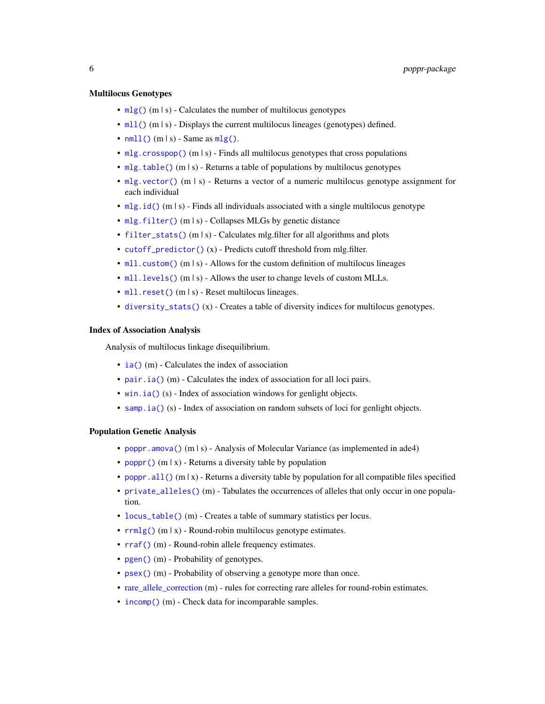#### Multilocus Genotypes

- $mlg()$  (m | s) Calculates the number of multilocus genotypes
- [mll\(\)](#page-74-1) (m | s) Displays the current multilocus lineages (genotypes) defined.
- $mlll$  () (m | s) Same as  $mlg$  ().
- [mlg.crosspop\(\)](#page-66-1) (m | s) Finds all multilocus genotypes that cross populations
- [mlg.table\(\)](#page-66-1) (m | s) Returns a table of populations by multilocus genotypes
- [mlg.vector\(\)](#page-66-1) (m | s) Returns a vector of a numeric multilocus genotype assignment for each individual
- [mlg.id\(\)](#page-66-1) (m  $|s\rangle$  Finds all individuals associated with a single multilocus genotype
- [mlg.filter\(\)](#page-70-1) (m | s) Collapses MLGs by genetic distance
- [filter\\_stats\(\)](#page-38-1) (m | s) Calculates mlg.filter for all algorithms and plots
- [cutoff\\_predictor\(\)](#page-28-1) (x) Predicts cutoff threshold from mlg.filter.
- [mll.custom\(\)](#page-75-1) (m | s) Allows for the custom definition of multilocus lineages
- [mll.levels\(\)](#page-75-2) (m | s) Allows the user to change levels of custom MLLs.
- [mll.reset\(\)](#page-76-1) (m | s) Reset multilocus lineages.
- [diversity\\_stats\(\)](#page-36-1) (x) Creates a table of diversity indices for multilocus genotypes.

#### Index of Association Analysis

Analysis of multilocus linkage disequilibrium.

- [ia\(\)](#page-49-2) (m) Calculates the index of association
- [pair.ia\(\)](#page-49-1) (m) Calculates the index of association for all loci pairs.
- [win.ia\(\)](#page-126-1) (s) Index of association windows for genlight objects.
- [samp.ia\(\)](#page-122-1) (s) Index of association on random subsets of loci for genlight objects.

#### Population Genetic Analysis

- poppr. amova() (m | s) Analysis of Molecular Variance (as implemented in ade4)
- [poppr\(\)](#page-90-1) (m | x) Returns a diversity table by population
- [poppr.all\(\)](#page-95-1) (m | x) Returns a diversity table by population for all compatible files specified
- [private\\_alleles\(\)](#page-106-1) (m) Tabulates the occurrences of alleles that only occur in one population.
- [locus\\_table\(\)](#page-61-1) (m) Creates a table of summary statistics per locus.
- $rrmlg()$  (m | x) Round-robin multilocus genotype estimates.
- [rraf\(\)](#page-118-1) (m) Round-robin allele frequency estimates.
- [pgen\(\)](#page-82-1) (m) Probability of genotypes.
- [psex\(\)](#page-108-1) (m) Probability of observing a genotype more than once.
- [rare\\_allele\\_correction](#page-112-1) (m) rules for correcting rare alleles for round-robin estimates.
- [incomp\(\)](#page-56-1) (m) Check data for incomparable samples.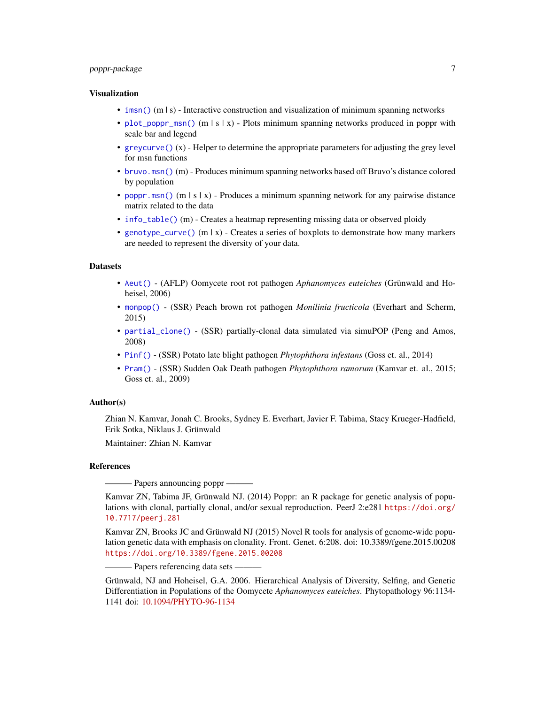# poppr-package 7

#### Visualization

- [imsn\(\)](#page-54-1) (m | s) Interactive construction and visualization of minimum spanning networks
- [plot\\_poppr\\_msn\(\)](#page-85-1) (m | s | x) Plots minimum spanning networks produced in poppr with scale bar and legend
- [greycurve\(\)](#page-48-1)  $(x)$  Helper to determine the appropriate parameters for adjusting the grey level for msn functions
- [bruvo.msn\(\)](#page-22-1) (m) Produces minimum spanning networks based off Bruvo's distance colored by population
- [poppr.msn\(\)](#page-100-1) (m | s | x) Produces a minimum spanning network for any pairwise distance matrix related to the data
- [info\\_table\(\)](#page-59-1) (m) Creates a heatmap representing missing data or observed ploidy
- [genotype\\_curve\(\)](#page-45-1) (m | x) Creates a series of boxplots to demonstrate how many markers are needed to represent the diversity of your data.

#### **Datasets**

- [Aeut\(\)](#page-11-1) (AFLP) Oomycete root rot pathogen *Aphanomyces euteiches* (Grünwald and Hoheisel, 2006)
- [monpop\(\)](#page-78-1) (SSR) Peach brown rot pathogen *Monilinia fructicola* (Everhart and Scherm, 2015)
- [partial\\_clone\(\)](#page-81-1) (SSR) partially-clonal data simulated via simuPOP (Peng and Amos, 2008)
- [Pinf\(\)](#page-84-1) (SSR) Potato late blight pathogen *Phytophthora infestans* (Goss et. al., 2014)
- [Pram\(\)](#page-105-1) (SSR) Sudden Oak Death pathogen *Phytophthora ramorum* (Kamvar et. al., 2015; Goss et. al., 2009)

#### Author(s)

Zhian N. Kamvar, Jonah C. Brooks, Sydney E. Everhart, Javier F. Tabima, Stacy Krueger-Hadfield, Erik Sotka, Niklaus J. Grünwald

Maintainer: Zhian N. Kamvar

#### References

– Papers announcing poppr –

Kamvar ZN, Tabima JF, Grünwald NJ. (2014) Poppr: an R package for genetic analysis of populations with clonal, partially clonal, and/or sexual reproduction. PeerJ 2:e281 [https://doi.org/](https://doi.org/10.7717/peerj.281) [10.7717/peerj.281](https://doi.org/10.7717/peerj.281)

Kamvar ZN, Brooks JC and Grünwald NJ (2015) Novel R tools for analysis of genome-wide population genetic data with emphasis on clonality. Front. Genet. 6:208. doi: 10.3389/fgene.2015.00208 <https://doi.org/10.3389/fgene.2015.00208>

- Papers referencing data sets -

Grünwald, NJ and Hoheisel, G.A. 2006. Hierarchical Analysis of Diversity, Selfing, and Genetic Differentiation in Populations of the Oomycete *Aphanomyces euteiches*. Phytopathology 96:1134- 1141 doi: [10.1094/PHYTO-96-1134](https://doi.org/10.1094/PHYTO-96-1134)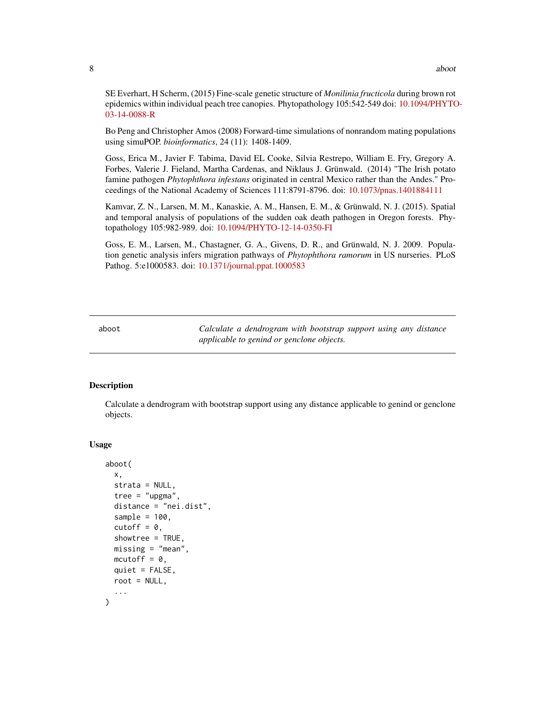<span id="page-7-0"></span>SE Everhart, H Scherm, (2015) Fine-scale genetic structure of *Monilinia fructicola* during brown rot epidemics within individual peach tree canopies. Phytopathology 105:542-549 doi: [10.1094/PHYTO](https://doi.org/10.1094/PHYTO-03-14-0088-R)-[03-14-0088-R](https://doi.org/10.1094/PHYTO-03-14-0088-R)

Bo Peng and Christopher Amos (2008) Forward-time simulations of nonrandom mating populations using simuPOP. *bioinformatics*, 24 (11): 1408-1409.

Goss, Erica M., Javier F. Tabima, David EL Cooke, Silvia Restrepo, William E. Fry, Gregory A. Forbes, Valerie J. Fieland, Martha Cardenas, and Niklaus J. Grünwald. (2014) "The Irish potato famine pathogen *Phytophthora infestans* originated in central Mexico rather than the Andes." Proceedings of the National Academy of Sciences 111:8791-8796. doi: [10.1073/pnas.1401884111](https://doi.org/10.1073/pnas.1401884111)

Kamvar, Z. N., Larsen, M. M., Kanaskie, A. M., Hansen, E. M., & Grünwald, N. J. (2015). Spatial and temporal analysis of populations of the sudden oak death pathogen in Oregon forests. Phytopathology 105:982-989. doi: [10.1094/PHYTO-12-14-0350-FI](https://doi.org/10.1094/PHYTO-12-14-0350-FI)

Goss, E. M., Larsen, M., Chastagner, G. A., Givens, D. R., and Grünwald, N. J. 2009. Population genetic analysis infers migration pathways of *Phytophthora ramorum* in US nurseries. PLoS Pathog. 5:e1000583. doi: [10.1371/journal.ppat.1000583](https://doi.org/10.1371/journal.ppat.1000583)

<span id="page-7-1"></span>aboot *Calculate a dendrogram with bootstrap support using any distance applicable to genind or genclone objects.*

#### Description

Calculate a dendrogram with bootstrap support using any distance applicable to genind or genclone objects.

#### Usage

```
aboot(
  x,
  strata = NULL,
  tree = "upgma",distance = "nei.dist",
  sample = 100,
  cutoff = 0,
  showtree = TRUE,
 missing = "mean".mcutoff = 0,
  quiet = FALSE,root = NULL,...
)
```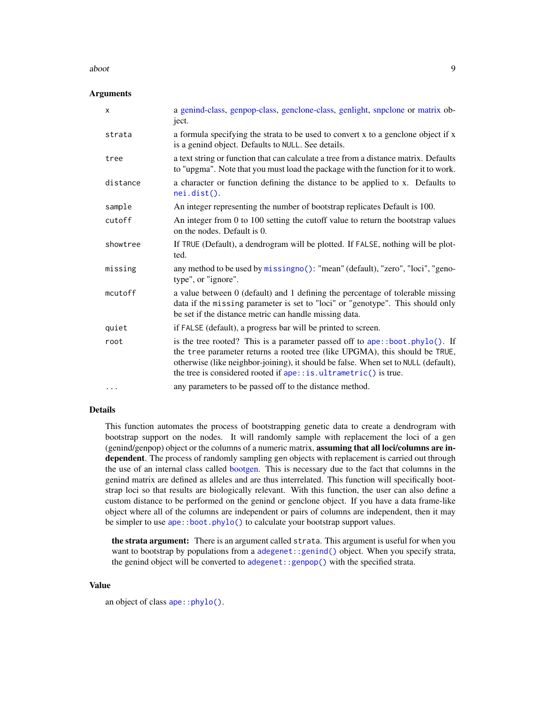#### aboot 9 and 2008 about 1 and 2008 about 1 and 2008 about 1 and 2008 about 1 and 2008 about 1 and 2008 about 1  $\sim$  9

# **Arguments**

| X        | a genind-class, genpop-class, genclone-class, genlight, snpclone or matrix ob-<br>ject.                                                                                                                                                                                                                              |
|----------|----------------------------------------------------------------------------------------------------------------------------------------------------------------------------------------------------------------------------------------------------------------------------------------------------------------------|
| strata   | a formula specifying the strata to be used to convert x to a genclone object if x<br>is a genind object. Defaults to NULL. See details.                                                                                                                                                                              |
| tree     | a text string or function that can calculate a tree from a distance matrix. Defaults<br>to "upgma". Note that you must load the package with the function for it to work.                                                                                                                                            |
| distance | a character or function defining the distance to be applied to x. Defaults to<br>$nei.dist()$ .                                                                                                                                                                                                                      |
| sample   | An integer representing the number of bootstrap replicates Default is 100.                                                                                                                                                                                                                                           |
| cutoff   | An integer from 0 to 100 setting the cutoff value to return the bootstrap values<br>on the nodes. Default is 0.                                                                                                                                                                                                      |
| showtree | If TRUE (Default), a dendrogram will be plotted. If FALSE, nothing will be plot-<br>ted.                                                                                                                                                                                                                             |
| missing  | any method to be used by missingno(): "mean" (default), "zero", "loci", "geno-<br>type", or "ignore".                                                                                                                                                                                                                |
| mcutoff  | a value between 0 (default) and 1 defining the percentage of tolerable missing<br>data if the missing parameter is set to "loci" or "genotype". This should only<br>be set if the distance metric can handle missing data.                                                                                           |
| quiet    | if FALSE (default), a progress bar will be printed to screen.                                                                                                                                                                                                                                                        |
| root     | is the tree rooted? This is a parameter passed off to ape::boot.phylo(). If<br>the tree parameter returns a rooted tree (like UPGMA), this should be TRUE,<br>otherwise (like neighbor-joining), it should be false. When set to NULL (default),<br>the tree is considered rooted if ape:: is.ultrametric() is true. |
| $\cdots$ | any parameters to be passed off to the distance method.                                                                                                                                                                                                                                                              |

# Details

This function automates the process of bootstrapping genetic data to create a dendrogram with bootstrap support on the nodes. It will randomly sample with replacement the loci of a gen (genind/genpop) object or the columns of a numeric matrix, **assuming that all loci/columns are in**dependent. The process of randomly sampling gen objects with replacement is carried out through the use of an internal class called [bootgen.](#page-0-0) This is necessary due to the fact that columns in the genind matrix are defined as alleles and are thus interrelated. This function will specifically bootstrap loci so that results are biologically relevant. With this function, the user can also define a custom distance to be performed on the genind or genclone object. If you have a data frame-like object where all of the columns are independent or pairs of columns are independent, then it may be simpler to use [ape::boot.phylo\(\)](#page-0-0) to calculate your bootstrap support values.

the strata argument: There is an argument called strata. This argument is useful for when you want to bootstrap by populations from a [adegenet::genind\(\)](#page-0-0) object. When you specify strata, the genind object will be converted to [adegenet::genpop\(\)](#page-0-0) with the specified strata.

#### Value

an object of class [ape::phylo\(\)](#page-0-0).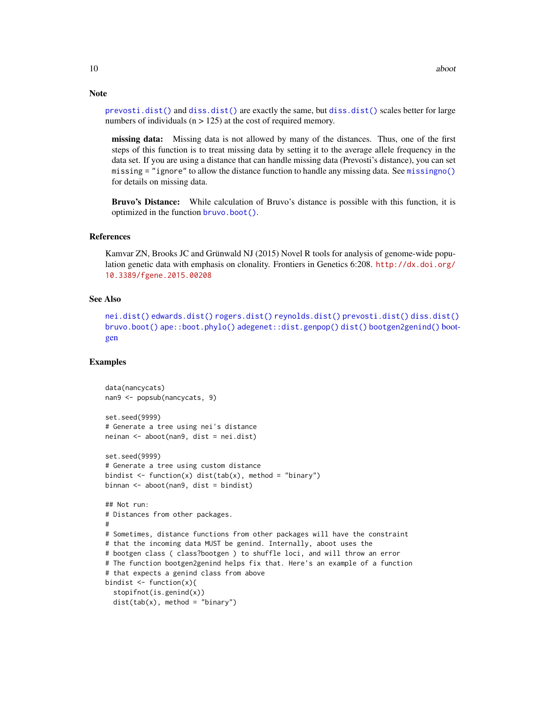[prevosti.dist\(\)](#page-79-1) and [diss.dist\(\)](#page-30-1) are exactly the same, but [diss.dist\(\)](#page-30-1) scales better for large numbers of individuals ( $n > 125$ ) at the cost of required memory.

missing data: Missing data is not allowed by many of the distances. Thus, one of the first steps of this function is to treat missing data by setting it to the average allele frequency in the data set. If you are using a distance that can handle missing data (Prevosti's distance), you can set missing = "ignore" to allow the distance function to handle any missing data. See [missingno\(\)](#page-64-1) for details on missing data.

Bruvo's Distance: While calculation of Bruvo's distance is possible with this function, it is optimized in the function [bruvo.boot\(\)](#page-17-1).

#### References

Kamvar ZN, Brooks JC and Grünwald NJ (2015) Novel R tools for analysis of genome-wide population genetic data with emphasis on clonality. Frontiers in Genetics 6:208. [http://dx.doi.org/](http://dx.doi.org/10.3389/fgene.2015.00208) [10.3389/fgene.2015.00208](http://dx.doi.org/10.3389/fgene.2015.00208)

# See Also

```
nei.dist() edwards.dist() rogers.dist() reynolds.dist() prevosti.dist() diss.dist()
bruvo.boot() ape::boot.phylo() adegenet::dist.genpop() dist() bootgen2genind() boot-
gen
```
#### Examples

```
data(nancycats)
nan9 <- popsub(nancycats, 9)
set.seed(9999)
# Generate a tree using nei's distance
neinan <- aboot(nan9, dist = nei.dist)
set.seed(9999)
# Generate a tree using custom distance
bindist \leq function(x) dist(tab(x), method = "binary")
binnan <- aboot(nan9, dist = bindist)
## Not run:
# Distances from other packages.
#
# Sometimes, distance functions from other packages will have the constraint
# that the incoming data MUST be genind. Internally, aboot uses the
# bootgen class ( class?bootgen ) to shuffle loci, and will throw an error
# The function bootgen2genind helps fix that. Here's an example of a function
# that expects a genind class from above
bindist \leq function(x){
  stopifnot(is.genind(x))
  dist(tab(x), method = "binary")
```
# Note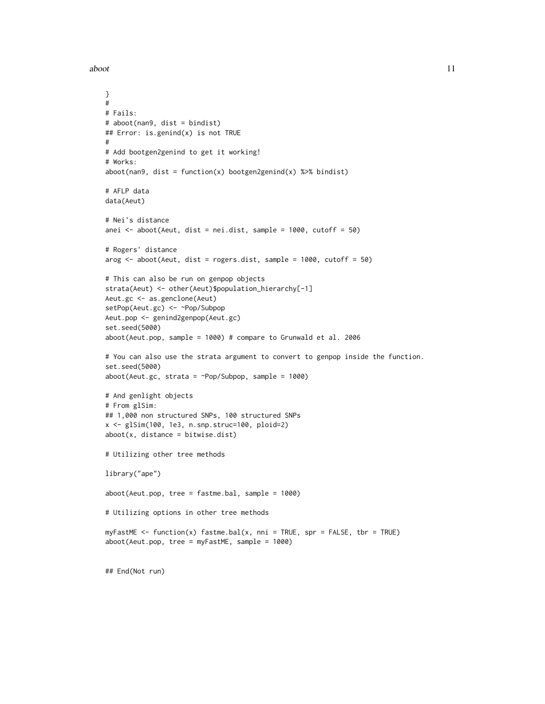aboot and the set of the set of the set of the set of the set of the set of the set of the set of the set of the set of the set of the set of the set of the set of the set of the set of the set of the set of the set of the

```
}
#
# Fails:
# aboot(nan9, dist = bindist)
## Error: is.genind(x) is not TRUE
#
# Add bootgen2genind to get it working!
# Works:
aboot(nan9, dist = function(x) bootgen2genind(x) %>% bindist)
# AFLP data
data(Aeut)
# Nei's distance
anei \le aboot(Aeut, dist = nei.dist, sample = 1000, cutoff = 50)
# Rogers' distance
arog <- aboot(Aeut, dist = rogers.dist, sample = 1000, cutoff = 50)
# This can also be run on genpop objects
strata(Aeut) <- other(Aeut)$population_hierarchy[-1]
Aeut.gc <- as.genclone(Aeut)
setPop(Aeut.gc) <- ~Pop/Subpop
Aeut.pop <- genind2genpop(Aeut.gc)
set.seed(5000)
aboot(Aeut.pop, sample = 1000) # compare to Grunwald et al. 2006
# You can also use the strata argument to convert to genpop inside the function.
set.seed(5000)
aboot(Aeut.get, strata = \neg Pop/Subpop, sample = 1000)# And genlight objects
# From glSim:
## 1,000 non structured SNPs, 100 structured SNPs
x <- glSim(100, 1e3, n.snp.struc=100, ploid=2)
aboot(x, distance = bitwise.dist)# Utilizing other tree methods
library("ape")
aboot(Aeut.pop, tree = fastme.bal, sample = 1000)
# Utilizing options in other tree methods
myFastME < - function(x) fastme.bal(x, nni = TRUE, spr = FALSE, tbr = TRUE)
aboot(Aeut.pop, tree = myFastME, sample = 1000)
## End(Not run)
```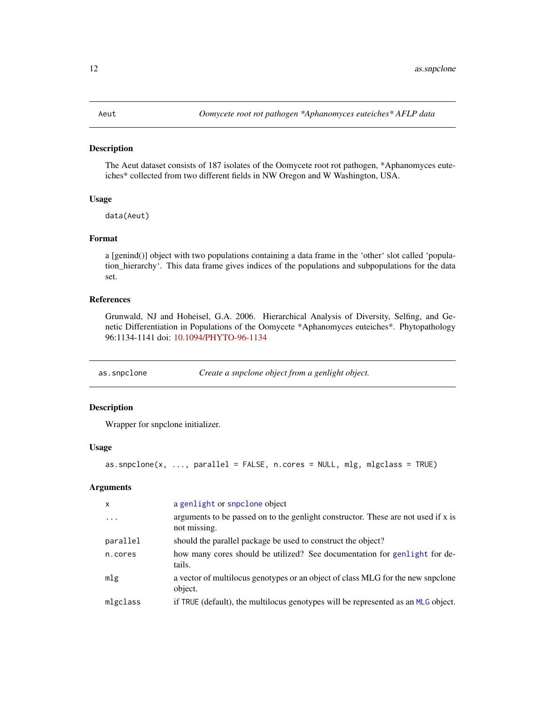#### <span id="page-11-1"></span><span id="page-11-0"></span>Description

The Aeut dataset consists of 187 isolates of the Oomycete root rot pathogen, \*Aphanomyces euteiches\* collected from two different fields in NW Oregon and W Washington, USA.

#### Usage

data(Aeut)

#### Format

a [genind()] object with two populations containing a data frame in the 'other' slot called 'population\_hierarchy'. This data frame gives indices of the populations and subpopulations for the data set.

#### References

Grunwald, NJ and Hoheisel, G.A. 2006. Hierarchical Analysis of Diversity, Selfing, and Genetic Differentiation in Populations of the Oomycete \*Aphanomyces euteiches\*. Phytopathology 96:1134-1141 doi: [10.1094/PHYTO-96-1134](https://doi.org/10.1094/PHYTO-96-1134)

as.snpclone *Create a snpclone object from a genlight object.*

#### Description

Wrapper for snpclone initializer.

#### Usage

```
as.snpclone(x, ..., parallel = FALSE, n.cores = NULL, mlg, mlgclass = TRUE)
```
#### **Arguments**

| $\mathsf{x}$ | a genlight or snpclone object                                                                     |
|--------------|---------------------------------------------------------------------------------------------------|
| $\cdots$     | arguments to be passed on to the genlight constructor. These are not used if x is<br>not missing. |
| parallel     | should the parallel package be used to construct the object?                                      |
| n.cores      | how many cores should be utilized? See documentation for genlight for de-<br>tails.               |
| mlg          | a vector of multilocus genotypes or an object of class MLG for the new snpclone<br>object.        |
| mlgclass     | if TRUE (default), the multilocus genotypes will be represented as an MLG object.                 |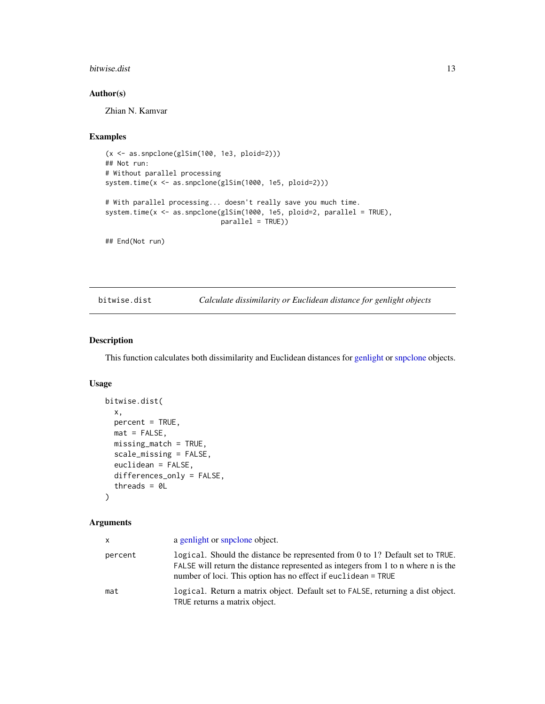#### <span id="page-12-0"></span>bitwise.dist 13

# Author(s)

Zhian N. Kamvar

# Examples

```
(x <- as.snpclone(glSim(100, 1e3, ploid=2)))
## Not run:
# Without parallel processing
system.time(x <- as.snpclone(glSim(1000, 1e5, ploid=2)))
# With parallel processing... doesn't really save you much time.
system.time(x <- as.snpclone(glSim(1000, 1e5, ploid=2, parallel = TRUE),
                            parallel = TRUE))
```
## End(Not run)

<span id="page-12-1"></span>bitwise.dist *Calculate dissimilarity or Euclidean distance for genlight objects*

#### Description

This function calculates both dissimilarity and Euclidean distances for [genlight](#page-0-0) or [snpclone](#page-42-2) objects.

# Usage

```
bitwise.dist(
  x,
 percent = TRUE,
 mat = FALSE,missing_match = TRUE,
  scale_missing = FALSE,
  euclidean = FALSE,
  differences_only = FALSE,
  threads = 0L
)
```
#### Arguments

| X       | a genlight or snpclone object.                                                                                                                                                                                                        |
|---------|---------------------------------------------------------------------------------------------------------------------------------------------------------------------------------------------------------------------------------------|
| percent | logical. Should the distance be represented from $0$ to 1? Default set to TRUE.<br>FALSE will return the distance represented as integers from 1 to n where n is the<br>number of loci. This option has no effect if euclidean = TRUE |
| mat     | logical. Return a matrix object. Default set to FALSE, returning a dist object.<br>TRUE returns a matrix object.                                                                                                                      |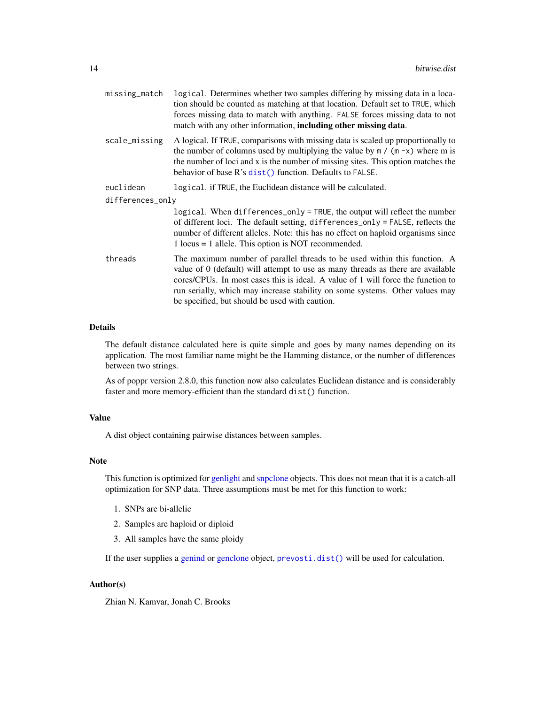| missing_match    | logical. Determines whether two samples differing by missing data in a loca-<br>tion should be counted as matching at that location. Default set to TRUE, which<br>forces missing data to match with anything. FALSE forces missing data to not<br>match with any other information, including other missing data.                                                                 |
|------------------|------------------------------------------------------------------------------------------------------------------------------------------------------------------------------------------------------------------------------------------------------------------------------------------------------------------------------------------------------------------------------------|
| scale_missing    | A logical. If TRUE, comparisons with missing data is scaled up proportionally to<br>the number of columns used by multiplying the value by $m / (m - x)$ where m is<br>the number of loci and x is the number of missing sites. This option matches the<br>behavior of base R's dist() function. Defaults to FALSE.                                                                |
| euclidean        | logical. if TRUE, the Euclidean distance will be calculated.                                                                                                                                                                                                                                                                                                                       |
| differences_only |                                                                                                                                                                                                                                                                                                                                                                                    |
|                  | logical. When differences_only = TRUE, the output will reflect the number<br>of different loci. The default setting, differences_only = FALSE, reflects the<br>number of different alleles. Note: this has no effect on haploid organisms since<br>$1$ locus = $1$ allele. This option is NOT recommended.                                                                         |
| threads          | The maximum number of parallel threads to be used within this function. A<br>value of 0 (default) will attempt to use as many threads as there are available<br>cores/CPUs. In most cases this is ideal. A value of 1 will force the function to<br>run serially, which may increase stability on some systems. Other values may<br>be specified, but should be used with caution. |

# Details

The default distance calculated here is quite simple and goes by many names depending on its application. The most familiar name might be the Hamming distance, or the number of differences between two strings.

As of poppr version 2.8.0, this function now also calculates Euclidean distance and is considerably faster and more memory-efficient than the standard dist() function.

#### Value

A dist object containing pairwise distances between samples.

#### Note

This function is optimized for [genlight](#page-0-0) and [snpclone](#page-42-2) objects. This does not mean that it is a catch-all optimization for SNP data. Three assumptions must be met for this function to work:

- 1. SNPs are bi-allelic
- 2. Samples are haploid or diploid
- 3. All samples have the same ploidy

If the user supplies a [genind](#page-0-0) or [genclone](#page-42-1) object, [prevosti.dist\(\)](#page-79-1) will be used for calculation.

# Author(s)

Zhian N. Kamvar, Jonah C. Brooks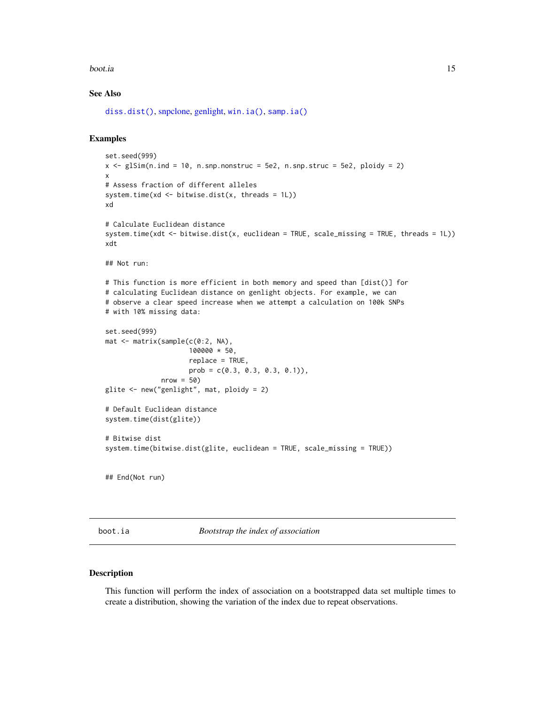#### <span id="page-14-0"></span>boot.ia and the set of the set of the set of the set of the set of the set of the set of the set of the set of the set of the set of the set of the set of the set of the set of the set of the set of the set of the set of t

# See Also

[diss.dist\(\)](#page-30-1), [snpclone,](#page-42-2) [genlight,](#page-0-0) [win.ia\(\)](#page-126-1), [samp.ia\(\)](#page-122-1)

#### Examples

```
set.seed(999)
x \leq -g \leq x (n.ind = 10, n.snp.nonstruc = 5e2, n.snp.struc = 5e2, ploidy = 2)
x
# Assess fraction of different alleles
system.time(xd <- bitwise.dist(x, threads = 1L))
xd
# Calculate Euclidean distance
system.time(xdt <- bitwise.dist(x, euclidean = TRUE, scale_missing = TRUE, threads = 1L))
xdt
## Not run:
# This function is more efficient in both memory and speed than [dist()] for
# calculating Euclidean distance on genlight objects. For example, we can
# observe a clear speed increase when we attempt a calculation on 100k SNPs
# with 10% missing data:
set.seed(999)
mat <- matrix(sample(c(0:2, NA),
                     100000 * 50,
                     replace = TRUE,
                     prob = c(0.3, 0.3, 0.3, 0.1),
              nrow = 50glite <- new("genlight", mat, ploidy = 2)
# Default Euclidean distance
system.time(dist(glite))
# Bitwise dist
system.time(bitwise.dist(glite, euclidean = TRUE, scale_missing = TRUE))
## End(Not run)
```
boot.ia *Bootstrap the index of association*

# Description

This function will perform the index of association on a bootstrapped data set multiple times to create a distribution, showing the variation of the index due to repeat observations.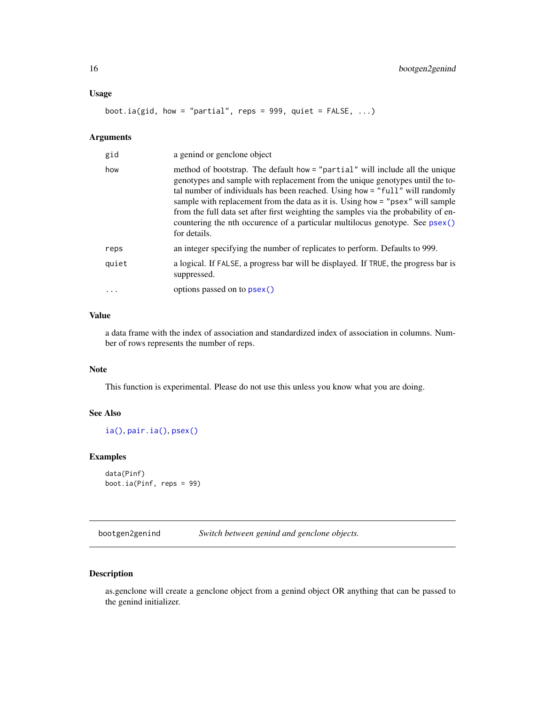#### <span id="page-15-0"></span>Usage

boot.ia(gid, how = "partial", reps = 999, quiet =  $FALSE, ...$ )

# Arguments

| gid   | a genind or genclone object                                                                                                                                                                                                                                                                                                                                                                                                                                                                                            |
|-------|------------------------------------------------------------------------------------------------------------------------------------------------------------------------------------------------------------------------------------------------------------------------------------------------------------------------------------------------------------------------------------------------------------------------------------------------------------------------------------------------------------------------|
| how   | method of bootstrap. The default how = "partial" will include all the unique<br>genotypes and sample with replacement from the unique genotypes until the to-<br>tal number of individuals has been reached. Using how = "full" will randomly<br>sample with replacement from the data as it is. Using how = "psex" will sample<br>from the full data set after first weighting the samples via the probability of en-<br>countering the nth occurence of a particular multilocus genotype. See psex()<br>for details. |
| reps  | an integer specifying the number of replicates to perform. Defaults to 999.                                                                                                                                                                                                                                                                                                                                                                                                                                            |
| quiet | a logical. If FALSE, a progress bar will be displayed. If TRUE, the progress bar is<br>suppressed.                                                                                                                                                                                                                                                                                                                                                                                                                     |
|       | options passed on to psex()                                                                                                                                                                                                                                                                                                                                                                                                                                                                                            |

# Value

a data frame with the index of association and standardized index of association in columns. Number of rows represents the number of reps.

#### Note

This function is experimental. Please do not use this unless you know what you are doing.

#### See Also

[ia\(\)](#page-49-2), [pair.ia\(\)](#page-49-1), [psex\(\)](#page-108-1)

#### Examples

```
data(Pinf)
boot.ia(Pinf, reps = 99)
```
<span id="page-15-2"></span>bootgen2genind *Switch between genind and genclone objects.*

# <span id="page-15-1"></span>Description

as.genclone will create a genclone object from a genind object OR anything that can be passed to the genind initializer.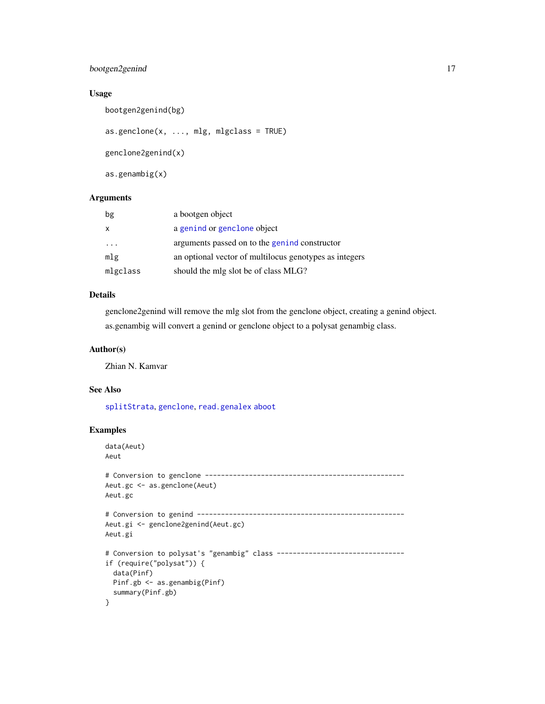# bootgen2genind 17

# Usage

bootgen2genind(bg)

 $as.genclone(x, ..., mlg, mlgclass = TRUE)$ 

genclone2genind(x)

as.genambig(x)

# Arguments

| bg                      | a bootgen object                                       |
|-------------------------|--------------------------------------------------------|
| $\mathsf{x}$            | a genind or genclone object                            |
| $\cdot$ $\cdot$ $\cdot$ | arguments passed on to the genind constructor          |
| mlg                     | an optional vector of multilocus genotypes as integers |
| mlgclass                | should the mlg slot be of class MLG?                   |

# Details

genclone2genind will remove the mlg slot from the genclone object, creating a genind object. as.genambig will convert a genind or genclone object to a polysat genambig class.

### Author(s)

Zhian N. Kamvar

#### See Also

[splitStrata](#page-0-0), [genclone](#page-42-1), [read.genalex](#page-114-1) [aboot](#page-7-1)

# Examples

```
data(Aeut)
Aeut
# Conversion to genclone --------------------------------------------------
Aeut.gc <- as.genclone(Aeut)
Aeut.gc
# Conversion to genind ----------------------------------------------------
Aeut.gi <- genclone2genind(Aeut.gc)
Aeut.gi
# Conversion to polysat's "genambig" class ---------------------------------
if (require("polysat")) {
  data(Pinf)
 Pinf.gb <- as.genambig(Pinf)
  summary(Pinf.gb)
}
```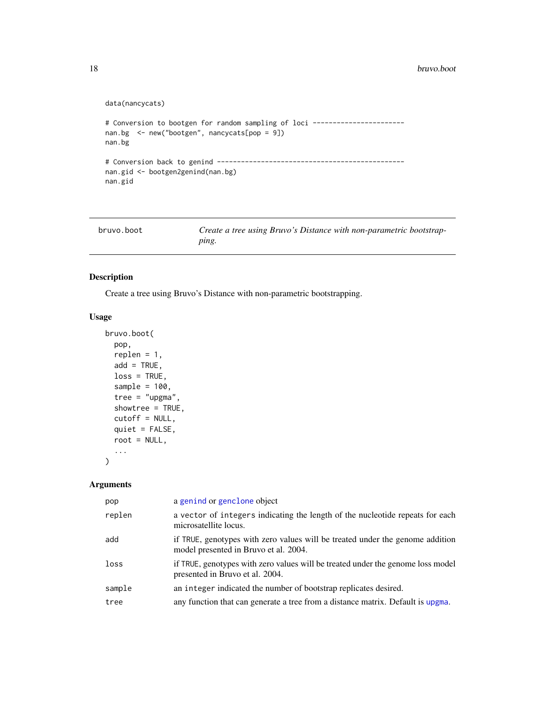#### <span id="page-17-0"></span>data(nancycats)

```
# Conversion to bootgen for random sampling of loci -----------------------
nan.bg <- new("bootgen", nancycats[pop = 9])
nan.bg
# Conversion back to genind -----------------------------------------------
nan.gid <- bootgen2genind(nan.bg)
nan.gid
```
<span id="page-17-1"></span>

| bruvo.boot | Create a tree using Bruvo's Distance with non-parametric bootstrap- |
|------------|---------------------------------------------------------------------|
|            | ping.                                                               |

# Description

Create a tree using Bruvo's Distance with non-parametric bootstrapping.

# Usage

```
bruvo.boot(
 pop,
  replen = 1,
  add = TRUE,loss = TRUE,
  sample = 100,
  tree = "upgma",showtree = TRUE,
  cutoff = NULL,
  quiet = FALSE,
  root = NULL,
  ...
\mathcal{L}
```
# Arguments

| pop    | a genind or genclone object                                                                                            |
|--------|------------------------------------------------------------------------------------------------------------------------|
| replen | a vector of integers indicating the length of the nucleotide repeats for each<br>microsatellite locus.                 |
| add    | if TRUE, genotypes with zero values will be treated under the genome addition<br>model presented in Bruvo et al. 2004. |
| loss   | if TRUE, genotypes with zero values will be treated under the genome loss model<br>presented in Bruvo et al. 2004.     |
| sample | an integer indicated the number of bootstrap replicates desired.                                                       |
| tree   | any function that can generate a tree from a distance matrix. Default is upgma.                                        |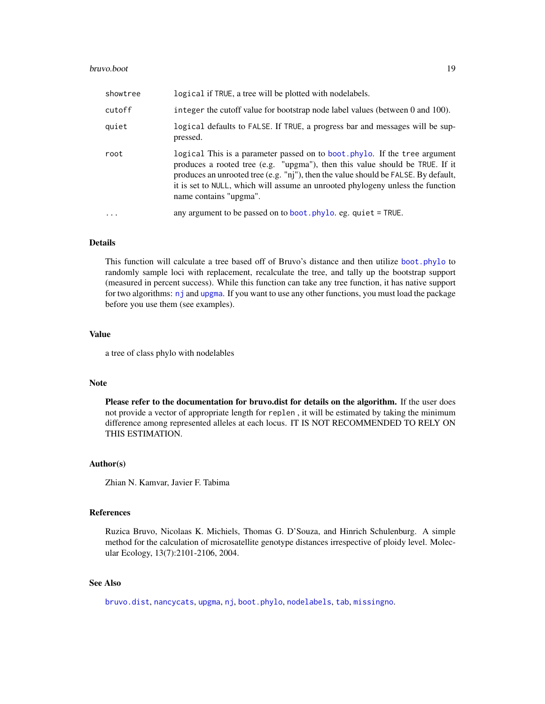#### bruvo.boot and the set of the set of the set of the set of the set of the set of the set of the set of the set of the set of the set of the set of the set of the set of the set of the set of the set of the set of the set o

| showtree | logical if TRUE, a tree will be plotted with nodelabels.                                                                                                                                                                                                                                                                                                     |
|----------|--------------------------------------------------------------------------------------------------------------------------------------------------------------------------------------------------------------------------------------------------------------------------------------------------------------------------------------------------------------|
| cutoff   | integer the cutoff value for bootstrap node label values (between 0 and 100).                                                                                                                                                                                                                                                                                |
| quiet    | logical defaults to FALSE. If TRUE, a progress bar and messages will be sup-<br>pressed.                                                                                                                                                                                                                                                                     |
| root     | logical This is a parameter passed on to boot. phylo. If the tree argument<br>produces a rooted tree (e.g. "upgma"), then this value should be TRUE. If it<br>produces an unrooted tree (e.g. "nj"), then the value should be FALSE. By default,<br>it is set to NULL, which will assume an unrooted phylogeny unless the function<br>name contains "upgma". |
| .        | any argument to be passed on to boot. $phy$ lo. eg. quiet = TRUE.                                                                                                                                                                                                                                                                                            |

# Details

This function will calculate a tree based off of Bruvo's distance and then utilize [boot.phylo](#page-0-0) to randomly sample loci with replacement, recalculate the tree, and tally up the bootstrap support (measured in percent success). While this function can take any tree function, it has native support for two algorithms: [nj](#page-0-0) and [upgma](#page-0-0). If you want to use any other functions, you must load the package before you use them (see examples).

## Value

a tree of class phylo with nodelables

## Note

Please refer to the documentation for bruvo.dist for details on the algorithm. If the user does not provide a vector of appropriate length for replen , it will be estimated by taking the minimum difference among represented alleles at each locus. IT IS NOT RECOMMENDED TO RELY ON THIS ESTIMATION.

#### Author(s)

Zhian N. Kamvar, Javier F. Tabima

# References

Ruzica Bruvo, Nicolaas K. Michiels, Thomas G. D'Souza, and Hinrich Schulenburg. A simple method for the calculation of microsatellite genotype distances irrespective of ploidy level. Molecular Ecology, 13(7):2101-2106, 2004.

# See Also

[bruvo.dist](#page-19-1), [nancycats](#page-0-0), [upgma](#page-0-0), [nj](#page-0-0), [boot.phylo](#page-0-0), [nodelabels](#page-0-0), [tab](#page-0-0), [missingno](#page-64-1).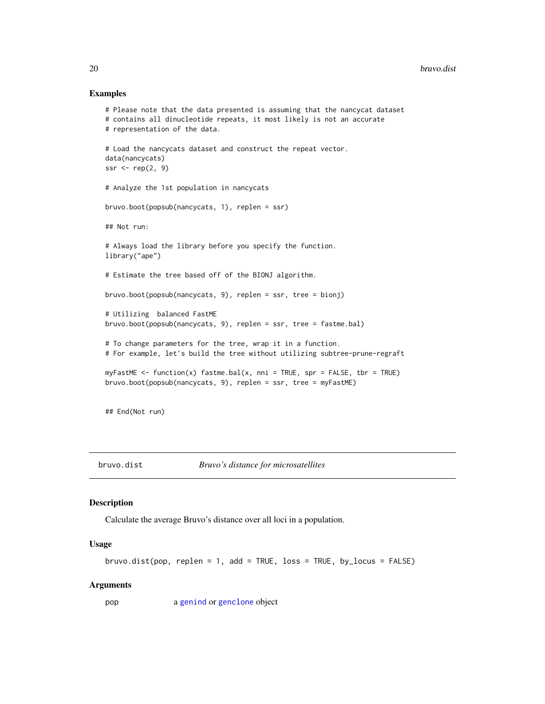#### Examples

```
# Please note that the data presented is assuming that the nancycat dataset
# contains all dinucleotide repeats, it most likely is not an accurate
# representation of the data.
# Load the nancycats dataset and construct the repeat vector.
data(nancycats)
ssr \leftarrow rep(2, 9)
# Analyze the 1st population in nancycats
bruvo.boot(popsub(nancycats, 1), replen = ssr)
## Not run:
# Always load the library before you specify the function.
library("ape")
# Estimate the tree based off of the BIONJ algorithm.
bruvo.boot(popsub(nancycats, 9), replen = ssr, tree = bionj)
# Utilizing balanced FastME
bruvo.boot(popsub(nancycats, 9), replen = ssr, tree = fastme.bal)
# To change parameters for the tree, wrap it in a function.
# For example, let's build the tree without utilizing subtree-prune-regraft
myFastME \leq function(x) fastme.bal(x, nni = TRUE, spr = FALSE, tbr = TRUE)
bruvo.boot(popsub(nancycats, 9), replen = ssr, tree = myFastME)
## End(Not run)
```
<span id="page-19-1"></span>

bruvo.dist *Bruvo's distance for microsatellites*

# Description

Calculate the average Bruvo's distance over all loci in a population.

#### Usage

```
bruvo.dist(pop, replen = 1, add = TRUE, loss = TRUE, by_locus = FALSE)
```
#### Arguments

pop a [genind](#page-0-0) or [genclone](#page-42-2) object

<span id="page-19-0"></span>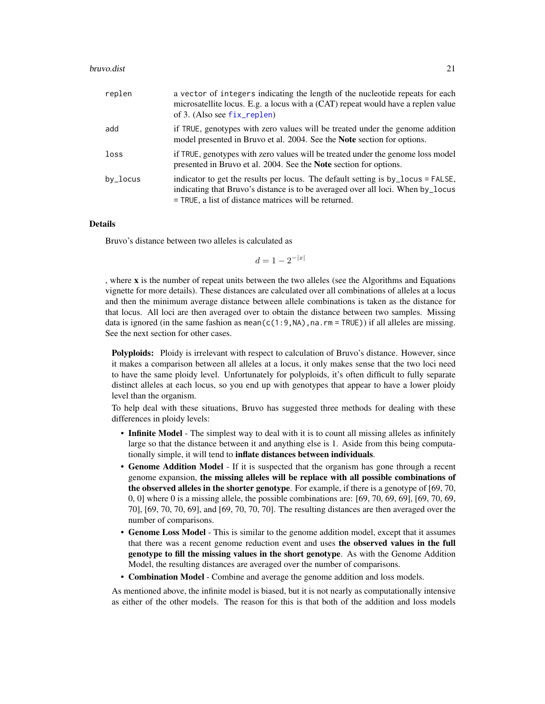#### bruvo.dist 21

| replen      | a vector of integers indicating the length of the nucleotide repeats for each<br>microsatellite locus. E.g. a locus with a (CAT) repeat would have a replen value<br>of 3. (Also see $fix$ -replen)                            |
|-------------|--------------------------------------------------------------------------------------------------------------------------------------------------------------------------------------------------------------------------------|
| add         | if TRUE, genotypes with zero values will be treated under the genome addition<br>model presented in Bruvo et al. 2004. See the <b>Note</b> section for options.                                                                |
| loss        | if TRUE, genotypes with zero values will be treated under the genome loss model<br>presented in Bruvo et al. 2004. See the <b>Note</b> section for options.                                                                    |
| $by\_locus$ | indicator to get the results per locus. The default setting is by_locus = FALSE,<br>indicating that Bruvo's distance is to be averaged over all loci. When by_locus<br>$=$ TRUE, a list of distance matrices will be returned. |

#### Details

Bruvo's distance between two alleles is calculated as

 $d = 1 - 2^{-|x|}$ 

, where x is the number of repeat units between the two alleles (see the Algorithms and Equations vignette for more details). These distances are calculated over all combinations of alleles at a locus and then the minimum average distance between allele combinations is taken as the distance for that locus. All loci are then averaged over to obtain the distance between two samples. Missing data is ignored (in the same fashion as mean( $c(1:9,NA)$ , na. rm = TRUE)) if all alleles are missing. See the next section for other cases.

Polyploids: Ploidy is irrelevant with respect to calculation of Bruvo's distance. However, since it makes a comparison between all alleles at a locus, it only makes sense that the two loci need to have the same ploidy level. Unfortunately for polyploids, it's often difficult to fully separate distinct alleles at each locus, so you end up with genotypes that appear to have a lower ploidy level than the organism.

To help deal with these situations, Bruvo has suggested three methods for dealing with these differences in ploidy levels:

- Infinite Model The simplest way to deal with it is to count all missing alleles as infinitely large so that the distance between it and anything else is 1. Aside from this being computationally simple, it will tend to inflate distances between individuals.
- Genome Addition Model If it is suspected that the organism has gone through a recent genome expansion, the missing alleles will be replace with all possible combinations of the observed alleles in the shorter genotype. For example, if there is a genotype of [69, 70, 0, 0] where 0 is a missing allele, the possible combinations are: [69, 70, 69, 69], [69, 70, 69, 70], [69, 70, 70, 69], and [69, 70, 70, 70]. The resulting distances are then averaged over the number of comparisons.
- Genome Loss Model This is similar to the genome addition model, except that it assumes that there was a recent genome reduction event and uses the observed values in the full genotype to fill the missing values in the short genotype. As with the Genome Addition Model, the resulting distances are averaged over the number of comparisons.
- Combination Model Combine and average the genome addition and loss models.

As mentioned above, the infinite model is biased, but it is not nearly as computationally intensive as either of the other models. The reason for this is that both of the addition and loss models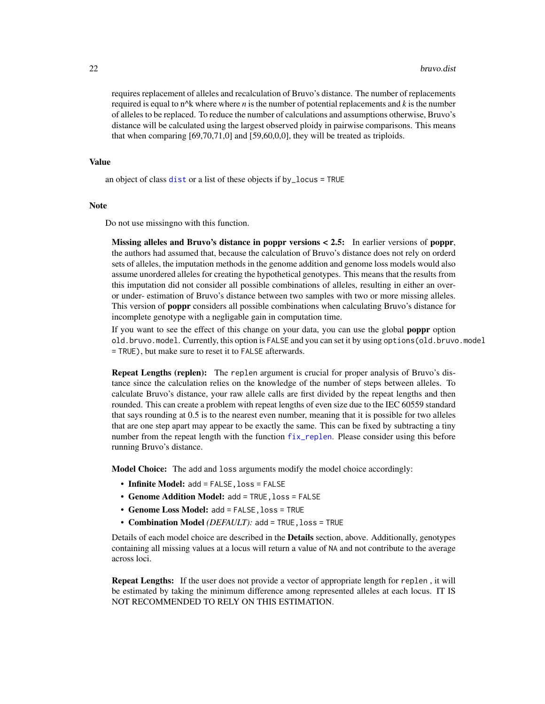requires replacement of alleles and recalculation of Bruvo's distance. The number of replacements required is equal to n<sup> $\wedge$ </sup> k where where *n* is the number of potential replacements and *k* is the number of alleles to be replaced. To reduce the number of calculations and assumptions otherwise, Bruvo's distance will be calculated using the largest observed ploidy in pairwise comparisons. This means that when comparing [69,70,71,0] and [59,60,0,0], they will be treated as triploids.

#### Value

an object of class [dist](#page-0-0) or a list of these objects if by\_locus = TRUE

#### Note

Do not use missingno with this function.

Missing alleles and Bruvo's distance in poppr versions < 2.5: In earlier versions of poppr, the authors had assumed that, because the calculation of Bruvo's distance does not rely on orderd sets of alleles, the imputation methods in the genome addition and genome loss models would also assume unordered alleles for creating the hypothetical genotypes. This means that the results from this imputation did not consider all possible combinations of alleles, resulting in either an overor under- estimation of Bruvo's distance between two samples with two or more missing alleles. This version of poppr considers all possible combinations when calculating Bruvo's distance for incomplete genotype with a negligable gain in computation time.

If you want to see the effect of this change on your data, you can use the global poppr option old.bruvo.model. Currently, this option is FALSE and you can set it by using options(old.bruvo.model = TRUE), but make sure to reset it to FALSE afterwards.

Repeat Lengths (replen): The replen argument is crucial for proper analysis of Bruvo's distance since the calculation relies on the knowledge of the number of steps between alleles. To calculate Bruvo's distance, your raw allele calls are first divided by the repeat lengths and then rounded. This can create a problem with repeat lengths of even size due to the IEC 60559 standard that says rounding at 0.5 is to the nearest even number, meaning that it is possible for two alleles that are one step apart may appear to be exactly the same. This can be fixed by subtracting a tiny number from the repeat length with the function  $fix_{\text{replen}}$ . Please consider using this before running Bruvo's distance.

Model Choice: The add and loss arguments modify the model choice accordingly:

- Infinite Model: add = FALSE, loss = FALSE
- Genome Addition Model: add = TRUE, loss = FALSE
- Genome Loss Model: add = FALSE,loss = TRUE
- Combination Model *(DEFAULT):* add = TRUE, loss = TRUE

Details of each model choice are described in the Details section, above. Additionally, genotypes containing all missing values at a locus will return a value of NA and not contribute to the average across loci.

Repeat Lengths: If the user does not provide a vector of appropriate length for replen , it will be estimated by taking the minimum difference among represented alleles at each locus. IT IS NOT RECOMMENDED TO RELY ON THIS ESTIMATION.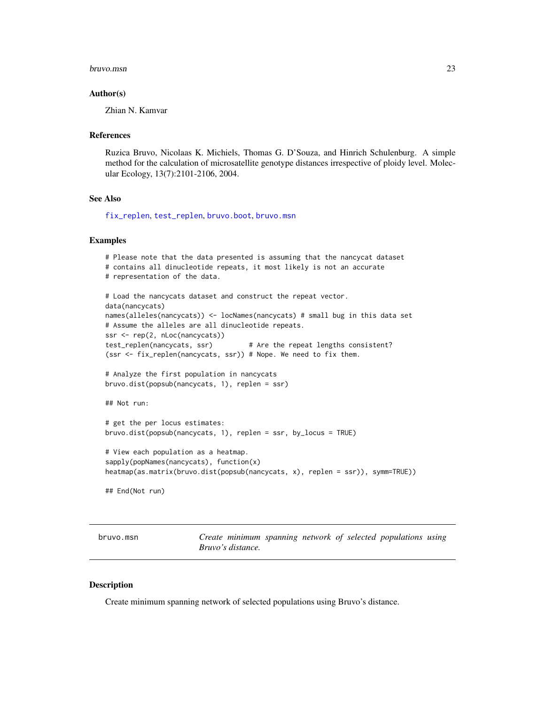#### <span id="page-22-0"></span>bruvo.msn 23

#### Author(s)

Zhian N. Kamvar

## References

Ruzica Bruvo, Nicolaas K. Michiels, Thomas G. D'Souza, and Hinrich Schulenburg. A simple method for the calculation of microsatellite genotype distances irrespective of ploidy level. Molecular Ecology, 13(7):2101-2106, 2004.

#### See Also

[fix\\_replen](#page-40-1), [test\\_replen](#page-125-1), [bruvo.boot](#page-17-1), [bruvo.msn](#page-22-1)

#### Examples

```
# Please note that the data presented is assuming that the nancycat dataset
# contains all dinucleotide repeats, it most likely is not an accurate
# representation of the data.
# Load the nancycats dataset and construct the repeat vector.
data(nancycats)
names(alleles(nancycats)) <- locNames(nancycats) # small bug in this data set
# Assume the alleles are all dinucleotide repeats.
ssr <- rep(2, nLoc(nancycats))
test_replen(nancycats, ssr) # Are the repeat lengths consistent?
(ssr <- fix_replen(nancycats, ssr)) # Nope. We need to fix them.
# Analyze the first population in nancycats
bruvo.dist(popsub(nancycats, 1), replen = ssr)
## Not run:
# get the per locus estimates:
bruvo.dist(popsub(nancycats, 1), replen = ssr, by_locus = TRUE)
# View each population as a heatmap.
sapply(popNames(nancycats), function(x)
heatmap(as.matrix(bruvo.dist(popsub(nancycats, x), replen = ssr)), symm=TRUE))
## End(Not run)
```
<span id="page-22-1"></span>bruvo.msn *Create minimum spanning network of selected populations using Bruvo's distance.*

#### Description

Create minimum spanning network of selected populations using Bruvo's distance.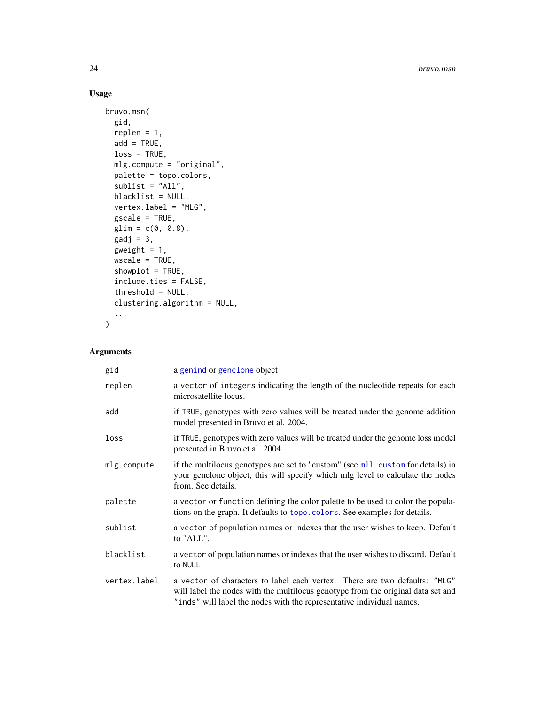# Usage

```
bruvo.msn(
  gid,
  replen = 1,
 add = TRUE,loss = TRUE,mlg.compute = "original",
 palette = topo.colors,
 sublist = "All",blacklist = NULL,
 vertex.label = "MLG",
 \text{gscale} = \text{TRUE},
 glim = c(0, 0.8),gadj = 3,
 gweight = 1,
 wscale = TRUE,
  showplot = TRUE,
  include.ties = FALSE,
  threshold = NULL,
 clustering.algorithm = NULL,
  ...
\mathcal{L}
```
# Arguments

| gid          | a genind or genclone object                                                                                                                                                                                                             |
|--------------|-----------------------------------------------------------------------------------------------------------------------------------------------------------------------------------------------------------------------------------------|
| replen       | a vector of integers indicating the length of the nucleotide repeats for each<br>microsatellite locus.                                                                                                                                  |
| add          | if TRUE, genotypes with zero values will be treated under the genome addition<br>model presented in Bruvo et al. 2004.                                                                                                                  |
| loss         | if TRUE, genotypes with zero values will be treated under the genome loss model<br>presented in Bruvo et al. 2004.                                                                                                                      |
| mlg.compute  | if the multilocus genotypes are set to "custom" (see mll.custom for details) in<br>your genclone object, this will specify which mlg level to calculate the nodes<br>from. See details.                                                 |
| palette      | a vector or function defining the color palette to be used to color the popula-<br>tions on the graph. It defaults to topo. colors. See examples for details.                                                                           |
| sublist      | a vector of population names or indexes that the user wishes to keep. Default<br>to "ALL".                                                                                                                                              |
| blacklist    | a vector of population names or indexes that the user wishes to discard. Default<br>to NULL                                                                                                                                             |
| vertex.label | a vector of characters to label each vertex. There are two defaults: "MLG"<br>will label the nodes with the multilocus genotype from the original data set and<br>"inds" will label the nodes with the representative individual names. |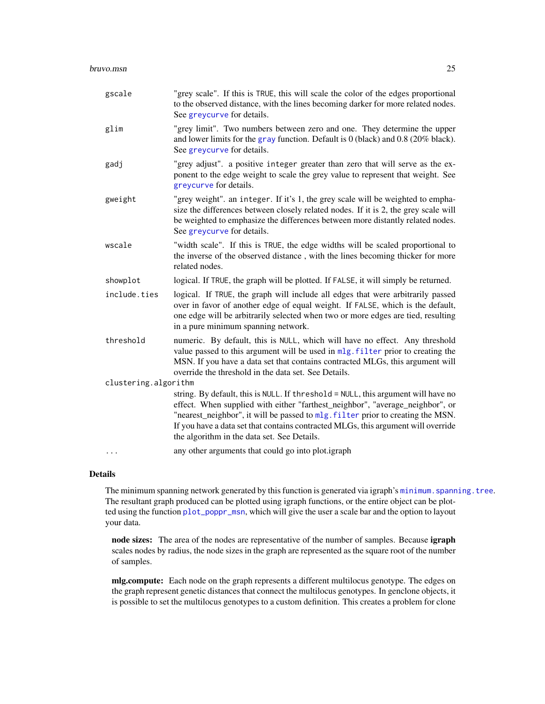| gscale               | "grey scale". If this is TRUE, this will scale the color of the edges proportional<br>to the observed distance, with the lines becoming darker for more related nodes.<br>See greycurve for details.                                                                                                                                                                                      |
|----------------------|-------------------------------------------------------------------------------------------------------------------------------------------------------------------------------------------------------------------------------------------------------------------------------------------------------------------------------------------------------------------------------------------|
| glim                 | "grey limit". Two numbers between zero and one. They determine the upper<br>and lower limits for the gray function. Default is $0$ (black) and 0.8 (20% black).<br>See greycurve for details.                                                                                                                                                                                             |
| gadj                 | "grey adjust". a positive integer greater than zero that will serve as the ex-<br>ponent to the edge weight to scale the grey value to represent that weight. See<br>greycurve for details.                                                                                                                                                                                               |
| gweight              | "grey weight". an integer. If it's 1, the grey scale will be weighted to empha-<br>size the differences between closely related nodes. If it is 2, the grey scale will<br>be weighted to emphasize the differences between more distantly related nodes.<br>See greycurve for details.                                                                                                    |
| wscale               | "width scale". If this is TRUE, the edge widths will be scaled proportional to<br>the inverse of the observed distance, with the lines becoming thicker for more<br>related nodes.                                                                                                                                                                                                        |
| showplot             | logical. If TRUE, the graph will be plotted. If FALSE, it will simply be returned.                                                                                                                                                                                                                                                                                                        |
| include.ties         | logical. If TRUE, the graph will include all edges that were arbitrarily passed<br>over in favor of another edge of equal weight. If FALSE, which is the default,<br>one edge will be arbitrarily selected when two or more edges are tied, resulting<br>in a pure minimum spanning network.                                                                                              |
| threshold            | numeric. By default, this is NULL, which will have no effect. Any threshold<br>value passed to this argument will be used in mlg. filter prior to creating the<br>MSN. If you have a data set that contains contracted MLGs, this argument will<br>override the threshold in the data set. See Details.                                                                                   |
| clustering.algorithm |                                                                                                                                                                                                                                                                                                                                                                                           |
|                      | string. By default, this is NULL. If threshold = NULL, this argument will have no<br>effect. When supplied with either "farthest_neighbor", "average_neighbor", or<br>"nearest_neighbor", it will be passed to mlg. filter prior to creating the MSN.<br>If you have a data set that contains contracted MLGs, this argument will override<br>the algorithm in the data set. See Details. |
|                      | any other arguments that could go into plot.igraph                                                                                                                                                                                                                                                                                                                                        |

# Details

The minimum spanning network generated by this function is generated via igraph's minimum. spanning. tree. The resultant graph produced can be plotted using igraph functions, or the entire object can be plotted using the function [plot\\_poppr\\_msn](#page-85-1), which will give the user a scale bar and the option to layout your data.

node sizes: The area of the nodes are representative of the number of samples. Because igraph scales nodes by radius, the node sizes in the graph are represented as the square root of the number of samples.

mlg.compute: Each node on the graph represents a different multilocus genotype. The edges on the graph represent genetic distances that connect the multilocus genotypes. In genclone objects, it is possible to set the multilocus genotypes to a custom definition. This creates a problem for clone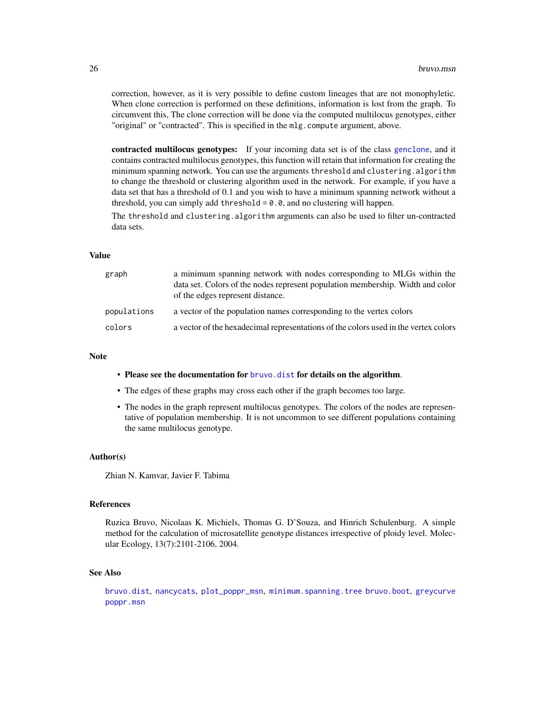correction, however, as it is very possible to define custom lineages that are not monophyletic. When clone correction is performed on these definitions, information is lost from the graph. To circumvent this, The clone correction will be done via the computed multilocus genotypes, either "original" or "contracted". This is specified in the mlg.compute argument, above.

contracted multilocus genotypes: If your incoming data set is of the class [genclone](#page-42-1), and it contains contracted multilocus genotypes, this function will retain that information for creating the minimum spanning network. You can use the arguments threshold and clustering.algorithm to change the threshold or clustering algorithm used in the network. For example, if you have a data set that has a threshold of 0.1 and you wish to have a minimum spanning network without a threshold, you can simply add threshold  $= 0.0$ , and no clustering will happen.

The threshold and clustering.algorithm arguments can also be used to filter un-contracted data sets.

#### Value

| graph       | a minimum spanning network with nodes corresponding to MLGs within the<br>data set. Colors of the nodes represent population membership. Width and color<br>of the edges represent distance. |
|-------------|----------------------------------------------------------------------------------------------------------------------------------------------------------------------------------------------|
| populations | a vector of the population names corresponding to the vertex colors                                                                                                                          |
| colors      | a vector of the hexadecimal representations of the colors used in the vertex colors                                                                                                          |

#### Note

- Please see the documentation for [bruvo.dist](#page-19-1) for details on the algorithm.
- The edges of these graphs may cross each other if the graph becomes too large.
- The nodes in the graph represent multilocus genotypes. The colors of the nodes are representative of population membership. It is not uncommon to see different populations containing the same multilocus genotype.

#### Author(s)

Zhian N. Kamvar, Javier F. Tabima

#### References

Ruzica Bruvo, Nicolaas K. Michiels, Thomas G. D'Souza, and Hinrich Schulenburg. A simple method for the calculation of microsatellite genotype distances irrespective of ploidy level. Molecular Ecology, 13(7):2101-2106, 2004.

#### See Also

[bruvo.dist](#page-19-1), [nancycats](#page-0-0), [plot\\_poppr\\_msn](#page-85-1), [minimum.spanning.tree](#page-0-0) [bruvo.boot](#page-17-1), [greycurve](#page-48-1) [poppr.msn](#page-100-1)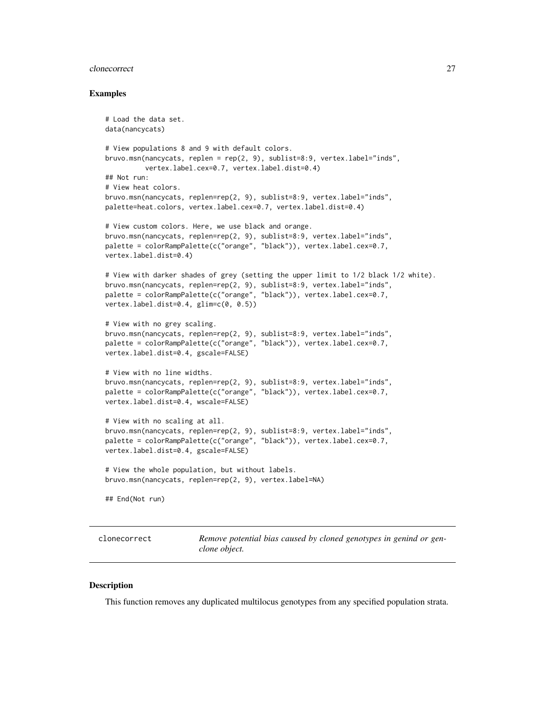#### <span id="page-26-0"></span>clonecorrect 27

#### Examples

```
# Load the data set.
data(nancycats)
# View populations 8 and 9 with default colors.
bruvo.msn(nancycats, replen = rep(2, 9), sublist=8:9, vertex.label="inds",
          vertex.label.cex=0.7, vertex.label.dist=0.4)
## Not run:
# View heat colors.
bruvo.msn(nancycats, replen=rep(2, 9), sublist=8:9, vertex.label="inds",
palette=heat.colors, vertex.label.cex=0.7, vertex.label.dist=0.4)
# View custom colors. Here, we use black and orange.
bruvo.msn(nancycats, replen=rep(2, 9), sublist=8:9, vertex.label="inds",
palette = colorRampPalette(c("orange", "black")), vertex.label.cex=0.7,
vertex.label.dist=0.4)
# View with darker shades of grey (setting the upper limit to 1/2 black 1/2 white).
bruvo.msn(nancycats, replen=rep(2, 9), sublist=8:9, vertex.label="inds",
palette = colorRampPalette(c("orange", "black")), vertex.label.cex=0.7,
vertex.label.dist=0.4, glim=c(0, 0.5))
# View with no grey scaling.
bruvo.msn(nancycats, replen=rep(2, 9), sublist=8:9, vertex.label="inds",
palette = colorRampPalette(c("orange", "black")), vertex.label.cex=0.7,
vertex.label.dist=0.4, gscale=FALSE)
# View with no line widths.
bruvo.msn(nancycats, replen=rep(2, 9), sublist=8:9, vertex.label="inds",
palette = colorRampPalette(c("orange", "black")), vertex.label.cex=0.7,
vertex.label.dist=0.4, wscale=FALSE)
# View with no scaling at all.
bruvo.msn(nancycats, replen=rep(2, 9), sublist=8:9, vertex.label="inds",
palette = colorRampPalette(c("orange", "black")), vertex.label.cex=0.7,
vertex.label.dist=0.4, gscale=FALSE)
# View the whole population, but without labels.
bruvo.msn(nancycats, replen=rep(2, 9), vertex.label=NA)
## End(Not run)
```
<span id="page-26-1"></span>clonecorrect *Remove potential bias caused by cloned genotypes in genind or genclone object.*

#### **Description**

This function removes any duplicated multilocus genotypes from any specified population strata.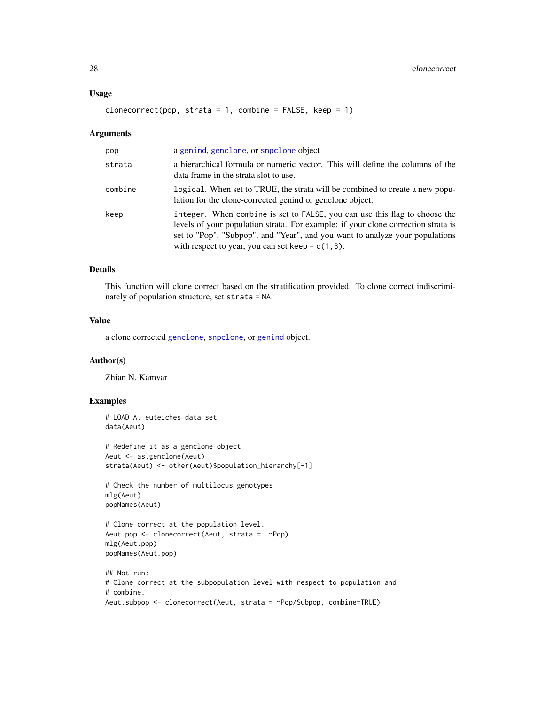#### Usage

```
clonecorrect(pop, strata = 1, combine = FALSE, keep = 1)
```
#### Arguments

| pop     | a genind, genclone, or snpclone object                                                                                                                                                                                                                                                                 |
|---------|--------------------------------------------------------------------------------------------------------------------------------------------------------------------------------------------------------------------------------------------------------------------------------------------------------|
| strata  | a hierarchical formula or numeric vector. This will define the columns of the<br>data frame in the strata slot to use.                                                                                                                                                                                 |
| combine | logical. When set to TRUE, the strata will be combined to create a new popu-<br>lation for the clone-corrected genind or genclone object.                                                                                                                                                              |
| keep    | integer. When combine is set to FALSE, you can use this flag to choose the<br>levels of your population strata. For example: if your clone correction strata is<br>set to "Pop", "Subpop", and "Year", and you want to analyze your populations<br>with respect to year, you can set keep = $c(1,3)$ . |

# Details

This function will clone correct based on the stratification provided. To clone correct indiscriminately of population structure, set strata = NA.

# Value

a clone corrected [genclone](#page-42-1), [snpclone](#page-42-2), or [genind](#page-0-0) object.

## Author(s)

Zhian N. Kamvar

# Examples

```
# LOAD A. euteiches data set
data(Aeut)
# Redefine it as a genclone object
Aeut <- as.genclone(Aeut)
strata(Aeut) <- other(Aeut)$population_hierarchy[-1]
# Check the number of multilocus genotypes
mlg(Aeut)
popNames(Aeut)
# Clone correct at the population level.
Aeut.pop <- clonecorrect(Aeut, strata = ~Pop)
mlg(Aeut.pop)
popNames(Aeut.pop)
## Not run:
# Clone correct at the subpopulation level with respect to population and
# combine.
Aeut.subpop <- clonecorrect(Aeut, strata = ~Pop/Subpop, combine=TRUE)
```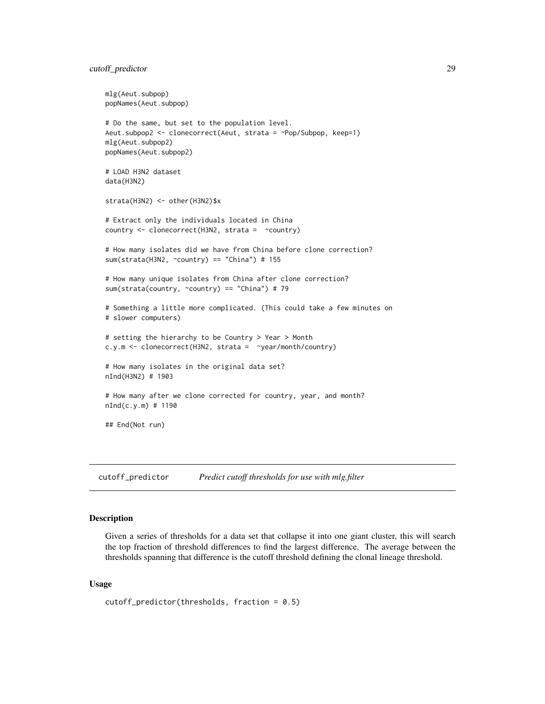<span id="page-28-0"></span>cutoff\_predictor 29

```
mlg(Aeut.subpop)
popNames(Aeut.subpop)
# Do the same, but set to the population level.
Aeut.subpop2 <- clonecorrect(Aeut, strata = ~Pop/Subpop, keep=1)
mlg(Aeut.subpop2)
popNames(Aeut.subpop2)
# LOAD H3N2 dataset
data(H3N2)
strata(H3N2) <- other(H3N2)$x
# Extract only the individuals located in China
country <- clonecorrect(H3N2, strata = ~country)
# How many isolates did we have from China before clone correction?
sum(strata(H3N2, \simcountry) == "China") # 155
# How many unique isolates from China after clone correction?
sum(strata(country, ~country) == "China") # 79
# Something a little more complicated. (This could take a few minutes on
# slower computers)
# setting the hierarchy to be Country > Year > Month
c.y.m <- clonecorrect(H3N2, strata = ~year/month/country)
# How many isolates in the original data set?
nInd(H3N2) # 1903
# How many after we clone corrected for country, year, and month?
nInd(c.y.m) # 1190
## End(Not run)
```
<span id="page-28-1"></span>cutoff\_predictor *Predict cutoff thresholds for use with mlg.filter*

#### Description

Given a series of thresholds for a data set that collapse it into one giant cluster, this will search the top fraction of threshold differences to find the largest difference. The average between the thresholds spanning that difference is the cutoff threshold defining the clonal lineage threshold.

#### Usage

```
cutoff_predictor(thresholds, fraction = 0.5)
```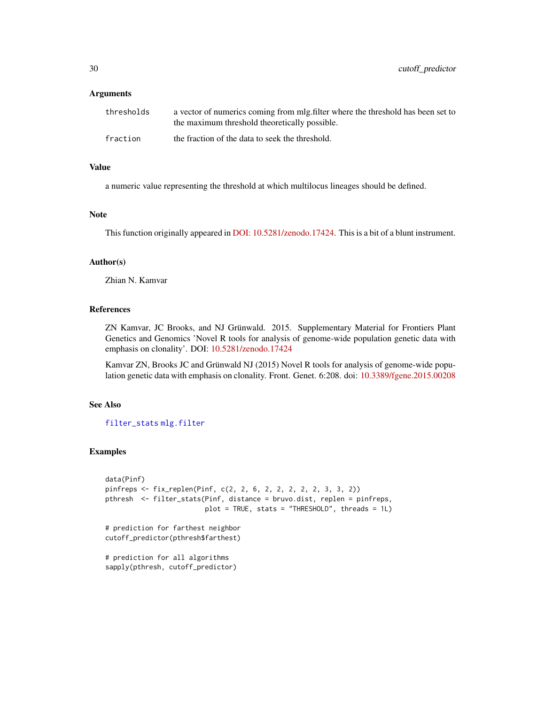30 cutoff\_predictor

#### **Arguments**

| thresholds | a vector of numerics coming from mlg.filter where the threshold has been set to<br>the maximum threshold theoretically possible. |
|------------|----------------------------------------------------------------------------------------------------------------------------------|
| fraction   | the fraction of the data to seek the threshold.                                                                                  |

# Value

a numeric value representing the threshold at which multilocus lineages should be defined.

# Note

This function originally appeared in [DOI: 10.5281/zenodo.17424.](https://doi.org/10.5281/zenodo.17424) This is a bit of a blunt instrument.

## Author(s)

Zhian N. Kamvar

#### References

ZN Kamvar, JC Brooks, and NJ Grünwald. 2015. Supplementary Material for Frontiers Plant Genetics and Genomics 'Novel R tools for analysis of genome-wide population genetic data with emphasis on clonality'. DOI: [10.5281/zenodo.17424](https://doi.org/10.5281/zenodo.17424)

Kamvar ZN, Brooks JC and Grünwald NJ (2015) Novel R tools for analysis of genome-wide population genetic data with emphasis on clonality. Front. Genet. 6:208. doi: [10.3389/fgene.2015.00208](https://doi.org/10.3389/fgene.2015.00208)

## See Also

[filter\\_stats](#page-38-1) [mlg.filter](#page-70-1)

#### Examples

```
data(Pinf)
pinfreps <- fix_replen(Pinf, c(2, 2, 6, 2, 2, 2, 2, 2, 3, 3, 2))
pthresh <- filter_stats(Pinf, distance = bruvo.dist, replen = pinfreps,
                        plot = TRUE, stats = "THRESHOLD", threads = 1L)
# prediction for farthest neighbor
cutoff_predictor(pthresh$farthest)
# prediction for all algorithms
sapply(pthresh, cutoff_predictor)
```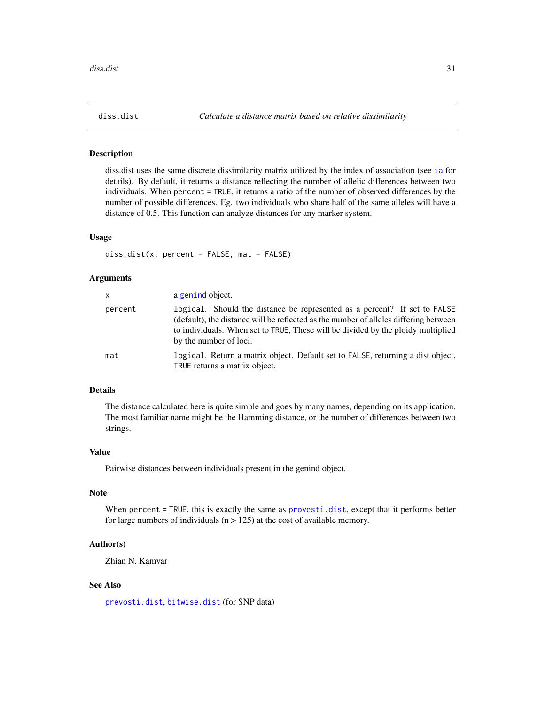<span id="page-30-1"></span><span id="page-30-0"></span>

#### **Description**

diss.dist uses the same discrete dissimilarity matrix utilized by the index of association (see [ia](#page-49-2) for details). By default, it returns a distance reflecting the number of allelic differences between two individuals. When percent = TRUE, it returns a ratio of the number of observed differences by the number of possible differences. Eg. two individuals who share half of the same alleles will have a distance of 0.5. This function can analyze distances for any marker system.

#### Usage

diss.dist(x, percent = FALSE, mat = FALSE)

# Arguments

| <b>X</b> | a genind object.                                                                                                                                                                                                                                                                |
|----------|---------------------------------------------------------------------------------------------------------------------------------------------------------------------------------------------------------------------------------------------------------------------------------|
| percent  | logical. Should the distance be represented as a percent? If set to FALSE<br>(default), the distance will be reflected as the number of alleles differing between<br>to individuals. When set to TRUE, These will be divided by the ploidy multiplied<br>by the number of loci. |
| mat      | logical. Return a matrix object. Default set to FALSE, returning a dist object.<br>TRUE returns a matrix object.                                                                                                                                                                |

#### Details

The distance calculated here is quite simple and goes by many names, depending on its application. The most familiar name might be the Hamming distance, or the number of differences between two strings.

#### Value

Pairwise distances between individuals present in the genind object.

# Note

When percent = TRUE, this is exactly the same as [provesti.dist](#page-79-1), except that it performs better for large numbers of individuals  $(n > 125)$  at the cost of available memory.

#### Author(s)

Zhian N. Kamvar

# See Also

[prevosti.dist](#page-79-1), [bitwise.dist](#page-12-1) (for SNP data)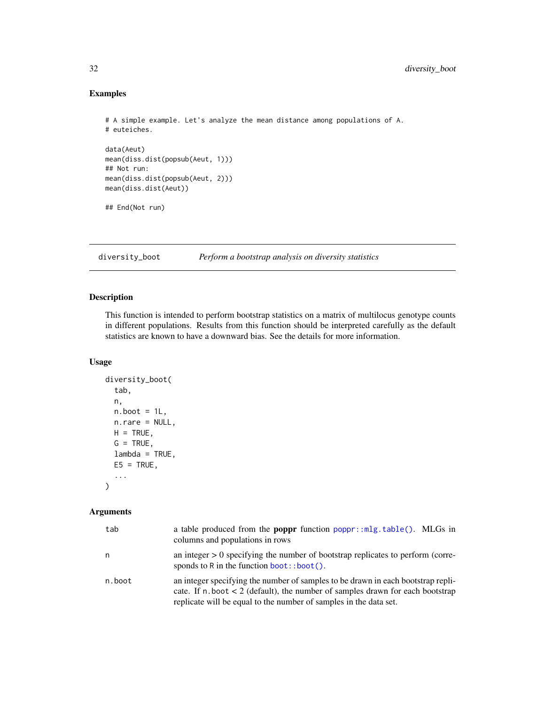# Examples

```
# A simple example. Let's analyze the mean distance among populations of A.
# euteiches.
data(Aeut)
mean(diss.dist(popsub(Aeut, 1)))
## Not run:
mean(diss.dist(popsub(Aeut, 2)))
mean(diss.dist(Aeut))
## End(Not run)
```
<span id="page-31-1"></span>diversity\_boot *Perform a bootstrap analysis on diversity statistics*

# Description

This function is intended to perform bootstrap statistics on a matrix of multilocus genotype counts in different populations. Results from this function should be interpreted carefully as the default statistics are known to have a downward bias. See the details for more information.

# Usage

```
diversity_boot(
  tab,
  n,
 n.boot = 1L,
 n.rare = NULL,
 H = TRUE,G = TRUE,
  lambda = TRUE,E5 = TRUE,...
\mathcal{L}
```
# Arguments

| tab    | a table produced from the <b>poppr</b> function poppr:: mlg.table(). MLGs in<br>columns and populations in rows                                                                                                                                |
|--------|------------------------------------------------------------------------------------------------------------------------------------------------------------------------------------------------------------------------------------------------|
| n      | an integer $> 0$ specifying the number of bootstrap replicates to perform (corre-<br>sponds to R in the function $boot$ : boot().                                                                                                              |
| n.boot | an integer specifying the number of samples to be drawn in each bootstrap repli-<br>cate. If $n$ , boot $\lt 2$ (default), the number of samples drawn for each bootstrap<br>replicate will be equal to the number of samples in the data set. |

<span id="page-31-0"></span>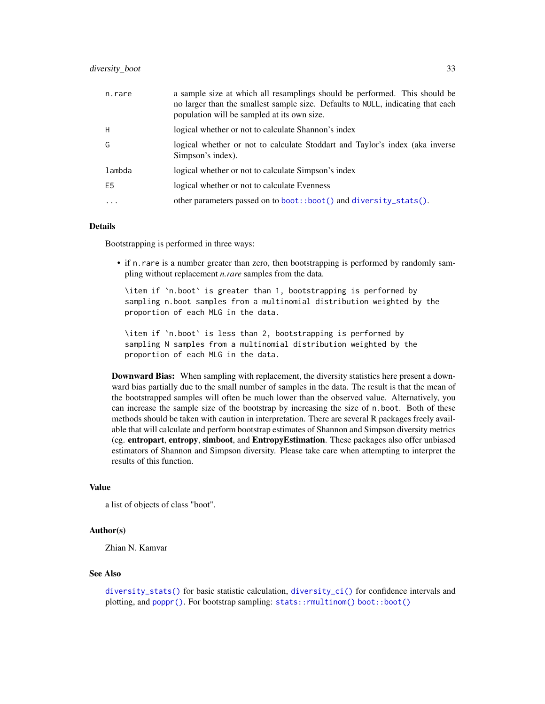| n.rare         | a sample size at which all resamplings should be performed. This should be<br>no larger than the smallest sample size. Defaults to NULL, indicating that each<br>population will be sampled at its own size. |
|----------------|--------------------------------------------------------------------------------------------------------------------------------------------------------------------------------------------------------------|
| H              | logical whether or not to calculate Shannon's index                                                                                                                                                          |
| G              | logical whether or not to calculate Stoddart and Taylor's index (aka inverse<br>Simpson's index).                                                                                                            |
| lambda         | logical whether or not to calculate Simpson's index                                                                                                                                                          |
| E <sub>5</sub> | logical whether or not to calculate Evenness                                                                                                                                                                 |
| .              | other parameters passed on to boot::boot() and diversity_stats().                                                                                                                                            |

# Details

Bootstrapping is performed in three ways:

• if n.rare is a number greater than zero, then bootstrapping is performed by randomly sampling without replacement *n.rare* samples from the data.

\item if `n.boot` is greater than 1, bootstrapping is performed by sampling n.boot samples from a multinomial distribution weighted by the proportion of each MLG in the data.

\item if `n.boot` is less than 2, bootstrapping is performed by sampling N samples from a multinomial distribution weighted by the proportion of each MLG in the data.

Downward Bias: When sampling with replacement, the diversity statistics here present a downward bias partially due to the small number of samples in the data. The result is that the mean of the bootstrapped samples will often be much lower than the observed value. Alternatively, you can increase the sample size of the bootstrap by increasing the size of n.boot. Both of these methods should be taken with caution in interpretation. There are several R packages freely available that will calculate and perform bootstrap estimates of Shannon and Simpson diversity metrics (eg. entropart, entropy, simboot, and EntropyEstimation. These packages also offer unbiased estimators of Shannon and Simpson diversity. Please take care when attempting to interpret the results of this function.

#### Value

a list of objects of class "boot".

#### Author(s)

Zhian N. Kamvar

#### See Also

[diversity\\_stats\(\)](#page-36-1) for basic statistic calculation, [diversity\\_ci\(\)](#page-33-1) for confidence intervals and plotting, and [poppr\(\)](#page-90-1). For bootstrap sampling: [stats::rmultinom\(\)](#page-0-0) [boot::boot\(\)](#page-0-0)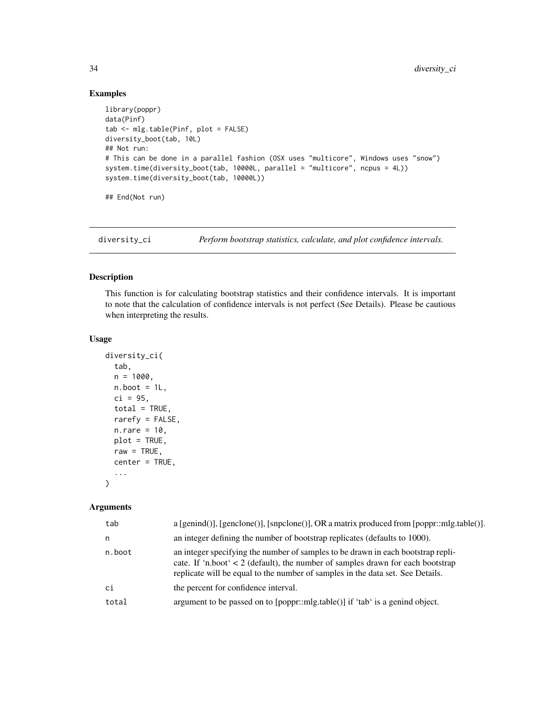# Examples

```
library(poppr)
data(Pinf)
tab <- mlg.table(Pinf, plot = FALSE)
diversity_boot(tab, 10L)
## Not run:
# This can be done in a parallel fashion (OSX uses "multicore", Windows uses "snow")
system.time(diversity_boot(tab, 10000L, parallel = "multicore", ncpus = 4L))
system.time(diversity_boot(tab, 10000L))
## End(Not run)
```
<span id="page-33-1"></span>diversity\_ci *Perform bootstrap statistics, calculate, and plot confidence intervals.*

# Description

This function is for calculating bootstrap statistics and their confidence intervals. It is important to note that the calculation of confidence intervals is not perfect (See Details). Please be cautious when interpreting the results.

#### Usage

```
diversity_ci(
  tab,
  n = 1000,n.boot = 1L,
  ci = 95,
  total = TRUE,rarefy = FALSE,
  n.rare = 10,
 plot = TRUE,
  raw = TRUE,
  center = TRUE,
  ...
\mathcal{L}
```
#### Arguments

| tab    | $a$ [genind()], [genclone()], [snpclone()], OR a matrix produced from [poppr::mlg.table()].                                                                                                                                                               |
|--------|-----------------------------------------------------------------------------------------------------------------------------------------------------------------------------------------------------------------------------------------------------------|
| n      | an integer defining the number of bootstrap replicates (defaults to 1000).                                                                                                                                                                                |
| n.boot | an integer specifying the number of samples to be drawn in each bootstrap repli-<br>cate. If 'n.boot' $\lt 2$ (default), the number of samples drawn for each bootstrap<br>replicate will be equal to the number of samples in the data set. See Details. |
| ci     | the percent for confidence interval.                                                                                                                                                                                                                      |
| total  | argument to be passed on to [poppr::mlg.table()] if 'tab' is a genind object.                                                                                                                                                                             |
|        |                                                                                                                                                                                                                                                           |

<span id="page-33-0"></span>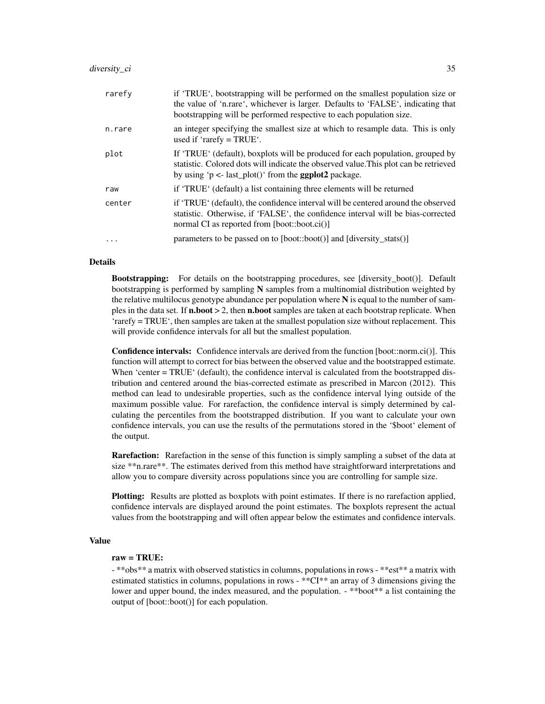| rarefy   | if 'TRUE', bootstrapping will be performed on the smallest population size or<br>the value of 'n.rare', whichever is larger. Defaults to 'FALSE', indicating that<br>bootstrapping will be performed respective to each population size. |
|----------|------------------------------------------------------------------------------------------------------------------------------------------------------------------------------------------------------------------------------------------|
| n.rare   | an integer specifying the smallest size at which to resample data. This is only<br>used if 'rarefy = $TRUE'$ .                                                                                                                           |
| plot     | If 'TRUE' (default), boxplots will be produced for each population, grouped by<br>statistic. Colored dots will indicate the observed value. This plot can be retrieved<br>by using 'p <- last_plot()' from the <b>ggplot2</b> package.   |
| raw      | if 'TRUE' (default) a list containing three elements will be returned                                                                                                                                                                    |
| center   | if 'TRUE' (default), the confidence interval will be centered around the observed<br>statistic. Otherwise, if 'FALSE', the confidence interval will be bias-corrected<br>normal CI as reported from [boot::boot.ci()]                    |
| $\cdots$ | parameters to be passed on to $[boot::boot()]$ and $[diversitystats()]$                                                                                                                                                                  |

#### Details

Bootstrapping: For details on the bootstrapping procedures, see [diversity\_boot()]. Default bootstrapping is performed by sampling N samples from a multinomial distribution weighted by the relative multilocus genotype abundance per population where N is equal to the number of samples in the data set. If  $n.boot > 2$ , then  $n.boot$  samples are taken at each bootstrap replicate. When 'rarefy = TRUE', then samples are taken at the smallest population size without replacement. This will provide confidence intervals for all but the smallest population.

Confidence intervals: Confidence intervals are derived from the function [boot::norm.ci()]. This function will attempt to correct for bias between the observed value and the bootstrapped estimate. When 'center = TRUE' (default), the confidence interval is calculated from the bootstrapped distribution and centered around the bias-corrected estimate as prescribed in Marcon (2012). This method can lead to undesirable properties, such as the confidence interval lying outside of the maximum possible value. For rarefaction, the confidence interval is simply determined by calculating the percentiles from the bootstrapped distribution. If you want to calculate your own confidence intervals, you can use the results of the permutations stored in the '\$boot' element of the output.

Rarefaction: Rarefaction in the sense of this function is simply sampling a subset of the data at size \*\*n.rare\*\*. The estimates derived from this method have straightforward interpretations and allow you to compare diversity across populations since you are controlling for sample size.

Plotting: Results are plotted as boxplots with point estimates. If there is no rarefaction applied, confidence intervals are displayed around the point estimates. The boxplots represent the actual values from the bootstrapping and will often appear below the estimates and confidence intervals.

#### Value

#### raw = TRUE:

- \*\*obs\*\* a matrix with observed statistics in columns, populations in rows - \*\*est\*\* a matrix with estimated statistics in columns, populations in rows - \*\*CI\*\* an array of 3 dimensions giving the lower and upper bound, the index measured, and the population. - \*\*boot\*\* a list containing the output of [boot::boot()] for each population.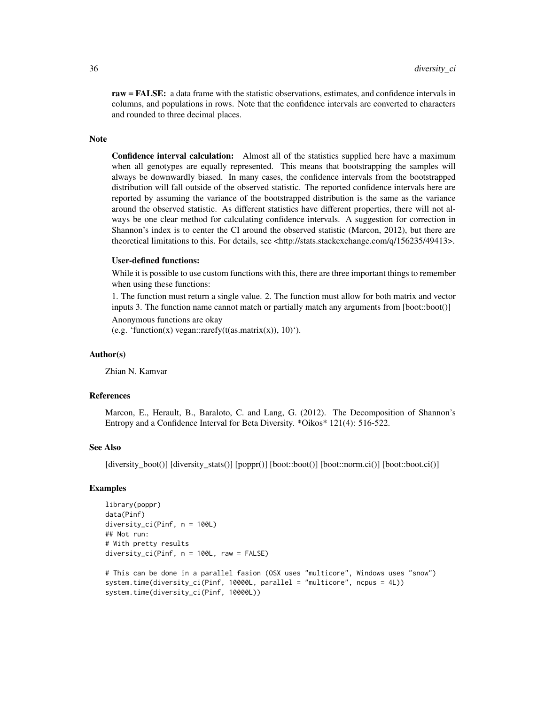raw = FALSE: a data frame with the statistic observations, estimates, and confidence intervals in columns, and populations in rows. Note that the confidence intervals are converted to characters and rounded to three decimal places.

#### Note

Confidence interval calculation: Almost all of the statistics supplied here have a maximum when all genotypes are equally represented. This means that bootstrapping the samples will always be downwardly biased. In many cases, the confidence intervals from the bootstrapped distribution will fall outside of the observed statistic. The reported confidence intervals here are reported by assuming the variance of the bootstrapped distribution is the same as the variance around the observed statistic. As different statistics have different properties, there will not always be one clear method for calculating confidence intervals. A suggestion for correction in Shannon's index is to center the CI around the observed statistic (Marcon, 2012), but there are theoretical limitations to this. For details, see <http://stats.stackexchange.com/q/156235/49413>.

#### User-defined functions:

While it is possible to use custom functions with this, there are three important things to remember when using these functions:

1. The function must return a single value. 2. The function must allow for both matrix and vector inputs 3. The function name cannot match or partially match any arguments from [boot::boot()]

Anonymous functions are okay

(e.g. 'function(x) vegan::rarefy(t(as.matrix(x)),  $10$ )').

#### Author(s)

Zhian N. Kamvar

# References

Marcon, E., Herault, B., Baraloto, C. and Lang, G. (2012). The Decomposition of Shannon's Entropy and a Confidence Interval for Beta Diversity. \*Oikos\* 121(4): 516-522.

#### See Also

[diversity\_boot()] [diversity\_stats()] [poppr()] [boot::boot()] [boot::norm.ci()] [boot::boot.ci()]

# Examples

```
library(poppr)
data(Pinf)
diversity_ci(Pinf, n = 100L)
## Not run:
# With pretty results
diversity_ci(Pinf, n = 100L, raw = FALSE)
# This can be done in a parallel fasion (OSX uses "multicore", Windows uses "snow")
system.time(diversity_ci(Pinf, 10000L, parallel = "multicore", ncpus = 4L))
system.time(diversity_ci(Pinf, 10000L))
```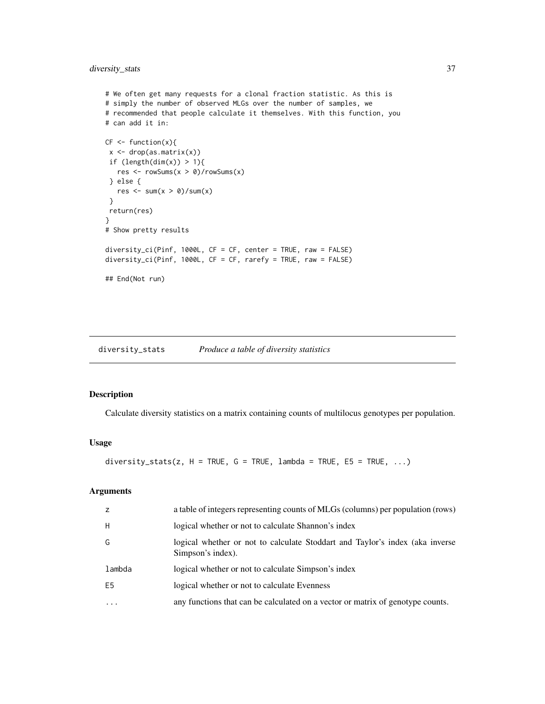```
# We often get many requests for a clonal fraction statistic. As this is
# simply the number of observed MLGs over the number of samples, we
# recommended that people calculate it themselves. With this function, you
# can add it in:
CF \leftarrow function(x)x \leftarrow drop(as.matrix(x))if (length(dim(x)) > 1){
  res \leq rowSums(x > 0)/rowSums(x)
 } else {
  res \leq sum(x > 0)/sum(x)
 }
 return(res)
}
# Show pretty results
diversity_ci(Pinf, 1000L, CF = CF, center = TRUE, raw = FALSE)
diversity_ci(Pinf, 1000L, CF = CF, rarefy = TRUE, raw = FALSE)
## End(Not run)
```
<span id="page-36-0"></span>diversity\_stats *Produce a table of diversity statistics*

## Description

Calculate diversity statistics on a matrix containing counts of multilocus genotypes per population.

#### Usage

diversity\_stats(z, H = TRUE, G = TRUE, lambda = TRUE, E5 = TRUE,  $\dots$ )

## Arguments

| z              | a table of integers representing counts of MLGs (columns) per population (rows)                   |
|----------------|---------------------------------------------------------------------------------------------------|
| H              | logical whether or not to calculate Shannon's index                                               |
| G              | logical whether or not to calculate Stoddart and Taylor's index (aka inverse<br>Simpson's index). |
| lambda         | logical whether or not to calculate Simpson's index                                               |
| E <sub>5</sub> | logical whether or not to calculate Evenness                                                      |
| $\ddotsc$      | any functions that can be calculated on a vector or matrix of genotype counts.                    |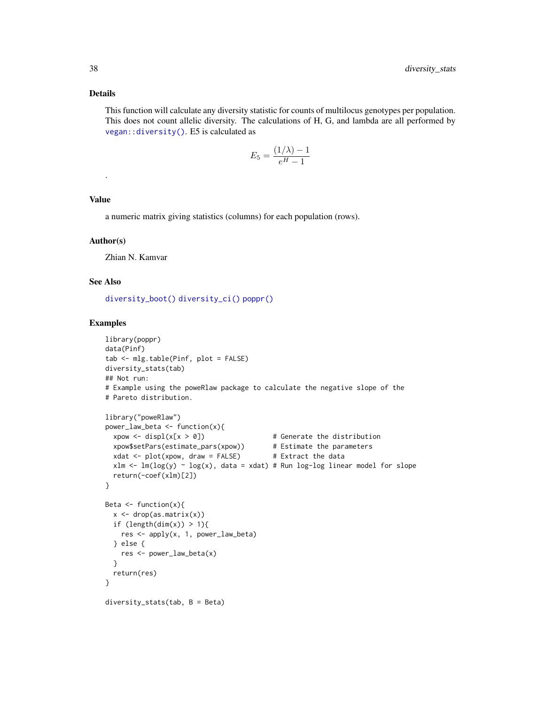## Details

This function will calculate any diversity statistic for counts of multilocus genotypes per population. This does not count allelic diversity. The calculations of H, G, and lambda are all performed by [vegan::diversity\(\)](#page-0-0). E5 is calculated as

$$
E_5 = \frac{(1/\lambda) - 1}{e^H - 1}
$$

# Value

.

a numeric matrix giving statistics (columns) for each population (rows).

#### Author(s)

Zhian N. Kamvar

# See Also

[diversity\\_boot\(\)](#page-31-0) [diversity\\_ci\(\)](#page-33-0) [poppr\(\)](#page-90-0)

#### Examples

```
library(poppr)
data(Pinf)
tab <- mlg.table(Pinf, plot = FALSE)
diversity_stats(tab)
## Not run:
# Example using the poweRlaw package to calculate the negative slope of the
# Pareto distribution.
library("poweRlaw")
power_law_beta \leq function(x){
  xpow \leq displ(x[x > 0]) \qquad \qquad # Generate the distribution
  xpow$setPars(estimate_pars(xpow)) # Estimate the parameters
  xdat \le plot(xpow, draw = FALSE) # Extract the data
  xlm <- lm(log(y) ~ log(x), data = xdat) # Run log-log linear model for slope
  return(-coef(xlm)[2])
}
Beta \leq function(x){
  x <- drop(as.matrix(x))
  if (length(dim(x)) > 1){
   res <- apply(x, 1, power_law_beta)
  } else {
   res <- power_law_beta(x)
  }
  return(res)
}
diversity_stats(tab, B = Beta)
```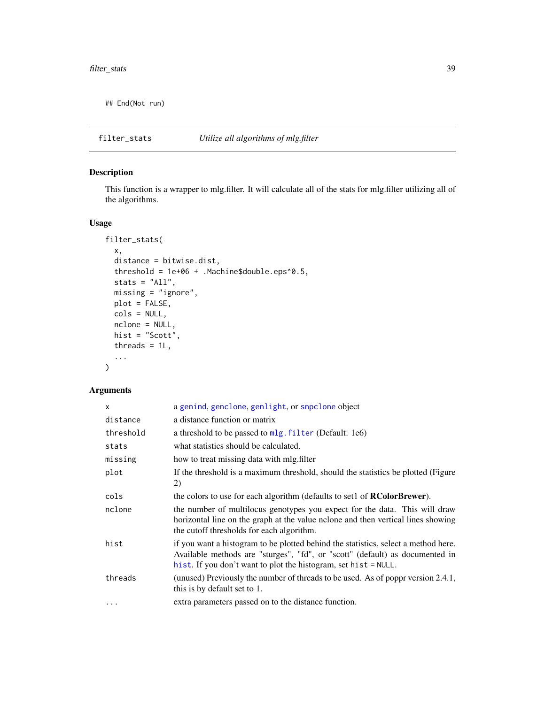## End(Not run)

filter\_stats *Utilize all algorithms of mlg.filter*

# Description

This function is a wrapper to mlg.filter. It will calculate all of the stats for mlg.filter utilizing all of the algorithms.

# Usage

```
filter_stats(
 x,
  distance = bitwise.dist,
  threshold = 1e+06 + .Machine$double.eps^0.5,
  stats = "All",
 missing = "ignore",
 plot = FALSE,
 cols = NULL,nclone = NULL,
 hist = "Scott",
  threads = 1L,
  ...
\mathcal{L}
```
# Arguments

| x         | a genind, genclone, genlight, or snpclone object                                                                                                                                                                                      |
|-----------|---------------------------------------------------------------------------------------------------------------------------------------------------------------------------------------------------------------------------------------|
| distance  | a distance function or matrix                                                                                                                                                                                                         |
| threshold | a threshold to be passed to mlg. filter (Default: 1e6)                                                                                                                                                                                |
| stats     | what statistics should be calculated.                                                                                                                                                                                                 |
| missing   | how to treat missing data with mlg. filter                                                                                                                                                                                            |
| plot      | If the threshold is a maximum threshold, should the statistics be plotted (Figure<br>2)                                                                                                                                               |
| cols      | the colors to use for each algorithm (defaults to set1 of <b>RColorBrewer</b> ).                                                                                                                                                      |
| nclone    | the number of multilocus genotypes you expect for the data. This will draw<br>horizontal line on the graph at the value nolone and then vertical lines showing<br>the cutoff thresholds for each algorithm.                           |
| hist      | if you want a histogram to be plotted behind the statistics, select a method here.<br>Available methods are "sturges", "fd", or "scott" (default) as documented in<br>hist. If you don't want to plot the histogram, set hist = NULL. |
| threads   | (unused) Previously the number of threads to be used. As of poppr version 2.4.1,<br>this is by default set to 1.                                                                                                                      |
| $\cdots$  | extra parameters passed on to the distance function.                                                                                                                                                                                  |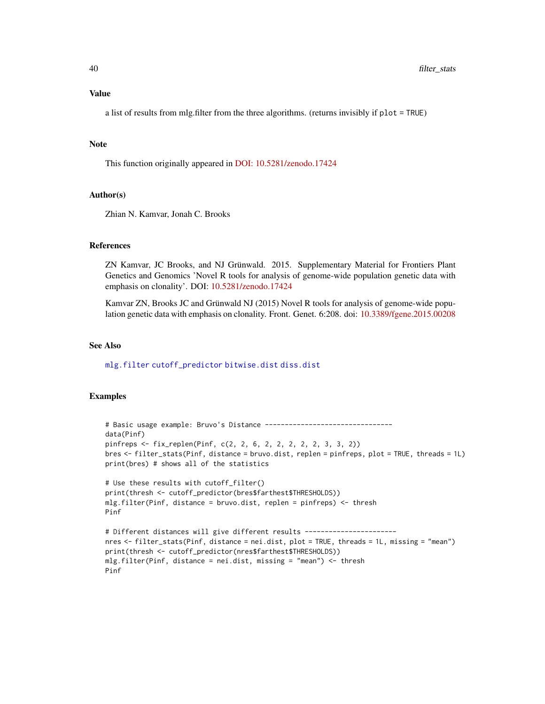a list of results from mlg.filter from the three algorithms. (returns invisibly if plot = TRUE)

#### Note

This function originally appeared in [DOI: 10.5281/zenodo.17424](https://doi.org/10.5281/zenodo.17424)

# Author(s)

Zhian N. Kamvar, Jonah C. Brooks

#### References

ZN Kamvar, JC Brooks, and NJ Grünwald. 2015. Supplementary Material for Frontiers Plant Genetics and Genomics 'Novel R tools for analysis of genome-wide population genetic data with emphasis on clonality'. DOI: [10.5281/zenodo.17424](https://doi.org/10.5281/zenodo.17424)

Kamvar ZN, Brooks JC and Grünwald NJ (2015) Novel R tools for analysis of genome-wide population genetic data with emphasis on clonality. Front. Genet. 6:208. doi: [10.3389/fgene.2015.00208](https://doi.org/10.3389/fgene.2015.00208)

#### See Also

[mlg.filter](#page-70-0) [cutoff\\_predictor](#page-28-0) [bitwise.dist](#page-12-0) [diss.dist](#page-30-0)

# Examples

```
# Basic usage example: Bruvo's Distance --------------------------------
data(Pinf)
pinfreps <- fix_replen(Pinf, c(2, 2, 6, 2, 2, 2, 2, 2, 3, 3, 2))
bres <- filter_stats(Pinf, distance = bruvo.dist, replen = pinfreps, plot = TRUE, threads = 1L)
print(bres) # shows all of the statistics
# Use these results with cutoff_filter()
print(thresh <- cutoff_predictor(bres$farthest$THRESHOLDS))
mlg.filter(Pinf, distance = bruvo.dist, replen = pinfreps) <- thresh
Pinf
# Different distances will give different results -----------------------
nres <- filter_stats(Pinf, distance = nei.dist, plot = TRUE, threads = 1L, missing = "mean")
print(thresh <- cutoff_predictor(nres$farthest$THRESHOLDS))
mlg.filter(Pinf, distance = nei.dist, missing = "mean") <- thresh
Pinf
```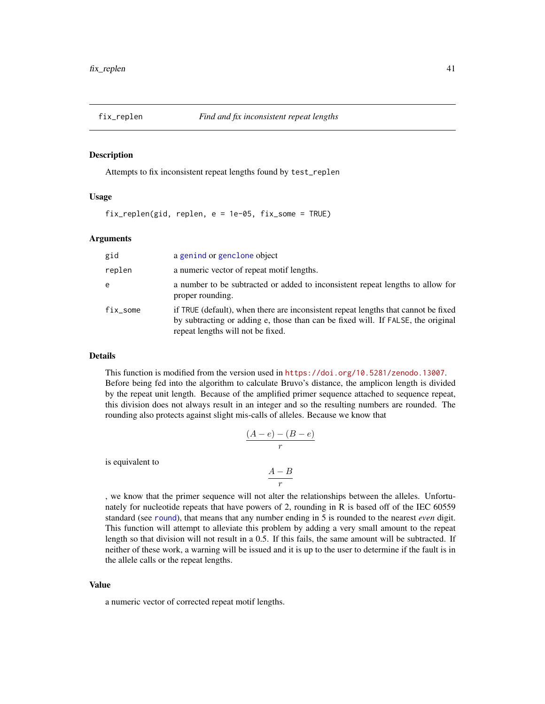#### Description

Attempts to fix inconsistent repeat lengths found by test\_replen

#### Usage

fix\_replen(gid, replen, e = 1e-05, fix\_some = TRUE)

#### Arguments

| gid      | a genind or genclone object                                                                                                                                                                                 |
|----------|-------------------------------------------------------------------------------------------------------------------------------------------------------------------------------------------------------------|
| replen   | a numeric vector of repeat motif lengths.                                                                                                                                                                   |
| e        | a number to be subtracted or added to inconsistent repeat lengths to allow for<br>proper rounding.                                                                                                          |
| fix_some | if TRUE (default), when there are inconsistent repeat lengths that cannot be fixed<br>by subtracting or adding e, those than can be fixed will. If FALSE, the original<br>repeat lengths will not be fixed. |

#### Details

This function is modified from the version used in <https://doi.org/10.5281/zenodo.13007>. Before being fed into the algorithm to calculate Bruvo's distance, the amplicon length is divided by the repeat unit length. Because of the amplified primer sequence attached to sequence repeat, this division does not always result in an integer and so the resulting numbers are rounded. The rounding also protects against slight mis-calls of alleles. Because we know that

$$
\frac{(A-e) - (B-e)}{r}
$$

is equivalent to

$$
\frac{A-B}{r}
$$

, we know that the primer sequence will not alter the relationships between the alleles. Unfortunately for nucleotide repeats that have powers of 2, rounding in R is based off of the IEC 60559 standard (see [round](#page-0-0)), that means that any number ending in 5 is rounded to the nearest *even* digit. This function will attempt to alleviate this problem by adding a very small amount to the repeat length so that division will not result in a 0.5. If this fails, the same amount will be subtracted. If neither of these work, a warning will be issued and it is up to the user to determine if the fault is in the allele calls or the repeat lengths.

#### Value

a numeric vector of corrected repeat motif lengths.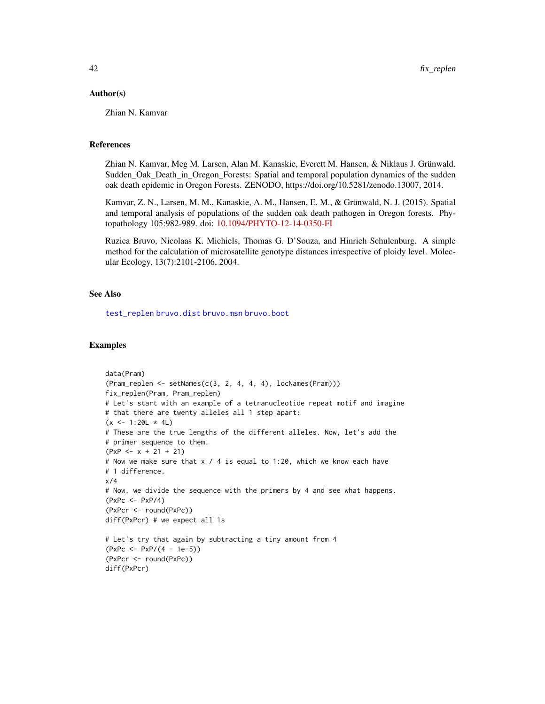#### Author(s)

Zhian N. Kamvar

#### References

Zhian N. Kamvar, Meg M. Larsen, Alan M. Kanaskie, Everett M. Hansen, & Niklaus J. Grünwald. Sudden\_Oak\_Death\_in\_Oregon\_Forests: Spatial and temporal population dynamics of the sudden oak death epidemic in Oregon Forests. ZENODO, https://doi.org/10.5281/zenodo.13007, 2014.

Kamvar, Z. N., Larsen, M. M., Kanaskie, A. M., Hansen, E. M., & Grünwald, N. J. (2015). Spatial and temporal analysis of populations of the sudden oak death pathogen in Oregon forests. Phytopathology 105:982-989. doi: [10.1094/PHYTO-12-14-0350-FI](https://doi.org/10.1094/PHYTO-12-14-0350-FI)

Ruzica Bruvo, Nicolaas K. Michiels, Thomas G. D'Souza, and Hinrich Schulenburg. A simple method for the calculation of microsatellite genotype distances irrespective of ploidy level. Molecular Ecology, 13(7):2101-2106, 2004.

#### See Also

[test\\_replen](#page-125-0) [bruvo.dist](#page-19-0) [bruvo.msn](#page-22-0) [bruvo.boot](#page-17-0)

#### Examples

```
data(Pram)
(Pram_replen \leq setNames(c(3, 2, 4, 4, 4), locNames(Pram)))fix_replen(Pram, Pram_replen)
# Let's start with an example of a tetranucleotide repeat motif and imagine
# that there are twenty alleles all 1 step apart:
(x \le -1:20L \times 4L)# These are the true lengths of the different alleles. Now, let's add the
# primer sequence to them.
(PxP < -x + 21 + 21)# Now we make sure that x / 4 is equal to 1:20, which we know each have
# 1 difference.
x/4
# Now, we divide the sequence with the primers by 4 and see what happens.
(PxPc < -PxP/4)(PxPcr <- round(PxPc))
diff(PxPcr) # we expect all 1s
# Let's try that again by subtracting a tiny amount from 4
(PxPc <- PxP/(4 - 1e-5))
(PxPcr <- round(PxPc))
diff(PxPcr)
```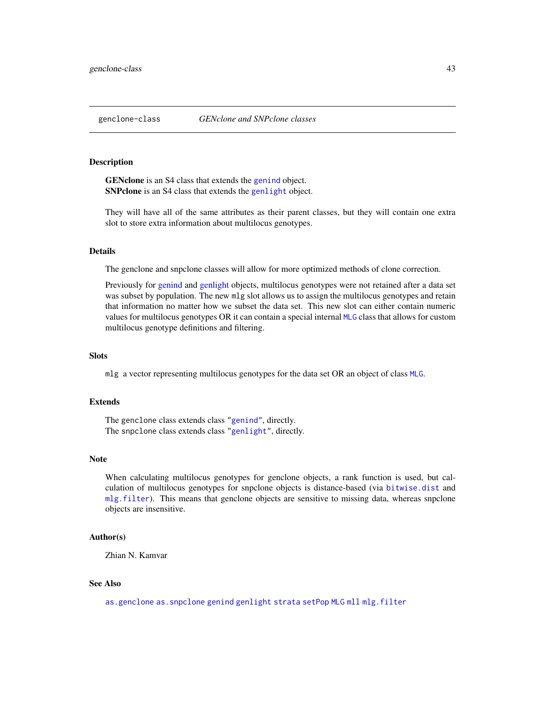## <span id="page-42-1"></span><span id="page-42-0"></span>Description

GENclone is an S4 class that extends the [genind](#page-0-0) object. SNPclone is an S4 class that extends the [genlight](#page-0-0) object.

They will have all of the same attributes as their parent classes, but they will contain one extra slot to store extra information about multilocus genotypes.

#### Details

The genclone and snpclone classes will allow for more optimized methods of clone correction.

Previously for [genind](#page-0-0) and [genlight](#page-0-0) objects, multilocus genotypes were not retained after a data set was subset by population. The new mlg slot allows us to assign the multilocus genotypes and retain that information no matter how we subset the data set. This new slot can either contain numeric values for multilocus genotypes OR it can contain a special internal [MLG](#page-0-0) class that allows for custom multilocus genotype definitions and filtering.

#### **Slots**

mlg a vector representing multilocus genotypes for the data set OR an object of class [MLG](#page-0-0).

# Extends

The genclone class extends class ["genind"](#page-0-0), directly. The snpclone class extends class ["genlight"](#page-0-0), directly.

## Note

When calculating multilocus genotypes for genclone objects, a rank function is used, but calculation of multilocus genotypes for snpclone objects is distance-based (via [bitwise.dist](#page-12-0) and [mlg.filter](#page-70-0)). This means that genclone objects are sensitive to missing data, whereas snpclone objects are insensitive.

#### Author(s)

Zhian N. Kamvar

#### See Also

[as.genclone](#page-15-0) [as.snpclone](#page-11-0) [genind](#page-0-0) [genlight](#page-0-0) [strata](#page-0-0) [setPop](#page-0-0) [MLG](#page-0-0) [mll](#page-74-0) [mlg.filter](#page-70-0)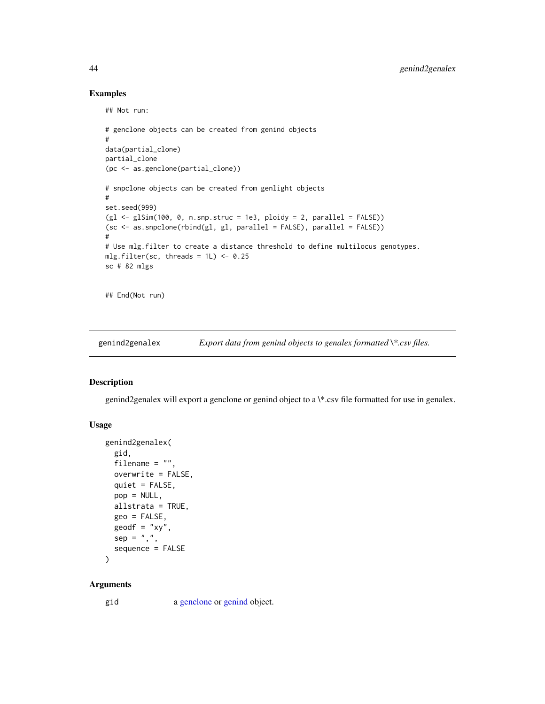# Examples

```
## Not run:
# genclone objects can be created from genind objects
#
data(partial_clone)
partial_clone
(pc <- as.genclone(partial_clone))
# snpclone objects can be created from genlight objects
#
set.seed(999)
(g1 \leq-g1Sim(100, 0, n.snp.struc = 1e3, ploidy = 2, parallel = FALSE))(sc <- as.snpclone(rbind(gl, gl, parallel = FALSE), parallel = FALSE))
#
# Use mlg.filter to create a distance threshold to define multilocus genotypes.
mlg.filter(sc, threads = 1L) <- 0.25
sc # 82 mlgs
## End(Not run)
```
genind2genalex *Export data from genind objects to genalex formatted \\*.csv files.*

#### Description

genind2genalex will export a genclone or genind object to a \\*.csv file formatted for use in genalex.

# Usage

```
genind2genalex(
 gid,
 filename = ",
 overwrite = FALSE,
 quiet = FALSE,
 pop = NULL,
 allstrata = TRUE,
 geo = FALSE,
 geodf = "xy",sep = ","sequence = FALSE
)
```
# Arguments

gid a [genclone](#page-42-1) or [genind](#page-0-0) object.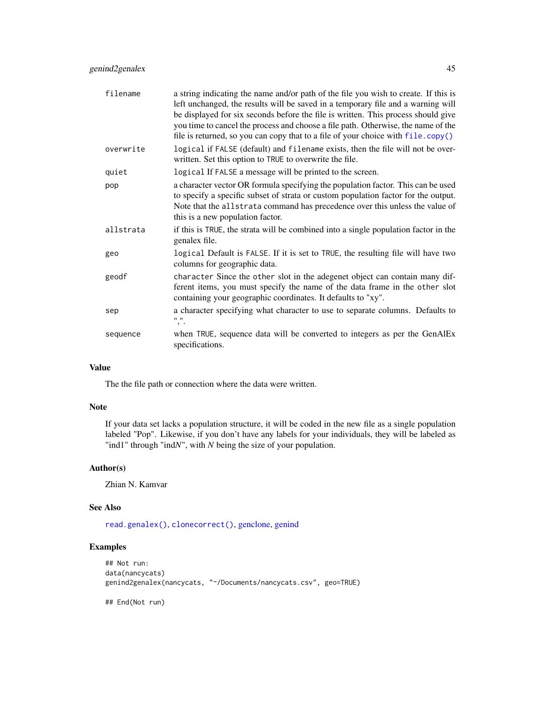# genind2genalex 45

| filename  | a string indicating the name and/or path of the file you wish to create. If this is<br>left unchanged, the results will be saved in a temporary file and a warning will<br>be displayed for six seconds before the file is written. This process should give<br>you time to cancel the process and choose a file path. Otherwise, the name of the<br>file is returned, so you can copy that to a file of your choice with file.copy() |
|-----------|---------------------------------------------------------------------------------------------------------------------------------------------------------------------------------------------------------------------------------------------------------------------------------------------------------------------------------------------------------------------------------------------------------------------------------------|
| overwrite | logical if FALSE (default) and filename exists, then the file will not be over-<br>written. Set this option to TRUE to overwrite the file.                                                                                                                                                                                                                                                                                            |
| quiet     | logical If FALSE a message will be printed to the screen.                                                                                                                                                                                                                                                                                                                                                                             |
| pop       | a character vector OR formula specifying the population factor. This can be used<br>to specify a specific subset of strata or custom population factor for the output.<br>Note that the allstrata command has precedence over this unless the value of<br>this is a new population factor.                                                                                                                                            |
| allstrata | if this is TRUE, the strata will be combined into a single population factor in the<br>genalex file.                                                                                                                                                                                                                                                                                                                                  |
| geo       | logical Default is FALSE. If it is set to TRUE, the resulting file will have two<br>columns for geographic data.                                                                                                                                                                                                                                                                                                                      |
| geodf     | character Since the other slot in the adegenet object can contain many dif-<br>ferent items, you must specify the name of the data frame in the other slot<br>containing your geographic coordinates. It defaults to "xy".                                                                                                                                                                                                            |
| sep       | a character specifying what character to use to separate columns. Defaults to<br>" "                                                                                                                                                                                                                                                                                                                                                  |
| sequence  | when TRUE, sequence data will be converted to integers as per the GenAlEx<br>specifications.                                                                                                                                                                                                                                                                                                                                          |

# Value

The the file path or connection where the data were written.

# Note

If your data set lacks a population structure, it will be coded in the new file as a single population labeled "Pop". Likewise, if you don't have any labels for your individuals, they will be labeled as "ind1" through "ind*N*", with *N* being the size of your population.

# Author(s)

Zhian N. Kamvar

# See Also

[read.genalex\(\)](#page-114-0), [clonecorrect\(\)](#page-26-0), [genclone,](#page-42-1) [genind](#page-0-0)

# Examples

```
## Not run:
data(nancycats)
genind2genalex(nancycats, "~/Documents/nancycats.csv", geo=TRUE)
```
## End(Not run)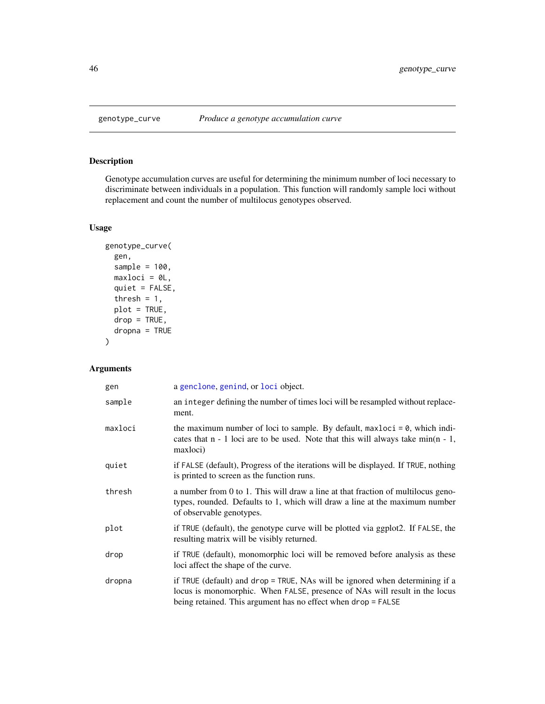# Description

Genotype accumulation curves are useful for determining the minimum number of loci necessary to discriminate between individuals in a population. This function will randomly sample loci without replacement and count the number of multilocus genotypes observed.

# Usage

```
genotype_curve(
  gen,
  sample = 100,
 maxloci = 0L,
 quiet = FALSE,
  thresh = 1,
  plot = TRUE,
  drop = TRUE,dropna = TRUE)
```
# Arguments

| gen     | a genclone, genind, or loci object.                                                                                                                                                                                         |
|---------|-----------------------------------------------------------------------------------------------------------------------------------------------------------------------------------------------------------------------------|
| sample  | an integer defining the number of times loci will be resampled without replace-<br>ment.                                                                                                                                    |
| maxloci | the maximum number of loci to sample. By default, $maxloci = 0$ , which indi-<br>cates that $n - 1$ loci are to be used. Note that this will always take min( $n - 1$ ,<br>maxloci)                                         |
| quiet   | if FALSE (default), Progress of the iterations will be displayed. If TRUE, nothing<br>is printed to screen as the function runs.                                                                                            |
| thresh  | a number from 0 to 1. This will draw a line at that fraction of multilocus geno-<br>types, rounded. Defaults to 1, which will draw a line at the maximum number<br>of observable genotypes.                                 |
| plot    | if TRUE (default), the genotype curve will be plotted via ggplot2. If FALSE, the<br>resulting matrix will be visibly returned.                                                                                              |
| drop    | if TRUE (default), monomorphic loci will be removed before analysis as these<br>loci affect the shape of the curve.                                                                                                         |
| dropna  | if TRUE (default) and drop = TRUE, NAs will be ignored when determining if a<br>locus is monomorphic. When FALSE, presence of NAs will result in the locus<br>being retained. This argument has no effect when drop = FALSE |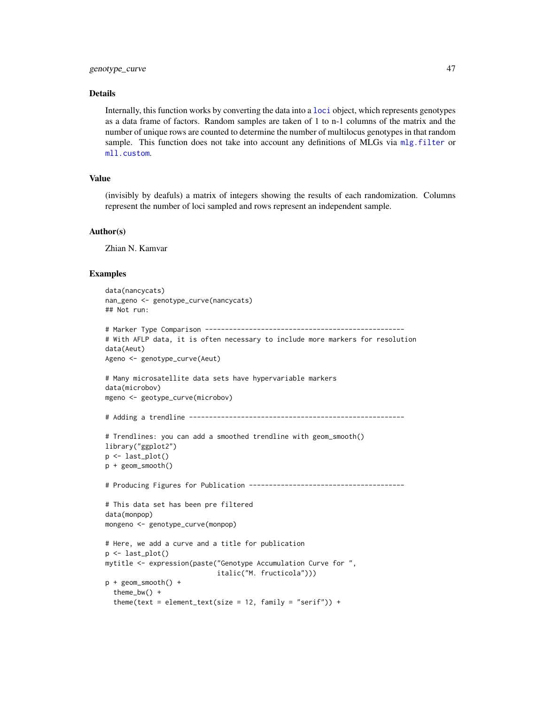#### Details

Internally, this function works by converting the data into a [loci](#page-0-0) object, which represents genotypes as a data frame of factors. Random samples are taken of 1 to n-1 columns of the matrix and the number of unique rows are counted to determine the number of multilocus genotypes in that random sample. This function does not take into account any definitions of MLGs via [mlg.filter](#page-70-0) or [mll.custom](#page-75-0).

# Value

(invisibly by deafuls) a matrix of integers showing the results of each randomization. Columns represent the number of loci sampled and rows represent an independent sample.

#### Author(s)

Zhian N. Kamvar

#### Examples

```
data(nancycats)
nan_geno <- genotype_curve(nancycats)
## Not run:
# Marker Type Comparison --------------------------------------------------
# With AFLP data, it is often necessary to include more markers for resolution
data(Aeut)
Ageno <- genotype_curve(Aeut)
# Many microsatellite data sets have hypervariable markers
data(microbov)
mgeno <- geotype_curve(microbov)
# Adding a trendline ------------------------------------------------------
# Trendlines: you can add a smoothed trendline with geom_smooth()
library("ggplot2")
p <- last_plot()
p + geom_smooth()
# Producing Figures for Publication ---------------------------------------
# This data set has been pre filtered
data(monpop)
mongeno <- genotype_curve(monpop)
# Here, we add a curve and a title for publication
p <- last_plot()
mytitle <- expression(paste("Genotype Accumulation Curve for ",
                            italic("M. fructicola")))
p + geom_smooth() +
  theme_bw() +
  theme(text = element_text(size = 12, family = "serif")) +
```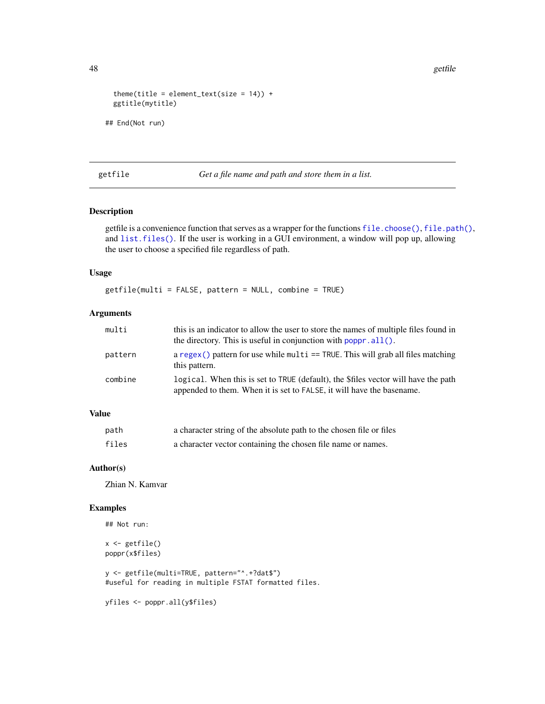```
theme(title = element_text(size = 14)) +
 ggtitle(mytitle)
## End(Not run)
```
getfile *Get a file name and path and store them in a list.*

# Description

getfile is a convenience function that serves as a wrapper for the functions [file.choose\(\)](#page-0-0), [file.path\(\)](#page-0-0), and [list.files\(\)](#page-0-0). If the user is working in a GUI environment, a window will pop up, allowing the user to choose a specified file regardless of path.

# Usage

getfile(multi = FALSE, pattern = NULL, combine = TRUE)

# Arguments

| multi   | this is an indicator to allow the user to store the names of multiple files found in<br>the directory. This is useful in conjunction with $poppr$ all().    |
|---------|-------------------------------------------------------------------------------------------------------------------------------------------------------------|
| pattern | a regex() pattern for use while multi $==$ TRUE. This will grab all files matching<br>this pattern.                                                         |
| combine | logical. When this is set to TRUE (default), the \$files vector will have the path<br>appended to them. When it is set to FALSE, it will have the basename. |

# Value

| path  | a character string of the absolute path to the chosen file or files |
|-------|---------------------------------------------------------------------|
| files | a character vector containing the chosen file name or names.        |

# Author(s)

Zhian N. Kamvar

# Examples

```
## Not run:
```

```
x \leftarrow getfile()poppr(x$files)
```
y <- getfile(multi=TRUE, pattern="^.+?dat\$") #useful for reading in multiple FSTAT formatted files.

yfiles <- poppr.all(y\$files)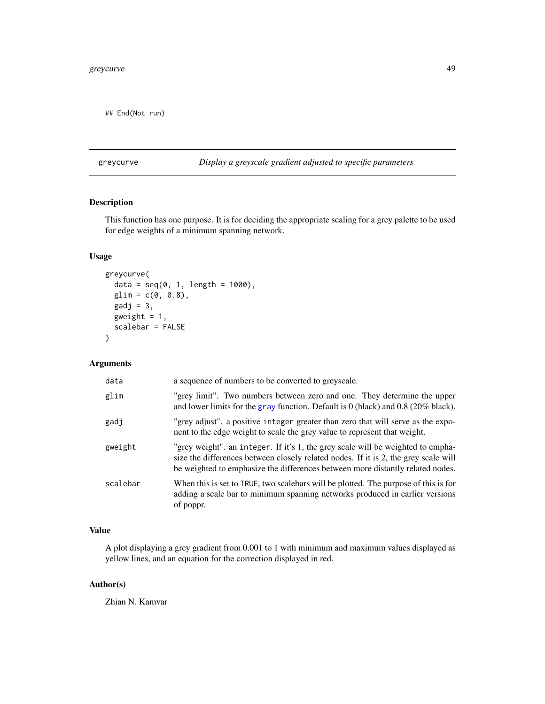## End(Not run)

greycurve *Display a greyscale gradient adjusted to specific parameters*

# Description

This function has one purpose. It is for deciding the appropriate scaling for a grey palette to be used for edge weights of a minimum spanning network.

# Usage

```
greycurve(
  data = seq(0, 1, length = 1000),glim = c(0, 0.8),\text{gadj} = 3,
 gweight = 1,
  scalebar = FALSE
)
```
# Arguments

| data     | a sequence of numbers to be converted to greyscale.                                                                                                                                                                                                      |
|----------|----------------------------------------------------------------------------------------------------------------------------------------------------------------------------------------------------------------------------------------------------------|
| glim     | "grey limit". Two numbers between zero and one. They determine the upper<br>and lower limits for the gray function. Default is $0$ (black) and 0.8 (20% black).                                                                                          |
| gadj     | "grey adjust". a positive integer greater than zero that will serve as the expo-<br>nent to the edge weight to scale the grey value to represent that weight.                                                                                            |
| gweight  | "grey weight", an integer. If it's 1, the grey scale will be weighted to empha-<br>size the differences between closely related nodes. If it is 2, the grey scale will<br>be weighted to emphasize the differences between more distantly related nodes. |
| scalebar | When this is set to TRUE, two scalebars will be plotted. The purpose of this is for<br>adding a scale bar to minimum spanning networks produced in earlier versions<br>of poppr.                                                                         |

# Value

A plot displaying a grey gradient from 0.001 to 1 with minimum and maximum values displayed as yellow lines, and an equation for the correction displayed in red.

# Author(s)

Zhian N. Kamvar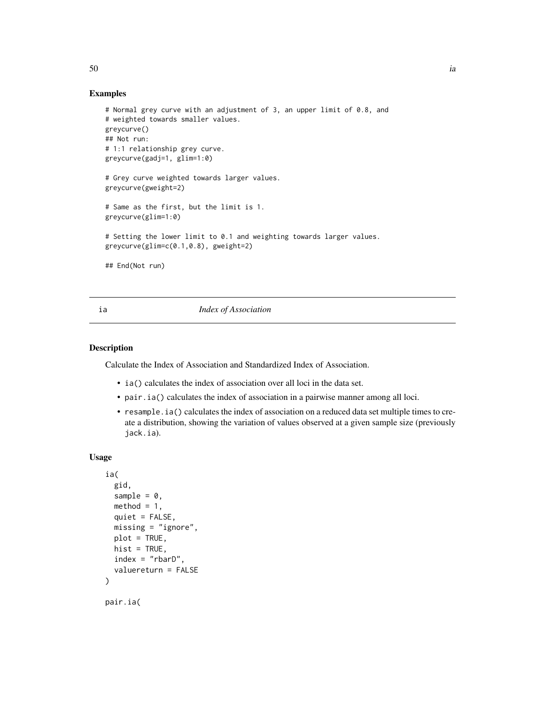## Examples

```
# Normal grey curve with an adjustment of 3, an upper limit of 0.8, and
# weighted towards smaller values.
greycurve()
## Not run:
# 1:1 relationship grey curve.
greycurve(gadj=1, glim=1:0)
# Grey curve weighted towards larger values.
greycurve(gweight=2)
# Same as the first, but the limit is 1.
greycurve(glim=1:0)
# Setting the lower limit to 0.1 and weighting towards larger values.
greycurve(glim=c(0.1,0.8), gweight=2)
## End(Not run)
```
#### ia *Index of Association*

# Description

Calculate the Index of Association and Standardized Index of Association.

- ia() calculates the index of association over all loci in the data set.
- pair.ia() calculates the index of association in a pairwise manner among all loci.
- resample.ia() calculates the index of association on a reduced data set multiple times to create a distribution, showing the variation of values observed at a given sample size (previously jack.ia).

#### Usage

```
ia(
  gid,
  sample = 0,
  method = 1,
  quiet = FALSE,missing = "ignore",
 plot = TRUE,
  hist = TRUE,
  index = "rbarD".valuereturn = FALSE
\lambdapair.ia(
```
 $50$  ia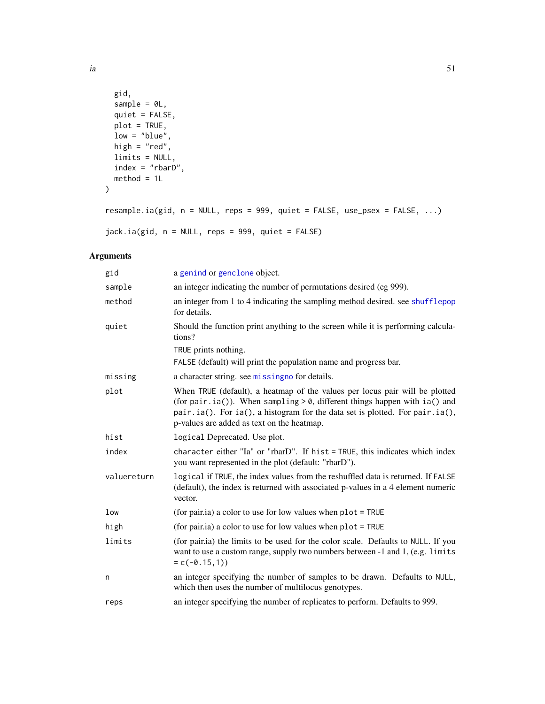```
gid,
 sample = OL,
 quiet = FALSE,
 plot = TRUE,
 low = "blue",high = "red",limits = NULL,
 index = "rbarD",method = 1L)
```
resample.ia(gid, n = NULL, reps = 999, quiet = FALSE, use\_psex = FALSE, ...)

jack.ia(gid, n = NULL, reps = 999, quiet = FALSE)

# Arguments

| gid         | a genind or genclone object.                                                                                                                                                                                                                                                              |
|-------------|-------------------------------------------------------------------------------------------------------------------------------------------------------------------------------------------------------------------------------------------------------------------------------------------|
| sample      | an integer indicating the number of permutations desired (eg 999).                                                                                                                                                                                                                        |
| method      | an integer from 1 to 4 indicating the sampling method desired, see shufflepop<br>for details.                                                                                                                                                                                             |
| quiet       | Should the function print anything to the screen while it is performing calcula-<br>tions?                                                                                                                                                                                                |
|             | TRUE prints nothing.                                                                                                                                                                                                                                                                      |
|             | FALSE (default) will print the population name and progress bar.                                                                                                                                                                                                                          |
| missing     | a character string. see missingno for details.                                                                                                                                                                                                                                            |
| plot        | When TRUE (default), a heatmap of the values per locus pair will be plotted<br>(for pair.ia()). When sampling $> 0$ , different things happen with ia() and<br>pair.ia(). For ia(), a histogram for the data set is plotted. For pair.ia(),<br>p-values are added as text on the heatmap. |
| hist        | logical Deprecated. Use plot.                                                                                                                                                                                                                                                             |
| index       | character either "Ia" or "rbarD". If hist = TRUE, this indicates which index<br>you want represented in the plot (default: "rbarD").                                                                                                                                                      |
| valuereturn | logical if TRUE, the index values from the reshuffled data is returned. If FALSE<br>(default), the index is returned with associated p-values in a 4 element numeric<br>vector.                                                                                                           |
| low         | (for pair.ia) a color to use for low values when $plot = TRUE$                                                                                                                                                                                                                            |
| high        | (for pair.ia) a color to use for low values when $plot = TRUE$                                                                                                                                                                                                                            |
| limits      | (for pair.ia) the limits to be used for the color scale. Defaults to NULL. If you<br>want to use a custom range, supply two numbers between -1 and 1, (e.g. limits<br>$= c(-0.15,1))$                                                                                                     |
| n           | an integer specifying the number of samples to be drawn. Defaults to NULL,<br>which then uses the number of multilocus genotypes.                                                                                                                                                         |
| reps        | an integer specifying the number of replicates to perform. Defaults to 999.                                                                                                                                                                                                               |

ia 31 a 51 a 52 a 52 a 53 a 53 a 54 a 551 a 552 a 553 a 553 a 554 a 553 a 554 a 551 a 551 a 551 a 551 a 551 a 551 a 551 a 551 a 551 a 551 a 551 a 551 a 551 a 551 a 551 a 551 a 551 a 551 a 551 a 551 a 551 a 551 a 551 a 551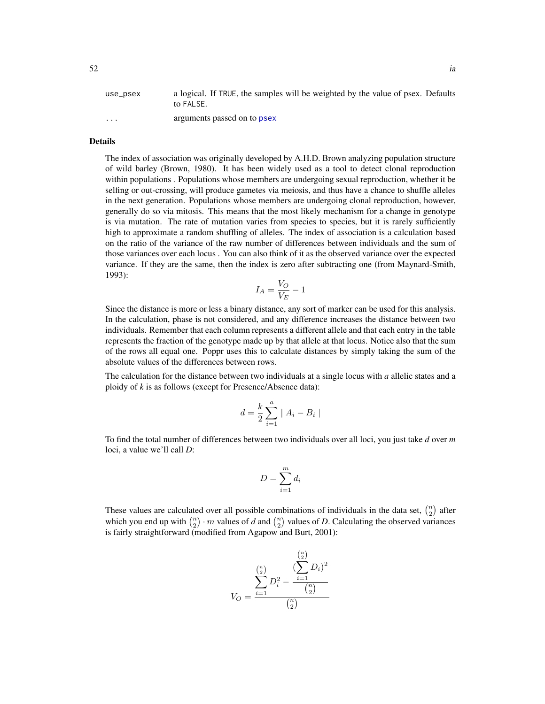| use_psex | a logical. If TRUE, the samples will be weighted by the value of psex. Defaults |
|----------|---------------------------------------------------------------------------------|
|          | to FALSE.                                                                       |
| .        | arguments passed on to psex                                                     |

# Details

The index of association was originally developed by A.H.D. Brown analyzing population structure of wild barley (Brown, 1980). It has been widely used as a tool to detect clonal reproduction within populations . Populations whose members are undergoing sexual reproduction, whether it be selfing or out-crossing, will produce gametes via meiosis, and thus have a chance to shuffle alleles in the next generation. Populations whose members are undergoing clonal reproduction, however, generally do so via mitosis. This means that the most likely mechanism for a change in genotype is via mutation. The rate of mutation varies from species to species, but it is rarely sufficiently high to approximate a random shuffling of alleles. The index of association is a calculation based on the ratio of the variance of the raw number of differences between individuals and the sum of those variances over each locus . You can also think of it as the observed variance over the expected variance. If they are the same, then the index is zero after subtracting one (from Maynard-Smith, 1993):

$$
I_A = \frac{V_O}{V_E} - 1
$$

Since the distance is more or less a binary distance, any sort of marker can be used for this analysis. In the calculation, phase is not considered, and any difference increases the distance between two individuals. Remember that each column represents a different allele and that each entry in the table represents the fraction of the genotype made up by that allele at that locus. Notice also that the sum of the rows all equal one. Poppr uses this to calculate distances by simply taking the sum of the absolute values of the differences between rows.

The calculation for the distance between two individuals at a single locus with *a* allelic states and a ploidy of *k* is as follows (except for Presence/Absence data):

$$
d = \frac{k}{2} \sum_{i=1}^{a} |A_i - B_i|
$$

To find the total number of differences between two individuals over all loci, you just take *d* over *m* loci, a value we'll call *D*:

$$
D = \sum_{i=1}^{m} d_i
$$

These values are calculated over all possible combinations of individuals in the data set,  $\binom{n}{2}$  after which you end up with  $\binom{n}{2} \cdot m$  values of *d* and  $\binom{n}{2}$  values of *D*. Calculating the observed variances is fairly straightforward (modified from Agapow and Burt, 2001):

$$
V_O = \frac{\sum_{i=1}^{\binom{n}{2}} D_i^2 - \frac{(\sum_{i=1}^{\binom{n}{2}} D_i)^2}{(\sum_{i=1}^{\binom{n}{2}})^2}}{\binom{n}{2}}
$$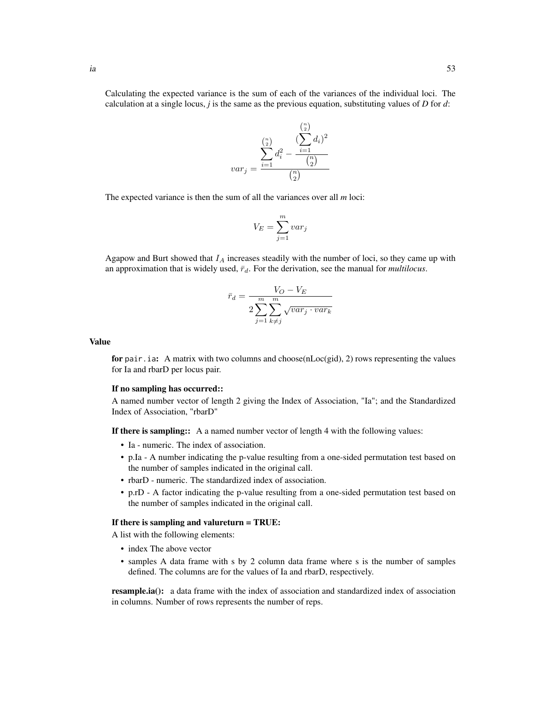Calculating the expected variance is the sum of each of the variances of the individual loci. The calculation at a single locus, *j* is the same as the previous equation, substituting values of *D* for *d*:



The expected variance is then the sum of all the variances over all *m* loci:

$$
V_E = \sum_{j=1}^{m} var_j
$$

Agapow and Burt showed that  $I_A$  increases steadily with the number of loci, so they came up with an approximation that is widely used,  $\bar{r}_d$ . For the derivation, see the manual for *multilocus*.

$$
\bar{r}_d = \frac{V_O - V_E}{2 \sum_{j=1}^m \sum_{k \neq j}^m \sqrt{var_j \cdot var_k}}
$$

# Value

for pair.ia: A matrix with two columns and choose(nLoc(gid), 2) rows representing the values for Ia and rbarD per locus pair.

#### If no sampling has occurred::

A named number vector of length 2 giving the Index of Association, "Ia"; and the Standardized Index of Association, "rbarD"

If there is sampling:: A a named number vector of length 4 with the following values:

- Ia numeric. The index of association.
- p.Ia A number indicating the p-value resulting from a one-sided permutation test based on the number of samples indicated in the original call.
- rbarD numeric. The standardized index of association.
- p.rD A factor indicating the p-value resulting from a one-sided permutation test based on the number of samples indicated in the original call.

#### If there is sampling and valureturn = TRUE:

A list with the following elements:

- index The above vector
- samples A data frame with s by 2 column data frame where s is the number of samples defined. The columns are for the values of Ia and rbarD, respectively.

resample.ia(): a data frame with the index of association and standardized index of association in columns. Number of rows represents the number of reps.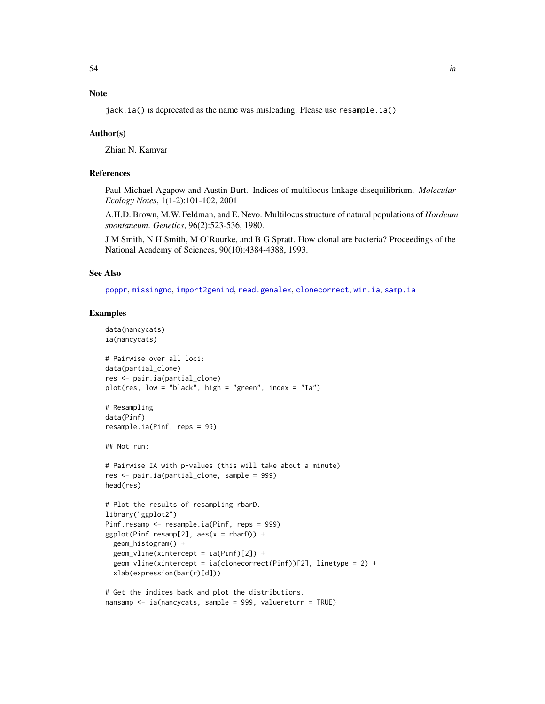# Note

jack.ia() is deprecated as the name was misleading. Please use resample.ia()

#### Author(s)

Zhian N. Kamvar

# References

Paul-Michael Agapow and Austin Burt. Indices of multilocus linkage disequilibrium. *Molecular Ecology Notes*, 1(1-2):101-102, 2001

A.H.D. Brown, M.W. Feldman, and E. Nevo. Multilocus structure of natural populations of *Hordeum spontaneum*. *Genetics*, 96(2):523-536, 1980.

J M Smith, N H Smith, M O'Rourke, and B G Spratt. How clonal are bacteria? Proceedings of the National Academy of Sciences, 90(10):4384-4388, 1993.

# See Also

[poppr](#page-90-0), [missingno](#page-64-0), [import2genind](#page-0-0), [read.genalex](#page-114-0), [clonecorrect](#page-26-0), [win.ia](#page-126-0), [samp.ia](#page-122-0)

### Examples

```
data(nancycats)
ia(nancycats)
# Pairwise over all loci:
data(partial_clone)
res <- pair.ia(partial_clone)
plot(res, low = "black", high = "green", index = "Ia")
# Resampling
data(Pinf)
resample.ia(Pinf, reps = 99)
## Not run:
# Pairwise IA with p-values (this will take about a minute)
res <- pair.ia(partial_clone, sample = 999)
head(res)
# Plot the results of resampling rbarD.
library("ggplot2")
Pinf.resamp <- resample.ia(Pinf, reps = 999)
ggplot(Pinf.resamp[2], aes(x = rbarD)) +geom_histogram() +
  geom_vline(xintercept = ia(Pinf)[2]) +
  geom_vline(xintercept = ia(clonecorrect(Pinf))[2], linetype = 2) +
  xlab(expression(bar(r)[d]))
# Get the indices back and plot the distributions.
```

```
nansamp <- ia(nancycats, sample = 999, valuereturn = TRUE)
```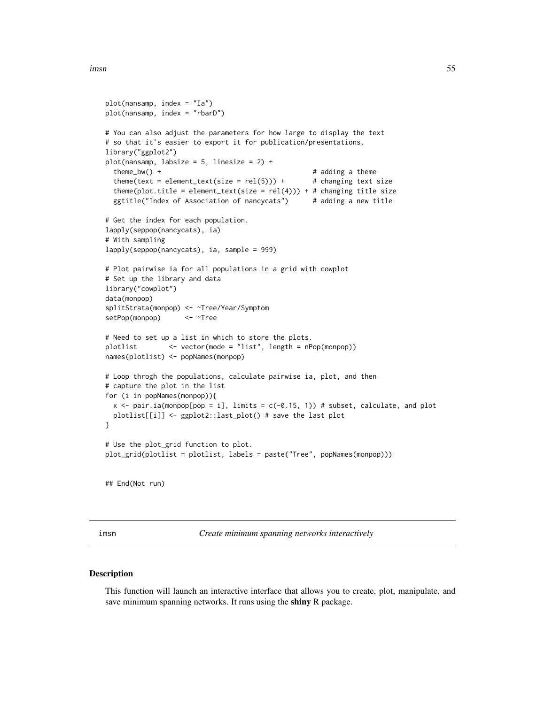```
imsn 55
```

```
plot(nansamp, index = "Ia")
plot(nansamp, index = "rbarD")
# You can also adjust the parameters for how large to display the text
# so that it's easier to export it for publication/presentations.
library("ggplot2")
plot(nansamp, labsize = 5, linesize = 2) +
 theme_bw() + # adding a theme
 theme(text = element_text(size = rel(5))) + # changing text size
 theme(plot.title = element_text(size = rel(4))) + # changing title size
 ggtitle("Index of Association of nancycats") # adding a new title
# Get the index for each population.
lapply(seppop(nancycats), ia)
# With sampling
lapply(seppop(nancycats), ia, sample = 999)
# Plot pairwise ia for all populations in a grid with cowplot
# Set up the library and data
library("cowplot")
data(monpop)
splitStrata(monpop) <- ~Tree/Year/Symptom
setPop(monpop) <- ~Tree
# Need to set up a list in which to store the plots.
plotlist <- vector(mode = "list", length = nPop(monpop))
names(plotlist) <- popNames(monpop)
# Loop throgh the populations, calculate pairwise ia, plot, and then
# capture the plot in the list
for (i in popNames(monpop)){
 x \le pair.ia(monpop[pop = i], limits = c(-0.15, 1)) # subset, calculate, and plot
 plotlist[[i]] <- ggplot2::last_plot() # save the last plot
}
# Use the plot_grid function to plot.
plot_grid(plotlist = plotlist, labels = paste("Tree", popNames(monpop)))
## End(Not run)
```
imsn *Create minimum spanning networks interactively*

#### Description

This function will launch an interactive interface that allows you to create, plot, manipulate, and save minimum spanning networks. It runs using the shiny R package.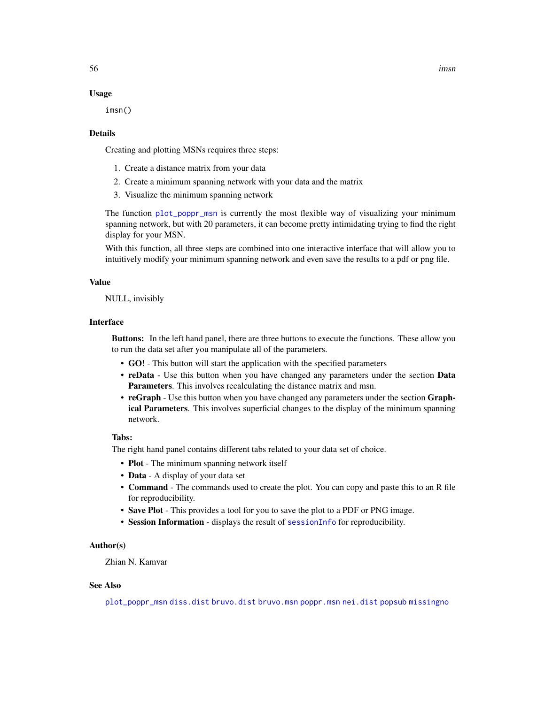### Usage

imsn()

#### Details

Creating and plotting MSNs requires three steps:

- 1. Create a distance matrix from your data
- 2. Create a minimum spanning network with your data and the matrix
- 3. Visualize the minimum spanning network

The function [plot\\_poppr\\_msn](#page-85-0) is currently the most flexible way of visualizing your minimum spanning network, but with 20 parameters, it can become pretty intimidating trying to find the right display for your MSN.

With this function, all three steps are combined into one interactive interface that will allow you to intuitively modify your minimum spanning network and even save the results to a pdf or png file.

#### Value

NULL, invisibly

# Interface

Buttons: In the left hand panel, there are three buttons to execute the functions. These allow you to run the data set after you manipulate all of the parameters.

- GO! This button will start the application with the specified parameters
- reData Use this button when you have changed any parameters under the section Data Parameters. This involves recalculating the distance matrix and msn.
- reGraph Use this button when you have changed any parameters under the section Graphical Parameters. This involves superficial changes to the display of the minimum spanning network.

# Tabs:

The right hand panel contains different tabs related to your data set of choice.

- Plot The minimum spanning network itself
- Data A display of your data set
- Command The commands used to create the plot. You can copy and paste this to an R file for reproducibility.
- Save Plot This provides a tool for you to save the plot to a PDF or PNG image.
- Session Information displays the result of [sessionInfo](#page-0-0) for reproducibility.

# Author(s)

Zhian N. Kamvar

# See Also

[plot\\_poppr\\_msn](#page-85-0) [diss.dist](#page-30-0) [bruvo.dist](#page-19-0) [bruvo.msn](#page-22-0) [poppr.msn](#page-100-0) [nei.dist](#page-79-0) [popsub](#page-104-0) [missingno](#page-64-0)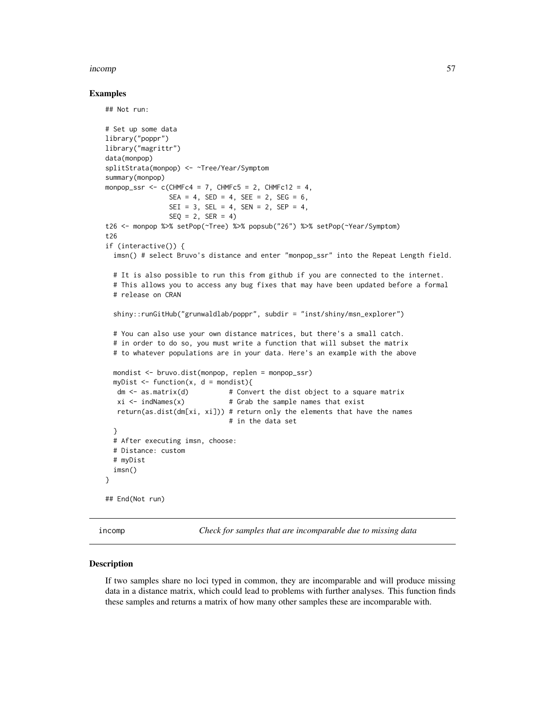#### incomp 57

#### Examples

## Not run:

```
# Set up some data
library("poppr")
library("magrittr")
data(monpop)
splitStrata(monpop) <- ~Tree/Year/Symptom
summary(monpop)
monpop_ssr \leq c(CHMFc4 = 7, CHMFc5 = 2, CHMFc12 = 4,
                SEA = 4, SED = 4, SEE = 2, SEG = 6,
                SEI = 3, SEL = 4, SEN = 2, SEP = 4,
                SEQ = 2, SER = 4)
t26 <- monpop %>% setPop(~Tree) %>% popsub("26") %>% setPop(~Year/Symptom)
t26
if (interactive()) {
 imsn() # select Bruvo's distance and enter "monpop_ssr" into the Repeat Length field.
 # It is also possible to run this from github if you are connected to the internet.
 # This allows you to access any bug fixes that may have been updated before a formal
 # release on CRAN
 shiny::runGitHub("grunwaldlab/poppr", subdir = "inst/shiny/msn_explorer")
 # You can also use your own distance matrices, but there's a small catch.
 # in order to do so, you must write a function that will subset the matrix
 # to whatever populations are in your data. Here's an example with the above
 mondist <- bruvo.dist(monpop, replen = monpop_ssr)
 myDist \leq function(x, d = mondist){
  dm \le - as matrix(d) # Convert the dist object to a square matrix
  xi \leftarrow indNames(x) # Grab the sample names that exist
  return(as.dist(dm[xi, xi])) # return only the elements that have the names
                               # in the data set
 }
 # After executing imsn, choose:
 # Distance: custom
 # myDist
 imsn()
}
## End(Not run)
```
incomp *Check for samples that are incomparable due to missing data*

#### **Description**

If two samples share no loci typed in common, they are incomparable and will produce missing data in a distance matrix, which could lead to problems with further analyses. This function finds these samples and returns a matrix of how many other samples these are incomparable with.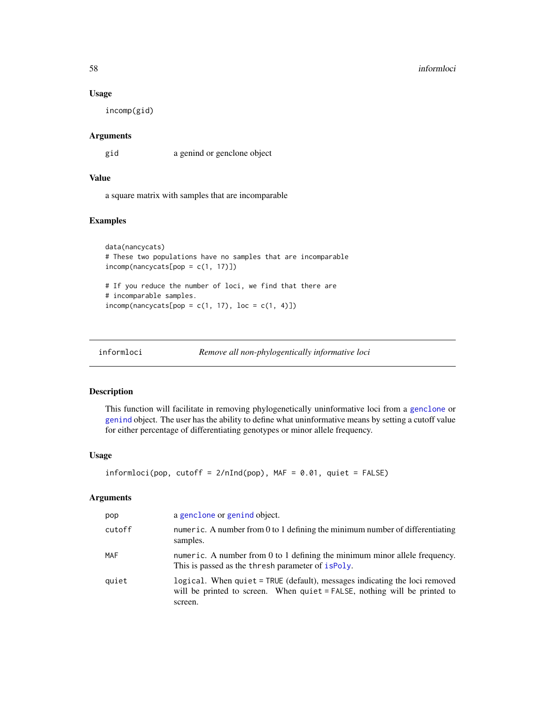#### Usage

incomp(gid)

#### Arguments

gid a genind or genclone object

# Value

a square matrix with samples that are incomparable

# Examples

```
data(nancycats)
# These two populations have no samples that are incomparable
incomp(nameycats[pop = c(1, 17)])# If you reduce the number of loci, we find that there are
# incomparable samples.
\text{incomp}(\text{nancycats}[\text{pop} = c(1, 17), \text{loc} = c(1, 4)])
```

```
informloci Remove all non-phylogentically informative loci
```
# Description

This function will facilitate in removing phylogenetically uninformative loci from a [genclone](#page-42-1) or [genind](#page-0-0) object. The user has the ability to define what uninformative means by setting a cutoff value for either percentage of differentiating genotypes or minor allele frequency.

# Usage

```
information (pop, cutoff = 2/nInd(pop), MAF = 0.01, quiet = FALSE)
```
# Arguments

| pop        | a genclone or genind object.                                                                                                                                       |
|------------|--------------------------------------------------------------------------------------------------------------------------------------------------------------------|
| cutoff     | numeric. A number from 0 to 1 defining the minimum number of differentiating<br>samples.                                                                           |
| <b>MAF</b> | numeric. A number from $0$ to 1 defining the minimum minor allele frequency.<br>This is passed as the thresh parameter of ispoly.                                  |
| quiet      | logical. When quiet = TRUE (default), messages indicating the loci removed<br>will be printed to screen. When quiet = FALSE, nothing will be printed to<br>screen. |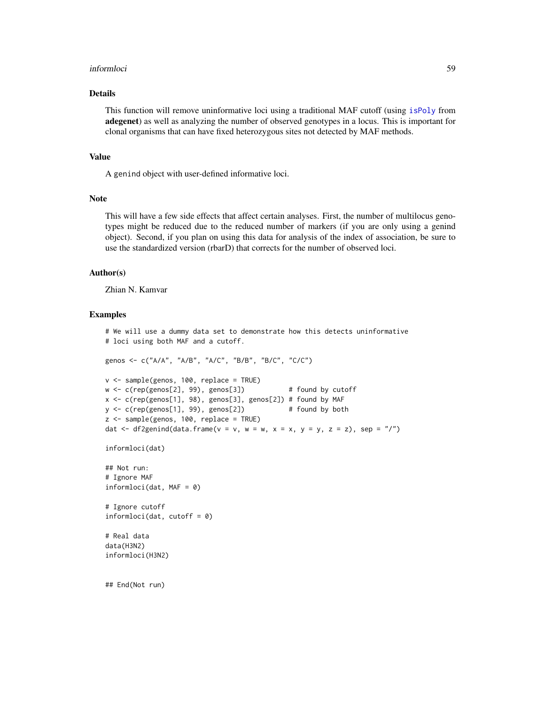#### informloci 59

#### Details

This function will remove uninformative loci using a traditional MAF cutoff (using [isPoly](#page-0-0) from adegenet) as well as analyzing the number of observed genotypes in a locus. This is important for clonal organisms that can have fixed heterozygous sites not detected by MAF methods.

# Value

A genind object with user-defined informative loci.

#### Note

This will have a few side effects that affect certain analyses. First, the number of multilocus genotypes might be reduced due to the reduced number of markers (if you are only using a genind object). Second, if you plan on using this data for analysis of the index of association, be sure to use the standardized version (rbarD) that corrects for the number of observed loci.

#### Author(s)

Zhian N. Kamvar

#### Examples

```
# We will use a dummy data set to demonstrate how this detects uninformative
# loci using both MAF and a cutoff.
genos <- c("A/A", "A/B", "A/C", "B/B", "B/C", "C/C")
v <- sample(genos, 100, replace = TRUE)
w <- c(rep(genos[2], 99), genos[3]) # found by cutoff
x <- c(rep(genos[1], 98), genos[3], genos[2]) # found by MAF
y <- c(rep(genos[1], 99), genos[2]) # found by both
z <- sample(genos, 100, replace = TRUE)
dat \leq df2genind(data.frame(v = v, w = w, x = x, y = y, z = z), sep = "/")
informloci(dat)
## Not run:
# Ignore MAF
informloci(dat, MAF = 0)
# Ignore cutoff
informloci(dat, cutoff = 0)
# Real data
data(H3N2)
informloci(H3N2)
## End(Not run)
```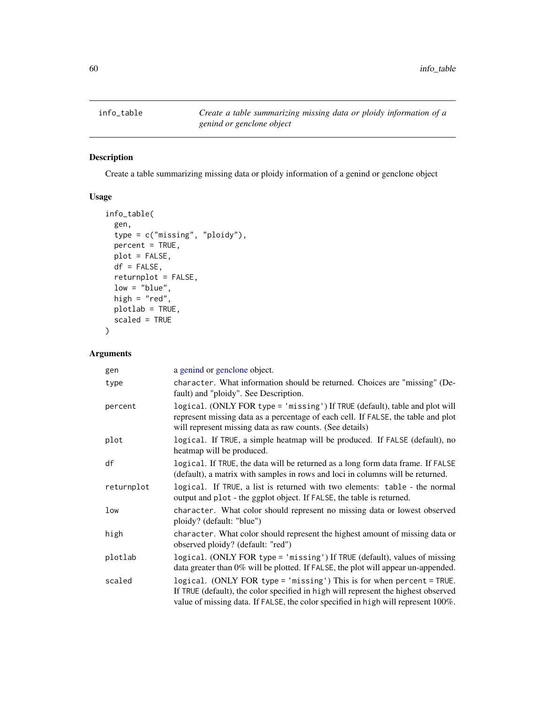# Description

Create a table summarizing missing data or ploidy information of a genind or genclone object

# Usage

```
info_table(
  gen,
  type = c("missing", "ploidy"),
 percent = TRUE,
 plot = FALSE,
 df = FALSE,returnplot = FALSE,
 low = "blue",high = "red",
 plotlab = TRUE,
 scaled = TRUE
)
```
# Arguments

| gen        | a genind or genclone object.                                                                                                                                                                                                                     |
|------------|--------------------------------------------------------------------------------------------------------------------------------------------------------------------------------------------------------------------------------------------------|
| type       | character. What information should be returned. Choices are "missing" (De-<br>fault) and "ploidy". See Description.                                                                                                                              |
| percent    | logical. (ONLY FOR type = 'missing') If TRUE (default), table and plot will<br>represent missing data as a percentage of each cell. If FALSE, the table and plot<br>will represent missing data as raw counts. (See details)                     |
| plot       | logical. If TRUE, a simple heatmap will be produced. If FALSE (default), no<br>heatmap will be produced.                                                                                                                                         |
| df         | logical. If TRUE, the data will be returned as a long form data frame. If FALSE<br>(default), a matrix with samples in rows and loci in columns will be returned.                                                                                |
| returnplot | logical. If TRUE, a list is returned with two elements: table - the normal<br>output and plot - the ggplot object. If FALSE, the table is returned.                                                                                              |
| low        | character. What color should represent no missing data or lowest observed<br>ploidy? (default: "blue")                                                                                                                                           |
| high       | character. What color should represent the highest amount of missing data or<br>observed ploidy? (default: "red")                                                                                                                                |
| plotlab    | logical. (ONLY FOR type = 'missing') If TRUE (default), values of missing<br>data greater than 0% will be plotted. If FALSE, the plot will appear un-appended.                                                                                   |
| scaled     | logical. (ONLY FOR type = 'missing') This is for when percent = TRUE.<br>If TRUE (default), the color specified in high will represent the highest observed<br>value of missing data. If FALSE, the color specified in high will represent 100%. |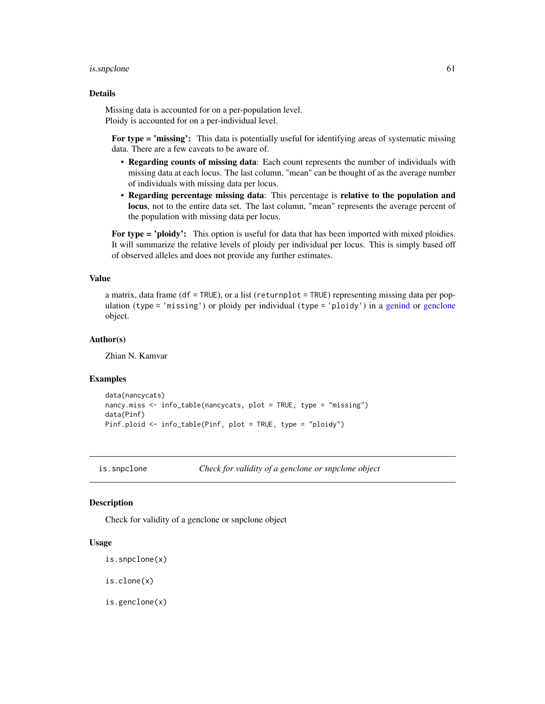#### is.snpclone 61

## Details

Missing data is accounted for on a per-population level. Ploidy is accounted for on a per-individual level.

For type = 'missing': This data is potentially useful for identifying areas of systematic missing data. There are a few caveats to be aware of.

- Regarding counts of missing data: Each count represents the number of individuals with missing data at each locus. The last column, "mean" can be thought of as the average number of individuals with missing data per locus.
- Regarding percentage missing data: This percentage is relative to the population and locus, not to the entire data set. The last column, "mean" represents the average percent of the population with missing data per locus.

For type = 'ploidy': This option is useful for data that has been imported with mixed ploidies. It will summarize the relative levels of ploidy per individual per locus. This is simply based off of observed alleles and does not provide any further estimates.

#### Value

a matrix, data frame (df = TRUE), or a list (returnplot = TRUE) representing missing data per population (type = 'missing') or ploidy per individual (type = 'ploidy') in a [genind](#page-0-0) or [genclone](#page-42-1) object.

#### Author(s)

Zhian N. Kamvar

#### Examples

```
data(nancycats)
nancy.miss <- info_table(nancycats, plot = TRUE, type = "missing")
data(Pinf)
Pinf.ploid <- info_table(Pinf, plot = TRUE, type = "ploidy")
```
is.snpclone *Check for validity of a genclone or snpclone object*

# Description

Check for validity of a genclone or snpclone object

#### Usage

```
is.snpclone(x)
```
is.clone(x)

is.genclone(x)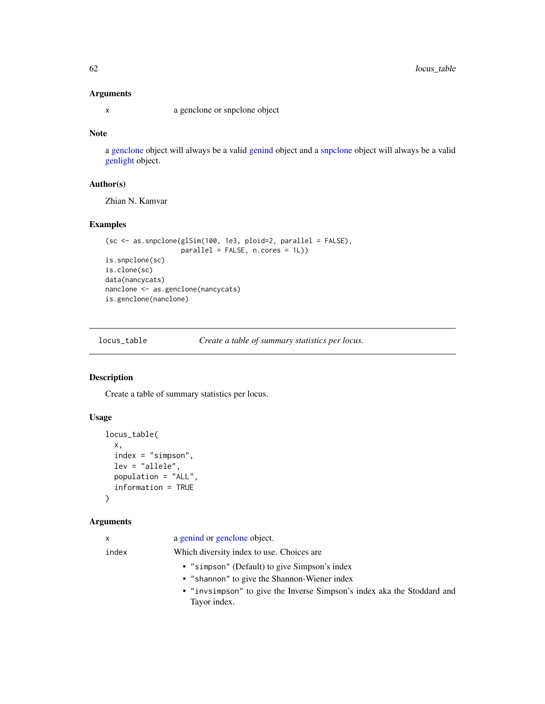# Arguments

x a genclone or snpclone object

# Note

a [genclone](#page-42-1) object will always be a valid [genind](#page-0-0) object and a [snpclone](#page-42-0) object will always be a valid [genlight](#page-0-0) object.

# Author(s)

Zhian N. Kamvar

# Examples

```
(sc <- as.snpclone(glSim(100, 1e3, ploid=2, parallel = FALSE),
                   parallel = FALSE, n.cores = 1L))
is.snpclone(sc)
is.clone(sc)
data(nancycats)
nanclone <- as.genclone(nancycats)
is.genclone(nanclone)
```
locus\_table *Create a table of summary statistics per locus.*

# Description

Create a table of summary statistics per locus.

#### Usage

```
locus_table(
  x,
  index = "simpson",
  lev = "allele",
  population = "ALL",
  information = TRUE
\mathcal{L}
```
## Arguments

| X     | a genind or genclone object.                                            |
|-------|-------------------------------------------------------------------------|
| index | Which diversity index to use. Choices are                               |
|       | • "simpson" (Default) to give Simpson's index                           |
|       | • "shannon" to give the Shannon-Wiener index                            |
|       | • "invsimpson" to give the Inverse Simpson's index aka the Stoddard and |
|       | Tayor index.                                                            |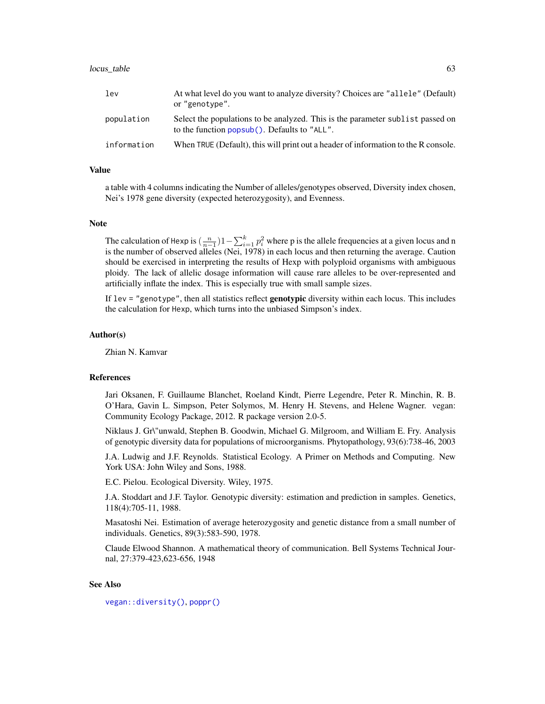#### locus\_table 63

| 1ev         | At what level do you want to analyze diversity? Choices are "allele" (Default)<br>or "genotype".                               |
|-------------|--------------------------------------------------------------------------------------------------------------------------------|
| population  | Select the populations to be analyzed. This is the parameter sublist passed on<br>to the function popsub(). Defaults to "ALL". |
| information | When TRUE (Default), this will print out a header of information to the R console.                                             |

#### Value

a table with 4 columns indicating the Number of alleles/genotypes observed, Diversity index chosen, Nei's 1978 gene diversity (expected heterozygosity), and Evenness.

#### **Note**

The calculation of Hexp is  $(\frac{n}{n-1})$ 1 -  $\sum_{i=1}^{k} p_i^2$  where p is the allele frequencies at a given locus and n is the number of observed alleles (Nei, 1978) in each locus and then returning the average. Caution should be exercised in interpreting the results of Hexp with polyploid organisms with ambiguous ploidy. The lack of allelic dosage information will cause rare alleles to be over-represented and artificially inflate the index. This is especially true with small sample sizes.

If lev = "genotype", then all statistics reflect **genotypic** diversity within each locus. This includes the calculation for Hexp, which turns into the unbiased Simpson's index.

#### Author(s)

Zhian N. Kamvar

#### References

Jari Oksanen, F. Guillaume Blanchet, Roeland Kindt, Pierre Legendre, Peter R. Minchin, R. B. O'Hara, Gavin L. Simpson, Peter Solymos, M. Henry H. Stevens, and Helene Wagner. vegan: Community Ecology Package, 2012. R package version 2.0-5.

Niklaus J. Gr\"unwald, Stephen B. Goodwin, Michael G. Milgroom, and William E. Fry. Analysis of genotypic diversity data for populations of microorganisms. Phytopathology, 93(6):738-46, 2003

J.A. Ludwig and J.F. Reynolds. Statistical Ecology. A Primer on Methods and Computing. New York USA: John Wiley and Sons, 1988.

E.C. Pielou. Ecological Diversity. Wiley, 1975.

J.A. Stoddart and J.F. Taylor. Genotypic diversity: estimation and prediction in samples. Genetics, 118(4):705-11, 1988.

Masatoshi Nei. Estimation of average heterozygosity and genetic distance from a small number of individuals. Genetics, 89(3):583-590, 1978.

Claude Elwood Shannon. A mathematical theory of communication. Bell Systems Technical Journal, 27:379-423,623-656, 1948

# See Also

[vegan::diversity\(\)](#page-0-0), [poppr\(\)](#page-90-0)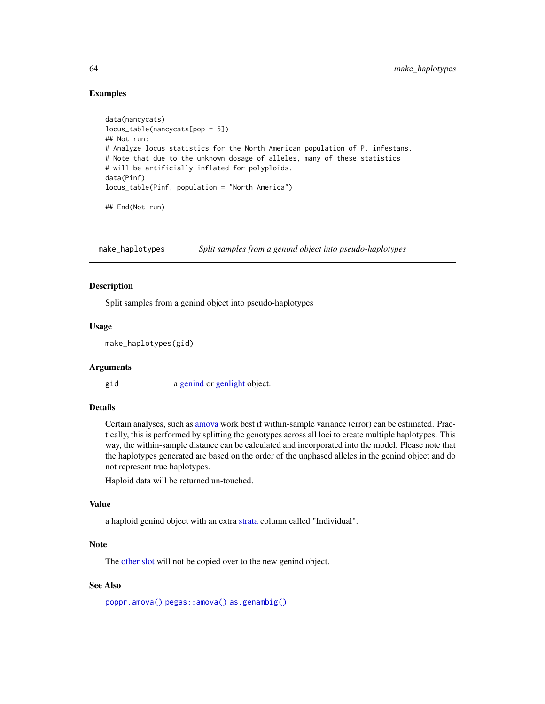# Examples

```
data(nancycats)
locus_table(nancycats[pop = 5])
## Not run:
# Analyze locus statistics for the North American population of P. infestans.
# Note that due to the unknown dosage of alleles, many of these statistics
# will be artificially inflated for polyploids.
data(Pinf)
locus_table(Pinf, population = "North America")
```
## End(Not run)

make\_haplotypes *Split samples from a genind object into pseudo-haplotypes*

# Description

Split samples from a genind object into pseudo-haplotypes

# Usage

make\_haplotypes(gid)

#### Arguments

gid a [genind](#page-0-0) or [genlight](#page-0-0) object.

# Details

Certain analyses, such as [amova](#page-96-0) work best if within-sample variance (error) can be estimated. Practically, this is performed by splitting the genotypes across all loci to create multiple haplotypes. This way, the within-sample distance can be calculated and incorporated into the model. Please note that the haplotypes generated are based on the order of the unphased alleles in the genind object and do not represent true haplotypes.

Haploid data will be returned un-touched.

#### Value

a haploid genind object with an extra [strata](#page-0-0) column called "Individual".

## Note

The [other slot](#page-0-0) will not be copied over to the new genind object.

# See Also

[poppr.amova\(\)](#page-96-0) [pegas::amova\(\)](#page-0-0) [as.genambig\(\)](#page-15-0)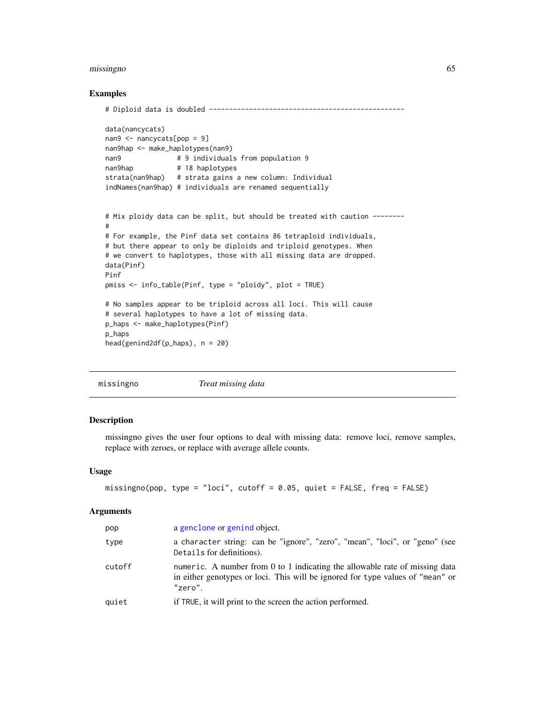#### missingno 65

### Examples

```
# Diploid data is doubled -------------------------------------------------
data(nancycats)
nan9 <- nancycats[pop = 9]
nan9hap <- make_haplotypes(nan9)
nan9 # 9 individuals from population 9
nan9hap # 18 haplotypes
strata(nan9hap) # strata gains a new column: Individual
indNames(nan9hap) # individuals are renamed sequentially
# Mix ploidy data can be split, but should be treated with caution --------
#
# For example, the Pinf data set contains 86 tetraploid individuals,
# but there appear to only be diploids and triploid genotypes. When
# we convert to haplotypes, those with all missing data are dropped.
data(Pinf)
Pinf
pmiss <- info_table(Pinf, type = "ploidy", plot = TRUE)
# No samples appear to be triploid across all loci. This will cause
# several haplotypes to have a lot of missing data.
p_haps <- make_haplotypes(Pinf)
p_haps
head(genind2df(p_haps), n = 20)
```
<span id="page-64-0"></span>

missingno *Treat missing data*

# Description

missingno gives the user four options to deal with missing data: remove loci, remove samples, replace with zeroes, or replace with average allele counts.

#### Usage

```
missingno(pop, type = "loci", cutoff = 0.05, quiet = FALSE, freq = FALSE)
```
#### Arguments

| pop    | a genclone or genind object.                                                                                                                                                      |
|--------|-----------------------------------------------------------------------------------------------------------------------------------------------------------------------------------|
| type   | a character string: can be "ignore", "zero", "mean", "loci", or "geno" (see<br>Details for definitions).                                                                          |
| cutoff | numeric. A number from $0$ to 1 indicating the allowable rate of missing data<br>in either genotypes or loci. This will be ignored for type values of "mean" or<br>$"$ zero $"$ . |
| quiet  | if TRUE, it will print to the screen the action performed.                                                                                                                        |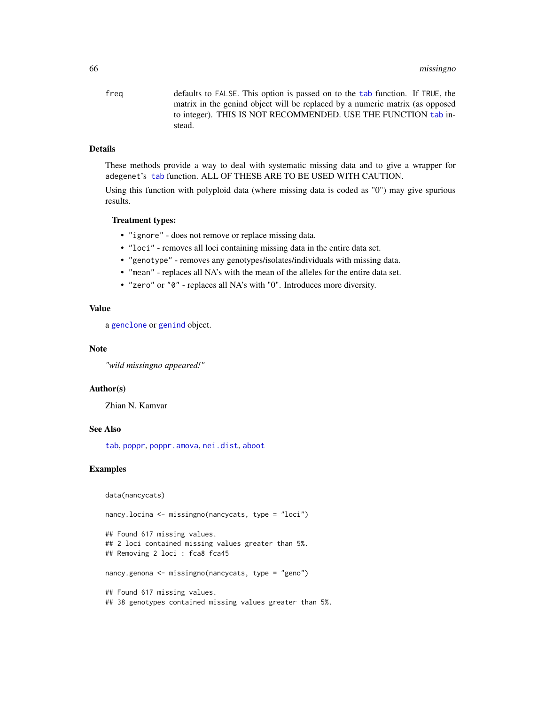freq defaults to FALSE. This option is passed on to the [tab](#page-0-0) function. If TRUE, the matrix in the genind object will be replaced by a numeric matrix (as opposed to integer). THIS IS NOT RECOMMENDED. USE THE FUNCTION [tab](#page-0-0) instead.

# Details

These methods provide a way to deal with systematic missing data and to give a wrapper for adegenet's [tab](#page-0-0) function. ALL OF THESE ARE TO BE USED WITH CAUTION.

Using this function with polyploid data (where missing data is coded as "0") may give spurious results.

# Treatment types:

- "ignore" does not remove or replace missing data.
- "loci" removes all loci containing missing data in the entire data set.
- "genotype" removes any genotypes/isolates/individuals with missing data.
- "mean" replaces all NA's with the mean of the alleles for the entire data set.
- "zero" or "0" replaces all NA's with "0". Introduces more diversity.

# Value

a [genclone](#page-42-1) or [genind](#page-0-0) object.

#### Note

*"wild missingno appeared!"*

#### Author(s)

Zhian N. Kamvar

#### See Also

[tab](#page-0-0), [poppr](#page-90-0), [poppr.amova](#page-96-0), [nei.dist](#page-79-0), [aboot](#page-7-0)

#### Examples

data(nancycats)

nancy.locina <- missingno(nancycats, type = "loci")

```
## Found 617 missing values.
## 2 loci contained missing values greater than 5%.
## Removing 2 loci : fca8 fca45
nancy.genona <- missingno(nancycats, type = "geno")
```
## Found 617 missing values. ## 38 genotypes contained missing values greater than 5%.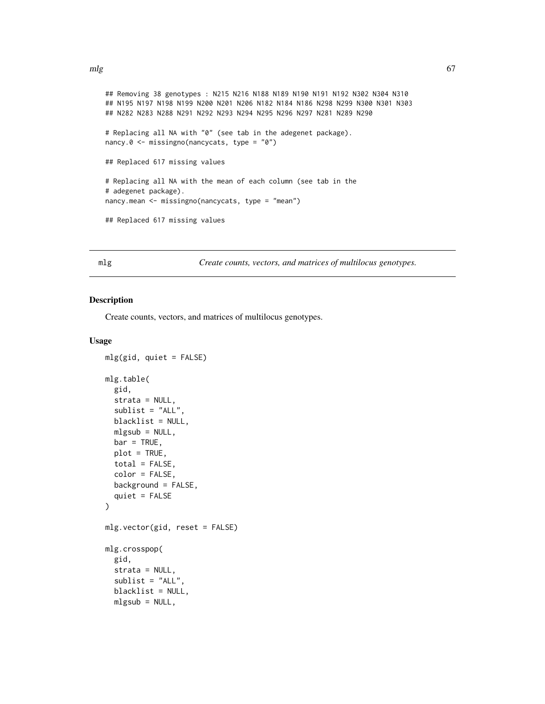```
mlg 67
```

```
## Removing 38 genotypes : N215 N216 N188 N189 N190 N191 N192 N302 N304 N310
## N195 N197 N198 N199 N200 N201 N206 N182 N184 N186 N298 N299 N300 N301 N303
## N282 N283 N288 N291 N292 N293 N294 N295 N296 N297 N281 N289 N290
# Replacing all NA with "0" (see tab in the adegenet package).
nancy.0 <- missingno(nancycats, type = "0")
## Replaced 617 missing values
# Replacing all NA with the mean of each column (see tab in the
# adegenet package).
nancy.mean <- missingno(nancycats, type = "mean")
## Replaced 617 missing values
```
mlg *Create counts, vectors, and matrices of multilocus genotypes.*

#### Description

Create counts, vectors, and matrices of multilocus genotypes.

# Usage

```
mlg(gid, quiet = FALSE)
mlg.table(
  gid,
  strata = NULL,
  sublist = "ALL",blacklist = NULL,
  mlgsub = NULL,
 bar = TRUE,plot = TRUE,
  total = FALSE,
  color = FALSE,
 background = FALSE,
  quiet = FALSE)
mlg.vector(gid, reset = FALSE)
mlg.crosspop(
  gid,
  strata = NULL,
  sublist = "ALL",blacklist = NULL,
  mlgsub = NULL,
```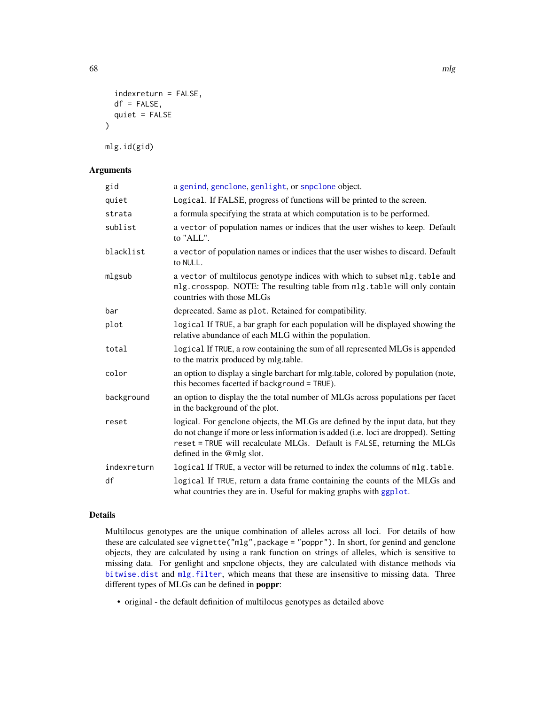```
indexreturn = FALSE,
  df = FALSE,
  quiet = FALSE\mathcal{L}
```
mlg.id(gid)

# Arguments

| gid         | a genind, genclone, genlight, or snpclone object.                                                                                                                                                                                                                               |
|-------------|---------------------------------------------------------------------------------------------------------------------------------------------------------------------------------------------------------------------------------------------------------------------------------|
| quiet       | Logical. If FALSE, progress of functions will be printed to the screen.                                                                                                                                                                                                         |
| strata      | a formula specifying the strata at which computation is to be performed.                                                                                                                                                                                                        |
| sublist     | a vector of population names or indices that the user wishes to keep. Default<br>to "ALL".                                                                                                                                                                                      |
| blacklist   | a vector of population names or indices that the user wishes to discard. Default<br>to NULL.                                                                                                                                                                                    |
| mlgsub      | a vector of multilocus genotype indices with which to subset mlg. table and<br>mlg.crosspop. NOTE: The resulting table from mlg.table will only contain<br>countries with those MLGs                                                                                            |
| bar         | deprecated. Same as plot. Retained for compatibility.                                                                                                                                                                                                                           |
| plot        | logical If TRUE, a bar graph for each population will be displayed showing the<br>relative abundance of each MLG within the population.                                                                                                                                         |
| total       | logical If TRUE, a row containing the sum of all represented MLGs is appended<br>to the matrix produced by mlg.table.                                                                                                                                                           |
| color       | an option to display a single barchart for mlg.table, colored by population (note,<br>this becomes facetted if background = TRUE).                                                                                                                                              |
| background  | an option to display the the total number of MLGs across populations per facet<br>in the background of the plot.                                                                                                                                                                |
| reset       | logical. For genclone objects, the MLGs are defined by the input data, but they<br>do not change if more or less information is added (i.e. loci are dropped). Setting<br>reset = TRUE will recalculate MLGs. Default is FALSE, returning the MLGs<br>defined in the @mlg slot. |
| indexreturn | logical If TRUE, a vector will be returned to index the columns of mlg. table.                                                                                                                                                                                                  |
| df          | logical If TRUE, return a data frame containing the counts of the MLGs and<br>what countries they are in. Useful for making graphs with ggplot.                                                                                                                                 |

# Details

Multilocus genotypes are the unique combination of alleles across all loci. For details of how these are calculated see vignette("mlg",package = "poppr"). In short, for genind and genclone objects, they are calculated by using a rank function on strings of alleles, which is sensitive to missing data. For genlight and snpclone objects, they are calculated with distance methods via [bitwise.dist](#page-12-0) and [mlg.filter](#page-70-0), which means that these are insensitive to missing data. Three different types of MLGs can be defined in poppr:

• original - the default definition of multilocus genotypes as detailed above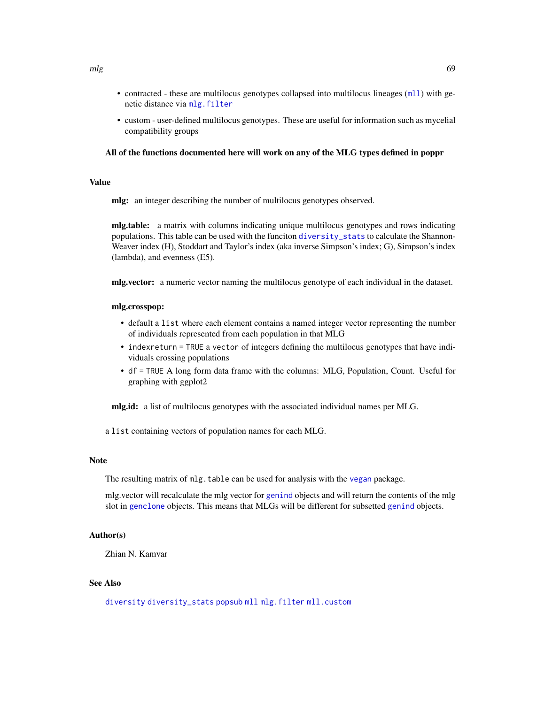- contracted these are multilocus genotypes collapsed into multilocus lineages (ml1) with genetic distance via [mlg.filter](#page-70-0)
- custom user-defined multilocus genotypes. These are useful for information such as mycelial compatibility groups

#### All of the functions documented here will work on any of the MLG types defined in poppr

# Value

mlg: an integer describing the number of multilocus genotypes observed.

mlg.table: a matrix with columns indicating unique multilocus genotypes and rows indicating populations. This table can be used with the funciton [diversity\\_stats](#page-36-0) to calculate the Shannon-Weaver index (H), Stoddart and Taylor's index (aka inverse Simpson's index; G), Simpson's index (lambda), and evenness (E5).

mlg.vector: a numeric vector naming the multilocus genotype of each individual in the dataset.

#### mlg.crosspop:

- default a list where each element contains a named integer vector representing the number of individuals represented from each population in that MLG
- indexreturn = TRUE a vector of integers defining the multilocus genotypes that have individuals crossing populations
- df = TRUE A long form data frame with the columns: MLG, Population, Count. Useful for graphing with ggplot2

mlg.id: a list of multilocus genotypes with the associated individual names per MLG.

a list containing vectors of population names for each MLG.

#### **Note**

The resulting matrix of mlg.table can be used for analysis with the [vegan](#page-0-0) package.

mlg.vector will recalculate the mlg vector for [genind](#page-0-0) objects and will return the contents of the mlg slot in [genclone](#page-42-1) objects. This means that MLGs will be different for subsetted [genind](#page-0-0) objects.

## Author(s)

Zhian N. Kamvar

# See Also

[diversity](#page-0-0) [diversity\\_stats](#page-36-0) [popsub](#page-104-0) [mll](#page-74-0) [mlg.filter](#page-70-0) [mll.custom](#page-75-0)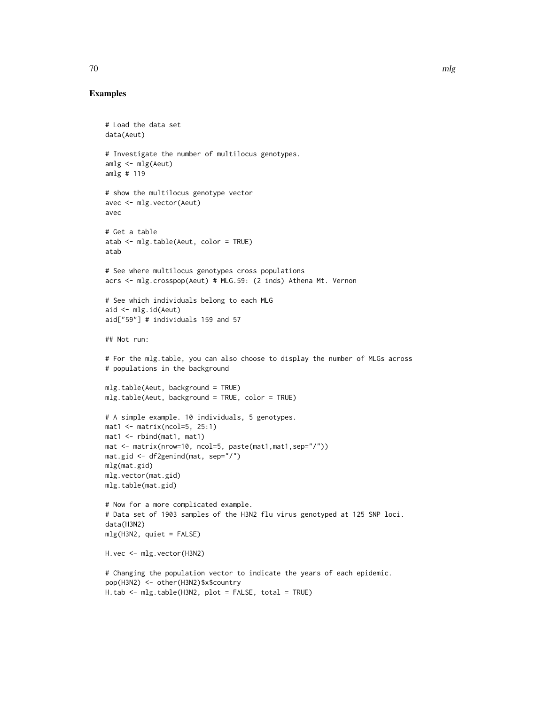#### Examples

```
# Load the data set
data(Aeut)
# Investigate the number of multilocus genotypes.
amlg <- mlg(Aeut)
amlg # 119
# show the multilocus genotype vector
avec <- mlg.vector(Aeut)
avec
# Get a table
atab <- mlg.table(Aeut, color = TRUE)
atab
# See where multilocus genotypes cross populations
acrs <- mlg.crosspop(Aeut) # MLG.59: (2 inds) Athena Mt. Vernon
# See which individuals belong to each MLG
aid <- mlg.id(Aeut)
aid["59"] # individuals 159 and 57
## Not run:
# For the mlg.table, you can also choose to display the number of MLGs across
# populations in the background
mlg.table(Aeut, background = TRUE)
mlg.table(Aeut, background = TRUE, color = TRUE)
# A simple example. 10 individuals, 5 genotypes.
mat1 <- matrix(ncol=5, 25:1)mat1 <- rbind(mat1, mat1)
mat <- matrix(nrow=10, ncol=5, paste(mat1,mat1,sep="/"))
mat.gid <- df2genind(mat, sep="/")
mlg(mat.gid)
mlg.vector(mat.gid)
mlg.table(mat.gid)
# Now for a more complicated example.
# Data set of 1903 samples of the H3N2 flu virus genotyped at 125 SNP loci.
data(H3N2)
mlg(H3N2, quiet = FALSE)
H.vec <- mlg.vector(H3N2)
# Changing the population vector to indicate the years of each epidemic.
pop(H3N2) <- other(H3N2)$x$country
H.tab <- mlg.table(H3N2, plot = FALSE, total = TRUE)
```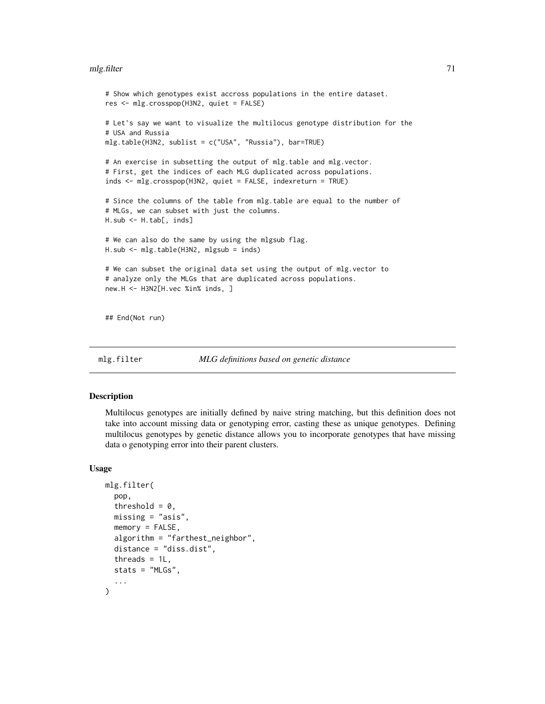#### mlg.filter 71

```
# Show which genotypes exist accross populations in the entire dataset.
res <- mlg.crosspop(H3N2, quiet = FALSE)
# Let's say we want to visualize the multilocus genotype distribution for the
# USA and Russia
mlg.table(H3N2, sublist = c("USA", "Russia"), bar=TRUE)
# An exercise in subsetting the output of mlg.table and mlg.vector.
# First, get the indices of each MLG duplicated across populations.
inds <- mlg.crosspop(H3N2, quiet = FALSE, indexreturn = TRUE)
# Since the columns of the table from mlg.table are equal to the number of
# MLGs, we can subset with just the columns.
H.sub <- H.tab[, inds]
# We can also do the same by using the mlgsub flag.
H.sub <- mlg.table(H3N2, mlgsub = inds)
# We can subset the original data set using the output of mlg.vector to
# analyze only the MLGs that are duplicated across populations.
new.H <- H3N2[H.vec %in% inds, ]
## End(Not run)
```
<span id="page-70-0"></span>mlg.filter *MLG definitions based on genetic distance*

# **Description**

Multilocus genotypes are initially defined by naive string matching, but this definition does not take into account missing data or genotyping error, casting these as unique genotypes. Defining multilocus genotypes by genetic distance allows you to incorporate genotypes that have missing data o genotyping error into their parent clusters.

#### Usage

```
mlg.filter(
 pop,
  threshold = 0,
 missing = "asis",
 memory = FALSE,algorithm = "farthest_neighbor",
  distance = "diss.dist",
  threads = 1L,
  stats = "MLGs",
  ...
)
```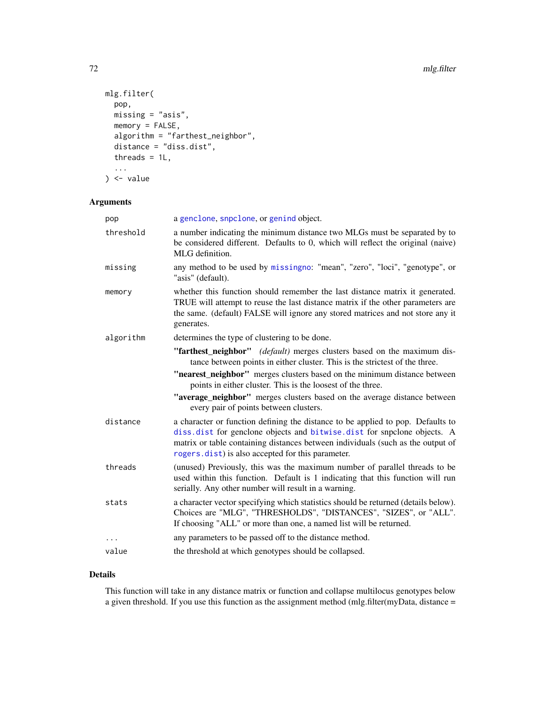```
mlg.filter(
 pop,
 missing = "asis",
 memory = FALSE,
 algorithm = "farthest_neighbor",
  distance = "diss.dist",
  threads = 1L,
  ...
) <- value
```
# Arguments

| a genclone, snpclone, or genind object.                                                                                                                                                                                                                                                            |
|----------------------------------------------------------------------------------------------------------------------------------------------------------------------------------------------------------------------------------------------------------------------------------------------------|
| a number indicating the minimum distance two MLGs must be separated by to<br>be considered different. Defaults to 0, which will reflect the original (naive)<br>MLG definition.                                                                                                                    |
| any method to be used by missingno: "mean", "zero", "loci", "genotype", or<br>"asis" (default).                                                                                                                                                                                                    |
| whether this function should remember the last distance matrix it generated.<br>TRUE will attempt to reuse the last distance matrix if the other parameters are<br>the same. (default) FALSE will ignore any stored matrices and not store any it<br>generates.                                    |
| determines the type of clustering to be done.                                                                                                                                                                                                                                                      |
| "farthest_neighbor" <i>(default)</i> merges clusters based on the maximum dis-<br>tance between points in either cluster. This is the strictest of the three.                                                                                                                                      |
| "nearest_neighbor" merges clusters based on the minimum distance between<br>points in either cluster. This is the loosest of the three.                                                                                                                                                            |
| "average_neighbor" merges clusters based on the average distance between<br>every pair of points between clusters.                                                                                                                                                                                 |
| a character or function defining the distance to be applied to pop. Defaults to<br>diss.dist for genclone objects and bitwise.dist for snpclone objects. A<br>matrix or table containing distances between individuals (such as the output of<br>rogers.dist) is also accepted for this parameter. |
| (unused) Previously, this was the maximum number of parallel threads to be<br>used within this function. Default is 1 indicating that this function will run<br>serially. Any other number will result in a warning.                                                                               |
| a character vector specifying which statistics should be returned (details below).<br>Choices are "MLG", "THRESHOLDS", "DISTANCES", "SIZES", or "ALL".<br>If choosing "ALL" or more than one, a named list will be returned.                                                                       |
| any parameters to be passed off to the distance method.                                                                                                                                                                                                                                            |
| the threshold at which genotypes should be collapsed.                                                                                                                                                                                                                                              |
|                                                                                                                                                                                                                                                                                                    |

# Details

This function will take in any distance matrix or function and collapse multilocus genotypes below a given threshold. If you use this function as the assignment method (mlg.filter(myData, distance =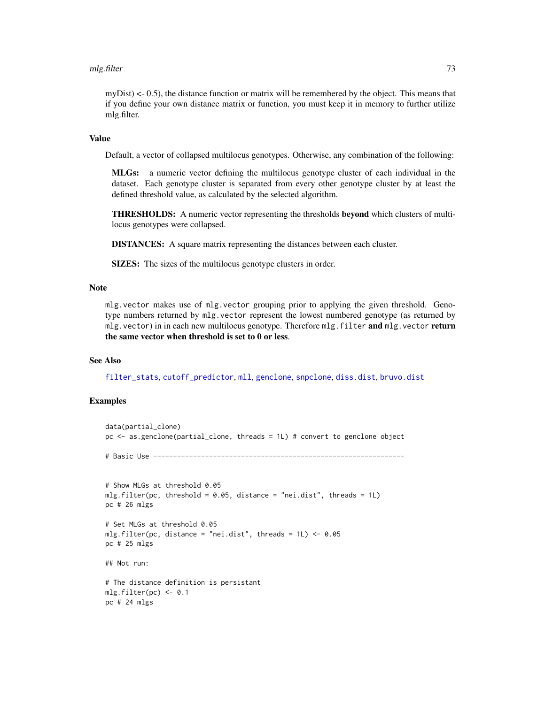### mlg.filter 73

 $myDist$   $\leq$  0.5), the distance function or matrix will be remembered by the object. This means that if you define your own distance matrix or function, you must keep it in memory to further utilize mlg.filter.

### Value

Default, a vector of collapsed multilocus genotypes. Otherwise, any combination of the following:

MLGs: a numeric vector defining the multilocus genotype cluster of each individual in the dataset. Each genotype cluster is separated from every other genotype cluster by at least the defined threshold value, as calculated by the selected algorithm.

THRESHOLDS: A numeric vector representing the thresholds beyond which clusters of multilocus genotypes were collapsed.

DISTANCES: A square matrix representing the distances between each cluster.

SIZES: The sizes of the multilocus genotype clusters in order.

# Note

mlg.vector makes use of mlg.vector grouping prior to applying the given threshold. Genotype numbers returned by mlg.vector represent the lowest numbered genotype (as returned by mlg.vector) in in each new multilocus genotype. Therefore mlg.filter and mlg.vector return the same vector when threshold is set to 0 or less.

### See Also

[filter\\_stats](#page-38-0), [cutoff\\_predictor](#page-28-0), [mll](#page-74-0), [genclone](#page-42-0), [snpclone](#page-42-0), [diss.dist](#page-30-0), [bruvo.dist](#page-19-0)

```
data(partial_clone)
pc <- as.genclone(partial_clone, threads = 1L) # convert to genclone object
# Basic Use ---------------------------------------------------------------
# Show MLGs at threshold 0.05
mlg.filter(pc, threshold = 0.05, distance = "nei.dist", threads = 1L)
pc # 26 mlgs
# Set MLGs at threshold 0.05
mlg.filter(pc, distance = "nei.dist", threads = 1L) <- 0.05
pc # 25 mlgs
## Not run:
# The distance definition is persistant
mlg.filter(pc) <- 0.1
pc # 24 mlgs
```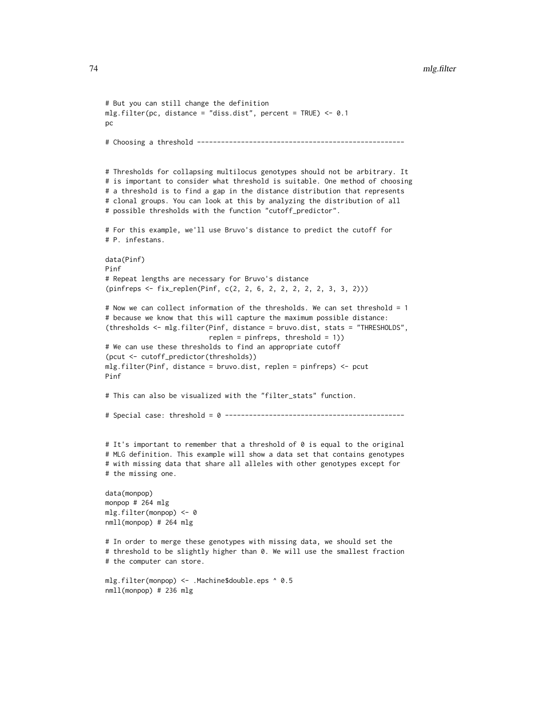```
# But you can still change the definition
mlg.filter(pc, distance = "diss.dist", percent = TRUE) <- 0.1
pc
# Choosing a threshold ----------------------------------------------------
# Thresholds for collapsing multilocus genotypes should not be arbitrary. It
# is important to consider what threshold is suitable. One method of choosing
# a threshold is to find a gap in the distance distribution that represents
# clonal groups. You can look at this by analyzing the distribution of all
# possible thresholds with the function "cutoff_predictor".
# For this example, we'll use Bruvo's distance to predict the cutoff for
# P. infestans.
data(Pinf)
Pinf
# Repeat lengths are necessary for Bruvo's distance
(pinfreps <- fix_replen(Pinf, c(2, 2, 6, 2, 2, 2, 2, 2, 3, 3, 2)))
# Now we can collect information of the thresholds. We can set threshold = 1
# because we know that this will capture the maximum possible distance:
(thresholds <- mlg.filter(Pinf, distance = bruvo.dist, stats = "THRESHOLDS",
                          replen = pinfreps, threshold = 1))
# We can use these thresholds to find an appropriate cutoff
(pcut <- cutoff_predictor(thresholds))
mlg.filter(Pinf, distance = bruvo.dist, replen = pinfreps) <- pcut
Pinf
# This can also be visualized with the "filter_stats" function.
# Special case: threshold = 0 ---------------------------------------------
# It's important to remember that a threshold of 0 is equal to the original
# MLG definition. This example will show a data set that contains genotypes
# with missing data that share all alleles with other genotypes except for
# the missing one.
data(monpop)
monpop # 264 mlg
mlg.filter(monpop) <- 0
nmll(monpop) # 264 mlg
# In order to merge these genotypes with missing data, we should set the
# threshold to be slightly higher than 0. We will use the smallest fraction
# the computer can store.
mlg.filter(monpop) <- .Machine$double.eps ^ 0.5
```
nmll(monpop) # 236 mlg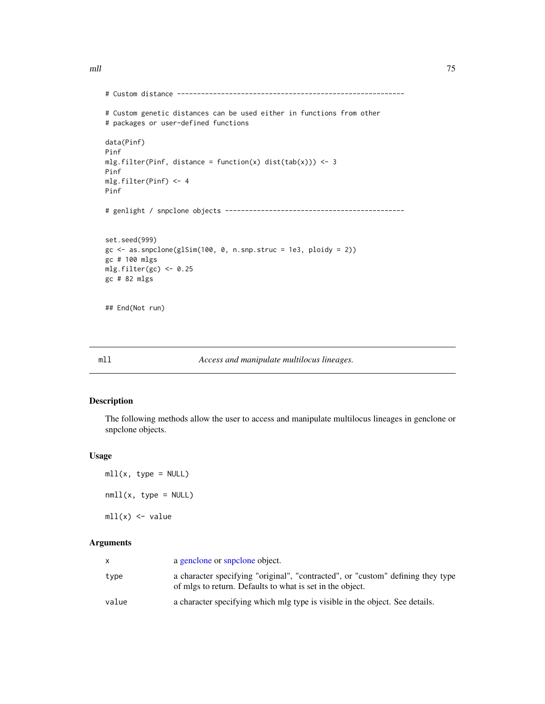mll and the contract of the contract of the contract of the contract of the contract of the contract of the contract of the contract of the contract of the contract of the contract of the contract of the contract of the co

```
# Custom distance ---------------------------------------------------------
# Custom genetic distances can be used either in functions from other
# packages or user-defined functions
data(Pinf)
Pinf
mlg.filter(Pinf, distance = function(x) dist(tab(x))) <- 3
Pinf
mlg.filter(Pinf) <- 4
Pinf
# genlight / snpclone objects ---------------------------------------------
set.seed(999)
gc \leftarrow as.snpclone(glsim(100, 0, n.snp.struc = 1e3, ploidy = 2))gc # 100 mlgs
mlg.filter(gc) <- 0.25
gc # 82 mlgs
## End(Not run)
```
<span id="page-74-0"></span>

mll *Access and manipulate multilocus lineages.*

# Description

The following methods allow the user to access and manipulate multilocus lineages in genclone or snpclone objects.

# Usage

 $mll(x, type = NULL)$  $null(x, type = NULL)$  $mll(x)$  <- value

|       | a genclone or snpclone object.                                                                                                               |
|-------|----------------------------------------------------------------------------------------------------------------------------------------------|
| type  | a character specifying "original", "contracted", or "custom" defining they type<br>of mlgs to return. Defaults to what is set in the object. |
| value | a character specifying which mlg type is visible in the object. See details.                                                                 |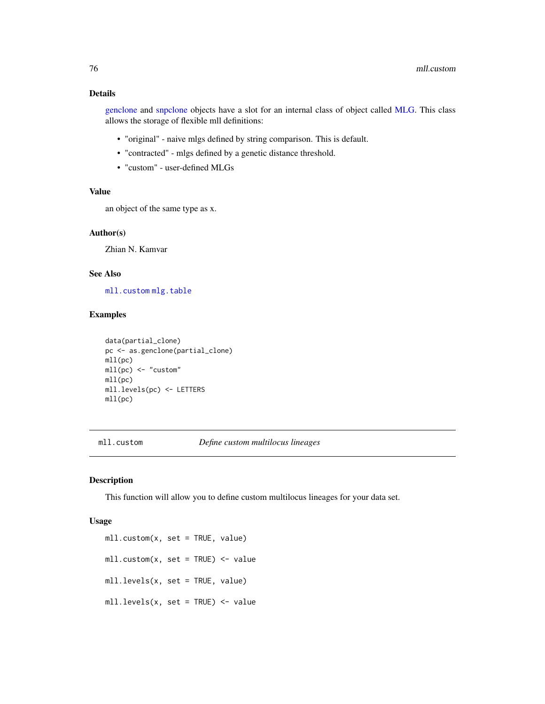# Details

[genclone](#page-42-1) and [snpclone](#page-42-0) objects have a slot for an internal class of object called [MLG.](#page-0-0) This class allows the storage of flexible mll definitions:

- "original" naive mlgs defined by string comparison. This is default.
- "contracted" mlgs defined by a genetic distance threshold.
- "custom" user-defined MLGs

# Value

an object of the same type as x.

# Author(s)

Zhian N. Kamvar

# See Also

[mll.custom](#page-75-0) [mlg.table](#page-66-0)

### Examples

```
data(partial_clone)
pc <- as.genclone(partial_clone)
mll(pc)
mll(pc) <- "custom"
mll(pc)
mll.levels(pc) <- LETTERS
mll(pc)
```
<span id="page-75-0"></span>mll.custom *Define custom multilocus lineages*

### Description

This function will allow you to define custom multilocus lineages for your data set.

### Usage

mll.custom(x, set = TRUE, value)  $mll.custom(x, set = TRUE)$  <- value mll.levels(x, set = TRUE, value) mll.levels(x, set = TRUE) <- value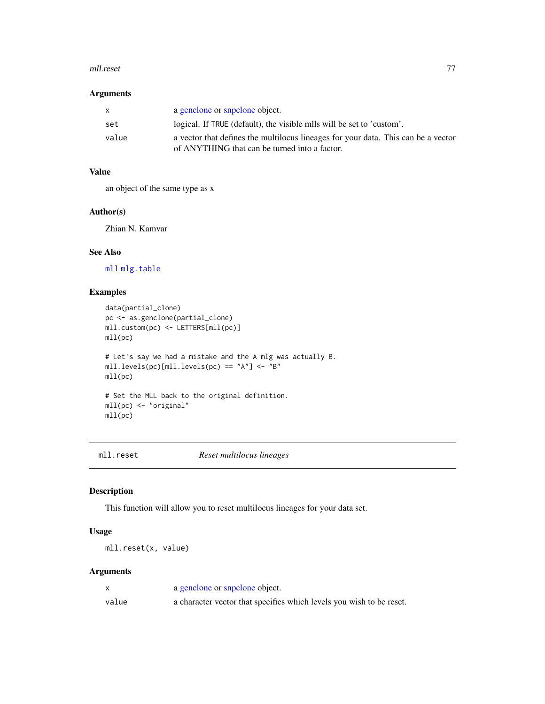### mll.reset 77

## Arguments

| $\mathsf{x}$ | a genclone or snpclone object.                                                                                                     |
|--------------|------------------------------------------------------------------------------------------------------------------------------------|
| set          | logical. If TRUE (default), the visible mlls will be set to 'custom'.                                                              |
| value        | a vector that defines the multilocus lineages for your data. This can be a vector<br>of ANYTHING that can be turned into a factor. |

# Value

an object of the same type as x

# Author(s)

Zhian N. Kamvar

# See Also

[mll](#page-74-0) [mlg.table](#page-66-0)

# Examples

```
data(partial_clone)
pc <- as.genclone(partial_clone)
mll.custom(pc) <- LETTERS[mll(pc)]
mll(pc)
# Let's say we had a mistake and the A mlg was actually B.
mll.levels(pc)[mll.levels(pc) == "A"] <- "B"
mll(pc)
# Set the MLL back to the original definition.
mll(pc) <- "original"
mll(pc)
```
mll.reset *Reset multilocus lineages*

# Description

This function will allow you to reset multilocus lineages for your data set.

# Usage

```
mll.reset(x, value)
```

|       | a genclone or snpclone object.                                       |
|-------|----------------------------------------------------------------------|
| value | a character vector that specifies which levels you wish to be reset. |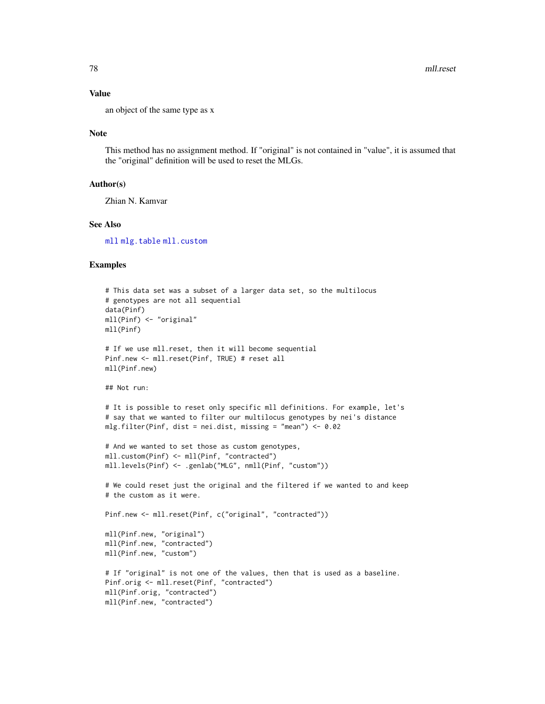### Value

an object of the same type as x

### Note

This method has no assignment method. If "original" is not contained in "value", it is assumed that the "original" definition will be used to reset the MLGs.

### Author(s)

Zhian N. Kamvar

# See Also

[mll](#page-74-0) [mlg.table](#page-66-0) [mll.custom](#page-75-0)

```
# This data set was a subset of a larger data set, so the multilocus
# genotypes are not all sequential
data(Pinf)
mll(Pinf) <- "original"
mll(Pinf)
# If we use mll.reset, then it will become sequential
Pinf.new <- mll.reset(Pinf, TRUE) # reset all
mll(Pinf.new)
## Not run:
# It is possible to reset only specific mll definitions. For example, let's
# say that we wanted to filter our multilocus genotypes by nei's distance
mlg.filter(Pinf, dist = nei.dist, missing = "mean") <- 0.02
# And we wanted to set those as custom genotypes,
mll.custom(Pinf) <- mll(Pinf, "contracted")
mll.levels(Pinf) <- .genlab("MLG", nmll(Pinf, "custom"))
# We could reset just the original and the filtered if we wanted to and keep
# the custom as it were.
Pinf.new <- mll.reset(Pinf, c("original", "contracted"))
mll(Pinf.new, "original")
mll(Pinf.new, "contracted")
mll(Pinf.new, "custom")
# If "original" is not one of the values, then that is used as a baseline.
Pinf.orig <- mll.reset(Pinf, "contracted")
mll(Pinf.orig, "contracted")
mll(Pinf.new, "contracted")
```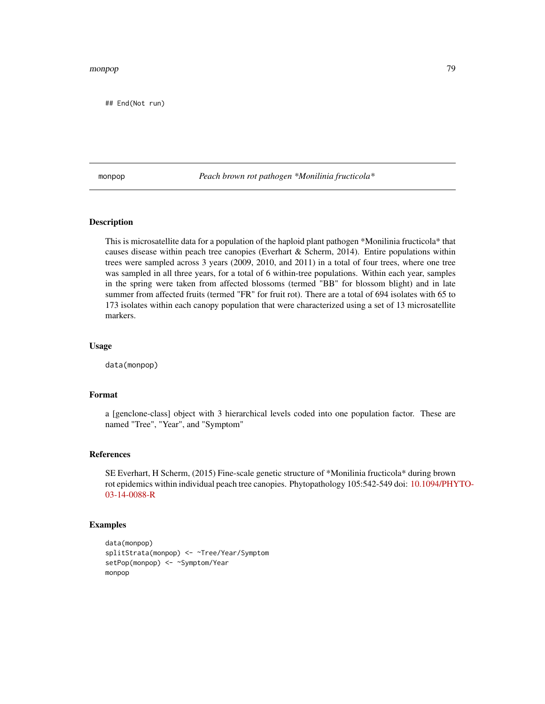### monpop 79

## End(Not run)

monpop *Peach brown rot pathogen \*Monilinia fructicola\**

### Description

This is microsatellite data for a population of the haploid plant pathogen \*Monilinia fructicola\* that causes disease within peach tree canopies (Everhart & Scherm, 2014). Entire populations within trees were sampled across 3 years (2009, 2010, and 2011) in a total of four trees, where one tree was sampled in all three years, for a total of 6 within-tree populations. Within each year, samples in the spring were taken from affected blossoms (termed "BB" for blossom blight) and in late summer from affected fruits (termed "FR" for fruit rot). There are a total of 694 isolates with 65 to 173 isolates within each canopy population that were characterized using a set of 13 microsatellite markers.

### Usage

data(monpop)

# Format

a [genclone-class] object with 3 hierarchical levels coded into one population factor. These are named "Tree", "Year", and "Symptom"

# References

SE Everhart, H Scherm, (2015) Fine-scale genetic structure of \*Monilinia fructicola\* during brown rot epidemics within individual peach tree canopies. Phytopathology 105:542-549 doi: [10.1094/PHY](https://doi.org/10.1094/PHYTO-03-14-0088-R)TO-[03-14-0088-R](https://doi.org/10.1094/PHYTO-03-14-0088-R)

```
data(monpop)
splitStrata(monpop) <- ~Tree/Year/Symptom
setPop(monpop) <- ~Symptom/Year
monpop
```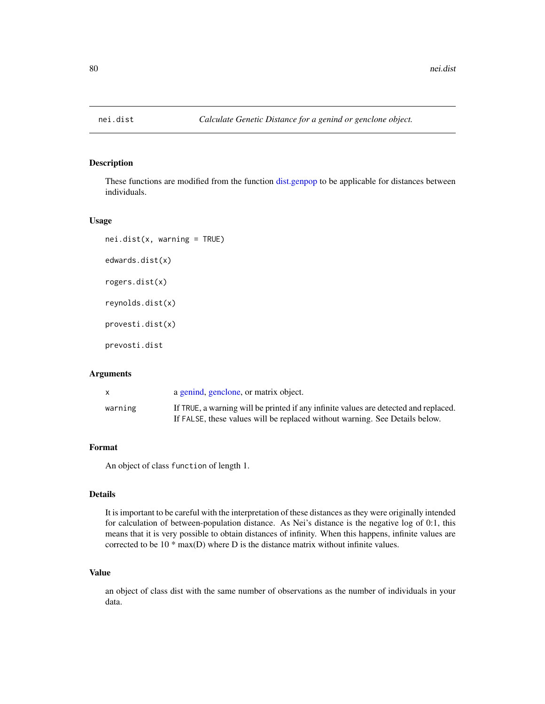## Description

These functions are modified from the function [dist.genpop](#page-0-0) to be applicable for distances between individuals.

### Usage

```
nei.dist(x, warning = TRUE)
edwards.dist(x)
rogers.dist(x)
reynolds.dist(x)
provesti.dist(x)
prevosti.dist
```
# Arguments

|         | a genind, genclone, or matrix object.                                                                                                                               |
|---------|---------------------------------------------------------------------------------------------------------------------------------------------------------------------|
| warning | If TRUE, a warning will be printed if any infinite values are detected and replaced.<br>If FALSE, these values will be replaced without warning. See Details below. |

# Format

An object of class function of length 1.

# Details

It is important to be careful with the interpretation of these distances as they were originally intended for calculation of between-population distance. As Nei's distance is the negative log of 0:1, this means that it is very possible to obtain distances of infinity. When this happens, infinite values are corrected to be 10 \* max(D) where D is the distance matrix without infinite values.

## Value

an object of class dist with the same number of observations as the number of individuals in your data.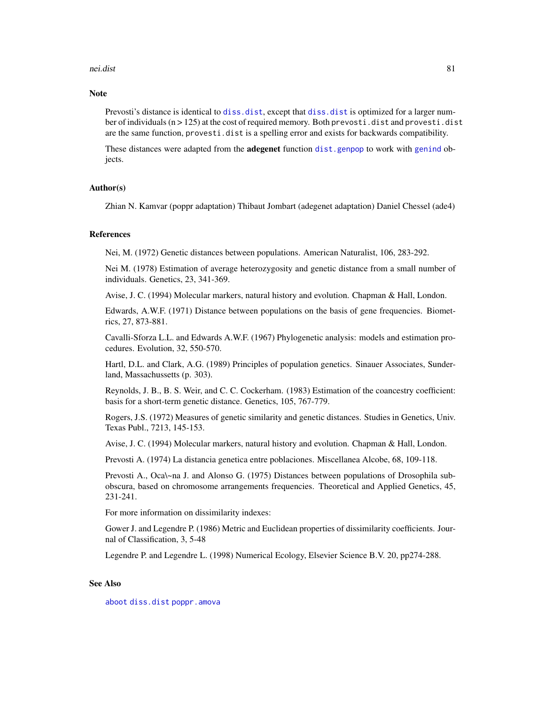### nei.dist 81

### **Note**

Prevosti's distance is identical to [diss.dist](#page-30-0), except that diss.dist is optimized for a larger number of individuals  $(n > 125)$  at the cost of required memory. Both prevosti.dist and provesti.dist are the same function, provesti.dist is a spelling error and exists for backwards compatibility.

These distances were adapted from the **adegenet** function [dist.genpop](#page-0-0) to work with [genind](#page-0-0) objects.

### Author(s)

Zhian N. Kamvar (poppr adaptation) Thibaut Jombart (adegenet adaptation) Daniel Chessel (ade4)

### References

Nei, M. (1972) Genetic distances between populations. American Naturalist, 106, 283-292.

Nei M. (1978) Estimation of average heterozygosity and genetic distance from a small number of individuals. Genetics, 23, 341-369.

Avise, J. C. (1994) Molecular markers, natural history and evolution. Chapman & Hall, London.

Edwards, A.W.F. (1971) Distance between populations on the basis of gene frequencies. Biometrics, 27, 873-881.

Cavalli-Sforza L.L. and Edwards A.W.F. (1967) Phylogenetic analysis: models and estimation procedures. Evolution, 32, 550-570.

Hartl, D.L. and Clark, A.G. (1989) Principles of population genetics. Sinauer Associates, Sunderland, Massachussetts (p. 303).

Reynolds, J. B., B. S. Weir, and C. C. Cockerham. (1983) Estimation of the coancestry coefficient: basis for a short-term genetic distance. Genetics, 105, 767-779.

Rogers, J.S. (1972) Measures of genetic similarity and genetic distances. Studies in Genetics, Univ. Texas Publ., 7213, 145-153.

Avise, J. C. (1994) Molecular markers, natural history and evolution. Chapman & Hall, London.

Prevosti A. (1974) La distancia genetica entre poblaciones. Miscellanea Alcobe, 68, 109-118.

Prevosti A., Oca\~na J. and Alonso G. (1975) Distances between populations of Drosophila subobscura, based on chromosome arrangements frequencies. Theoretical and Applied Genetics, 45, 231-241.

For more information on dissimilarity indexes:

Gower J. and Legendre P. (1986) Metric and Euclidean properties of dissimilarity coefficients. Journal of Classification, 3, 5-48

Legendre P. and Legendre L. (1998) Numerical Ecology, Elsevier Science B.V. 20, pp274-288.

## See Also

[aboot](#page-7-0) [diss.dist](#page-30-0) [poppr.amova](#page-96-0)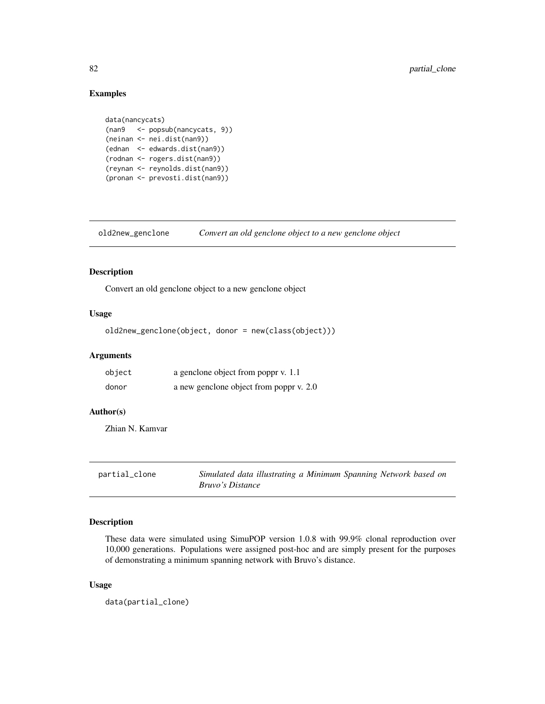### Examples

```
data(nancycats)
(nan9 <- popsub(nancycats, 9))
(neinan <- nei.dist(nan9))
(ednan <- edwards.dist(nan9))
(rodnan <- rogers.dist(nan9))
(reynan <- reynolds.dist(nan9))
(pronan <- prevosti.dist(nan9))
```
old2new\_genclone *Convert an old genclone object to a new genclone object*

## Description

Convert an old genclone object to a new genclone object

## Usage

old2new\_genclone(object, donor = new(class(object)))

## Arguments

| object | a genclone object from poppr v. 1.1     |
|--------|-----------------------------------------|
| donor  | a new genclone object from poppr v. 2.0 |

# Author(s)

Zhian N. Kamvar

| partial_clone | Simulated data illustrating a Minimum Spanning Network based on |
|---------------|-----------------------------------------------------------------|
|               | <i>Bruvo's Distance</i>                                         |

### Description

These data were simulated using SimuPOP version 1.0.8 with 99.9% clonal reproduction over 10,000 generations. Populations were assigned post-hoc and are simply present for the purposes of demonstrating a minimum spanning network with Bruvo's distance.

### Usage

data(partial\_clone)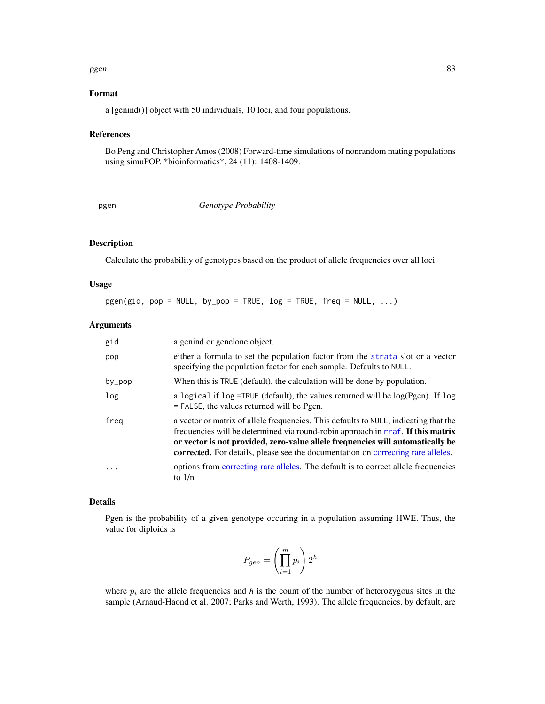### pgen 333 and 2012 and 2012 and 2012 and 2012 and 2012 and 2012 and 2012 and 2012 and 2012 and 2012 and 2012 and

### Format

a [genind()] object with 50 individuals, 10 loci, and four populations.

# References

Bo Peng and Christopher Amos (2008) Forward-time simulations of nonrandom mating populations using simuPOP. \*bioinformatics\*, 24 (11): 1408-1409.

| ۰. |  |
|----|--|

**Genotype Probability** 

### Description

Calculate the probability of genotypes based on the product of allele frequencies over all loci.

# Usage

 $pgen(gid, pop = NULL, by pop = TRUE, log = TRUE, freq = NULL, ...)$ 

# Arguments

| gid       | a genind or genclone object.                                                                                                                                                                                                                                                                                                                  |
|-----------|-----------------------------------------------------------------------------------------------------------------------------------------------------------------------------------------------------------------------------------------------------------------------------------------------------------------------------------------------|
| pop       | either a formula to set the population factor from the strata slot or a vector<br>specifying the population factor for each sample. Defaults to NULL.                                                                                                                                                                                         |
| $by\_pop$ | When this is TRUE (default), the calculation will be done by population.                                                                                                                                                                                                                                                                      |
| log       | a logical if $\log$ =TRUE (default), the values returned will be $\log(Pgen)$ . If $\log$<br>$=$ FALSE, the values returned will be Pgen.                                                                                                                                                                                                     |
| freg      | a vector or matrix of allele frequencies. This defaults to NULL, indicating that the<br>frequencies will be determined via round-robin approach in rraf. If this matrix<br>or vector is not provided, zero-value allele frequencies will automatically be<br>corrected. For details, please see the documentation on correcting rare alleles. |
|           | options from correcting rare alleles. The default is to correct allele frequencies<br>to $1/n$                                                                                                                                                                                                                                                |

### Details

Pgen is the probability of a given genotype occuring in a population assuming HWE. Thus, the value for diploids is

$$
P_{gen} = \left(\prod_{i=1}^{m} p_i\right) 2^h
$$

where  $p_i$  are the allele frequencies and  $h$  is the count of the number of heterozygous sites in the sample (Arnaud-Haond et al. 2007; Parks and Werth, 1993). The allele frequencies, by default, are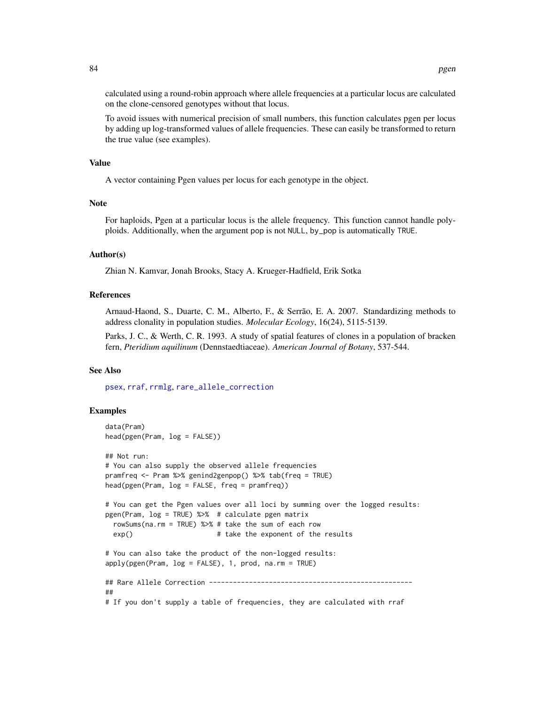calculated using a round-robin approach where allele frequencies at a particular locus are calculated on the clone-censored genotypes without that locus.

To avoid issues with numerical precision of small numbers, this function calculates pgen per locus by adding up log-transformed values of allele frequencies. These can easily be transformed to return the true value (see examples).

### Value

A vector containing Pgen values per locus for each genotype in the object.

### Note

For haploids, Pgen at a particular locus is the allele frequency. This function cannot handle polyploids. Additionally, when the argument pop is not NULL, by\_pop is automatically TRUE.

### Author(s)

Zhian N. Kamvar, Jonah Brooks, Stacy A. Krueger-Hadfield, Erik Sotka

### References

Arnaud-Haond, S., Duarte, C. M., Alberto, F., & Serrão, E. A. 2007. Standardizing methods to address clonality in population studies. *Molecular Ecology*, 16(24), 5115-5139.

Parks, J. C., & Werth, C. R. 1993. A study of spatial features of clones in a population of bracken fern, *Pteridium aquilinum* (Dennstaedtiaceae). *American Journal of Botany*, 537-544.

### See Also

[psex](#page-108-0), [rraf](#page-118-0), [rrmlg](#page-120-0), [rare\\_allele\\_correction](#page-112-0)

```
data(Pram)
head(pgen(Pram, log = FALSE))
## Not run:
# You can also supply the observed allele frequencies
pramfreq <- Pram %>% genind2genpop() %>% tab(freq = TRUE)
head(pgen(Pram, log = FALSE, freq = pramfreq))
# You can get the Pgen values over all loci by summing over the logged results:
pgen(Pram, log = TRUE) %>% # calculate pgen matrix
 rowSums(na.rm = TRUE) %>% # take the sum of each row
 exp() \# take the exponent of the results
# You can also take the product of the non-logged results:
apply(pgen(Pram, log = FALSE), 1, prod, na.rm = TRUE)## Rare Allele Correction ---------------------------------------------------
##
# If you don't supply a table of frequencies, they are calculated with rraf
```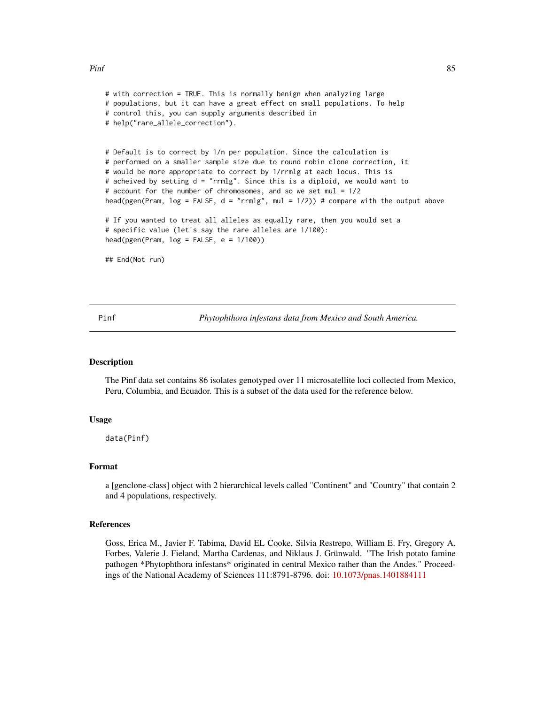### $\mathbf{P}\text{inf}$  85

```
# with correction = TRUE. This is normally benign when analyzing large
# populations, but it can have a great effect on small populations. To help
# control this, you can supply arguments described in
# help("rare_allele_correction").
# Default is to correct by 1/n per population. Since the calculation is
# performed on a smaller sample size due to round robin clone correction, it
# would be more appropriate to correct by 1/rrmlg at each locus. This is
# acheived by setting d = "rrmlg". Since this is a diploid, we would want to
# account for the number of chromosomes, and so we set mul = 1/2
head(pgen(Pram, log = FALSE, d = "rrmlg", mu1 = 1/2)) # compare with the output above
# If you wanted to treat all alleles as equally rare, then you would set a
# specific value (let's say the rare alleles are 1/100):
head(pgen(Pram, log = FALSE, e = 1/100))
## End(Not run)
```
Pinf *Phytophthora infestans data from Mexico and South America.*

# **Description**

The Pinf data set contains 86 isolates genotyped over 11 microsatellite loci collected from Mexico, Peru, Columbia, and Ecuador. This is a subset of the data used for the reference below.

### Usage

data(Pinf)

### Format

a [genclone-class] object with 2 hierarchical levels called "Continent" and "Country" that contain 2 and 4 populations, respectively.

### References

Goss, Erica M., Javier F. Tabima, David EL Cooke, Silvia Restrepo, William E. Fry, Gregory A. Forbes, Valerie J. Fieland, Martha Cardenas, and Niklaus J. Grünwald. "The Irish potato famine pathogen \*Phytophthora infestans\* originated in central Mexico rather than the Andes." Proceedings of the National Academy of Sciences 111:8791-8796. doi: [10.1073/pnas.1401884111](https://doi.org/10.1073/pnas.1401884111)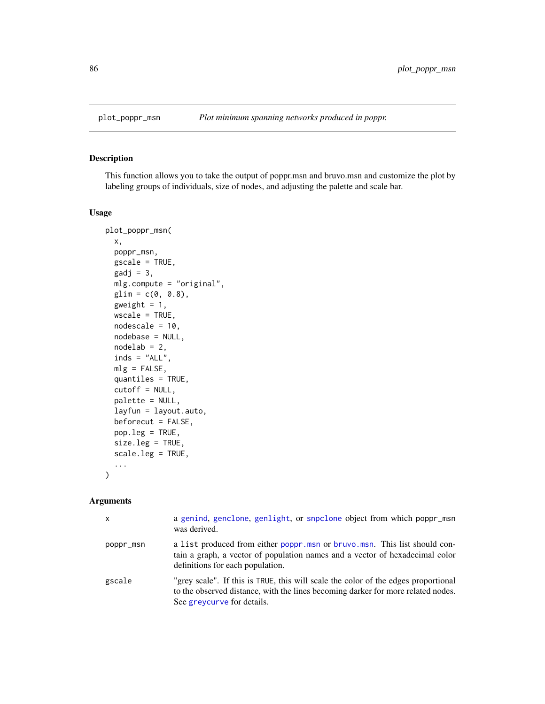<span id="page-85-0"></span>

## Description

This function allows you to take the output of poppr.msn and bruvo.msn and customize the plot by labeling groups of individuals, size of nodes, and adjusting the palette and scale bar.

### Usage

```
plot_poppr_msn(
  x,
 poppr_msn,
 gscale = TRUE,
  gadj = 3,
 mlg.compute = "original",
 glim = c(0, 0.8),gweight = 1,
 wscale = TRUE,
 nodescale = 10,nodebase = NULL,
  nodelab = 2,
  inds = "ALL",mlg = FALSE,quantiles = TRUE,
  cutoff = NULL,
 palette = NULL,
  layfun = layout.auto,
  beforecut = FALSE,
 pop.leg = TRUE,
  size.leg = TRUE,
  scale.leg = TRUE,
  ...
\mathcal{L}
```

| $\mathsf{x}$ | a genind, genclone, genlight, or snpclone object from which poppr_msn<br>was derived.                                                                                                                |
|--------------|------------------------------------------------------------------------------------------------------------------------------------------------------------------------------------------------------|
| poppr_msn    | a list produced from either poppr.msn or bruvo.msn. This list should con-<br>tain a graph, a vector of population names and a vector of hexadecimal color<br>definitions for each population.        |
| gscale       | "grey scale". If this is TRUE, this will scale the color of the edges proportional<br>to the observed distance, with the lines becoming darker for more related nodes.<br>See greveurve for details. |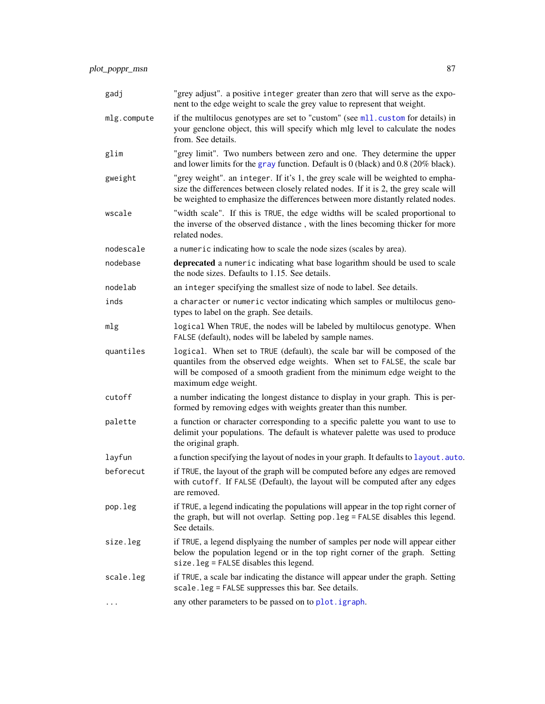| gadj        | "grey adjust". a positive integer greater than zero that will serve as the expo-<br>nent to the edge weight to scale the grey value to represent that weight.                                                                                                 |
|-------------|---------------------------------------------------------------------------------------------------------------------------------------------------------------------------------------------------------------------------------------------------------------|
| mlg.compute | if the multilocus genotypes are set to "custom" (see m11. custom for details) in<br>your genclone object, this will specify which mlg level to calculate the nodes<br>from. See details.                                                                      |
| glim        | "grey limit". Two numbers between zero and one. They determine the upper<br>and lower limits for the gray function. Default is $0$ (black) and 0.8 (20% black).                                                                                               |
| gweight     | "grey weight". an integer. If it's 1, the grey scale will be weighted to empha-<br>size the differences between closely related nodes. If it is 2, the grey scale will<br>be weighted to emphasize the differences between more distantly related nodes.      |
| wscale      | "width scale". If this is TRUE, the edge widths will be scaled proportional to<br>the inverse of the observed distance, with the lines becoming thicker for more<br>related nodes.                                                                            |
| nodescale   | a numeric indicating how to scale the node sizes (scales by area).                                                                                                                                                                                            |
| nodebase    | deprecated a numeric indicating what base logarithm should be used to scale<br>the node sizes. Defaults to 1.15. See details.                                                                                                                                 |
| nodelab     | an integer specifying the smallest size of node to label. See details.                                                                                                                                                                                        |
| inds        | a character or numeric vector indicating which samples or multilocus geno-<br>types to label on the graph. See details.                                                                                                                                       |
| mlg         | logical When TRUE, the nodes will be labeled by multilocus genotype. When<br>FALSE (default), nodes will be labeled by sample names.                                                                                                                          |
| quantiles   | logical. When set to TRUE (default), the scale bar will be composed of the<br>quantiles from the observed edge weights. When set to FALSE, the scale bar<br>will be composed of a smooth gradient from the minimum edge weight to the<br>maximum edge weight. |
| cutoff      | a number indicating the longest distance to display in your graph. This is per-<br>formed by removing edges with weights greater than this number.                                                                                                            |
| palette     | a function or character corresponding to a specific palette you want to use to<br>delimit your populations. The default is whatever palette was used to produce<br>the original graph.                                                                        |
| layfun      | a function specifying the layout of nodes in your graph. It defaults to layout . auto.                                                                                                                                                                        |
| beforecut   | if TRUE, the layout of the graph will be computed before any edges are removed<br>with cutoff. If FALSE (Default), the layout will be computed after any edges<br>are removed.                                                                                |
| pop.leg     | if TRUE, a legend indicating the populations will appear in the top right corner of<br>the graph, but will not overlap. Setting pop. leg = FALSE disables this legend.<br>See details.                                                                        |
| size.leg    | if TRUE, a legend displyaing the number of samples per node will appear either<br>below the population legend or in the top right corner of the graph. Setting<br>$size$ . $leg$ = FALSE disables this legend.                                                |
| scale.leg   | if TRUE, a scale bar indicating the distance will appear under the graph. Setting<br>scale.leg = FALSE suppresses this bar. See details.                                                                                                                      |
|             | any other parameters to be passed on to plot. igraph.                                                                                                                                                                                                         |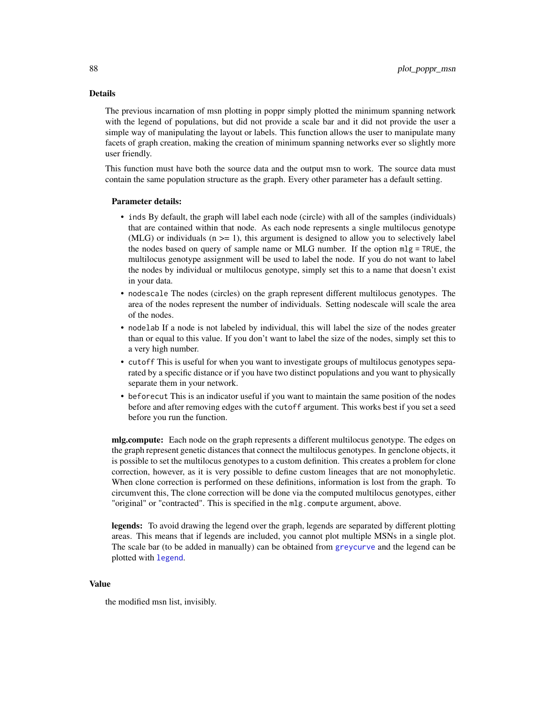# Details

The previous incarnation of msn plotting in poppr simply plotted the minimum spanning network with the legend of populations, but did not provide a scale bar and it did not provide the user a simple way of manipulating the layout or labels. This function allows the user to manipulate many facets of graph creation, making the creation of minimum spanning networks ever so slightly more user friendly.

This function must have both the source data and the output msn to work. The source data must contain the same population structure as the graph. Every other parameter has a default setting.

### Parameter details:

- inds By default, the graph will label each node (circle) with all of the samples (individuals) that are contained within that node. As each node represents a single multilocus genotype (MLG) or individuals ( $n \ge 1$ ), this argument is designed to allow you to selectively label the nodes based on query of sample name or MLG number. If the option mlg = TRUE, the multilocus genotype assignment will be used to label the node. If you do not want to label the nodes by individual or multilocus genotype, simply set this to a name that doesn't exist in your data.
- nodescale The nodes (circles) on the graph represent different multilocus genotypes. The area of the nodes represent the number of individuals. Setting nodescale will scale the area of the nodes.
- nodelab If a node is not labeled by individual, this will label the size of the nodes greater than or equal to this value. If you don't want to label the size of the nodes, simply set this to a very high number.
- cutoff This is useful for when you want to investigate groups of multilocus genotypes separated by a specific distance or if you have two distinct populations and you want to physically separate them in your network.
- beforecut This is an indicator useful if you want to maintain the same position of the nodes before and after removing edges with the cutoff argument. This works best if you set a seed before you run the function.

mlg.compute: Each node on the graph represents a different multilocus genotype. The edges on the graph represent genetic distances that connect the multilocus genotypes. In genclone objects, it is possible to set the multilocus genotypes to a custom definition. This creates a problem for clone correction, however, as it is very possible to define custom lineages that are not monophyletic. When clone correction is performed on these definitions, information is lost from the graph. To circumvent this, The clone correction will be done via the computed multilocus genotypes, either "original" or "contracted". This is specified in the mlg.compute argument, above.

legends: To avoid drawing the legend over the graph, legends are separated by different plotting areas. This means that if legends are included, you cannot plot multiple MSNs in a single plot. The scale bar (to be added in manually) can be obtained from [greycurve](#page-48-0) and the legend can be plotted with [legend](#page-0-0).

### Value

the modified msn list, invisibly.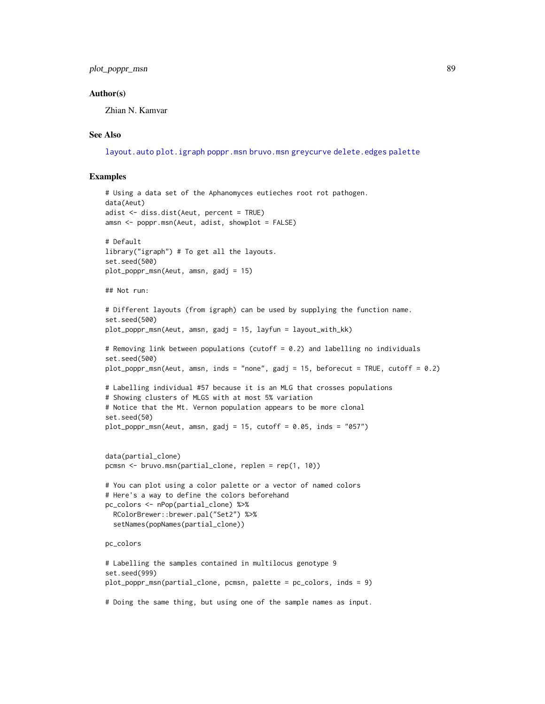### Author(s)

Zhian N. Kamvar

### See Also

[layout.auto](#page-0-0) [plot.igraph](#page-0-0) [poppr.msn](#page-100-0) [bruvo.msn](#page-22-0) [greycurve](#page-48-0) [delete.edges](#page-0-0) [palette](#page-0-0)

```
# Using a data set of the Aphanomyces eutieches root rot pathogen.
data(Aeut)
adist <- diss.dist(Aeut, percent = TRUE)
amsn <- poppr.msn(Aeut, adist, showplot = FALSE)
# Default
library("igraph") # To get all the layouts.
set.seed(500)
plot_poppr_msn(Aeut, amsn, gadj = 15)
## Not run:
# Different layouts (from igraph) can be used by supplying the function name.
set.seed(500)
plot_poppr_msn(Aeut, amsn, gadj = 15, layfun = layout_with_kk)
# Removing link between populations (cutoff = 0.2) and labelling no individuals
set.seed(500)
plot_poppr_msn(Aeut, amsn, inds = "none", gadj = 15, beforecut = TRUE, cutoff = 0.2)
# Labelling individual #57 because it is an MLG that crosses populations
# Showing clusters of MLGS with at most 5% variation
# Notice that the Mt. Vernon population appears to be more clonal
set.seed(50)
plot\_poppr\_msn(Aeut, amsn, gadj = 15, cutoff = 0.05, inds = "057")data(partial_clone)
pcmsn <- bruvo.msn(partial_clone, replen = rep(1, 10))
# You can plot using a color palette or a vector of named colors
# Here's a way to define the colors beforehand
pc_colors <- nPop(partial_clone) %>%
  RColorBrewer::brewer.pal("Set2") %>%
  setNames(popNames(partial_clone))
pc_colors
# Labelling the samples contained in multilocus genotype 9
set.seed(999)
plot_poppr_msn(partial_clone, pcmsn, palette = pc_colors, inds = 9)
# Doing the same thing, but using one of the sample names as input.
```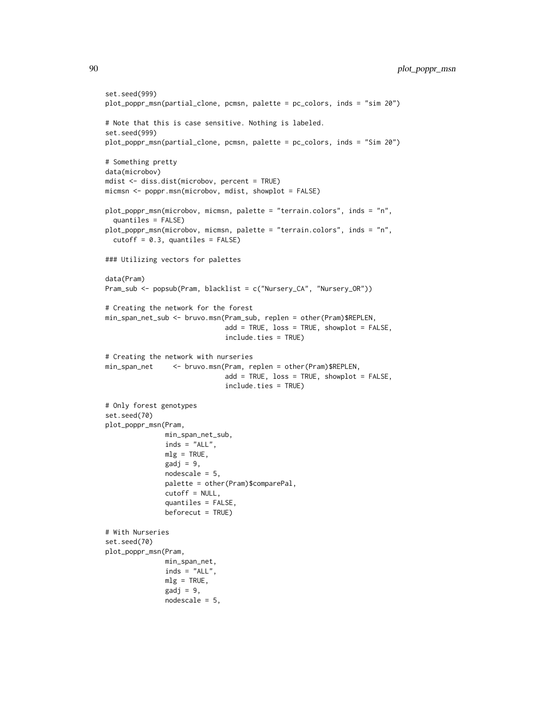```
set.seed(999)
plot_poppr_msn(partial_clone, pcmsn, palette = pc_colors, inds = "sim 20")
# Note that this is case sensitive. Nothing is labeled.
set.seed(999)
plot_poppr_msn(partial_clone, pcmsn, palette = pc_colors, inds = "Sim 20")
# Something pretty
data(microbov)
mdist <- diss.dist(microbov, percent = TRUE)
micmsn <- poppr.msn(microbov, mdist, showplot = FALSE)
plot_poppr_msn(microbov, micmsn, palette = "terrain.colors", inds = "n",
  quantiles = FALSE)
plot_poppr_msn(microbov, micmsn, palette = "terrain.colors", inds = "n",
  cutoff = 0.3, quantiles = FALSE)### Utilizing vectors for palettes
data(Pram)
Pram_sub <- popsub(Pram, blacklist = c("Nursery_CA", "Nursery_OR"))
# Creating the network for the forest
min_span_net_sub <- bruvo.msn(Pram_sub, replen = other(Pram)$REPLEN,
                              add = TRUE, loss = TRUE, showplot = FALSE,
                              include.ties = TRUE)
# Creating the network with nurseries
min_span_net <- bruvo.msn(Pram, replen = other(Pram)$REPLEN,
                              add = TRUE, loss = TRUE, showplot = FALSE,
                              include.ties = TRUE)
# Only forest genotypes
set.seed(70)
plot_poppr_msn(Pram,
               min_span_net_sub,
               inds = "ALL".mlg = TRUE,\text{gadj} = 9,
               nodescale = 5,
               palette = other(Pram)$comparePal,
               cutoff = NULL,
               quantiles = FALSE,
               beforecut = TRUE)
# With Nurseries
set.seed(70)
plot_poppr_msn(Pram,
               min_span_net,
               inds = "ALL".mlg = TRUE,\text{gadj} = 9,
               nodescale = 5,
```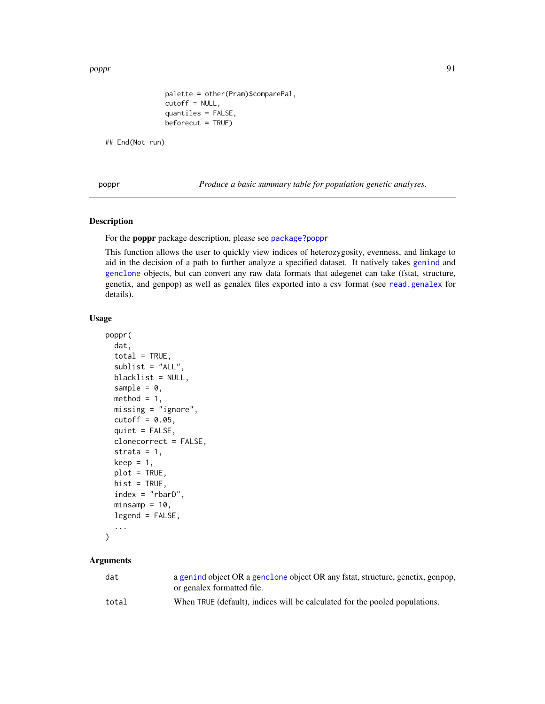poppr 91

```
palette = other(Pram)$comparePal,
cutoff = NULL,
quantiles = FALSE,
beforecut = TRUE)
```
## End(Not run)

<span id="page-90-0"></span>poppr *Produce a basic summary table for population genetic analyses.*

# Description

For the poppr package description, please see [package?poppr](#page-2-0)

This function allows the user to quickly view indices of heterozygosity, evenness, and linkage to aid in the decision of a path to further analyze a specified dataset. It natively takes [genind](#page-0-0) and [genclone](#page-42-1) objects, but can convert any raw data formats that adegenet can take (fstat, structure, genetix, and genpop) as well as genalex files exported into a csv format (see [read.genalex](#page-114-0) for details).

## Usage

```
poppr(
  dat,
  total = TRUE,sublist = "ALL",blacklist = NULL,
  sample = 0,
  method = 1,
 missing = "ignore",
  cutoff = 0.05,
  quiet = FALSE,
  clonecorrect = FALSE,
  strata = 1,
  keep = 1,plot = TRUE,
  hist = TRUE,index = "rbarD",min samp = 10,legend = FALSE,
  ...
)
```

| dat   | a genind object OR a genclone object OR any fstat, structure, genetix, genpop,<br>or genalex formatted file. |
|-------|--------------------------------------------------------------------------------------------------------------|
| total | When TRUE (default), indices will be calculated for the pooled populations.                                  |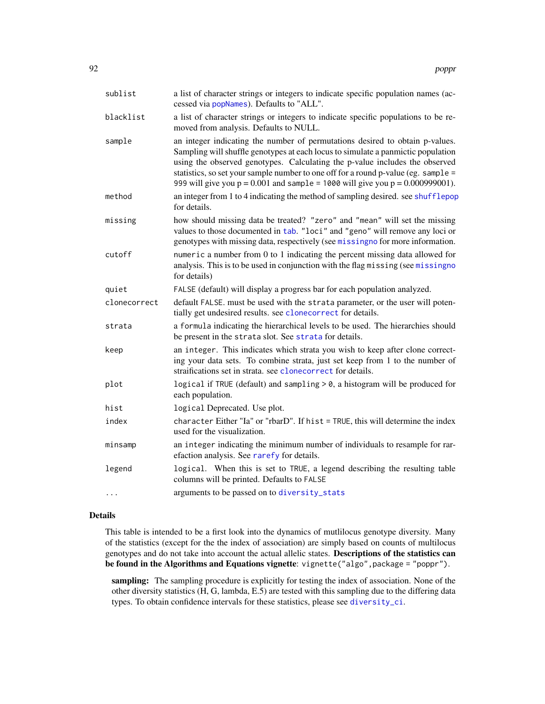| sublist      | a list of character strings or integers to indicate specific population names (ac-<br>cessed via popNames). Defaults to "ALL".                                                                                                                                                                                                                                                                                             |
|--------------|----------------------------------------------------------------------------------------------------------------------------------------------------------------------------------------------------------------------------------------------------------------------------------------------------------------------------------------------------------------------------------------------------------------------------|
| blacklist    | a list of character strings or integers to indicate specific populations to be re-<br>moved from analysis. Defaults to NULL.                                                                                                                                                                                                                                                                                               |
| sample       | an integer indicating the number of permutations desired to obtain p-values.<br>Sampling will shuffle genotypes at each locus to simulate a panmictic population<br>using the observed genotypes. Calculating the p-value includes the observed<br>statistics, so set your sample number to one off for a round p-value (eg. sample =<br>999 will give you $p = 0.001$ and sample = 1000 will give you $p = 0.000999001$ . |
| method       | an integer from 1 to 4 indicating the method of sampling desired. see shufflepop<br>for details.                                                                                                                                                                                                                                                                                                                           |
| missing      | how should missing data be treated? "zero" and "mean" will set the missing<br>values to those documented in tab. "loci" and "geno" will remove any loci or<br>genotypes with missing data, respectively (see missing no for more information.                                                                                                                                                                              |
| cutoff       | numeric a number from 0 to 1 indicating the percent missing data allowed for<br>analysis. This is to be used in conjunction with the flag missing (see missing no<br>for details)                                                                                                                                                                                                                                          |
| quiet        | FALSE (default) will display a progress bar for each population analyzed.                                                                                                                                                                                                                                                                                                                                                  |
| clonecorrect | default FALSE. must be used with the strata parameter, or the user will poten-<br>tially get undesired results. see clonecorrect for details.                                                                                                                                                                                                                                                                              |
| strata       | a formula indicating the hierarchical levels to be used. The hierarchies should<br>be present in the strata slot. See strata for details.                                                                                                                                                                                                                                                                                  |
| keep         | an integer. This indicates which strata you wish to keep after clone correct-<br>ing your data sets. To combine strata, just set keep from 1 to the number of<br>straifications set in strata. see clonecorrect for details.                                                                                                                                                                                               |
| plot         | logical if TRUE (default) and sampling > 0, a histogram will be produced for<br>each population.                                                                                                                                                                                                                                                                                                                           |
| hist         | logical Deprecated. Use plot.                                                                                                                                                                                                                                                                                                                                                                                              |
| index        | character Either "Ia" or "rbarD". If hist = TRUE, this will determine the index<br>used for the visualization.                                                                                                                                                                                                                                                                                                             |
| minsamp      | an integer indicating the minimum number of individuals to resample for rar-<br>efaction analysis. See rarefy for details.                                                                                                                                                                                                                                                                                                 |
| legend       | logical. When this is set to TRUE, a legend describing the resulting table<br>columns will be printed. Defaults to FALSE                                                                                                                                                                                                                                                                                                   |
| .            | arguments to be passed on to diversity_stats                                                                                                                                                                                                                                                                                                                                                                               |

# Details

This table is intended to be a first look into the dynamics of mutlilocus genotype diversity. Many of the statistics (except for the the index of association) are simply based on counts of multilocus genotypes and do not take into account the actual allelic states. Descriptions of the statistics can be found in the Algorithms and Equations vignette: vignette("algo",package = "poppr").

sampling: The sampling procedure is explicitly for testing the index of association. None of the other diversity statistics (H, G, lambda, E.5) are tested with this sampling due to the differing data types. To obtain confidence intervals for these statistics, please see [diversity\\_ci](#page-33-0).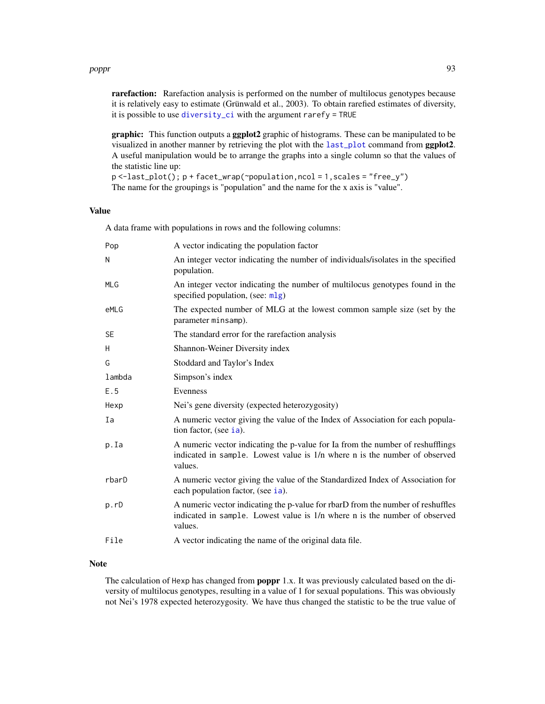### poppr 533 and 533 and 533 and 533 and 533 and 533 and 533 and 533 and 533 and 533 and 533 and 533 and 533 and 533 and 533 and 533 and 533 and 533 and 533 and 533 and 533 and 533 and 533 and 533 and 533 and 533 and 533 and

rarefaction: Rarefaction analysis is performed on the number of multilocus genotypes because it is relatively easy to estimate (Grünwald et al., 2003). To obtain rarefied estimates of diversity, it is possible to use [diversity\\_ci](#page-33-0) with the argument rarefy = TRUE

graphic: This function outputs a ggplot2 graphic of histograms. These can be manipulated to be visualized in another manner by retrieving the plot with the [last\\_plot](#page-0-0) command from ggplot2. A useful manipulation would be to arrange the graphs into a single column so that the values of the statistic line up:

p <-last\_plot(); p + facet\_wrap(~population,ncol = 1,scales = "free\_y") The name for the groupings is "population" and the name for the x axis is "value".

## Value

A data frame with populations in rows and the following columns:

| Pop        | A vector indicating the population factor                                                                                                                                |
|------------|--------------------------------------------------------------------------------------------------------------------------------------------------------------------------|
| N          | An integer vector indicating the number of individuals/isolates in the specified<br>population.                                                                          |
| <b>MLG</b> | An integer vector indicating the number of multilocus genotypes found in the<br>specified population, (see: mlg)                                                         |
| eMLG       | The expected number of MLG at the lowest common sample size (set by the<br>parameter minsamp).                                                                           |
| <b>SE</b>  | The standard error for the rarefaction analysis                                                                                                                          |
| H          | Shannon-Weiner Diversity index                                                                                                                                           |
| G          | Stoddard and Taylor's Index                                                                                                                                              |
| lambda     | Simpson's index                                                                                                                                                          |
| E.5        | Evenness                                                                                                                                                                 |
| Hexp       | Nei's gene diversity (expected heterozygosity)                                                                                                                           |
| Ia         | A numeric vector giving the value of the Index of Association for each popula-<br>tion factor, (see ia).                                                                 |
| p.Ia       | A numeric vector indicating the p-value for Ia from the number of reshufflings<br>indicated in sample. Lowest value is 1/n where n is the number of observed<br>values.  |
| rbarD      | A numeric vector giving the value of the Standardized Index of Association for<br>each population factor, (see ia).                                                      |
| p.rD       | A numeric vector indicating the p-value for rbarD from the number of reshuffles<br>indicated in sample. Lowest value is 1/n where n is the number of observed<br>values. |
| File       | A vector indicating the name of the original data file.                                                                                                                  |

# Note

The calculation of Hexp has changed from poppr 1.x. It was previously calculated based on the diversity of multilocus genotypes, resulting in a value of 1 for sexual populations. This was obviously not Nei's 1978 expected heterozygosity. We have thus changed the statistic to be the true value of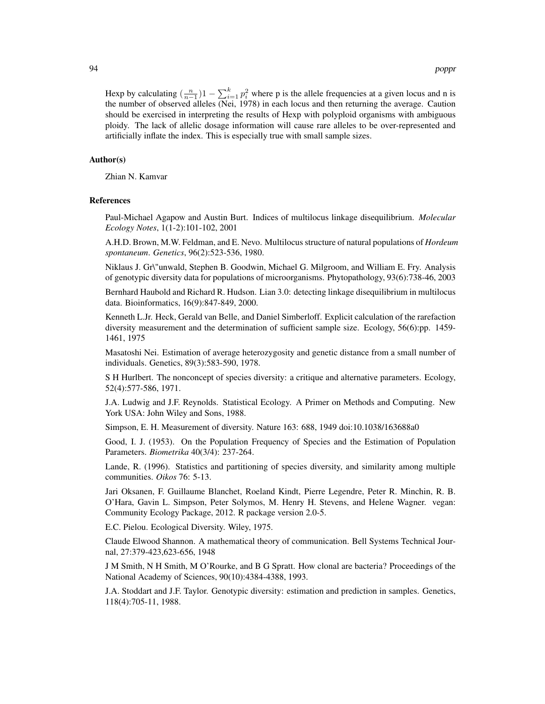Hexp by calculating  $\left(\frac{n}{n-1}\right)1 - \sum_{i=1}^{k} p_i^2$  where p is the allele frequencies at a given locus and n is the number of observed alleles (Nei, 1978) in each locus and then returning the average. Caution should be exercised in interpreting the results of Hexp with polyploid organisms with ambiguous ploidy. The lack of allelic dosage information will cause rare alleles to be over-represented and artificially inflate the index. This is especially true with small sample sizes.

### Author(s)

Zhian N. Kamvar

### References

Paul-Michael Agapow and Austin Burt. Indices of multilocus linkage disequilibrium. *Molecular Ecology Notes*, 1(1-2):101-102, 2001

A.H.D. Brown, M.W. Feldman, and E. Nevo. Multilocus structure of natural populations of *Hordeum spontaneum*. *Genetics*, 96(2):523-536, 1980.

Niklaus J. Gr\"unwald, Stephen B. Goodwin, Michael G. Milgroom, and William E. Fry. Analysis of genotypic diversity data for populations of microorganisms. Phytopathology, 93(6):738-46, 2003

Bernhard Haubold and Richard R. Hudson. Lian 3.0: detecting linkage disequilibrium in multilocus data. Bioinformatics, 16(9):847-849, 2000.

Kenneth L.Jr. Heck, Gerald van Belle, and Daniel Simberloff. Explicit calculation of the rarefaction diversity measurement and the determination of sufficient sample size. Ecology, 56(6):pp. 1459- 1461, 1975

Masatoshi Nei. Estimation of average heterozygosity and genetic distance from a small number of individuals. Genetics, 89(3):583-590, 1978.

S H Hurlbert. The nonconcept of species diversity: a critique and alternative parameters. Ecology, 52(4):577-586, 1971.

J.A. Ludwig and J.F. Reynolds. Statistical Ecology. A Primer on Methods and Computing. New York USA: John Wiley and Sons, 1988.

Simpson, E. H. Measurement of diversity. Nature 163: 688, 1949 doi:10.1038/163688a0

Good, I. J. (1953). On the Population Frequency of Species and the Estimation of Population Parameters. *Biometrika* 40(3/4): 237-264.

Lande, R. (1996). Statistics and partitioning of species diversity, and similarity among multiple communities. *Oikos* 76: 5-13.

Jari Oksanen, F. Guillaume Blanchet, Roeland Kindt, Pierre Legendre, Peter R. Minchin, R. B. O'Hara, Gavin L. Simpson, Peter Solymos, M. Henry H. Stevens, and Helene Wagner. vegan: Community Ecology Package, 2012. R package version 2.0-5.

E.C. Pielou. Ecological Diversity. Wiley, 1975.

Claude Elwood Shannon. A mathematical theory of communication. Bell Systems Technical Journal, 27:379-423,623-656, 1948

J M Smith, N H Smith, M O'Rourke, and B G Spratt. How clonal are bacteria? Proceedings of the National Academy of Sciences, 90(10):4384-4388, 1993.

J.A. Stoddart and J.F. Taylor. Genotypic diversity: estimation and prediction in samples. Genetics, 118(4):705-11, 1988.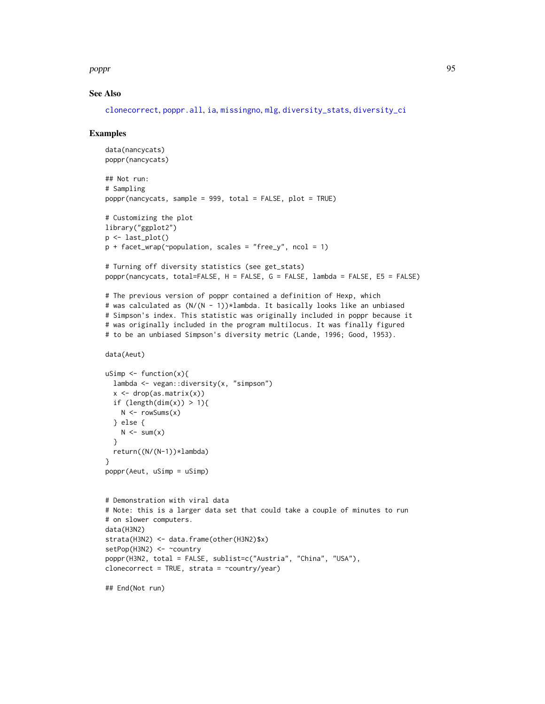poppr 95

### See Also

[clonecorrect](#page-26-0), [poppr.all](#page-95-0), [ia](#page-49-0), [missingno](#page-64-0), [mlg](#page-66-1), [diversity\\_stats](#page-36-0), [diversity\\_ci](#page-33-0)

```
data(nancycats)
poppr(nancycats)
## Not run:
# Sampling
poppr(nancycats, sample = 999, total = FALSE, plot = TRUE)
# Customizing the plot
library("ggplot2")
p <- last_plot()
p + facet_wrap(~population, scales = "free_y", ncol = 1)
# Turning off diversity statistics (see get_stats)
poppr(nancycats, total=FALSE, H = FALSE, G = FALSE, lambda = FALSE, E5 = FALSE)
# The previous version of poppr contained a definition of Hexp, which
# was calculated as (N/(N - 1))*lambda. It basically looks like an unbiased
# Simpson's index. This statistic was originally included in poppr because it
# was originally included in the program multilocus. It was finally figured
# to be an unbiased Simpson's diversity metric (Lande, 1996; Good, 1953).
data(Aeut)
uSimp \leq function(x){
  lambda <- vegan::diversity(x, "simpson")
  x \leftarrow drop(as.matrix(x))if (length(dim(x)) > 1){
   N < - rowSums(x)} else {
   N \le -\text{sum}(x)}
  return((N/(N-1))*lambda)
}
poppr(Aeut, uSimp = uSimp)
# Demonstration with viral data
# Note: this is a larger data set that could take a couple of minutes to run
# on slower computers.
data(H3N2)
strata(H3N2) <- data.frame(other(H3N2)$x)
setPop(H3N2) <- ~country
poppr(H3N2, total = FALSE, sublist=c("Austria", "China", "USA"),
clonecorrect = TRUE, strata = \simcountry/year)
## End(Not run)
```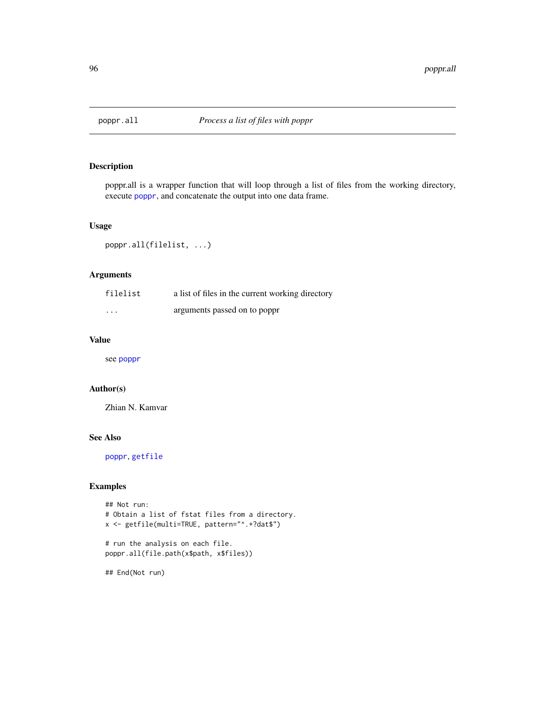<span id="page-95-0"></span>

# Description

poppr.all is a wrapper function that will loop through a list of files from the working directory, execute [poppr](#page-90-0), and concatenate the output into one data frame.

# Usage

```
poppr.all(filelist, ...)
```
# Arguments

| filelist | a list of files in the current working directory |
|----------|--------------------------------------------------|
| $\cdots$ | arguments passed on to poppr                     |

### Value

see [poppr](#page-90-0)

## Author(s)

Zhian N. Kamvar

# See Also

[poppr](#page-90-0), [getfile](#page-47-0)

# Examples

```
## Not run:
# Obtain a list of fstat files from a directory.
x <- getfile(multi=TRUE, pattern="^.+?dat$")
# run the analysis on each file.
poppr.all(file.path(x$path, x$files))
```
## End(Not run)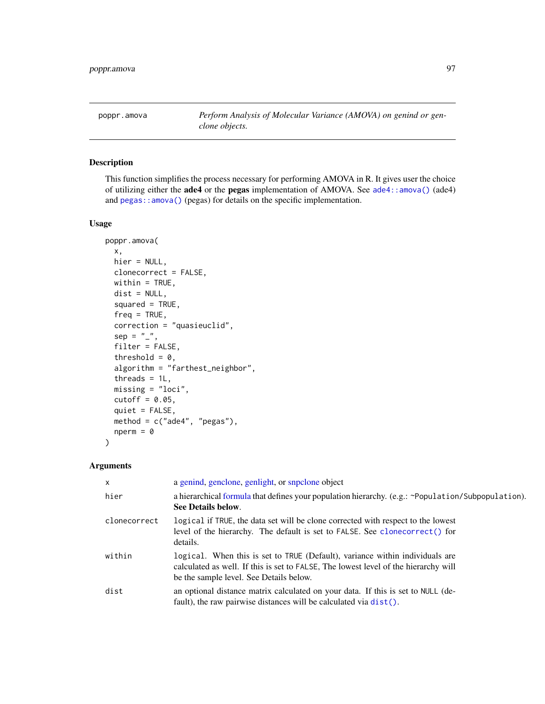<span id="page-96-0"></span>poppr.amova *Perform Analysis of Molecular Variance (AMOVA) on genind or genclone objects.*

# Description

This function simplifies the process necessary for performing AMOVA in R. It gives user the choice of utilizing either the ade4 or the pegas implementation of AMOVA. See [ade4::amova\(\)](#page-0-0) (ade4) and [pegas::amova\(\)](#page-0-0) (pegas) for details on the specific implementation.

### Usage

```
poppr.amova(
 x,
 hier = NULL,
 clonecorrect = FALSE,
 within = TRUE,
 dist = NULL,squared = TRUE,freq = TRUE,correction = "quasieuclid",
  sep = "''',filter = FALSE,
  threshold = 0,
  algorithm = "farthest_neighbor",
  threads = 1L,
 missing = "loci",
 cutoff = 0.05,
  quiet = FALSE,
 method = c("ade4", "pegas"),
 nperm = 0)
```

| $\mathsf{x}$ | a genind, genclone, genlight, or snpclone object                                                                                                                                                               |
|--------------|----------------------------------------------------------------------------------------------------------------------------------------------------------------------------------------------------------------|
| hier         | a hierarchical formula that defines your population hierarchy. (e.g.: ~Population/Subpopulation).<br>See Details below.                                                                                        |
| clonecorrect | logical if TRUE, the data set will be clone corrected with respect to the lowest<br>level of the hierarchy. The default is set to FALSE. See clonecorrect () for<br>details.                                   |
| within       | logical. When this is set to TRUE (Default), variance within individuals are<br>calculated as well. If this is set to FALSE, The lowest level of the hierarchy will<br>be the sample level. See Details below. |
| dist         | an optional distance matrix calculated on your data. If this is set to NULL (de-<br>fault), the raw pairwise distances will be calculated via dist().                                                          |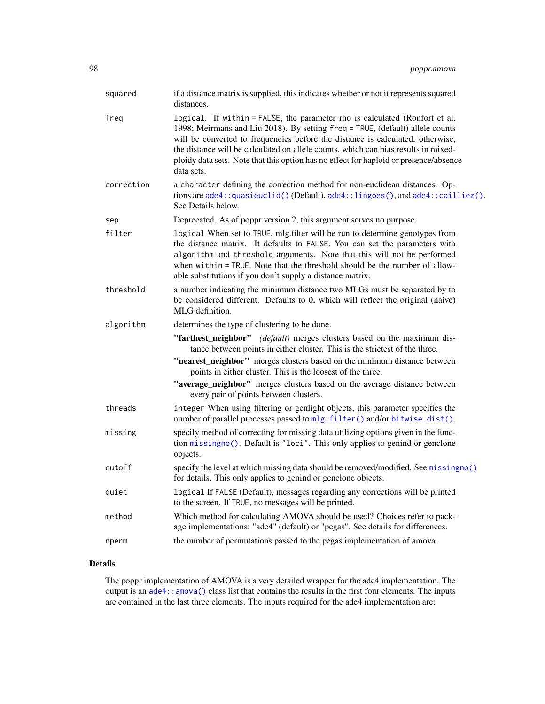| squared    | if a distance matrix is supplied, this indicates whether or not it represents squared<br>distances.                                                                                                                                                                                                                                                                                                                                         |
|------------|---------------------------------------------------------------------------------------------------------------------------------------------------------------------------------------------------------------------------------------------------------------------------------------------------------------------------------------------------------------------------------------------------------------------------------------------|
| freg       | logical. If within = FALSE, the parameter rho is calculated (Ronfort et al.<br>1998; Meirmans and Liu 2018). By setting freq = TRUE, (default) allele counts<br>will be converted to frequencies before the distance is calculated, otherwise,<br>the distance will be calculated on allele counts, which can bias results in mixed-<br>ploidy data sets. Note that this option has no effect for haploid or presence/absence<br>data sets. |
| correction | a character defining the correction method for non-euclidean distances. Op-<br>tions are ade4::quasieuclid()(Default), ade4::lingoes(), and ade4::cailliez().<br>See Details below.                                                                                                                                                                                                                                                         |
| sep        | Deprecated. As of poppr version 2, this argument serves no purpose.                                                                                                                                                                                                                                                                                                                                                                         |
| filter     | logical When set to TRUE, mlg.filter will be run to determine genotypes from<br>the distance matrix. It defaults to FALSE. You can set the parameters with<br>algorithm and threshold arguments. Note that this will not be performed<br>when within = TRUE. Note that the threshold should be the number of allow-<br>able substitutions if you don't supply a distance matrix.                                                            |
| threshold  | a number indicating the minimum distance two MLGs must be separated by to<br>be considered different. Defaults to 0, which will reflect the original (naive)<br>MLG definition.                                                                                                                                                                                                                                                             |
| algorithm  | determines the type of clustering to be done.                                                                                                                                                                                                                                                                                                                                                                                               |
|            | "farthest_neighbor" (default) merges clusters based on the maximum dis-<br>tance between points in either cluster. This is the strictest of the three.                                                                                                                                                                                                                                                                                      |
|            | "nearest_neighbor" merges clusters based on the minimum distance between<br>points in either cluster. This is the loosest of the three.                                                                                                                                                                                                                                                                                                     |
|            | "average_neighbor" merges clusters based on the average distance between<br>every pair of points between clusters.                                                                                                                                                                                                                                                                                                                          |
| threads    | integer When using filtering or genlight objects, this parameter specifies the<br>number of parallel processes passed to mlg. filter() and/or bitwise.dist().                                                                                                                                                                                                                                                                               |
| missing    | specify method of correcting for missing data utilizing options given in the func-<br>tion missingno(). Default is "loci". This only applies to genind or genclone<br>objects.                                                                                                                                                                                                                                                              |
| cutoff     | specify the level at which missing data should be removed/modified. See missingno()<br>for details. This only applies to genind or genclone objects.                                                                                                                                                                                                                                                                                        |
| quiet      | logical If FALSE (Default), messages regarding any corrections will be printed<br>to the screen. If TRUE, no messages will be printed.                                                                                                                                                                                                                                                                                                      |
| method     | Which method for calculating AMOVA should be used? Choices refer to pack-<br>age implementations: "ade4" (default) or "pegas". See details for differences.                                                                                                                                                                                                                                                                                 |
| nperm      | the number of permutations passed to the pegas implementation of amova.                                                                                                                                                                                                                                                                                                                                                                     |

## Details

The poppr implementation of AMOVA is a very detailed wrapper for the ade4 implementation. The output is an [ade4::amova\(\)](#page-0-0) class list that contains the results in the first four elements. The inputs are contained in the last three elements. The inputs required for the ade4 implementation are: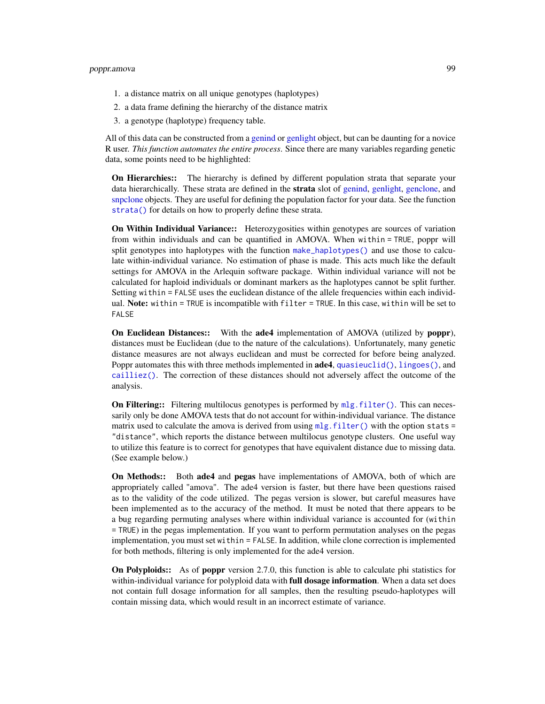- 1. a distance matrix on all unique genotypes (haplotypes)
- 2. a data frame defining the hierarchy of the distance matrix
- 3. a genotype (haplotype) frequency table.

All of this data can be constructed from a [genind](#page-0-0) or [genlight](#page-0-0) object, but can be daunting for a novice R user. *This function automates the entire process*. Since there are many variables regarding genetic data, some points need to be highlighted:

On Hierarchies:: The hierarchy is defined by different population strata that separate your data hierarchically. These strata are defined in the strata slot of [genind,](#page-0-0) [genlight,](#page-0-0) [genclone,](#page-42-1) and [snpclone](#page-42-0) objects. They are useful for defining the population factor for your data. See the function [strata\(\)](#page-0-0) for details on how to properly define these strata.

On Within Individual Variance:: Heterozygosities within genotypes are sources of variation from within individuals and can be quantified in AMOVA. When within = TRUE, poppr will split genotypes into haplotypes with the function [make\\_haplotypes\(\)](#page-63-0) and use those to calculate within-individual variance. No estimation of phase is made. This acts much like the default settings for AMOVA in the Arlequin software package. Within individual variance will not be calculated for haploid individuals or dominant markers as the haplotypes cannot be split further. Setting within = FALSE uses the euclidean distance of the allele frequencies within each individual. Note: within = TRUE is incompatible with filter = TRUE. In this case, within will be set to FALSE

On Euclidean Distances:: With the ade4 implementation of AMOVA (utilized by poppr), distances must be Euclidean (due to the nature of the calculations). Unfortunately, many genetic distance measures are not always euclidean and must be corrected for before being analyzed. Poppr automates this with three methods implemented in **ade4**, [quasieuclid\(\)](#page-0-0), [lingoes\(\)](#page-0-0), and [cailliez\(\)](#page-0-0). The correction of these distances should not adversely affect the outcome of the analysis.

On Filtering:: Filtering multilocus genotypes is performed by [mlg.filter\(\)](#page-70-0). This can necessarily only be done AMOVA tests that do not account for within-individual variance. The distance matrix used to calculate the amova is derived from using  $mlg$ . filter() with the option stats = "distance", which reports the distance between multilocus genotype clusters. One useful way to utilize this feature is to correct for genotypes that have equivalent distance due to missing data. (See example below.)

On Methods:: Both ade4 and pegas have implementations of AMOVA, both of which are appropriately called "amova". The ade4 version is faster, but there have been questions raised as to the validity of the code utilized. The pegas version is slower, but careful measures have been implemented as to the accuracy of the method. It must be noted that there appears to be a bug regarding permuting analyses where within individual variance is accounted for (within = TRUE) in the pegas implementation. If you want to perform permutation analyses on the pegas implementation, you must set within = FALSE. In addition, while clone correction is implemented for both methods, filtering is only implemented for the ade4 version.

On Polyploids:: As of poppr version 2.7.0, this function is able to calculate phi statistics for within-individual variance for polyploid data with **full dosage information**. When a data set does not contain full dosage information for all samples, then the resulting pseudo-haplotypes will contain missing data, which would result in an incorrect estimate of variance.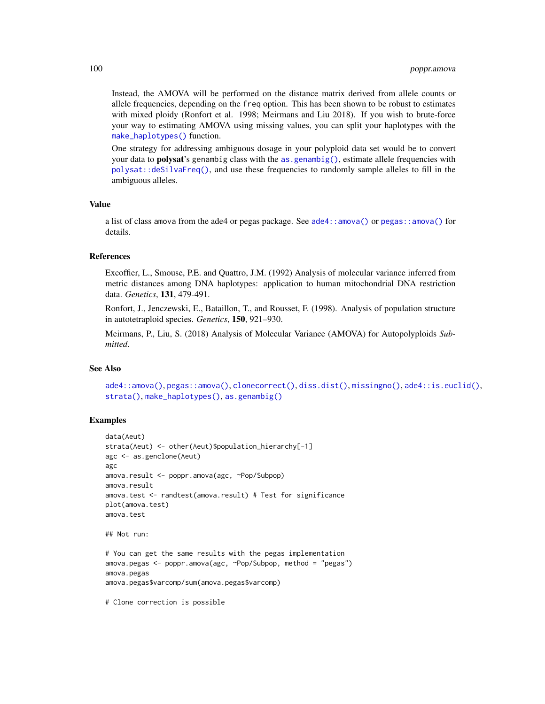Instead, the AMOVA will be performed on the distance matrix derived from allele counts or allele frequencies, depending on the freq option. This has been shown to be robust to estimates with mixed ploidy (Ronfort et al. 1998; Meirmans and Liu 2018). If you wish to brute-force your way to estimating AMOVA using missing values, you can split your haplotypes with the [make\\_haplotypes\(\)](#page-63-0) function.

One strategy for addressing ambiguous dosage in your polyploid data set would be to convert your data to **polysat**'s genambig class with the [as.genambig\(\)](#page-15-0), estimate allele frequencies with [polysat::deSilvaFreq\(\)](#page-0-0), and use these frequencies to randomly sample alleles to fill in the ambiguous alleles.

### Value

a list of class amova from the ade4 or pegas package. See [ade4::amova\(\)](#page-0-0) or [pegas::amova\(\)](#page-0-0) for details.

# **References**

Excoffier, L., Smouse, P.E. and Quattro, J.M. (1992) Analysis of molecular variance inferred from metric distances among DNA haplotypes: application to human mitochondrial DNA restriction data. *Genetics*, 131, 479-491.

Ronfort, J., Jenczewski, E., Bataillon, T., and Rousset, F. (1998). Analysis of population structure in autotetraploid species. *Genetics*, 150, 921–930.

Meirmans, P., Liu, S. (2018) Analysis of Molecular Variance (AMOVA) for Autopolyploids *Submitted*.

### See Also

[ade4::amova\(\)](#page-0-0), [pegas::amova\(\)](#page-0-0), [clonecorrect\(\)](#page-26-0), [diss.dist\(\)](#page-30-0), [missingno\(\)](#page-64-0), [ade4::is.euclid\(\)](#page-0-0), [strata\(\)](#page-0-0), [make\\_haplotypes\(\)](#page-63-0), [as.genambig\(\)](#page-15-0)

```
data(Aeut)
strata(Aeut) <- other(Aeut)$population_hierarchy[-1]
agc <- as.genclone(Aeut)
agc
amova.result <- poppr.amova(agc, ~Pop/Subpop)
amova.result
amova.test <- randtest(amova.result) # Test for significance
plot(amova.test)
amova.test
## Not run:
# You can get the same results with the pegas implementation
amova.pegas <- poppr.amova(agc, ~Pop/Subpop, method = "pegas")
amova.pegas
amova.pegas$varcomp/sum(amova.pegas$varcomp)
# Clone correction is possible
```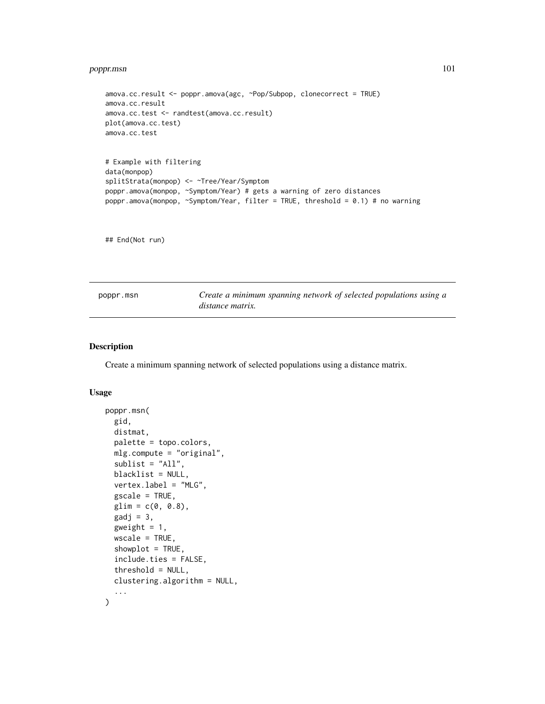# poppr.msn 101

```
amova.cc.result <- poppr.amova(agc, ~Pop/Subpop, clonecorrect = TRUE)
amova.cc.result
amova.cc.test <- randtest(amova.cc.result)
plot(amova.cc.test)
amova.cc.test
# Example with filtering
data(monpop)
splitStrata(monpop) <- ~Tree/Year/Symptom
poppr.amova(monpop, ~Symptom/Year) # gets a warning of zero distances
poppr.amova(monpop, ~Symptom/Year, filter = TRUE, threshold = 0.1) # no warning
```
## End(Not run)

<span id="page-100-0"></span>

| poppr.msn | Create a minimum spanning network of selected populations using a |
|-----------|-------------------------------------------------------------------|
|           | distance matrix.                                                  |

## Description

Create a minimum spanning network of selected populations using a distance matrix.

# Usage

```
poppr.msn(
  gid,
  distmat,
  palette = topo.colors,
 mlg.compute = "original",
  sublist = "All",blacklist = NULL,
  vertex.label = "MLG",
 gscale = TRUE,
  glim = c(0, 0.8),\text{gadj} = 3,
  gweight = 1,
 wscale = TRUE,
  showplot = TRUE,
  include.ties = FALSE,
  threshold = NULL,
  clustering.algorithm = NULL,
  ...
\mathcal{L}
```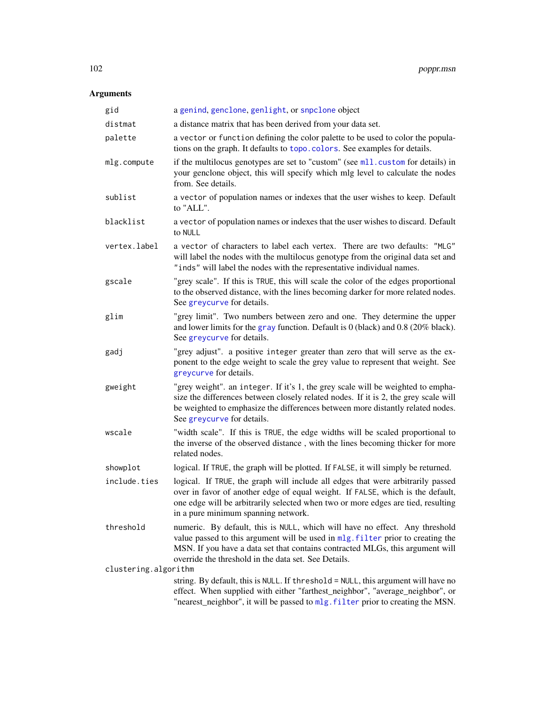| gid                  | a genind, genclone, genlight, or snpclone object                                                                                                                                                                                                                                                        |
|----------------------|---------------------------------------------------------------------------------------------------------------------------------------------------------------------------------------------------------------------------------------------------------------------------------------------------------|
| distmat              | a distance matrix that has been derived from your data set.                                                                                                                                                                                                                                             |
| palette              | a vector or function defining the color palette to be used to color the popula-<br>tions on the graph. It defaults to topo.colors. See examples for details.                                                                                                                                            |
| mlg.compute          | if the multilocus genotypes are set to "custom" (see ml1.custom for details) in<br>your genclone object, this will specify which mlg level to calculate the nodes<br>from. See details.                                                                                                                 |
| sublist              | a vector of population names or indexes that the user wishes to keep. Default<br>to "ALL".                                                                                                                                                                                                              |
| blacklist            | a vector of population names or indexes that the user wishes to discard. Default<br>to NULL                                                                                                                                                                                                             |
| vertex.label         | a vector of characters to label each vertex. There are two defaults: "MLG"<br>will label the nodes with the multilocus genotype from the original data set and<br>"inds" will label the nodes with the representative individual names.                                                                 |
| gscale               | "grey scale". If this is TRUE, this will scale the color of the edges proportional<br>to the observed distance, with the lines becoming darker for more related nodes.<br>See greycurve for details.                                                                                                    |
| glim                 | "grey limit". Two numbers between zero and one. They determine the upper<br>and lower limits for the gray function. Default is $0$ (black) and $0.8$ (20% black).<br>See greycurve for details.                                                                                                         |
| gadj                 | "grey adjust". a positive integer greater than zero that will serve as the ex-<br>ponent to the edge weight to scale the grey value to represent that weight. See<br>greycurve for details.                                                                                                             |
| gweight              | "grey weight". an integer. If it's 1, the grey scale will be weighted to empha-<br>size the differences between closely related nodes. If it is 2, the grey scale will<br>be weighted to emphasize the differences between more distantly related nodes.<br>See greycurve for details.                  |
| wscale               | "width scale". If this is TRUE, the edge widths will be scaled proportional to<br>the inverse of the observed distance, with the lines becoming thicker for more<br>related nodes.                                                                                                                      |
| showplot             | logical. If TRUE, the graph will be plotted. If FALSE, it will simply be returned.                                                                                                                                                                                                                      |
| include.ties         | logical. If TRUE, the graph will include all edges that were arbitrarily passed<br>over in favor of another edge of equal weight. If FALSE, which is the default,<br>one edge will be arbitrarily selected when two or more edges are tied, resulting<br>in a pure minimum spanning network.            |
| threshold            | numeric. By default, this is NULL, which will have no effect. Any threshold<br>value passed to this argument will be used in mlg. filter prior to creating the<br>MSN. If you have a data set that contains contracted MLGs, this argument will<br>override the threshold in the data set. See Details. |
| clustering.algorithm |                                                                                                                                                                                                                                                                                                         |
|                      | string. By default, this is NULL. If threshold = NULL, this argument will have no<br>effect. When supplied with either "farthest_neighbor", "average_neighbor", or<br>"nearest_neighbor", it will be passed to mlg. filter prior to creating the MSN.                                                   |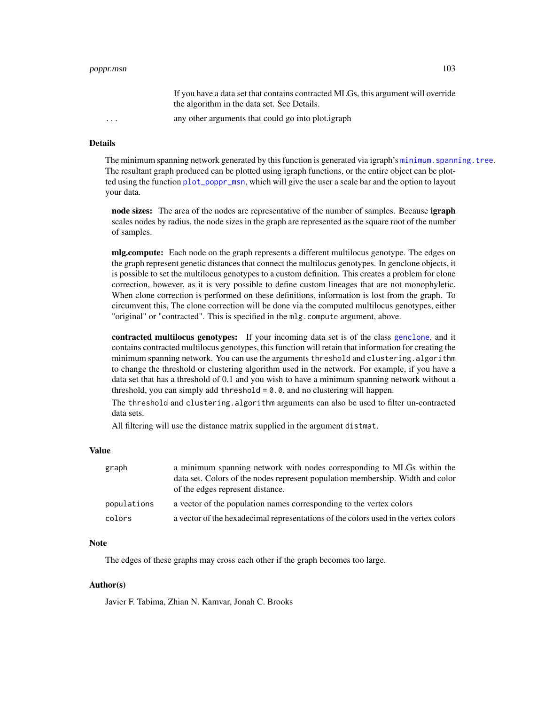### Details

The minimum spanning network generated by this function is generated via igraph's minimum. spanning. tree. The resultant graph produced can be plotted using igraph functions, or the entire object can be plotted using the function [plot\\_poppr\\_msn](#page-85-0), which will give the user a scale bar and the option to layout your data.

node sizes: The area of the nodes are representative of the number of samples. Because igraph scales nodes by radius, the node sizes in the graph are represented as the square root of the number of samples.

mlg.compute: Each node on the graph represents a different multilocus genotype. The edges on the graph represent genetic distances that connect the multilocus genotypes. In genclone objects, it is possible to set the multilocus genotypes to a custom definition. This creates a problem for clone correction, however, as it is very possible to define custom lineages that are not monophyletic. When clone correction is performed on these definitions, information is lost from the graph. To circumvent this, The clone correction will be done via the computed multilocus genotypes, either "original" or "contracted". This is specified in the mlg.compute argument, above.

contracted multilocus genotypes: If your incoming data set is of the class [genclone](#page-42-1), and it contains contracted multilocus genotypes, this function will retain that information for creating the minimum spanning network. You can use the arguments threshold and clustering.algorithm to change the threshold or clustering algorithm used in the network. For example, if you have a data set that has a threshold of 0.1 and you wish to have a minimum spanning network without a threshold, you can simply add threshold  $= 0.0$ , and no clustering will happen.

The threshold and clustering.algorithm arguments can also be used to filter un-contracted data sets.

All filtering will use the distance matrix supplied in the argument distmat.

# Value

| graph       | a minimum spanning network with nodes corresponding to MLGs within the<br>data set. Colors of the nodes represent population membership. Width and color |
|-------------|----------------------------------------------------------------------------------------------------------------------------------------------------------|
| populations | of the edges represent distance.<br>a vector of the population names corresponding to the vertex colors                                                  |
| colors      | a vector of the hexadecimal representations of the colors used in the vertex colors                                                                      |

# Note

The edges of these graphs may cross each other if the graph becomes too large.

## Author(s)

Javier F. Tabima, Zhian N. Kamvar, Jonah C. Brooks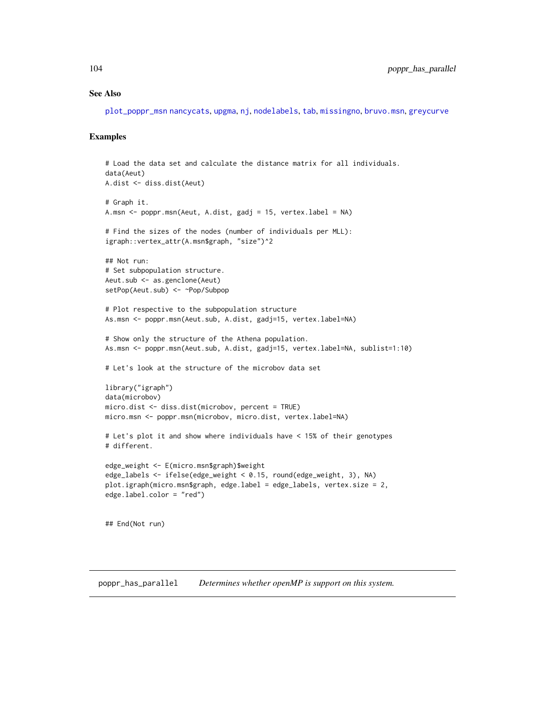# See Also

[plot\\_poppr\\_msn](#page-85-0) [nancycats](#page-0-0), [upgma](#page-0-0), [nj](#page-0-0), [nodelabels](#page-0-0), [tab](#page-0-0), [missingno](#page-64-0), [bruvo.msn](#page-22-0), [greycurve](#page-48-0)

### Examples

```
# Load the data set and calculate the distance matrix for all individuals.
data(Aeut)
A.dist <- diss.dist(Aeut)
# Graph it.
A.msn <- poppr.msn(Aeut, A.dist, gadj = 15, vertex.label = NA)
# Find the sizes of the nodes (number of individuals per MLL):
igraph::vertex_attr(A.msn$graph, "size")^2
## Not run:
# Set subpopulation structure.
Aeut.sub <- as.genclone(Aeut)
setPop(Aeut.sub) <- ~Pop/Subpop
# Plot respective to the subpopulation structure
As.msn <- poppr.msn(Aeut.sub, A.dist, gadj=15, vertex.label=NA)
# Show only the structure of the Athena population.
As.msn <- poppr.msn(Aeut.sub, A.dist, gadj=15, vertex.label=NA, sublist=1:10)
# Let's look at the structure of the microbov data set
library("igraph")
data(microbov)
micro.dist <- diss.dist(microbov, percent = TRUE)
micro.msn <- poppr.msn(microbov, micro.dist, vertex.label=NA)
# Let's plot it and show where individuals have < 15% of their genotypes
# different.
edge_weight <- E(micro.msn$graph)$weight
edge_labels <- ifelse(edge_weight < 0.15, round(edge_weight, 3), NA)
plot.igraph(micro.msn$graph, edge.label = edge_labels, vertex.size = 2,
edge.label.color = "red")
## End(Not run)
```
poppr\_has\_parallel *Determines whether openMP is support on this system.*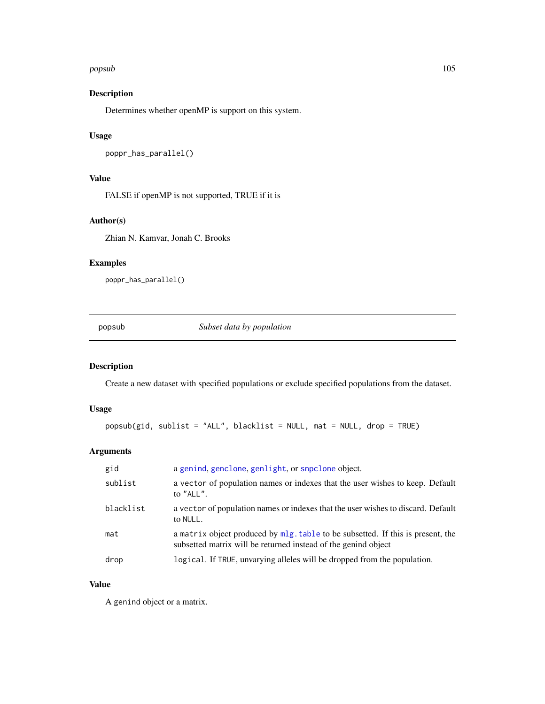### popsub 105

# Description

Determines whether openMP is support on this system.

### Usage

poppr\_has\_parallel()

# Value

FALSE if openMP is not supported, TRUE if it is

# Author(s)

Zhian N. Kamvar, Jonah C. Brooks

# Examples

poppr\_has\_parallel()

popsub *Subset data by population*

# Description

Create a new dataset with specified populations or exclude specified populations from the dataset.

### Usage

```
popsub(gid, sublist = "ALL", blacklist = NULL, mat = NULL, drop = TRUE)
```
# Arguments

| gid       | a genind, genclone, genlight, or snpclone object.                                                                                                 |
|-----------|---------------------------------------------------------------------------------------------------------------------------------------------------|
| sublist   | a vector of population names or indexes that the user wishes to keep. Default<br>to $"ALL"$ .                                                     |
| blacklist | a vector of population names or indexes that the user wishes to discard. Default<br>to NULL.                                                      |
| mat       | a matrix object produced by mlg. table to be subsetted. If this is present, the<br>subsetted matrix will be returned instead of the genind object |
| drop      | logical. If TRUE, unvarying alleles will be dropped from the population.                                                                          |

# Value

A genind object or a matrix.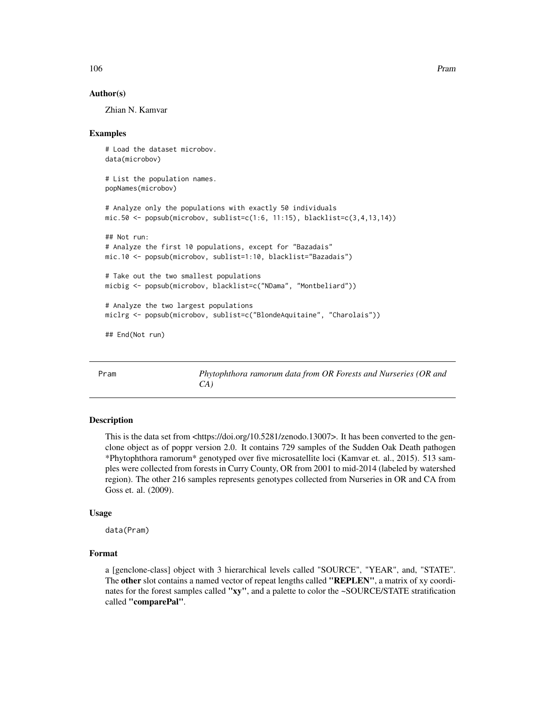### Author(s)

Zhian N. Kamvar

### Examples

```
# Load the dataset microbov.
data(microbov)
# List the population names.
popNames(microbov)
# Analyze only the populations with exactly 50 individuals
mic.50 \leq post(microbow, sublist = c(1:6, 11:15), blacklist = c(3, 4, 13, 14))## Not run:
# Analyze the first 10 populations, except for "Bazadais"
mic.10 <- popsub(microbov, sublist=1:10, blacklist="Bazadais")
# Take out the two smallest populations
micbig <- popsub(microbov, blacklist=c("NDama", "Montbeliard"))
# Analyze the two largest populations
miclrg <- popsub(microbov, sublist=c("BlondeAquitaine", "Charolais"))
## End(Not run)
```
Pram *Phytophthora ramorum data from OR Forests and Nurseries (OR and CA)*

### Description

This is the data set from <https://doi.org/10.5281/zenodo.13007>. It has been converted to the genclone object as of poppr version 2.0. It contains 729 samples of the Sudden Oak Death pathogen \*Phytophthora ramorum\* genotyped over five microsatellite loci (Kamvar et. al., 2015). 513 samples were collected from forests in Curry County, OR from 2001 to mid-2014 (labeled by watershed region). The other 216 samples represents genotypes collected from Nurseries in OR and CA from Goss et. al. (2009).

### Usage

data(Pram)

### Format

a [genclone-class] object with 3 hierarchical levels called "SOURCE", "YEAR", and, "STATE". The other slot contains a named vector of repeat lengths called "REPLEN", a matrix of xy coordinates for the forest samples called "xy", and a palette to color the ~SOURCE/STATE stratification called "comparePal".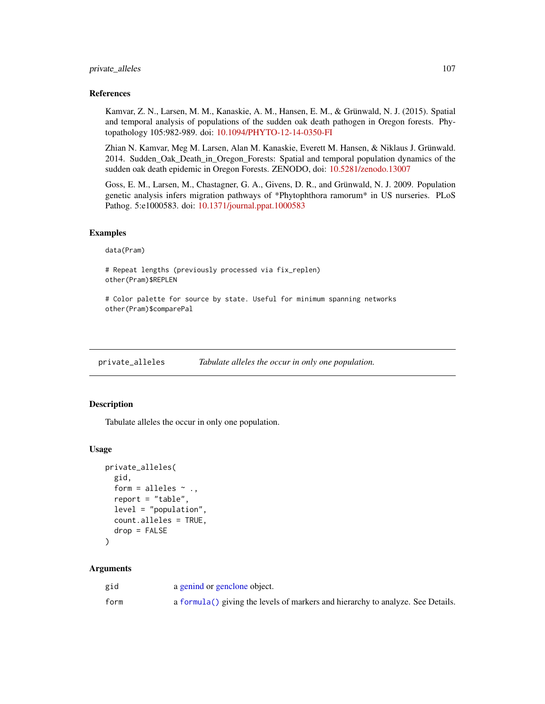# private\_alleles 107

### References

Kamvar, Z. N., Larsen, M. M., Kanaskie, A. M., Hansen, E. M., & Grünwald, N. J. (2015). Spatial and temporal analysis of populations of the sudden oak death pathogen in Oregon forests. Phytopathology 105:982-989. doi: [10.1094/PHYTO-12-14-0350-FI](https://doi.org/10.1094/PHYTO-12-14-0350-FI)

Zhian N. Kamvar, Meg M. Larsen, Alan M. Kanaskie, Everett M. Hansen, & Niklaus J. Grünwald. 2014. Sudden\_Oak\_Death\_in\_Oregon\_Forests: Spatial and temporal population dynamics of the sudden oak death epidemic in Oregon Forests. ZENODO, doi: [10.5281/zenodo.13007](https://doi.org/10.5281/zenodo.13007)

Goss, E. M., Larsen, M., Chastagner, G. A., Givens, D. R., and Grünwald, N. J. 2009. Population genetic analysis infers migration pathways of \*Phytophthora ramorum\* in US nurseries. PLoS Pathog. 5:e1000583. doi: [10.1371/journal.ppat.1000583](https://doi.org/10.1371/journal.ppat.1000583)

### Examples

data(Pram)

# Repeat lengths (previously processed via fix\_replen) other(Pram)\$REPLEN

# Color palette for source by state. Useful for minimum spanning networks other(Pram)\$comparePal

private\_alleles *Tabulate alleles the occur in only one population.*

### Description

Tabulate alleles the occur in only one population.

### Usage

```
private_alleles(
  gid,
  form = alleles \sim .,
  report = "table",
  level = "population",
  count.alleles = TRUE,
  drop = FALSE
```
)

| gid  | a genind or genclone object.                                                    |
|------|---------------------------------------------------------------------------------|
| form | a formula() giving the levels of markers and hierarchy to analyze. See Details. |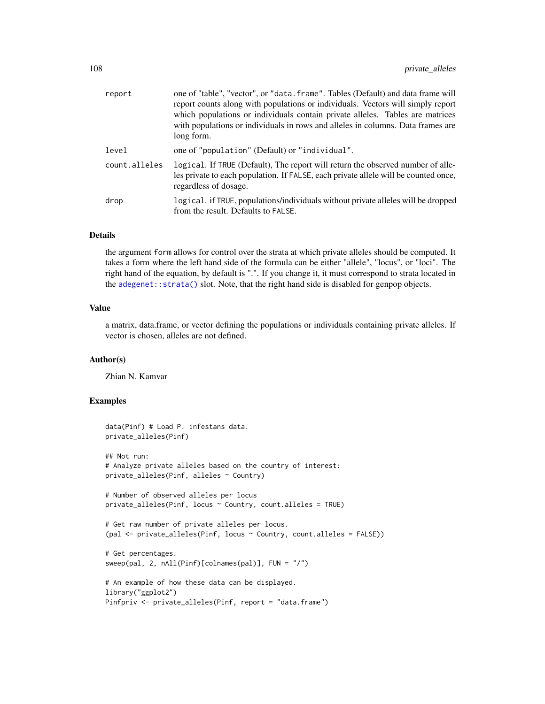| report        | one of "table", "vector", or "data. frame". Tables (Default) and data frame will<br>report counts along with populations or individuals. Vectors will simply report<br>which populations or individuals contain private alleles. Tables are matrices<br>with populations or individuals in rows and alleles in columns. Data frames are<br>long form. |
|---------------|-------------------------------------------------------------------------------------------------------------------------------------------------------------------------------------------------------------------------------------------------------------------------------------------------------------------------------------------------------|
| level         | one of "population" (Default) or "individual".                                                                                                                                                                                                                                                                                                        |
| count.alleles | logical. If TRUE (Default), The report will return the observed number of alle-<br>les private to each population. If FALSE, each private allele will be counted once,<br>regardless of dosage.                                                                                                                                                       |
| drop          | logical, if TRUE, populations/individuals without private alleles will be dropped<br>from the result. Defaults to FALSE.                                                                                                                                                                                                                              |

# Details

the argument form allows for control over the strata at which private alleles should be computed. It takes a form where the left hand side of the formula can be either "allele", "locus", or "loci". The right hand of the equation, by default is ".". If you change it, it must correspond to strata located in the [adegenet::strata\(\)](#page-0-0) slot. Note, that the right hand side is disabled for genpop objects.

# Value

a matrix, data.frame, or vector defining the populations or individuals containing private alleles. If vector is chosen, alleles are not defined.

### Author(s)

Zhian N. Kamvar

```
data(Pinf) # Load P. infestans data.
private_alleles(Pinf)
## Not run:
# Analyze private alleles based on the country of interest:
private_alleles(Pinf, alleles ~ Country)
# Number of observed alleles per locus
private_alleles(Pinf, locus ~ Country, count.alleles = TRUE)
# Get raw number of private alleles per locus.
(pal <- private_alleles(Pinf, locus ~ Country, count.alleles = FALSE))
# Get percentages.
sweep(pal, 2, nAll(Pinf)[colnames(pal)], FUN = "/")
# An example of how these data can be displayed.
library("ggplot2")
Pinfpriv <- private_alleles(Pinf, report = "data.frame")
```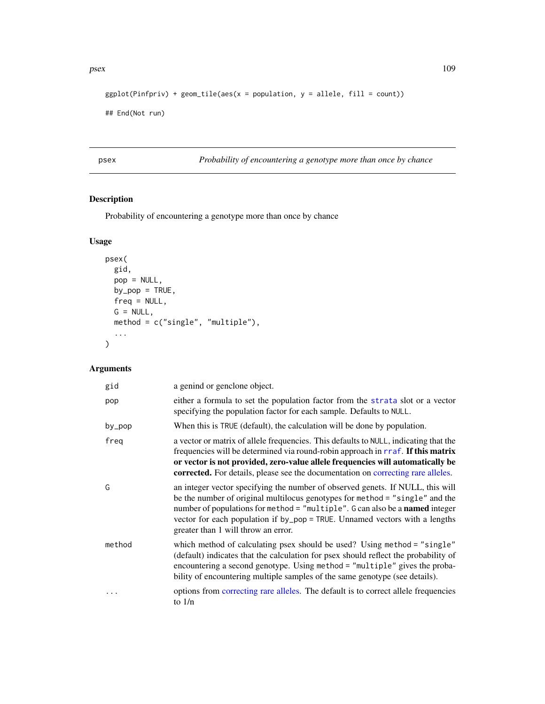```
ggplot(Pinfpriv) + geom\_tile(aes(x = population, y = allele, fill = count))
```

```
## End(Not run)
```
<span id="page-108-0"></span>psex *Probability of encountering a genotype more than once by chance*

# Description

Probability of encountering a genotype more than once by chance

# Usage

```
psex(
  gid,
  pop = NULL,
  by\_pop = TRUE,freq = NULL,
  G = NULL,method = c("single", "multiple"),
  ...
)
```

| gid    | a genind or genclone object.                                                                                                                                                                                                                                                                                                                                         |
|--------|----------------------------------------------------------------------------------------------------------------------------------------------------------------------------------------------------------------------------------------------------------------------------------------------------------------------------------------------------------------------|
| pop    | either a formula to set the population factor from the strata slot or a vector<br>specifying the population factor for each sample. Defaults to NULL.                                                                                                                                                                                                                |
| by_pop | When this is TRUE (default), the calculation will be done by population.                                                                                                                                                                                                                                                                                             |
| freg   | a vector or matrix of allele frequencies. This defaults to NULL, indicating that the<br>frequencies will be determined via round-robin approach in rraf. If this matrix<br>or vector is not provided, zero-value allele frequencies will automatically be<br>corrected. For details, please see the documentation on correcting rare alleles.                        |
| G      | an integer vector specifying the number of observed genets. If NULL, this will<br>be the number of original multilocus genotypes for method = "single" and the<br>number of populations for method = "multiple". G can also be a named integer<br>vector for each population if by_pop = TRUE. Unnamed vectors with a lengths<br>greater than 1 will throw an error. |
| method | which method of calculating psex should be used? Using method = "single"<br>(default) indicates that the calculation for psex should reflect the probability of<br>encountering a second genotype. Using method = "multiple" gives the proba-<br>bility of encountering multiple samples of the same genotype (see details).                                         |
|        | options from correcting rare alleles. The default is to correct allele frequencies<br>to $1/n$                                                                                                                                                                                                                                                                       |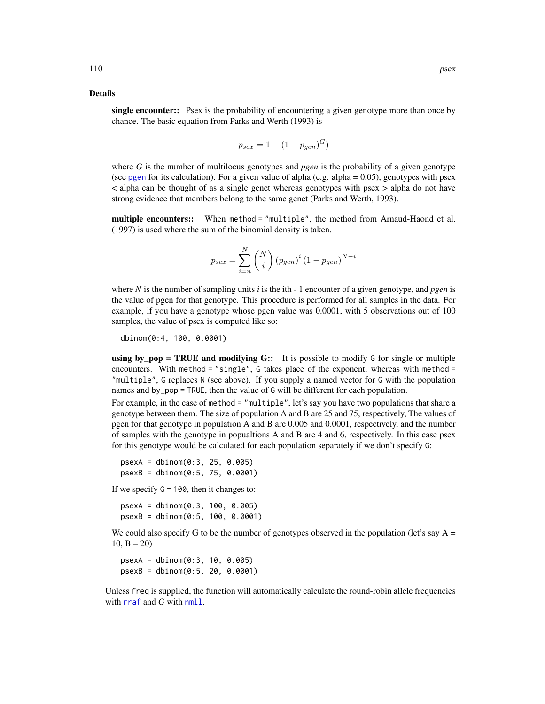#### <span id="page-109-0"></span>Details

single encounter:: Psex is the probability of encountering a given genotype more than once by chance. The basic equation from Parks and Werth (1993) is

$$
p_{sex} = 1 - (1 - p_{gen})^G)
$$

where *G* is the number of multilocus genotypes and *pgen* is the probability of a given genotype (see [pgen](#page-82-0) for its calculation). For a given value of alpha (e.g. alpha =  $0.05$ ), genotypes with psex < alpha can be thought of as a single genet whereas genotypes with psex > alpha do not have strong evidence that members belong to the same genet (Parks and Werth, 1993).

multiple encounters:: When method = "multiple", the method from Arnaud-Haond et al. (1997) is used where the sum of the binomial density is taken.

$$
p_{sex} = \sum_{i=n}^{N} {N \choose i} (p_{gen})^{i} (1 - p_{gen})^{N-i}
$$

where *N* is the number of sampling units *i* is the ith - 1 encounter of a given genotype, and *pgen* is the value of pgen for that genotype. This procedure is performed for all samples in the data. For example, if you have a genotype whose pgen value was 0.0001, with 5 observations out of 100 samples, the value of psex is computed like so:

dbinom(0:4, 100, 0.0001)

using by  $pop = TRUE$  and modifying  $G::$  It is possible to modify G for single or multiple encounters. With method = "single", G takes place of the exponent, whereas with method = "multiple", G replaces N (see above). If you supply a named vector for G with the population names and by\_pop = TRUE, then the value of G will be different for each population.

For example, in the case of method = "multiple", let's say you have two populations that share a genotype between them. The size of population A and B are 25 and 75, respectively, The values of pgen for that genotype in population A and B are 0.005 and 0.0001, respectively, and the number of samples with the genotype in popualtions A and B are 4 and 6, respectively. In this case psex for this genotype would be calculated for each population separately if we don't specify G:

 $psexA = dbinom(0:3, 25, 0.005)$ psexB = dbinom(0:5, 75, 0.0001)

If we specify  $G = 100$ , then it changes to:

psexA = dbinom(0:3, 100, 0.005) psexB = dbinom(0:5, 100, 0.0001)

We could also specify G to be the number of genotypes observed in the population (let's say  $A =$  $10, B = 20$ 

psexA = dbinom(0:3, 10, 0.005) psexB = dbinom(0:5, 20, 0.0001)

Unless freq is supplied, the function will automatically calculate the round-robin allele frequencies with [rraf](#page-118-0) and *G* with [nmll](#page-74-0).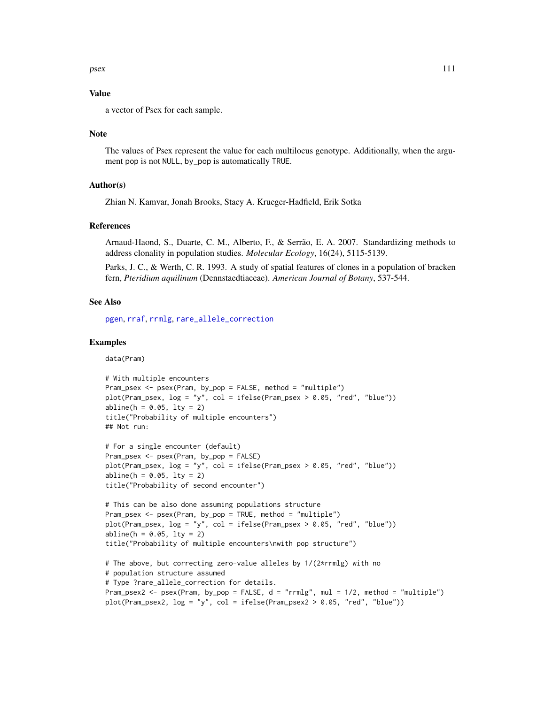# <span id="page-110-0"></span>Value

a vector of Psex for each sample.

#### **Note**

The values of Psex represent the value for each multilocus genotype. Additionally, when the argument pop is not NULL, by\_pop is automatically TRUE.

# Author(s)

Zhian N. Kamvar, Jonah Brooks, Stacy A. Krueger-Hadfield, Erik Sotka

# References

Arnaud-Haond, S., Duarte, C. M., Alberto, F., & Serrão, E. A. 2007. Standardizing methods to address clonality in population studies. *Molecular Ecology*, 16(24), 5115-5139.

Parks, J. C., & Werth, C. R. 1993. A study of spatial features of clones in a population of bracken fern, *Pteridium aquilinum* (Dennstaedtiaceae). *American Journal of Botany*, 537-544.

#### See Also

[pgen](#page-82-0), [rraf](#page-118-0), [rrmlg](#page-120-0), [rare\\_allele\\_correction](#page-112-0)

# Examples

data(Pram)

```
# With multiple encounters
Pram_psex <- psex(Pram, by_pop = FALSE, method = "multiple")
plot(Pram_psex, log = "y", col = ifelse(Pram_psex > 0.05, "red", "blue"))
abline(h = 0.05, 1ty = 2)title("Probability of multiple encounters")
## Not run:
```

```
# For a single encounter (default)
Pram_psex <- psex(Pram, by_pop = FALSE)
plot(Pram_psex, log = "y", col = ifelse(Pram_psex > 0.05, "red", "blue"))
abline(h = 0.05, 1ty = 2)title("Probability of second encounter")
```

```
# This can be also done assuming populations structure
Pram_psex <- psex(Pram, by_pop = TRUE, method = "multiple")
plot(Pram_psex, log = "y", col = ifelse(Pram_psex > 0.05, "red", "blue"))
abline(h = 0.05, 1ty = 2)title("Probability of multiple encounters\nwith pop structure")
```

```
# The above, but correcting zero-value alleles by 1/(2*rrmlg) with no
# population structure assumed
# Type ?rare_allele_correction for details.
Pram_psex2 <- psex(Pram, by\_pop = FALSE, d = "rrmlg", mul = 1/2, method = "multiple")plot(Pram_psex2, log = "y", col = ifelse(Pram_psex2 > 0.05, "red", "blue"))
```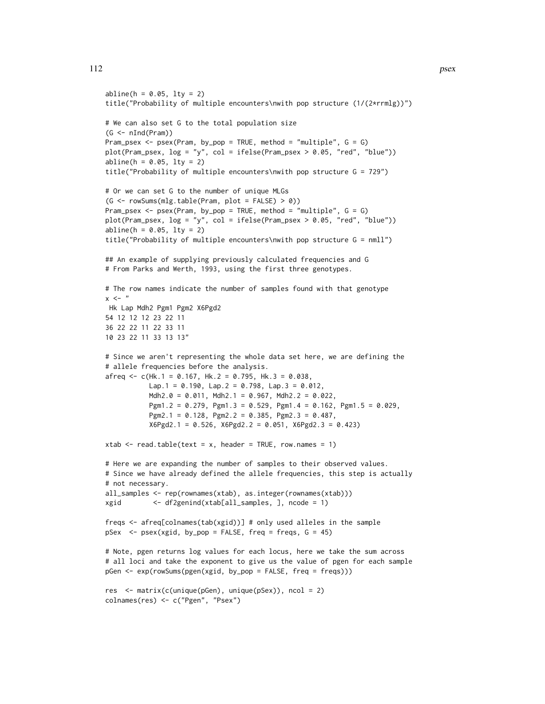```
abline(h = 0.05, 1ty = 2)title("Probability of multiple encounters\nwith pop structure (1/(2*rrmlg))")
# We can also set G to the total population size
(G \leq -nInd(Pram))Pram_psex \leq psex(Pram, by_pop = TRUE, method = "multiple", G = G)
plot(Pram_psex, log = "y", col = ifelse(Pram_psex > 0.05, "red", "blue"))abline(h = 0.05, 1ty = 2)title("Probability of multiple encounters\nwith pop structure G = 729")
# Or we can set G to the number of unique MLGs
(G \leq -\text{rowsums}(mlg.table(Pram, plot = FALSE) > 0)Pram_psex <- psex(Pram, by_pop = TRUE, method = "multiple", G = G)
plot(Pram_psex, log = "y", col = ifelse(Pram_psex > 0.05, "red", "blue"))abline(h = 0.05, 1ty = 2)title("Probability of multiple encounters\nwith pop structure G = nmll")
## An example of supplying previously calculated frequencies and G
# From Parks and Werth, 1993, using the first three genotypes.
# The row names indicate the number of samples found with that genotype
x < - "
Hk Lap Mdh2 Pgm1 Pgm2 X6Pgd2
54 12 12 12 23 22 11
36 22 22 11 22 33 11
10 23 22 11 33 13 13"
# Since we aren't representing the whole data set here, we are defining the
# allele frequencies before the analysis.
afreq <-c(Hk.1 = 0.167, Hk.2 = 0.795, Hk.3 = 0.038,Lap.1 = 0.190, Lap.2 = 0.798, Lap.3 = 0.012,
           Mdh2.0 = 0.011, Mdh2.1 = 0.967, Mdh2.2 = 0.022,
           Pgm1.2 = 0.279, Pgm1.3 = 0.529, Pgm1.4 = 0.162, Pgm1.5 = 0.029,
           Pgm2.1 = 0.128, Pgm2.2 = 0.385, Pgm2.3 = 0.487,
           X6Pgd2.1 = 0.526, X6Pgd2.2 = 0.051, X6Pgd2.3 = 0.423)
xtab \le read.table(text = x, header = TRUE, row.names = 1)
# Here we are expanding the number of samples to their observed values.
# Since we have already defined the allele frequencies, this step is actually
# not necessary.
all_samples <- rep(rownames(xtab), as.integer(rownames(xtab)))
xgid <- df2genind(xtab[all_samples, ], ncode = 1)
freqs <- afreq[colnames(tab(xgid))] # only used alleles in the sample
pSex < - psex(xgid, by\_pop = FALSE, freq = freqs, G = 45)# Note, pgen returns log values for each locus, here we take the sum across
# all loci and take the exponent to give us the value of pgen for each sample
pGen <- exp(rowSums(pgen(xgid, by_pop = FALSE, freq = freqs)))
res <- matrix(c(unique(pGen), unique(pSex)), ncol = 2)
```
colnames(res) <- c("Pgen", "Psex")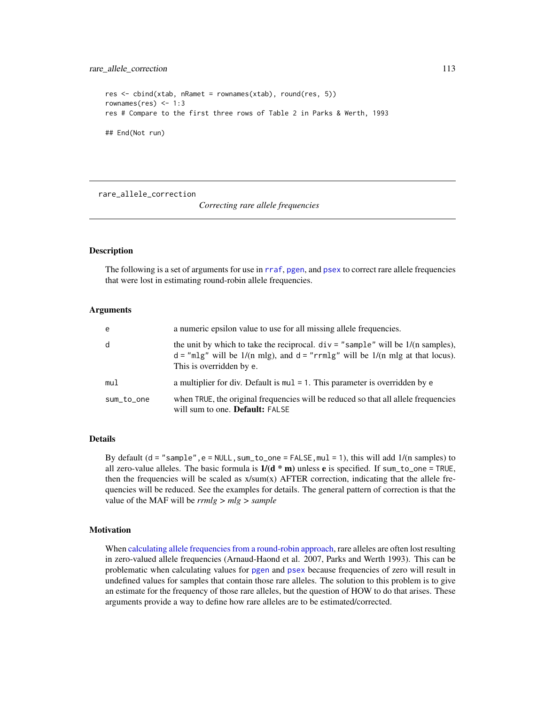```
res <- cbind(xtab, nRamet = rownames(xtab), round(res, 5))
rownames(res) <-1:3res # Compare to the first three rows of Table 2 in Parks & Werth, 1993
## End(Not run)
```
<span id="page-112-0"></span>rare\_allele\_correction

*Correcting rare allele frequencies*

#### Description

The following is a set of arguments for use in [rraf](#page-118-0), [pgen](#page-82-0), and [psex](#page-108-0) to correct rare allele frequencies that were lost in estimating round-robin allele frequencies.

# Arguments

| e          | a numeric epsilon value to use for all missing allele frequencies.                                                                                                                                            |
|------------|---------------------------------------------------------------------------------------------------------------------------------------------------------------------------------------------------------------|
| d          | the unit by which to take the reciprocal. $div =$ "sample" will be $1/(n \text{ samples})$ ,<br>$d = "mlg"$ will be 1/(n mlg), and $d = "rrmlg"$ will be 1/(n mlg at that locus).<br>This is overridden by e. |
| mul        | a multiplier for div. Default is $mul = 1$ . This parameter is overridden by e                                                                                                                                |
| sum_to_one | when TRUE, the original frequencies will be reduced so that all allele frequencies<br>will sum to one. <b>Default:</b> FALSE                                                                                  |

# Details

By default  $(d = "sample", e = NULL, sum_to_one = FALSE, mul = 1)$ , this will add  $1/(n$  samples) to all zero-value alleles. The basic formula is  $1/(d * m)$  unless e is specified. If sum to one = TRUE, then the frequencies will be scaled as  $x/sum(x)$  AFTER correction, indicating that the allele frequencies will be reduced. See the examples for details. The general pattern of correction is that the value of the MAF will be *rrmlg > mlg > sample*

# Motivation

When [calculating allele frequencies from a round-robin approach,](#page-118-0) rare alleles are often lost resulting in zero-valued allele frequencies (Arnaud-Haond et al. 2007, Parks and Werth 1993). This can be problematic when calculating values for [pgen](#page-82-0) and [psex](#page-108-0) because frequencies of zero will result in undefined values for samples that contain those rare alleles. The solution to this problem is to give an estimate for the frequency of those rare alleles, but the question of HOW to do that arises. These arguments provide a way to define how rare alleles are to be estimated/corrected.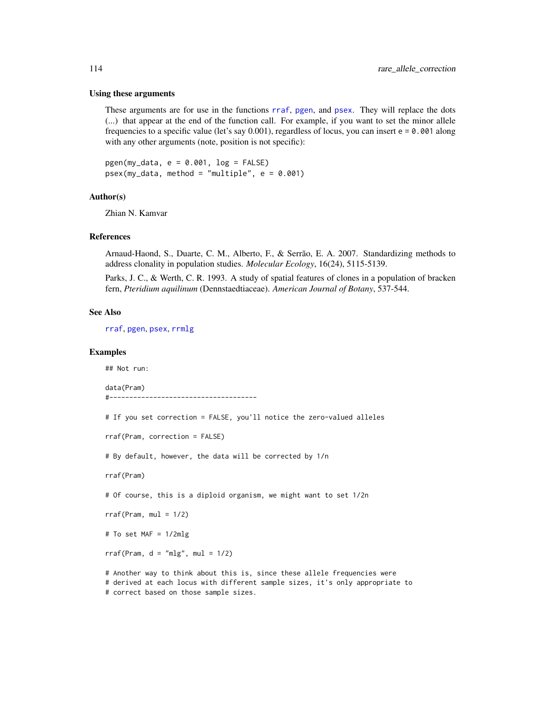#### Using these arguments

These arguments are for use in the functions [rraf](#page-118-0), [pgen](#page-82-0), and [psex](#page-108-0). They will replace the dots (...) that appear at the end of the function call. For example, if you want to set the minor allele frequencies to a specific value (let's say  $0.001$ ), regardless of locus, you can insert  $e = 0.001$  along with any other arguments (note, position is not specific):

 $pgen(my_data, e = 0.001, log = FALSE)$ psex(my\_data, method = "multiple", e = 0.001)

# Author(s)

Zhian N. Kamvar

#### References

Arnaud-Haond, S., Duarte, C. M., Alberto, F., & Serrão, E. A. 2007. Standardizing methods to address clonality in population studies. *Molecular Ecology*, 16(24), 5115-5139.

Parks, J. C., & Werth, C. R. 1993. A study of spatial features of clones in a population of bracken fern, *Pteridium aquilinum* (Dennstaedtiaceae). *American Journal of Botany*, 537-544.

#### See Also

[rraf](#page-118-0), [pgen](#page-82-0), [psex](#page-108-0), [rrmlg](#page-120-0)

#### Examples

## Not run:

data(Pram) #-------------------------------------

```
# If you set correction = FALSE, you'll notice the zero-valued alleles
rraf(Pram, correction = FALSE)
# By default, however, the data will be corrected by 1/n
rraf(Pram)
# Of course, this is a diploid organism, we might want to set 1/2n
rraf(Pram, mul = 1/2)# To set MAF = 1/2mlg
rraf(Pram, d = "mlg", mu1 = 1/2)# Another way to think about this is, since these allele frequencies were
# derived at each locus with different sample sizes, it's only appropriate to
```
<span id="page-113-0"></span>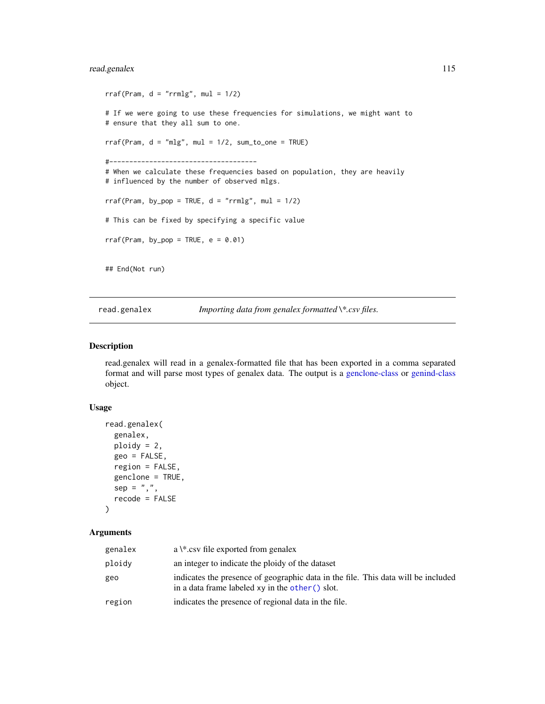# <span id="page-114-0"></span>read.genalex 115

```
rraf(Pram, d = "rrmlg", mul = 1/2)# If we were going to use these frequencies for simulations, we might want to
# ensure that they all sum to one.
rraf(Pram, d = "mlg", mul = 1/2, sum_to_one = TRUE)#-------------------------------------
# When we calculate these frequencies based on population, they are heavily
# influenced by the number of observed mlgs.
rraf(Pram, by\_pop = TRUE, d = "rrmlg", mul = 1/2)# This can be fixed by specifying a specific value
rraf(Pram, by\_pop = TRUE, e = 0.01)## End(Not run)
```
read.genalex *Importing data from genalex formatted \\*.csv files.*

# Description

read.genalex will read in a genalex-formatted file that has been exported in a comma separated format and will parse most types of genalex data. The output is a [genclone-class](#page-42-0) or [genind-class](#page-0-0) object.

# Usage

```
read.genalex(
 genalex,
 ploidy = 2,
 geo = FALSE,
 region = FALSE,
 genclone = TRUE,
  sep = ","recode = FALSE
\lambda
```

| genalex | a $\$ ^*.csv file exported from genalex                                                                                                 |
|---------|-----------------------------------------------------------------------------------------------------------------------------------------|
| ploidy  | an integer to indicate the ploidy of the dataset                                                                                        |
| geo     | indicates the presence of geographic data in the file. This data will be included<br>in a data frame labeled $xy$ in the other () slot. |
| region  | indicates the presence of regional data in the file.                                                                                    |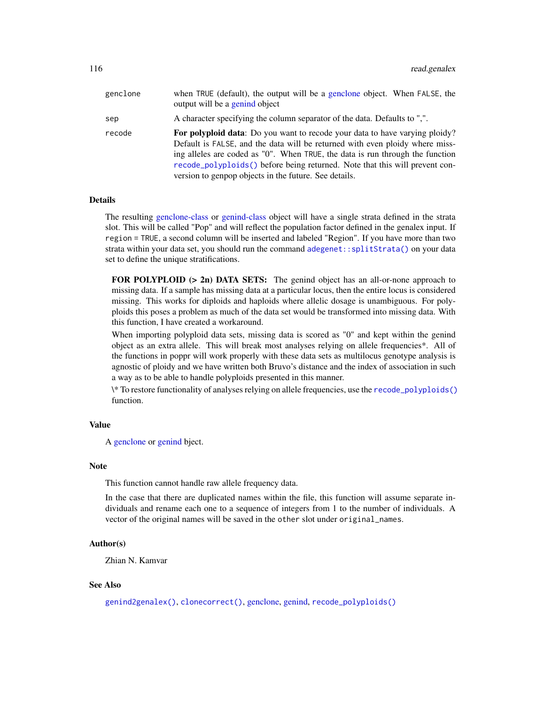<span id="page-115-0"></span>

| genclone | when TRUE (default), the output will be a genclone object. When FALSE, the<br>output will be a genind object                                                                                                                                                                                                                                                                                |
|----------|---------------------------------------------------------------------------------------------------------------------------------------------------------------------------------------------------------------------------------------------------------------------------------------------------------------------------------------------------------------------------------------------|
| sep      | A character specifying the column separator of the data. Defaults to ",".                                                                                                                                                                                                                                                                                                                   |
| recode   | <b>For polyploid data:</b> Do you want to recode your data to have varying ploidy?<br>Default is FALSE, and the data will be returned with even ploidy where miss-<br>ing alleles are coded as "0". When TRUE, the data is run through the function<br>recode_polyploids() before being returned. Note that this will prevent con-<br>version to genpop objects in the future. See details. |

# Details

The resulting [genclone-class](#page-42-0) or [genind-class](#page-0-0) object will have a single strata defined in the strata slot. This will be called "Pop" and will reflect the population factor defined in the genalex input. If region = TRUE, a second column will be inserted and labeled "Region". If you have more than two strata within your data set, you should run the command [adegenet::splitStrata\(\)](#page-0-0) on your data set to define the unique stratifications.

FOR POLYPLOID (> 2n) DATA SETS: The genind object has an all-or-none approach to missing data. If a sample has missing data at a particular locus, then the entire locus is considered missing. This works for diploids and haploids where allelic dosage is unambiguous. For polyploids this poses a problem as much of the data set would be transformed into missing data. With this function, I have created a workaround.

When importing polyploid data sets, missing data is scored as "0" and kept within the genind object as an extra allele. This will break most analyses relying on allele frequencies\*. All of the functions in poppr will work properly with these data sets as multilocus genotype analysis is agnostic of ploidy and we have written both Bruvo's distance and the index of association in such a way as to be able to handle polyploids presented in this manner.

\\* To restore functionality of analyses relying on allele frequencies, use the [recode\\_polyploids\(\)](#page-116-0) function.

# Value

A [genclone](#page-42-1) or [genind](#page-0-0) bject.

#### Note

This function cannot handle raw allele frequency data.

In the case that there are duplicated names within the file, this function will assume separate individuals and rename each one to a sequence of integers from 1 to the number of individuals. A vector of the original names will be saved in the other slot under original\_names.

# Author(s)

Zhian N. Kamvar

# See Also

[genind2genalex\(\)](#page-43-0), [clonecorrect\(\)](#page-26-0), [genclone,](#page-42-1) [genind,](#page-0-0) [recode\\_polyploids\(\)](#page-116-0)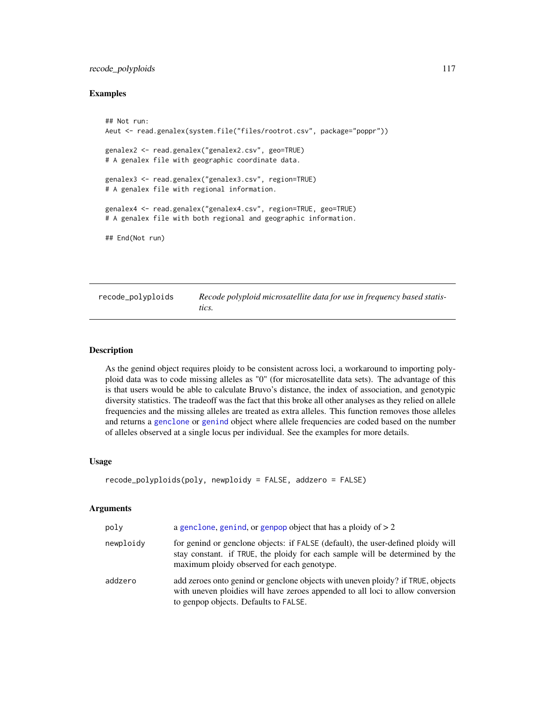# <span id="page-116-1"></span>recode\_polyploids 117

### Examples

```
## Not run:
Aeut <- read.genalex(system.file("files/rootrot.csv", package="poppr"))
genalex2 <- read.genalex("genalex2.csv", geo=TRUE)
# A genalex file with geographic coordinate data.
genalex3 <- read.genalex("genalex3.csv", region=TRUE)
# A genalex file with regional information.
genalex4 <- read.genalex("genalex4.csv", region=TRUE, geo=TRUE)
# A genalex file with both regional and geographic information.
## End(Not run)
```
<span id="page-116-0"></span>

| recode_polyploids | Recode polyploid microsatellite data for use in frequency based statis- |
|-------------------|-------------------------------------------------------------------------|
|                   | tics.                                                                   |

# Description

As the genind object requires ploidy to be consistent across loci, a workaround to importing polyploid data was to code missing alleles as "0" (for microsatellite data sets). The advantage of this is that users would be able to calculate Bruvo's distance, the index of association, and genotypic diversity statistics. The tradeoff was the fact that this broke all other analyses as they relied on allele frequencies and the missing alleles are treated as extra alleles. This function removes those alleles and returns a [genclone](#page-42-1) or [genind](#page-0-0) object where allele frequencies are coded based on the number of alleles observed at a single locus per individual. See the examples for more details.

#### Usage

```
recode_polyploids(poly, newploidy = FALSE, addzero = FALSE)
```

| poly      | a genclone, genind, or genpop object that has a ploidy of $> 2$                                                                                                                                                |
|-----------|----------------------------------------------------------------------------------------------------------------------------------------------------------------------------------------------------------------|
| newploidy | for genind or genclone objects: if FALSE (default), the user-defined ploidy will<br>stay constant. if TRUE, the ploidy for each sample will be determined by the<br>maximum ploidy observed for each genotype. |
| addzero   | add zeroes onto genind or genclone objects with uneven ploidy? if TRUE, objects<br>with uneven ploidies will have zeroes appended to all loci to allow conversion<br>to genpop objects. Defaults to FALSE.     |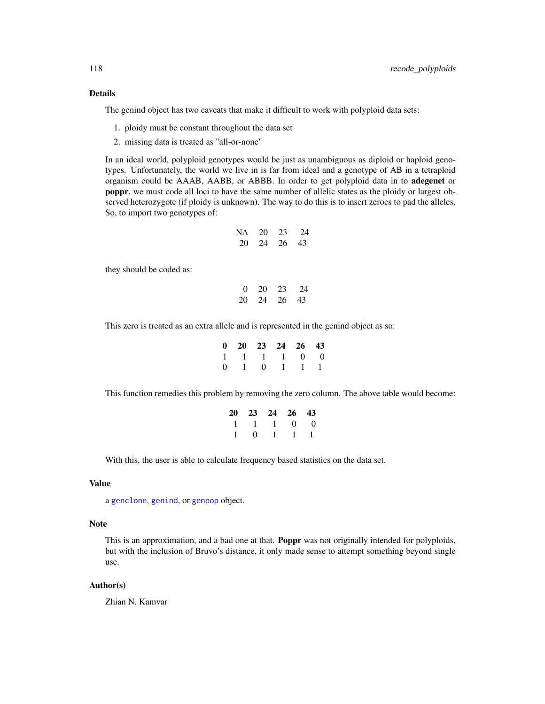# <span id="page-117-0"></span>Details

The genind object has two caveats that make it difficult to work with polyploid data sets:

- 1. ploidy must be constant throughout the data set
- 2. missing data is treated as "all-or-none"

In an ideal world, polyploid genotypes would be just as unambiguous as diploid or haploid genotypes. Unfortunately, the world we live in is far from ideal and a genotype of AB in a tetraploid organism could be AAAB, AABB, or ABBB. In order to get polyploid data in to adegenet or poppr, we must code all loci to have the same number of allelic states as the ploidy or largest observed heterozygote (if ploidy is unknown). The way to do this is to insert zeroes to pad the alleles. So, to import two genotypes of:

| NA | 20 | 23 | 24 |
|----|----|----|----|
| 20 | 24 | 26 | 43 |

they should be coded as:

| 0  | 20 | 23 | 24 |
|----|----|----|----|
| 20 | 24 | 26 | 43 |

This zero is treated as an extra allele and is represented in the genind object as so:

|  | 0 20 23 24 26 43        |  |
|--|-------------------------|--|
|  | 1 1 1 1 0 0             |  |
|  | $0 \t1 \t0 \t1 \t1 \t1$ |  |

This function remedies this problem by removing the zero column. The above table would become:

| 20 23 24 26 43 |  |  |
|----------------|--|--|
| 1 1 1 0 0      |  |  |
| 1 0 1 1 1      |  |  |

With this, the user is able to calculate frequency based statistics on the data set.

# Value

a [genclone](#page-42-1), [genind](#page-0-0), or [genpop](#page-0-0) object.

# Note

This is an approximation, and a bad one at that. **Poppr** was not originally intended for polyploids, but with the inclusion of Bruvo's distance, it only made sense to attempt something beyond single use.

#### Author(s)

Zhian N. Kamvar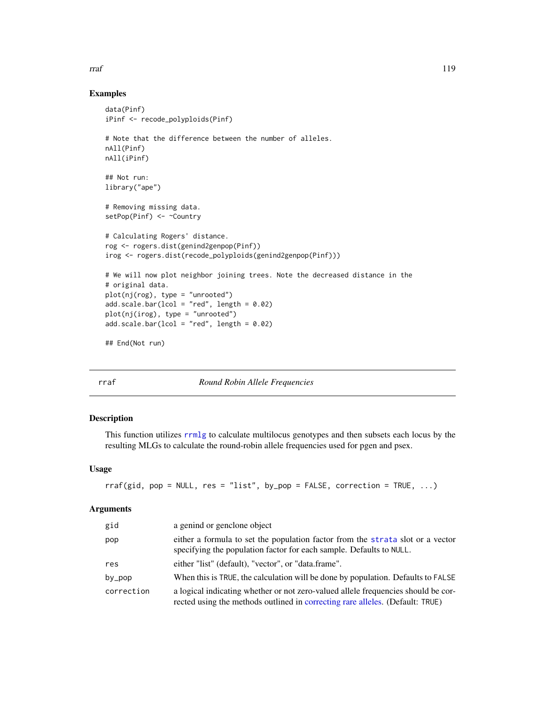### <span id="page-118-1"></span>Examples

```
data(Pinf)
iPinf <- recode_polyploids(Pinf)
# Note that the difference between the number of alleles.
nAll(Pinf)
nAll(iPinf)
## Not run:
library("ape")
# Removing missing data.
setPop(Pinf) <- ~Country
# Calculating Rogers' distance.
rog <- rogers.dist(genind2genpop(Pinf))
irog <- rogers.dist(recode_polyploids(genind2genpop(Pinf)))
# We will now plot neighbor joining trees. Note the decreased distance in the
# original data.
plot(nj(rog), type = "unrooted")
add.scale.bar(lcol = "red", length = 0.02)
plot(nj(irog), type = "unrooted")
add.scale.bar(lcol = "red", length = 0.02)
## End(Not run)
```
<span id="page-118-0"></span>

| ۰.<br>×<br>×<br>$\sim$ |
|------------------------|
|------------------------|

f *Round Robin Allele Frequencies* 

# Description

This function utilizes [rrmlg](#page-120-0) to calculate multilocus genotypes and then subsets each locus by the resulting MLGs to calculate the round-robin allele frequencies used for pgen and psex.

#### Usage

```
rraf(gid, pop = NULL, res = "list", by pop = FALSE, correction = TRUE, ...)
```

| gid        | a genind or genclone object                                                                                                                                        |
|------------|--------------------------------------------------------------------------------------------------------------------------------------------------------------------|
| pop        | either a formula to set the population factor from the strata slot or a vector<br>specifying the population factor for each sample. Defaults to NULL.              |
| res        | either "list" (default), "vector", or "data.frame".                                                                                                                |
| by_pop     | When this is TRUE, the calculation will be done by population. Defaults to FALSE                                                                                   |
| correction | a logical indicating whether or not zero-valued allele frequencies should be cor-<br>rected using the methods outlined in correcting rare alleles. (Default: TRUE) |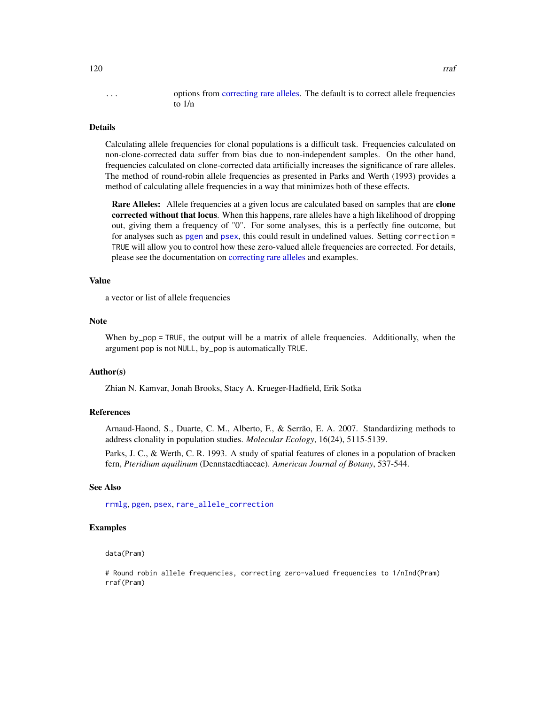# <span id="page-119-0"></span>... options from [correcting rare alleles.](#page-112-0) The default is to correct allele frequencies to 1/n

# Details

Calculating allele frequencies for clonal populations is a difficult task. Frequencies calculated on non-clone-corrected data suffer from bias due to non-independent samples. On the other hand, frequencies calculated on clone-corrected data artificially increases the significance of rare alleles. The method of round-robin allele frequencies as presented in Parks and Werth (1993) provides a method of calculating allele frequencies in a way that minimizes both of these effects.

Rare Alleles: Allele frequencies at a given locus are calculated based on samples that are clone corrected without that locus. When this happens, rare alleles have a high likelihood of dropping out, giving them a frequency of "0". For some analyses, this is a perfectly fine outcome, but for analyses such as [pgen](#page-82-0) and [psex](#page-108-0), this could result in undefined values. Setting correction = TRUE will allow you to control how these zero-valued allele frequencies are corrected. For details, please see the documentation on [correcting rare alleles](#page-112-0) and examples.

#### Value

a vector or list of allele frequencies

#### **Note**

When by\_pop = TRUE, the output will be a matrix of allele frequencies. Additionally, when the argument pop is not NULL, by\_pop is automatically TRUE.

# Author(s)

Zhian N. Kamvar, Jonah Brooks, Stacy A. Krueger-Hadfield, Erik Sotka

# References

Arnaud-Haond, S., Duarte, C. M., Alberto, F., & Serrão, E. A. 2007. Standardizing methods to address clonality in population studies. *Molecular Ecology*, 16(24), 5115-5139.

Parks, J. C., & Werth, C. R. 1993. A study of spatial features of clones in a population of bracken fern, *Pteridium aquilinum* (Dennstaedtiaceae). *American Journal of Botany*, 537-544.

#### See Also

[rrmlg](#page-120-0), [pgen](#page-82-0), [psex](#page-108-0), [rare\\_allele\\_correction](#page-112-0)

# Examples

#### data(Pram)

# Round robin allele frequencies, correcting zero-valued frequencies to 1/nInd(Pram) rraf(Pram)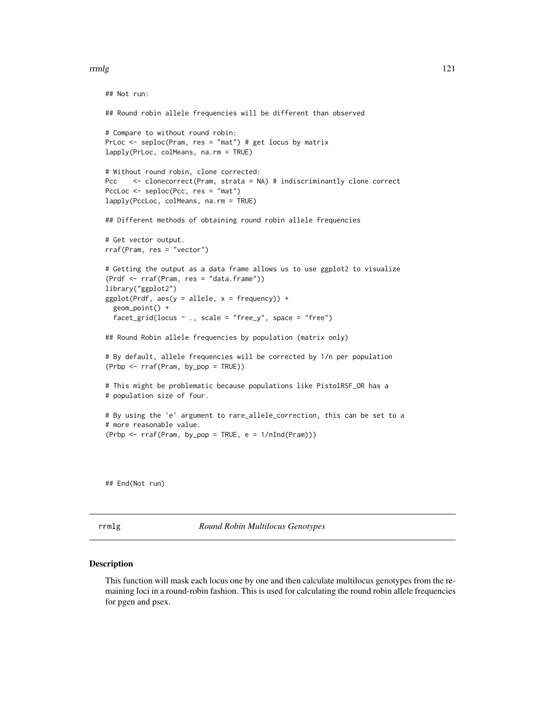#### <span id="page-120-1"></span>rrmlg that the contract of the contract of the contract of the contract of the contract of the contract of the contract of the contract of the contract of the contract of the contract of the contract of the contract of the

```
## Not run:
## Round robin allele frequencies will be different than observed
# Compare to without round robin:
PrLoc <- seploc(Pram, res = "mat") # get locus by matrix
lapply(PrLoc, colMeans, na.rm = TRUE)
# Without round robin, clone corrected:
Pcc <- clonecorrect(Pram, strata = NA) # indiscriminantly clone correct
PccLoc <- seploc(Pcc, res = "mat")
lapply(PccLoc, colMeans, na.rm = TRUE)
## Different methods of obtaining round robin allele frequencies
# Get vector output.
rraf(Pram, res = "vector")
# Getting the output as a data frame allows us to use ggplot2 to visualize
(Prdf <- rraf(Pram, res = "data.frame"))
library("ggplot2")
ggplot(Prdf, aes(y = allele, x = frequency)) +geom_point() +
  facet_grid(locus ~ ., scale = "free_y", space = "free")
## Round Robin allele frequencies by population (matrix only)
# By default, allele frequencies will be corrected by 1/n per population
(Prbp <- rraf(Pram, by_pop = TRUE))
# This might be problematic because populations like PistolRSF_OR has a
# population size of four.
# By using the 'e' argument to rare_allele_correction, this can be set to a
# more reasonable value.
(Prob < - rraf(Pram, by pop = TRUE, e = 1/nInd(Pram)))
```
## End(Not run)

<span id="page-120-0"></span>rrmlg *Round Robin Multilocus Genotypes*

#### Description

This function will mask each locus one by one and then calculate multilocus genotypes from the remaining loci in a round-robin fashion. This is used for calculating the round robin allele frequencies for pgen and psex.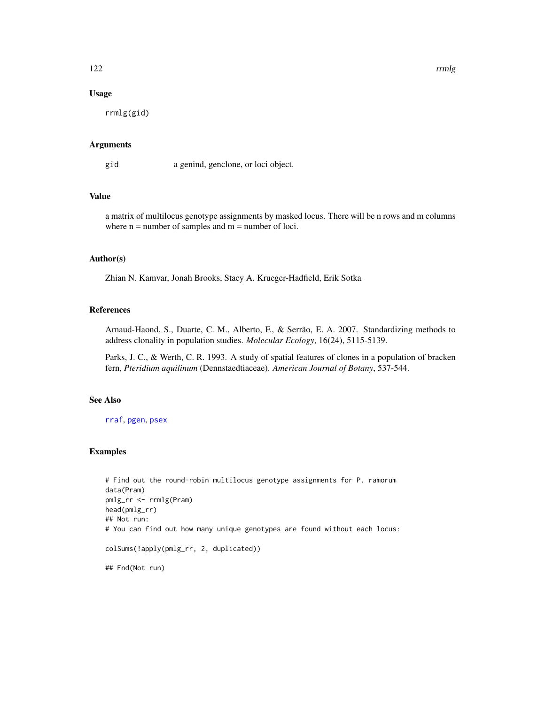# <span id="page-121-0"></span>Usage

rrmlg(gid)

# Arguments

gid a genind, genclone, or loci object.

# Value

a matrix of multilocus genotype assignments by masked locus. There will be n rows and m columns where  $n =$  number of samples and  $m =$  number of loci.

# Author(s)

Zhian N. Kamvar, Jonah Brooks, Stacy A. Krueger-Hadfield, Erik Sotka

# References

Arnaud-Haond, S., Duarte, C. M., Alberto, F., & Serrão, E. A. 2007. Standardizing methods to address clonality in population studies. *Molecular Ecology*, 16(24), 5115-5139.

Parks, J. C., & Werth, C. R. 1993. A study of spatial features of clones in a population of bracken fern, *Pteridium aquilinum* (Dennstaedtiaceae). *American Journal of Botany*, 537-544.

# See Also

[rraf](#page-118-0), [pgen](#page-82-0), [psex](#page-108-0)

# Examples

```
# Find out the round-robin multilocus genotype assignments for P. ramorum
data(Pram)
pmlg_rr <- rrmlg(Pram)
head(pmlg_rr)
## Not run:
# You can find out how many unique genotypes are found without each locus:
colSums(!apply(pmlg_rr, 2, duplicated))
```
## End(Not run)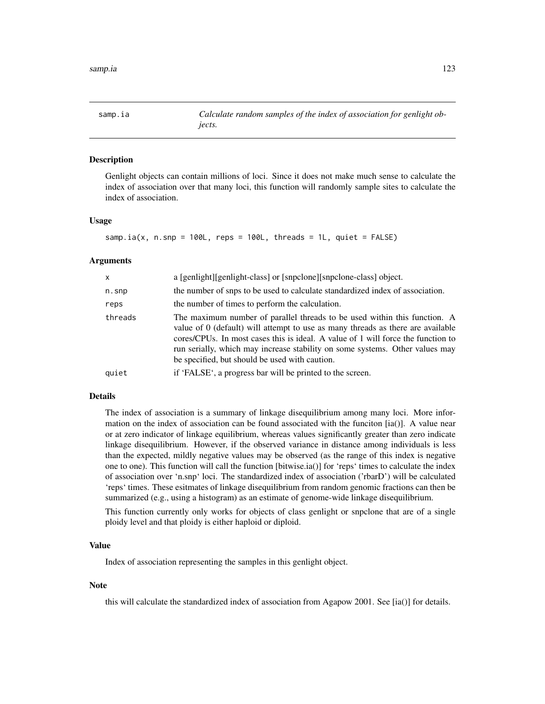<span id="page-122-1"></span><span id="page-122-0"></span>

# Description

Genlight objects can contain millions of loci. Since it does not make much sense to calculate the index of association over that many loci, this function will randomly sample sites to calculate the index of association.

#### Usage

samp.ia(x, n.snp =  $100L$ , reps =  $100L$ , threads =  $1L$ , quiet =  $FALE)$ 

#### Arguments

| $\mathsf{x}$ | a [genlight][genlight-class] or [snpclone][snpclone-class] object.                                                                                                                                                                                                                                                                                                                 |
|--------------|------------------------------------------------------------------------------------------------------------------------------------------------------------------------------------------------------------------------------------------------------------------------------------------------------------------------------------------------------------------------------------|
| $n.s$ np     | the number of snps to be used to calculate standardized index of association.                                                                                                                                                                                                                                                                                                      |
| reps         | the number of times to perform the calculation.                                                                                                                                                                                                                                                                                                                                    |
| threads      | The maximum number of parallel threads to be used within this function. A<br>value of 0 (default) will attempt to use as many threads as there are available<br>cores/CPUs. In most cases this is ideal. A value of 1 will force the function to<br>run serially, which may increase stability on some systems. Other values may<br>be specified, but should be used with caution. |
| quiet        | if 'FALSE', a progress bar will be printed to the screen.                                                                                                                                                                                                                                                                                                                          |

# Details

The index of association is a summary of linkage disequilibrium among many loci. More information on the index of association can be found associated with the funciton  $[ia$ . A value near or at zero indicator of linkage equilibrium, whereas values significantly greater than zero indicate linkage disequilibrium. However, if the observed variance in distance among individuals is less than the expected, mildly negative values may be observed (as the range of this index is negative one to one). This function will call the function [bitwise.ia()] for 'reps' times to calculate the index of association over 'n.snp' loci. The standardized index of association ('rbarD') will be calculated 'reps' times. These esitmates of linkage disequilibrium from random genomic fractions can then be summarized (e.g., using a histogram) as an estimate of genome-wide linkage disequilibrium.

This function currently only works for objects of class genlight or snpclone that are of a single ploidy level and that ploidy is either haploid or diploid.

# Value

Index of association representing the samples in this genlight object.

# **Note**

this will calculate the standardized index of association from Agapow 2001. See [ia()] for details.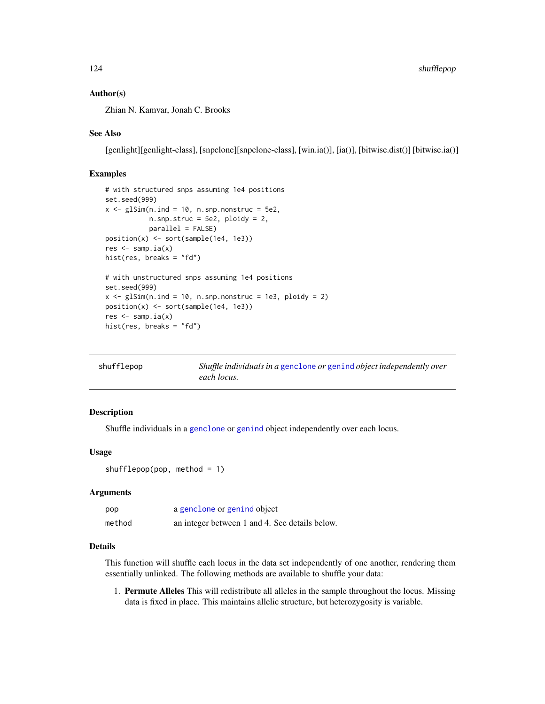# <span id="page-123-0"></span>Author(s)

Zhian N. Kamvar, Jonah C. Brooks

# See Also

[genlight][genlight-class], [snpclone][snpclone-class], [win.ia()], [ia()], [bitwise.dist()] [bitwise.ia()]

# Examples

```
# with structured snps assuming 1e4 positions
set.seed(999)
x \leq -glsim(n.index ind = 10, n.snp.nonstruc = 5e2,n.snp.struc = 5e2, ploidy = 2,
           parallel = FALSE)
position(x) <- sort(sample(1e4, 1e3))
res \leq samp.ia(x)
hist(res, breaks = "fd")
# with unstructured snps assuming 1e4 positions
set.seed(999)
x \leq glsim(n, ind = 10, n.snp.nonstruc = 1e3, ploidy = 2)position(x) <- sort(sample(1e4, 1e3))
res \leq samp.ia(x)
hist(res, breaks = "fd")
```

| shufflepop | Shuffle individuals in a genclone or genind object independently over |
|------------|-----------------------------------------------------------------------|
|            | each locus.                                                           |

# Description

Shuffle individuals in a [genclone](#page-42-1) or [genind](#page-0-0) object independently over each locus.

# Usage

 $shufflepop(pop, method = 1)$ 

# Arguments

| pop    | a genclone or genind object                    |
|--------|------------------------------------------------|
| method | an integer between 1 and 4. See details below. |

# Details

This function will shuffle each locus in the data set independently of one another, rendering them essentially unlinked. The following methods are available to shuffle your data:

1. Permute Alleles This will redistribute all alleles in the sample throughout the locus. Missing data is fixed in place. This maintains allelic structure, but heterozygosity is variable.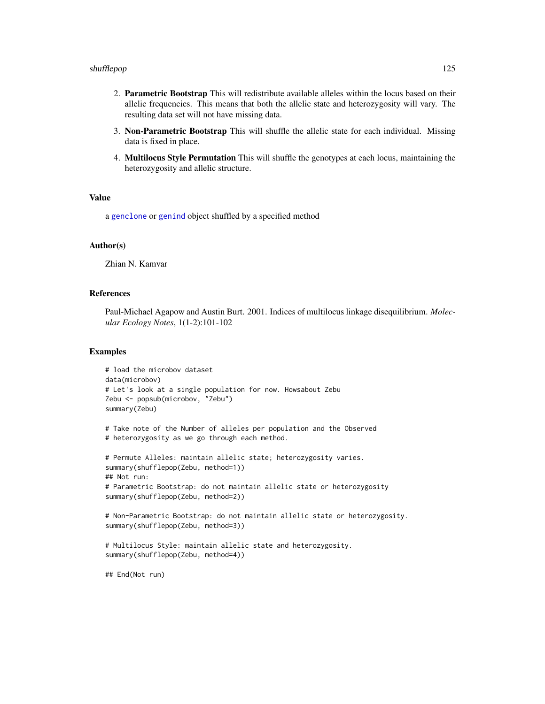#### shufflepop and the state of the state of the state of the state of the state of the state of the state of the state of the state of the state of the state of the state of the state of the state of the state of the state of

- 2. Parametric Bootstrap This will redistribute available alleles within the locus based on their allelic frequencies. This means that both the allelic state and heterozygosity will vary. The resulting data set will not have missing data.
- 3. Non-Parametric Bootstrap This will shuffle the allelic state for each individual. Missing data is fixed in place.
- 4. Multilocus Style Permutation This will shuffle the genotypes at each locus, maintaining the heterozygosity and allelic structure.

# Value

a [genclone](#page-42-1) or [genind](#page-0-0) object shuffled by a specified method

#### Author(s)

Zhian N. Kamvar

# References

Paul-Michael Agapow and Austin Burt. 2001. Indices of multilocus linkage disequilibrium. *Molecular Ecology Notes*, 1(1-2):101-102

### Examples

```
# load the microbov dataset
data(microbov)
# Let's look at a single population for now. Howsabout Zebu
Zebu <- popsub(microbov, "Zebu")
summary(Zebu)
```

```
# Take note of the Number of alleles per population and the Observed
# heterozygosity as we go through each method.
```

```
# Permute Alleles: maintain allelic state; heterozygosity varies.
summary(shufflepop(Zebu, method=1))
## Not run:
# Parametric Bootstrap: do not maintain allelic state or heterozygosity
summary(shufflepop(Zebu, method=2))
```

```
# Non-Parametric Bootstrap: do not maintain allelic state or heterozygosity.
summary(shufflepop(Zebu, method=3))
```

```
# Multilocus Style: maintain allelic state and heterozygosity.
summary(shufflepop(Zebu, method=4))
```
## End(Not run)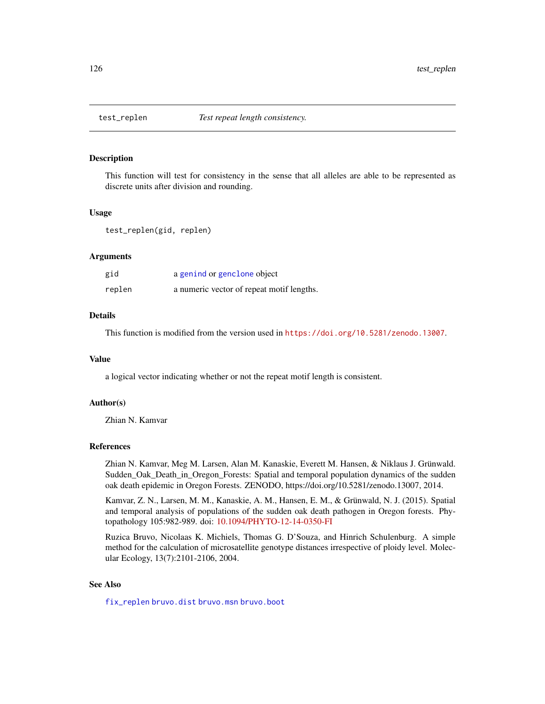<span id="page-125-0"></span>

#### **Description**

This function will test for consistency in the sense that all alleles are able to be represented as discrete units after division and rounding.

#### Usage

test\_replen(gid, replen)

# Arguments

| gid    | a genind or genclone object               |
|--------|-------------------------------------------|
| replen | a numeric vector of repeat motif lengths. |

# Details

This function is modified from the version used in <https://doi.org/10.5281/zenodo.13007>.

#### Value

a logical vector indicating whether or not the repeat motif length is consistent.

# Author(s)

Zhian N. Kamvar

# References

Zhian N. Kamvar, Meg M. Larsen, Alan M. Kanaskie, Everett M. Hansen, & Niklaus J. Grünwald. Sudden\_Oak\_Death\_in\_Oregon\_Forests: Spatial and temporal population dynamics of the sudden oak death epidemic in Oregon Forests. ZENODO, https://doi.org/10.5281/zenodo.13007, 2014.

Kamvar, Z. N., Larsen, M. M., Kanaskie, A. M., Hansen, E. M., & Grünwald, N. J. (2015). Spatial and temporal analysis of populations of the sudden oak death pathogen in Oregon forests. Phytopathology 105:982-989. doi: [10.1094/PHYTO-12-14-0350-FI](https://doi.org/10.1094/PHYTO-12-14-0350-FI)

Ruzica Bruvo, Nicolaas K. Michiels, Thomas G. D'Souza, and Hinrich Schulenburg. A simple method for the calculation of microsatellite genotype distances irrespective of ploidy level. Molecular Ecology, 13(7):2101-2106, 2004.

# See Also

[fix\\_replen](#page-40-0) [bruvo.dist](#page-19-0) [bruvo.msn](#page-22-0) [bruvo.boot](#page-17-0)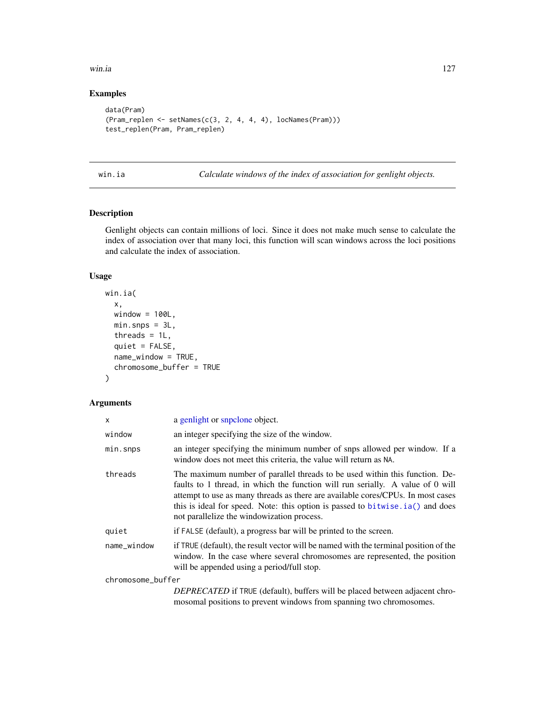#### <span id="page-126-0"></span>win.ia the contract of the contract of the contract of the contract of the contract of the contract of the contract of the contract of the contract of the contract of the contract of the contract of the contract of the con

# Examples

```
data(Pram)
(Pram_replen <- setNames(c(3, 2, 4, 4, 4), locNames(Pram)))
test_replen(Pram, Pram_replen)
```
win.ia *Calculate windows of the index of association for genlight objects.*

# Description

Genlight objects can contain millions of loci. Since it does not make much sense to calculate the index of association over that many loci, this function will scan windows across the loci positions and calculate the index of association.

# Usage

```
win.ia(
  x,
 window = 100L,
 min.\,snps = 3L,threads = 1L,
  quiet = FALSE,
  name_window = TRUE,
  chromosome_buffer = TRUE
)
```

| x                 | a genlight or snpclone object.                                                                                                                                                                                                                                                                                                                                                    |
|-------------------|-----------------------------------------------------------------------------------------------------------------------------------------------------------------------------------------------------------------------------------------------------------------------------------------------------------------------------------------------------------------------------------|
| window            | an integer specifying the size of the window.                                                                                                                                                                                                                                                                                                                                     |
| min.snps          | an integer specifying the minimum number of snps allowed per window. If a<br>window does not meet this criteria, the value will return as NA.                                                                                                                                                                                                                                     |
| threads           | The maximum number of parallel threads to be used within this function. De-<br>faults to 1 thread, in which the function will run serially. A value of 0 will<br>attempt to use as many threads as there are available cores/CPUs. In most cases<br>this is ideal for speed. Note: this option is passed to bitwise. ia () and does<br>not parallelize the windowization process. |
| quiet             | if FALSE (default), a progress bar will be printed to the screen.                                                                                                                                                                                                                                                                                                                 |
| name_window       | if TRUE (default), the result vector will be named with the terminal position of the<br>window. In the case where several chromosomes are represented, the position<br>will be appended using a period/full stop.                                                                                                                                                                 |
| chromosome_buffer |                                                                                                                                                                                                                                                                                                                                                                                   |
|                   | <i>DEPRECATED</i> if TRUE (default), buffers will be placed between adjacent chro-<br>mosomal positions to prevent windows from spanning two chromosomes.                                                                                                                                                                                                                         |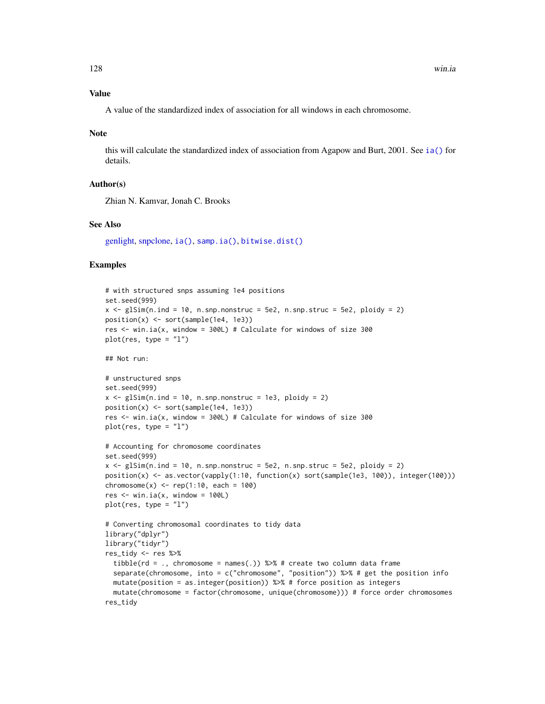# <span id="page-127-0"></span>Value

A value of the standardized index of association for all windows in each chromosome.

#### Note

this will calculate the standardized index of association from Agapow and Burt, 2001. See [ia\(\)](#page-49-0) for details.

# Author(s)

Zhian N. Kamvar, Jonah C. Brooks

#### See Also

[genlight,](#page-0-0) [snpclone,](#page-42-0) [ia\(\)](#page-49-0), [samp.ia\(\)](#page-122-0), [bitwise.dist\(\)](#page-12-0)

# Examples

```
# with structured snps assuming 1e4 positions
set.seed(999)
x \leq -g1Sim(n, ind = 10, n.snp.nonstruc = 5e2, n.snp.struc = 5e2, ploidy = 2)position(x) <- sort(sample(1e4, 1e3))
res \le win.ia(x, window = 300L) # Calculate for windows of size 300
plot(res, type = "l")
## Not run:
# unstructured snps
set.seed(999)
x \leq g \leq \text{glim}(n \text{.ind} = 10, n \text{.snp} \text{.nonstruc} = 1e3, \text{ploidy} = 2)position(x) \leq sort(sample(1e4, 1e3))res <- win.ia(x, window = 300L) # Calculate for windows of size 300
plot(res, type = "l")# Accounting for chromosome coordinates
set.seed(999)
x \leq glsim(n.ind = 10, n.snp.nonstruc = 5e2, n.snp.struc = 5e2, ploidy = 2)position(x) <- as.vector(vapply(1:10, function(x) sort(sample(1e3, 100)), integer(100)))
chromosome(x) < - rep(1:10, each = 100)res \le win.ia(x, window = 100L)
plot(res, type = "l")# Converting chromosomal coordinates to tidy data
library("dplyr")
library("tidyr")
res_tidy <- res %>%
 tibble(rd = ., chromosome = names(.)) %>% # create two column data frame
 separate(chromosome, into = c("chromosome", "position")) %>% # get the position info
 mutate(position = as.integer(position)) %>% # force position as integers
 mutate(chromosome = factor(chromosome, unique(chromosome))) # force order chromosomes
res_tidy
```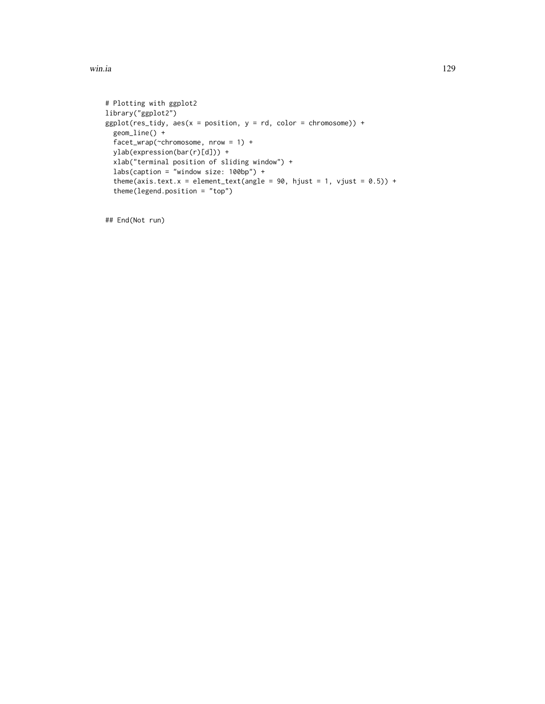win.ia the contract of the contract of the contract of the contract of the contract of the contract of the contract of the contract of the contract of the contract of the contract of the contract of the contract of the con

```
# Plotting with ggplot2
library("ggplot2")
ggplot(res\_tidy, aes(x = position, y = rd, color = chromosome)) +geom_line() +
  facet_wrap(~chromosome, nrow = 1) +
  ylab(expression(bar(r)[d])) +
  xlab("terminal position of sliding window") +
  labs(caption = "window size: 100bp") +
  theme(axis.text.x = element_text(angle = 90, hjust = 1, vjust = 0.5)) +
  theme(legend.position = "top")
```
## End(Not run)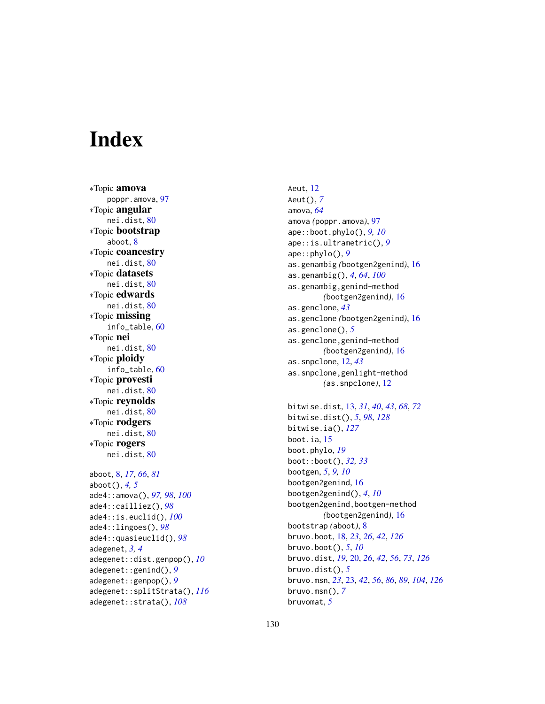# **Index**

∗Topic amova poppr.amova, [97](#page-96-0) ∗Topic angular nei.dist, [80](#page-79-0) ∗Topic bootstrap aboot, [8](#page-7-0) ∗Topic coancestry nei.dist, [80](#page-79-0) ∗Topic datasets nei.dist, [80](#page-79-0) ∗Topic edwards nei.dist, [80](#page-79-0) ∗Topic missing info\_table, [60](#page-59-0) ∗Topic nei nei.dist, [80](#page-79-0) ∗Topic ploidy info\_table, [60](#page-59-0) ∗Topic provesti nei.dist, [80](#page-79-0) ∗Topic reynolds nei.dist, [80](#page-79-0) ∗Topic rodgers nei.dist, [80](#page-79-0) ∗Topic rogers nei.dist, [80](#page-79-0) aboot, [8,](#page-7-0) *[17](#page-16-0)*, *[66](#page-65-0)*, *[81](#page-80-0)* aboot(), *[4,](#page-3-0) [5](#page-4-0)* ade4::amova(), *[97,](#page-96-0) [98](#page-97-0)*, *[100](#page-99-0)* ade4::cailliez(), *[98](#page-97-0)* ade4::is.euclid(), *[100](#page-99-0)* ade4::lingoes(), *[98](#page-97-0)* ade4::quasieuclid(), *[98](#page-97-0)* adegenet, *[3,](#page-2-0) [4](#page-3-0)* adegenet::dist.genpop(), *[10](#page-9-0)* adegenet::genind(), *[9](#page-8-0)* adegenet::genpop(), *[9](#page-8-0)* adegenet::splitStrata(), *[116](#page-115-0)* adegenet::strata(), *[108](#page-107-0)*

Aeut, [12](#page-11-0) Aeut(), *[7](#page-6-0)* amova, *[64](#page-63-0)* amova *(*poppr.amova*)*, [97](#page-96-0) ape::boot.phylo(), *[9,](#page-8-0) [10](#page-9-0)* ape::is.ultrametric(), *[9](#page-8-0)* ape::phylo(), *[9](#page-8-0)* as.genambig *(*bootgen2genind*)*, [16](#page-15-0) as.genambig(), *[4](#page-3-0)*, *[64](#page-63-0)*, *[100](#page-99-0)* as.genambig,genind-method *(*bootgen2genind*)*, [16](#page-15-0) as.genclone, *[43](#page-42-2)* as.genclone *(*bootgen2genind*)*, [16](#page-15-0) as.genclone(), *[5](#page-4-0)* as.genclone,genind-method *(*bootgen2genind*)*, [16](#page-15-0) as.snpclone, [12,](#page-11-0) *[43](#page-42-2)* as.snpclone,genlight-method *(*as.snpclone*)*, [12](#page-11-0) bitwise.dist, [13,](#page-12-1) *[31](#page-30-0)*, *[40](#page-39-0)*, *[43](#page-42-2)*, *[68](#page-67-0)*, *[72](#page-71-0)* bitwise.dist(), *[5](#page-4-0)*, *[98](#page-97-0)*, *[128](#page-127-0)* bitwise.ia(), *[127](#page-126-0)* boot.ia, [15](#page-14-0) boot.phylo, *[19](#page-18-0)* boot::boot(), *[32,](#page-31-0) [33](#page-32-0)* bootgen, *[5](#page-4-0)*, *[9,](#page-8-0) [10](#page-9-0)* bootgen2genind, [16](#page-15-0) bootgen2genind(), *[4](#page-3-0)*, *[10](#page-9-0)* bootgen2genind,bootgen-method *(*bootgen2genind*)*, [16](#page-15-0) bootstrap *(*aboot*)*, [8](#page-7-0) bruvo.boot, [18,](#page-17-1) *[23](#page-22-1)*, *[26](#page-25-0)*, *[42](#page-41-0)*, *[126](#page-125-0)* bruvo.boot(), *[5](#page-4-0)*, *[10](#page-9-0)* bruvo.dist, *[19](#page-18-0)*, [20,](#page-19-1) *[26](#page-25-0)*, *[42](#page-41-0)*, *[56](#page-55-0)*, *[73](#page-72-0)*, *[126](#page-125-0)* bruvo.dist(), *[5](#page-4-0)* bruvo.msn, *[23](#page-22-1)*, [23,](#page-22-1) *[42](#page-41-0)*, *[56](#page-55-0)*, *[86](#page-85-0)*, *[89](#page-88-0)*, *[104](#page-103-0)*, *[126](#page-125-0)* bruvo.msn(), *[7](#page-6-0)* bruvomat, *[5](#page-4-0)*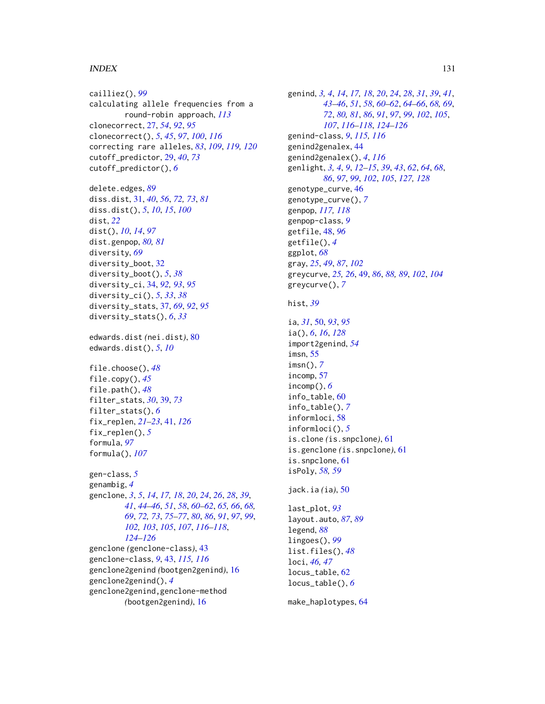# $I<sub>31</sub>$  is a set of  $I<sub>31</sub>$  is a set of  $I<sub>31</sub>$  is a set of  $I<sub>31</sub>$  is a set of  $I<sub>31</sub>$  is a set of  $I<sub>31</sub>$  is a set of  $I<sub>31</sub>$  is a set of  $I<sub>31</sub>$  is a set of  $I<sub>31</sub>$  is a set of  $I$

cailliez(), *[99](#page-98-0)* calculating allele frequencies from a round-robin approach, *[113](#page-112-1)* clonecorrect, [27,](#page-26-1) *[54](#page-53-0)*, *[92](#page-91-0)*, *[95](#page-94-0)* clonecorrect(), *[5](#page-4-0)*, *[45](#page-44-0)*, *[97](#page-96-0)*, *[100](#page-99-0)*, *[116](#page-115-0)* correcting rare alleles, *[83](#page-82-1)*, *[109](#page-108-1)*, *[119,](#page-118-1) [120](#page-119-0)* cutoff\_predictor, [29,](#page-28-0) *[40](#page-39-0)*, *[73](#page-72-0)* cutoff\_predictor(), *[6](#page-5-0)* delete.edges, *[89](#page-88-0)* diss.dist, [31,](#page-30-0) *[40](#page-39-0)*, *[56](#page-55-0)*, *[72,](#page-71-0) [73](#page-72-0)*, *[81](#page-80-0)* diss.dist(), *[5](#page-4-0)*, *[10](#page-9-0)*, *[15](#page-14-0)*, *[100](#page-99-0)* dist, *[22](#page-21-0)* dist(), *[10](#page-9-0)*, *[14](#page-13-0)*, *[97](#page-96-0)* dist.genpop, *[80,](#page-79-0) [81](#page-80-0)* diversity, *[69](#page-68-0)* diversity\_boot, [32](#page-31-0) diversity\_boot(), *[5](#page-4-0)*, *[38](#page-37-0)* diversity\_ci, [34,](#page-33-0) *[92,](#page-91-0) [93](#page-92-0)*, *[95](#page-94-0)* diversity\_ci(), *[5](#page-4-0)*, *[33](#page-32-0)*, *[38](#page-37-0)* diversity\_stats, [37,](#page-36-0) *[69](#page-68-0)*, *[92](#page-91-0)*, *[95](#page-94-0)* diversity\_stats(), *[6](#page-5-0)*, *[33](#page-32-0)* edwards.dist *(*nei.dist*)*, [80](#page-79-0) edwards.dist(), *[5](#page-4-0)*, *[10](#page-9-0)* file.choose(), *[48](#page-47-0)* file.copy(), *[45](#page-44-0)* file.path(), *[48](#page-47-0)* filter\_stats, *[30](#page-29-0)*, [39,](#page-38-0) *[73](#page-72-0)* filter\_stats(), *[6](#page-5-0)* fix\_replen, *[21](#page-20-0)[–23](#page-22-1)*, [41,](#page-40-1) *[126](#page-125-0)* fix\_replen(), *[5](#page-4-0)* formula, *[97](#page-96-0)* formula(), *[107](#page-106-0)* gen-class, *[5](#page-4-0)* genambig, *[4](#page-3-0)* genclone, *[3](#page-2-0)*, *[5](#page-4-0)*, *[14](#page-13-0)*, *[17,](#page-16-0) [18](#page-17-1)*, *[20](#page-19-1)*, *[24](#page-23-0)*, *[26](#page-25-0)*, *[28](#page-27-0)*, *[39](#page-38-0)*, *[41](#page-40-1)*, *[44](#page-43-1)[–46](#page-45-0)*, *[51](#page-50-0)*, *[58](#page-57-0)*, *[60–](#page-59-0)[62](#page-61-0)*, *[65,](#page-64-0) [66](#page-65-0)*, *[68,](#page-67-0) [69](#page-68-0)*, *[72,](#page-71-0) [73](#page-72-0)*, *[75–](#page-74-1)[77](#page-76-0)*, *[80](#page-79-0)*, *[86](#page-85-0)*, *[91](#page-90-0)*, *[97](#page-96-0)*, *[99](#page-98-0)*, *[102,](#page-101-0) [103](#page-102-0)*, *[105](#page-104-0)*, *[107](#page-106-0)*, *[116–](#page-115-0)[118](#page-117-0)*, *[124](#page-123-0)[–126](#page-125-0)* genclone *(*genclone-class*)*, [43](#page-42-2) genclone-class, *[9](#page-8-0)*, [43,](#page-42-2) *[115,](#page-114-0) [116](#page-115-0)* genclone2genind *(*bootgen2genind*)*, [16](#page-15-0) genclone2genind(), *[4](#page-3-0)* genclone2genind,genclone-method *(*bootgen2genind*)*, [16](#page-15-0)

genind, *[3,](#page-2-0) [4](#page-3-0)*, *[14](#page-13-0)*, *[17,](#page-16-0) [18](#page-17-1)*, *[20](#page-19-1)*, *[24](#page-23-0)*, *[28](#page-27-0)*, *[31](#page-30-0)*, *[39](#page-38-0)*, *[41](#page-40-1)*, *[43](#page-42-2)[–46](#page-45-0)*, *[51](#page-50-0)*, *[58](#page-57-0)*, *[60](#page-59-0)[–62](#page-61-0)*, *[64](#page-63-0)[–66](#page-65-0)*, *[68,](#page-67-0) [69](#page-68-0)*, *[72](#page-71-0)*, *[80,](#page-79-0) [81](#page-80-0)*, *[86](#page-85-0)*, *[91](#page-90-0)*, *[97](#page-96-0)*, *[99](#page-98-0)*, *[102](#page-101-0)*, *[105](#page-104-0)*, *[107](#page-106-0)*, *[116](#page-115-0)[–118](#page-117-0)*, *[124](#page-123-0)[–126](#page-125-0)* genind-class, *[9](#page-8-0)*, *[115,](#page-114-0) [116](#page-115-0)* genind2genalex, [44](#page-43-1) genind2genalex(), *[4](#page-3-0)*, *[116](#page-115-0)* genlight, *[3,](#page-2-0) [4](#page-3-0)*, *[9](#page-8-0)*, *[12](#page-11-0)[–15](#page-14-0)*, *[39](#page-38-0)*, *[43](#page-42-2)*, *[62](#page-61-0)*, *[64](#page-63-0)*, *[68](#page-67-0)*, *[86](#page-85-0)*, *[97](#page-96-0)*, *[99](#page-98-0)*, *[102](#page-101-0)*, *[105](#page-104-0)*, *[127,](#page-126-0) [128](#page-127-0)* genotype\_curve, [46](#page-45-0) genotype\_curve(), *[7](#page-6-0)* genpop, *[117,](#page-116-1) [118](#page-117-0)* genpop-class, *[9](#page-8-0)* getfile, [48,](#page-47-0) *[96](#page-95-0)* getfile(), *[4](#page-3-0)* ggplot, *[68](#page-67-0)* gray, *[25](#page-24-0)*, *[49](#page-48-0)*, *[87](#page-86-0)*, *[102](#page-101-0)* greycurve, *[25,](#page-24-0) [26](#page-25-0)*, [49,](#page-48-0) *[86](#page-85-0)*, *[88,](#page-87-0) [89](#page-88-0)*, *[102](#page-101-0)*, *[104](#page-103-0)* greycurve(), *[7](#page-6-0)* hist, *[39](#page-38-0)* ia, *[31](#page-30-0)*, [50,](#page-49-1) *[93](#page-92-0)*, *[95](#page-94-0)* ia(), *[6](#page-5-0)*, *[16](#page-15-0)*, *[128](#page-127-0)* import2genind, *[54](#page-53-0)* imsn, [55](#page-54-0) imsn(), *[7](#page-6-0)* incomp, [57](#page-56-0) incomp(), *[6](#page-5-0)* info\_table, [60](#page-59-0) info\_table(), *[7](#page-6-0)* informloci, [58](#page-57-0) informloci(), *[5](#page-4-0)* is.clone *(*is.snpclone*)*, [61](#page-60-0) is.genclone *(*is.snpclone*)*, [61](#page-60-0) is.snpclone, [61](#page-60-0) isPoly, *[58,](#page-57-0) [59](#page-58-0)* jack.ia *(*ia*)*, [50](#page-49-1) last\_plot, *[93](#page-92-0)* layout.auto, *[87](#page-86-0)*, *[89](#page-88-0)* legend, *[88](#page-87-0)* lingoes(), *[99](#page-98-0)* list.files(), *[48](#page-47-0)* loci, *[46,](#page-45-0) [47](#page-46-0)* locus\_table, [62](#page-61-0) locus\_table(), *[6](#page-5-0)*

make\_haplotypes, [64](#page-63-0)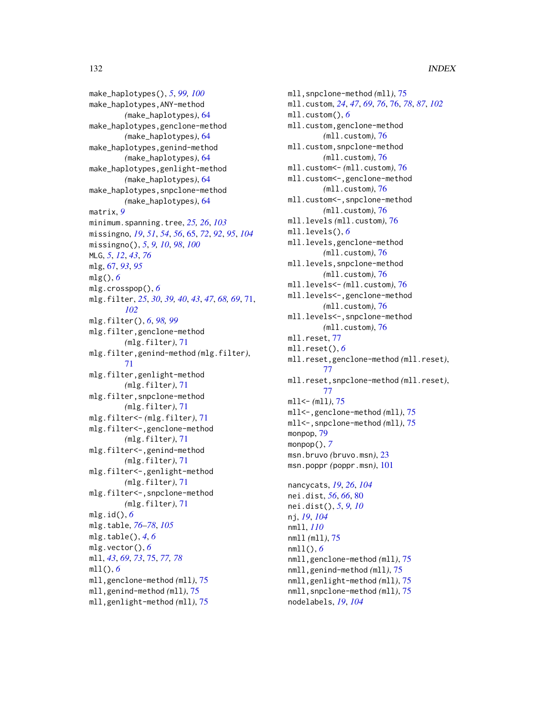make\_haplotypes(), *[5](#page-4-0)*, *[99,](#page-98-0) [100](#page-99-0)* make\_haplotypes,ANY-method *(*make\_haplotypes*)*, [64](#page-63-0) make\_haplotypes,genclone-method *(*make\_haplotypes*)*, [64](#page-63-0) make\_haplotypes,genind-method *(*make\_haplotypes*)*, [64](#page-63-0) make\_haplotypes,genlight-method *(*make\_haplotypes*)*, [64](#page-63-0) make\_haplotypes,snpclone-method *(*make\_haplotypes*)*, [64](#page-63-0) matrix, *[9](#page-8-0)* minimum.spanning.tree, *[25,](#page-24-0) [26](#page-25-0)*, *[103](#page-102-0)* missingno, *[19](#page-18-0)*, *[51](#page-50-0)*, *[54](#page-53-0)*, *[56](#page-55-0)*, [65,](#page-64-0) *[72](#page-71-0)*, *[92](#page-91-0)*, *[95](#page-94-0)*, *[104](#page-103-0)* missingno(), *[5](#page-4-0)*, *[9,](#page-8-0) [10](#page-9-0)*, *[98](#page-97-0)*, *[100](#page-99-0)* MLG, *[5](#page-4-0)*, *[12](#page-11-0)*, *[43](#page-42-2)*, *[76](#page-75-0)* mlg, [67,](#page-66-0) *[93](#page-92-0)*, *[95](#page-94-0)* mlg(), *[6](#page-5-0)* mlg.crosspop(), *[6](#page-5-0)* mlg.filter, *[25](#page-24-0)*, *[30](#page-29-0)*, *[39,](#page-38-0) [40](#page-39-0)*, *[43](#page-42-2)*, *[47](#page-46-0)*, *[68,](#page-67-0) [69](#page-68-0)*, [71,](#page-70-0) *[102](#page-101-0)* mlg.filter(), *[6](#page-5-0)*, *[98,](#page-97-0) [99](#page-98-0)* mlg.filter,genclone-method *(*mlg.filter*)*, [71](#page-70-0) mlg.filter,genind-method *(*mlg.filter*)*, [71](#page-70-0) mlg.filter,genlight-method *(*mlg.filter*)*, [71](#page-70-0) mlg.filter,snpclone-method *(*mlg.filter*)*, [71](#page-70-0) mlg.filter<- *(*mlg.filter*)*, [71](#page-70-0) mlg.filter<-,genclone-method *(*mlg.filter*)*, [71](#page-70-0) mlg.filter<-,genind-method *(*mlg.filter*)*, [71](#page-70-0) mlg.filter<-,genlight-method *(*mlg.filter*)*, [71](#page-70-0) mlg.filter<-,snpclone-method *(*mlg.filter*)*, [71](#page-70-0) mlg.id(), *[6](#page-5-0)* mlg.table, *[76](#page-75-0)[–78](#page-77-0)*, *[105](#page-104-0)* mlg.table(), *[4](#page-3-0)*, *[6](#page-5-0)* mlg.vector(), *[6](#page-5-0)* mll, *[43](#page-42-2)*, *[69](#page-68-0)*, *[73](#page-72-0)*, [75,](#page-74-1) *[77,](#page-76-0) [78](#page-77-0)* mll(), *[6](#page-5-0)* mll,genclone-method *(*mll*)*, [75](#page-74-1) mll,genind-method *(*mll*)*, [75](#page-74-1) mll,genlight-method *(*mll*)*, [75](#page-74-1)

mll,snpclone-method *(*mll*)*, [75](#page-74-1) mll.custom, *[24](#page-23-0)*, *[47](#page-46-0)*, *[69](#page-68-0)*, *[76](#page-75-0)*, [76,](#page-75-0) *[78](#page-77-0)*, *[87](#page-86-0)*, *[102](#page-101-0)* mll.custom(), *[6](#page-5-0)* mll.custom,genclone-method *(*mll.custom*)*, [76](#page-75-0) mll.custom,snpclone-method *(*mll.custom*)*, [76](#page-75-0) mll.custom<- *(*mll.custom*)*, [76](#page-75-0) mll.custom<-,genclone-method *(*mll.custom*)*, [76](#page-75-0) mll.custom<-,snpclone-method *(*mll.custom*)*, [76](#page-75-0) mll.levels *(*mll.custom*)*, [76](#page-75-0) mll.levels(), *[6](#page-5-0)* mll.levels,genclone-method *(*mll.custom*)*, [76](#page-75-0) mll.levels,snpclone-method *(*mll.custom*)*, [76](#page-75-0) mll.levels<- *(*mll.custom*)*, [76](#page-75-0) mll.levels<-,genclone-method *(*mll.custom*)*, [76](#page-75-0) mll.levels<-,snpclone-method *(*mll.custom*)*, [76](#page-75-0) mll.reset, [77](#page-76-0) mll.reset(), *[6](#page-5-0)* mll.reset,genclone-method *(*mll.reset*)*, [77](#page-76-0) mll.reset,snpclone-method *(*mll.reset*)*, [77](#page-76-0) mll<- *(*mll*)*, [75](#page-74-1) mll<-,genclone-method *(*mll*)*, [75](#page-74-1) mll<-,snpclone-method *(*mll*)*, [75](#page-74-1) monpop, [79](#page-78-0) monpop(), *[7](#page-6-0)* msn.bruvo *(*bruvo.msn*)*, [23](#page-22-1) msn.poppr *(*poppr.msn*)*, [101](#page-100-0) nancycats, *[19](#page-18-0)*, *[26](#page-25-0)*, *[104](#page-103-0)* nei.dist, *[56](#page-55-0)*, *[66](#page-65-0)*, [80](#page-79-0) nei.dist(), *[5](#page-4-0)*, *[9,](#page-8-0) [10](#page-9-0)* nj, *[19](#page-18-0)*, *[104](#page-103-0)* nmll, *[110](#page-109-0)* nmll *(*mll*)*, [75](#page-74-1) nmll(), *[6](#page-5-0)* nmll,genclone-method *(*mll*)*, [75](#page-74-1) nmll,genind-method *(*mll*)*, [75](#page-74-1) nmll,genlight-method *(*mll*)*, [75](#page-74-1) nmll,snpclone-method *(*mll*)*, [75](#page-74-1) nodelabels, *[19](#page-18-0)*, *[104](#page-103-0)*